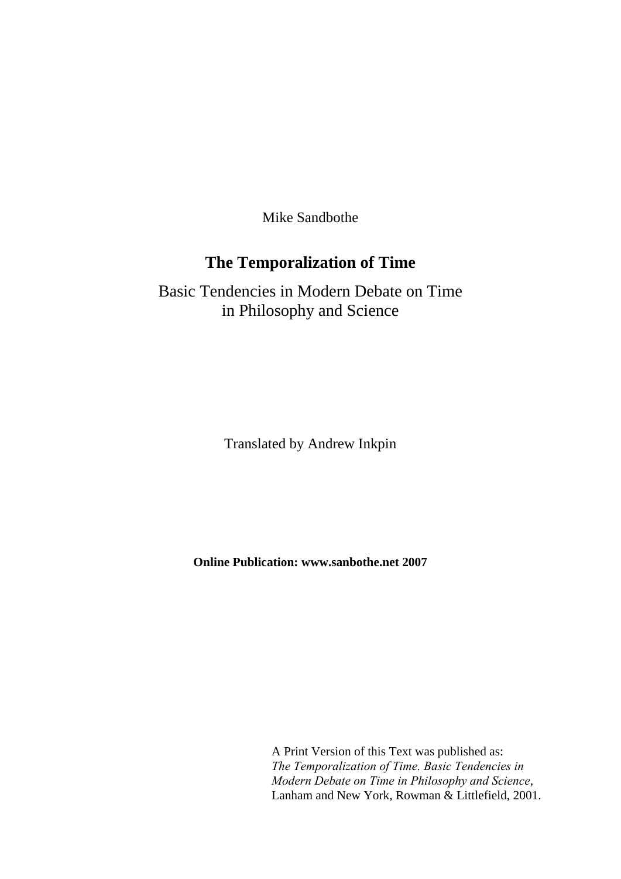Mike Sandbothe

# **The Temporalization of Time**

Basic Tendencies in Modern Debate on Time in Philosophy and Science

Translated by Andrew Inkpin

**Online Publication: www.sanbothe.net 2007** 

A Print Version of this Text was published as: *The Temporalization of Time. Basic Tendencies in Modern Debate on Time in Philosophy and Science*, Lanham and New York, Rowman & Littlefield, 2001.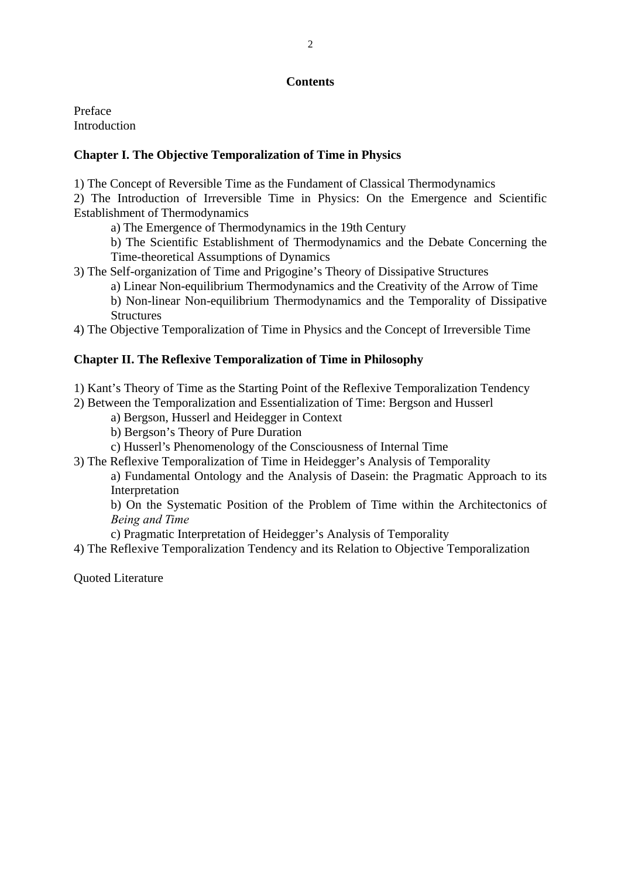## **Contents**

Preface **Introduction** 

## **Chapter I. The Objective Temporalization of Time in Physics**

1) The Concept of Reversible Time as the Fundament of Classical Thermodynamics

2) The Introduction of Irreversible Time in Physics: On the Emergence and Scientific Establishment of Thermodynamics

a) The Emergence of Thermodynamics in the 19th Century

b) The Scientific Establishment of Thermodynamics and the Debate Concerning the Time-theoretical Assumptions of Dynamics

3) The Self-organization of Time and Prigogine's Theory of Dissipative Structures

a) Linear Non-equilibrium Thermodynamics and the Creativity of the Arrow of Time

b) Non-linear Non-equilibrium Thermodynamics and the Temporality of Dissipative **Structures** 

4) The Objective Temporalization of Time in Physics and the Concept of Irreversible Time

## **Chapter II. The Reflexive Temporalization of Time in Philosophy**

1) Kant's Theory of Time as the Starting Point of the Reflexive Temporalization Tendency

2) Between the Temporalization and Essentialization of Time: Bergson and Husserl

a) Bergson, Husserl and Heidegger in Context

b) Bergson's Theory of Pure Duration

c) Husserl's Phenomenology of the Consciousness of Internal Time

3) The Reflexive Temporalization of Time in Heidegger's Analysis of Temporality

a) Fundamental Ontology and the Analysis of Dasein: the Pragmatic Approach to its Interpretation

b) On the Systematic Position of the Problem of Time within the Architectonics of *Being and Time*

c) Pragmatic Interpretation of Heidegger's Analysis of Temporality

4) The Reflexive Temporalization Tendency and its Relation to Objective Temporalization

Quoted Literature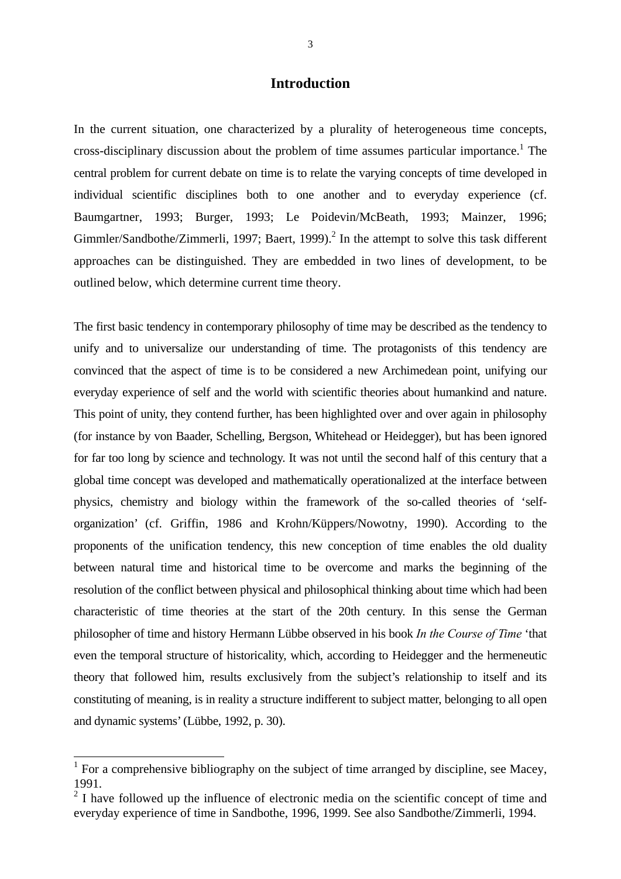## **Introduction**

In the current situation, one characterized by a plurality of heterogeneous time concepts, cross-disciplinary discussion about the problem of time assumes particular importance.<sup>1</sup> The central problem for current debate on time is to relate the varying concepts of time developed in individual scientific disciplines both to one another and to everyday experience (cf. Baumgartner, 1993; Burger, 1993; Le Poidevin/McBeath, 1993; Mainzer, 1996; Gimmler/Sandbothe/Zimmerli, 1997; Baert, 1999).<sup>2</sup> In the attempt to solve this task different approaches can be distinguished. They are embedded in two lines of development, to be outlined below, which determine current time theory.

The first basic tendency in contemporary philosophy of time may be described as the tendency to unify and to universalize our understanding of time. The protagonists of this tendency are convinced that the aspect of time is to be considered a new Archimedean point, unifying our everyday experience of self and the world with scientific theories about humankind and nature. This point of unity, they contend further, has been highlighted over and over again in philosophy (for instance by von Baader, Schelling, Bergson, Whitehead or Heidegger), but has been ignored for far too long by science and technology. It was not until the second half of this century that a global time concept was developed and mathematically operationalized at the interface between physics, chemistry and biology within the framework of the so-called theories of 'selforganization' (cf. Griffin, 1986 and Krohn/Küppers/Nowotny, 1990). According to the proponents of the unification tendency, this new conception of time enables the old duality between natural time and historical time to be overcome and marks the beginning of the resolution of the conflict between physical and philosophical thinking about time which had been characteristic of time theories at the start of the 20th century. In this sense the German philosopher of time and history Hermann Lübbe observed in his book *In the Course of Time* 'that even the temporal structure of historicality, which, according to Heidegger and the hermeneutic theory that followed him, results exclusively from the subject's relationship to itself and its constituting of meaning, is in reality a structure indifferent to subject matter, belonging to all open and dynamic systems' (Lübbe, 1992, p. 30).

-

<sup>&</sup>lt;sup>1</sup> For a comprehensive bibliography on the subject of time arranged by discipline, see Macey, 1991.

 $2<sup>2</sup>$  I have followed up the influence of electronic media on the scientific concept of time and everyday experience of time in Sandbothe, 1996, 1999. See also Sandbothe/Zimmerli, 1994.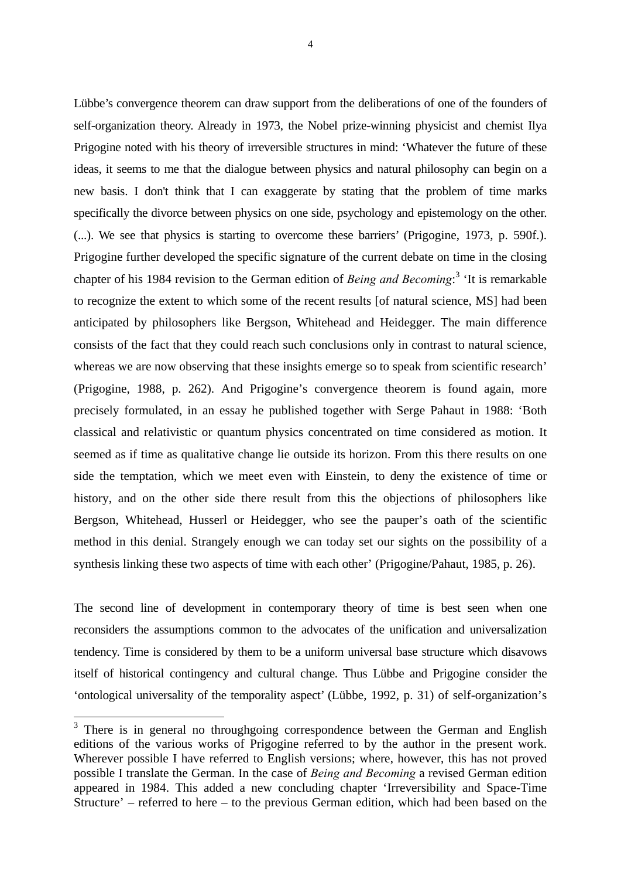4

Lübbe's convergence theorem can draw support from the deliberations of one of the founders of self-organization theory. Already in 1973, the Nobel prize-winning physicist and chemist Ilya Prigogine noted with his theory of irreversible structures in mind: 'Whatever the future of these ideas, it seems to me that the dialogue between physics and natural philosophy can begin on a new basis. I don't think that I can exaggerate by stating that the problem of time marks specifically the divorce between physics on one side, psychology and epistemology on the other. (...). We see that physics is starting to overcome these barriers' (Prigogine, 1973, p. 590f.). Prigogine further developed the specific signature of the current debate on time in the closing chapter of his 1984 revision to the German edition of *Being and Becoming*: 3 'It is remarkable to recognize the extent to which some of the recent results [of natural science, MS] had been anticipated by philosophers like Bergson, Whitehead and Heidegger. The main difference consists of the fact that they could reach such conclusions only in contrast to natural science, whereas we are now observing that these insights emerge so to speak from scientific research' (Prigogine, 1988, p. 262). And Prigogine's convergence theorem is found again, more precisely formulated, in an essay he published together with Serge Pahaut in 1988: 'Both classical and relativistic or quantum physics concentrated on time considered as motion. It seemed as if time as qualitative change lie outside its horizon. From this there results on one side the temptation, which we meet even with Einstein, to deny the existence of time or history, and on the other side there result from this the objections of philosophers like Bergson, Whitehead, Husserl or Heidegger, who see the pauper's oath of the scientific method in this denial. Strangely enough we can today set our sights on the possibility of a synthesis linking these two aspects of time with each other' (Prigogine/Pahaut, 1985, p. 26).

The second line of development in contemporary theory of time is best seen when one reconsiders the assumptions common to the advocates of the unification and universalization tendency. Time is considered by them to be a uniform universal base structure which disavows itself of historical contingency and cultural change. Thus Lübbe and Prigogine consider the 'ontological universality of the temporality aspect' (Lübbe, 1992, p. 31) of self-organization's

1

<sup>&</sup>lt;sup>3</sup> There is in general no throughgoing correspondence between the German and English editions of the various works of Prigogine referred to by the author in the present work. Wherever possible I have referred to English versions; where, however, this has not proved possible I translate the German. In the case of *Being and Becoming* a revised German edition appeared in 1984. This added a new concluding chapter 'Irreversibility and Space-Time Structure' – referred to here – to the previous German edition, which had been based on the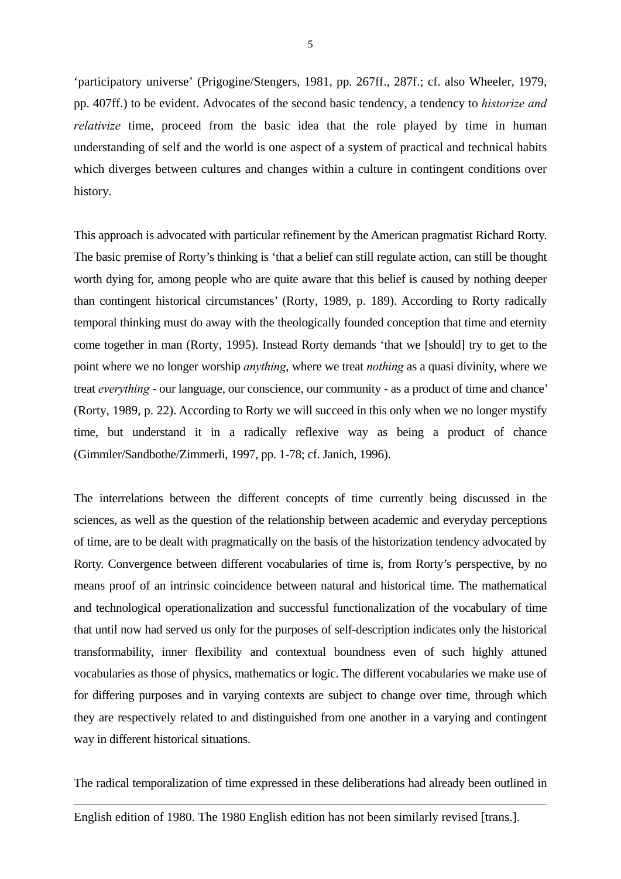'participatory universe' (Prigogine/Stengers, 1981, pp. 267ff., 287f.; cf. also Wheeler, 1979, pp. 407ff.) to be evident. Advocates of the second basic tendency, a tendency to *historize and relativize* time, proceed from the basic idea that the role played by time in human understanding of self and the world is one aspect of a system of practical and technical habits which diverges between cultures and changes within a culture in contingent conditions over history.

This approach is advocated with particular refinement by the American pragmatist Richard Rorty. The basic premise of Rorty's thinking is 'that a belief can still regulate action, can still be thought worth dying for, among people who are quite aware that this belief is caused by nothing deeper than contingent historical circumstances' (Rorty, 1989, p. 189). According to Rorty radically temporal thinking must do away with the theologically founded conception that time and eternity come together in man (Rorty, 1995). Instead Rorty demands 'that we [should] try to get to the point where we no longer worship *anything*, where we treat *nothing* as a quasi divinity, where we treat *everything* - our language, our conscience, our community - as a product of time and chance' (Rorty, 1989, p. 22). According to Rorty we will succeed in this only when we no longer mystify time, but understand it in a radically reflexive way as being a product of chance (Gimmler/Sandbothe/Zimmerli, 1997, pp. 1-78; cf. Janich, 1996).

The interrelations between the different concepts of time currently being discussed in the sciences, as well as the question of the relationship between academic and everyday perceptions of time, are to be dealt with pragmatically on the basis of the historization tendency advocated by Rorty. Convergence between different vocabularies of time is, from Rorty's perspective, by no means proof of an intrinsic coincidence between natural and historical time. The mathematical and technological operationalization and successful functionalization of the vocabulary of time that until now had served us only for the purposes of self-description indicates only the historical transformability, inner flexibility and contextual boundness even of such highly attuned vocabularies as those of physics, mathematics or logic. The different vocabularies we make use of for differing purposes and in varying contexts are subject to change over time, through which they are respectively related to and distinguished from one another in a varying and contingent way in different historical situations.

The radical temporalization of time expressed in these deliberations had already been outlined in

1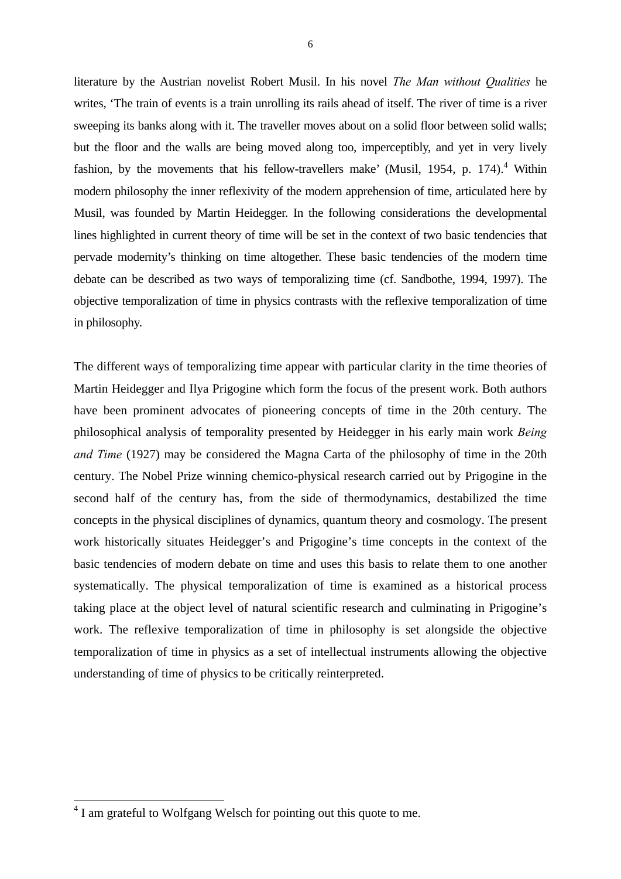literature by the Austrian novelist Robert Musil. In his novel *The Man without Qualities* he writes, 'The train of events is a train unrolling its rails ahead of itself. The river of time is a river sweeping its banks along with it. The traveller moves about on a solid floor between solid walls; but the floor and the walls are being moved along too, imperceptibly, and yet in very lively fashion, by the movements that his fellow-travellers make' (Musil, 1954, p. 174). $4$  Within modern philosophy the inner reflexivity of the modern apprehension of time, articulated here by Musil, was founded by Martin Heidegger. In the following considerations the developmental lines highlighted in current theory of time will be set in the context of two basic tendencies that pervade modernity's thinking on time altogether. These basic tendencies of the modern time debate can be described as two ways of temporalizing time (cf. Sandbothe, 1994, 1997). The objective temporalization of time in physics contrasts with the reflexive temporalization of time in philosophy.

The different ways of temporalizing time appear with particular clarity in the time theories of Martin Heidegger and Ilya Prigogine which form the focus of the present work. Both authors have been prominent advocates of pioneering concepts of time in the 20th century. The philosophical analysis of temporality presented by Heidegger in his early main work *Being and Time* (1927) may be considered the Magna Carta of the philosophy of time in the 20th century. The Nobel Prize winning chemico-physical research carried out by Prigogine in the second half of the century has, from the side of thermodynamics, destabilized the time concepts in the physical disciplines of dynamics, quantum theory and cosmology. The present work historically situates Heidegger's and Prigogine's time concepts in the context of the basic tendencies of modern debate on time and uses this basis to relate them to one another systematically. The physical temporalization of time is examined as a historical process taking place at the object level of natural scientific research and culminating in Prigogine's work. The reflexive temporalization of time in philosophy is set alongside the objective temporalization of time in physics as a set of intellectual instruments allowing the objective understanding of time of physics to be critically reinterpreted.

-

<sup>&</sup>lt;sup>4</sup> I am grateful to Wolfgang Welsch for pointing out this quote to me.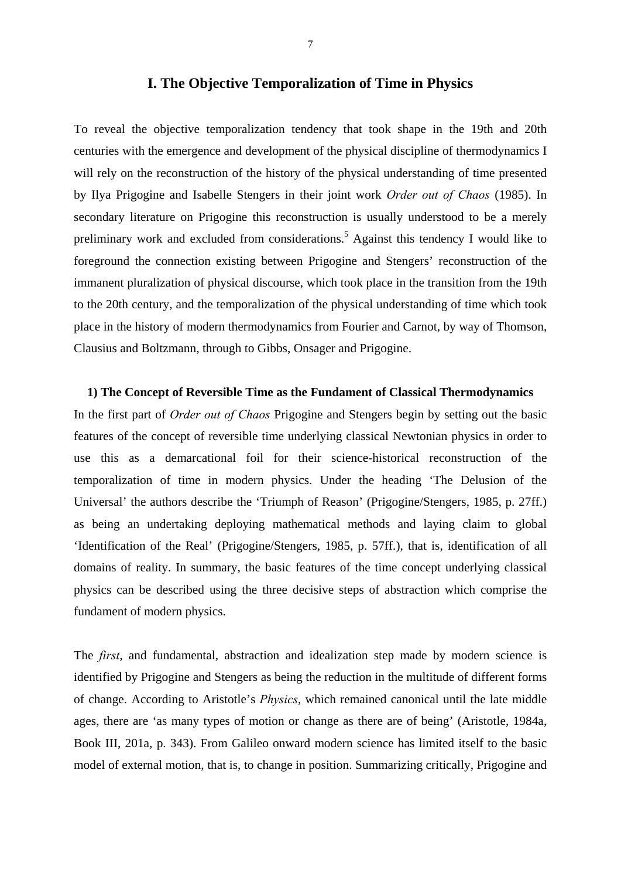## **I. The Objective Temporalization of Time in Physics**

To reveal the objective temporalization tendency that took shape in the 19th and 20th centuries with the emergence and development of the physical discipline of thermodynamics I will rely on the reconstruction of the history of the physical understanding of time presented by Ilya Prigogine and Isabelle Stengers in their joint work *Order out of Chaos* (1985). In secondary literature on Prigogine this reconstruction is usually understood to be a merely preliminary work and excluded from considerations.<sup>5</sup> Against this tendency I would like to foreground the connection existing between Prigogine and Stengers' reconstruction of the immanent pluralization of physical discourse, which took place in the transition from the 19th to the 20th century, and the temporalization of the physical understanding of time which took place in the history of modern thermodynamics from Fourier and Carnot, by way of Thomson, Clausius and Boltzmann, through to Gibbs, Onsager and Prigogine.

#### **1) The Concept of Reversible Time as the Fundament of Classical Thermodynamics**

In the first part of *Order out of Chaos* Prigogine and Stengers begin by setting out the basic features of the concept of reversible time underlying classical Newtonian physics in order to use this as a demarcational foil for their science-historical reconstruction of the temporalization of time in modern physics. Under the heading 'The Delusion of the Universal' the authors describe the 'Triumph of Reason' (Prigogine/Stengers, 1985, p. 27ff.) as being an undertaking deploying mathematical methods and laying claim to global 'Identification of the Real' (Prigogine/Stengers, 1985, p. 57ff.), that is, identification of all domains of reality. In summary, the basic features of the time concept underlying classical physics can be described using the three decisive steps of abstraction which comprise the fundament of modern physics.

The *first*, and fundamental, abstraction and idealization step made by modern science is identified by Prigogine and Stengers as being the reduction in the multitude of different forms of change. According to Aristotle's *Physics*, which remained canonical until the late middle ages, there are 'as many types of motion or change as there are of being' (Aristotle, 1984a, Book III, 201a, p. 343). From Galileo onward modern science has limited itself to the basic model of external motion, that is, to change in position. Summarizing critically, Prigogine and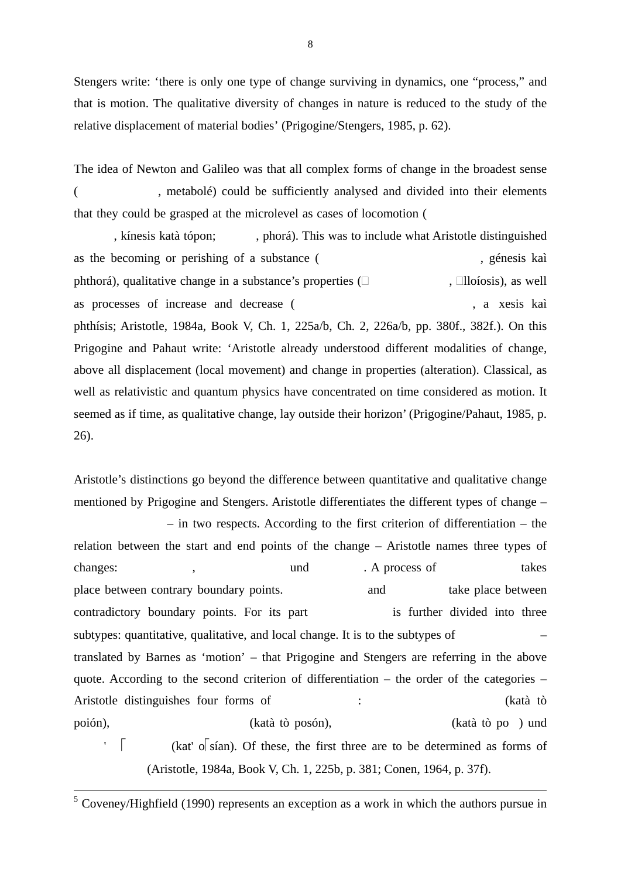Stengers write: 'there is only one type of change surviving in dynamics, one "process," and that is motion. The qualitative diversity of changes in nature is reduced to the study of the relative displacement of material bodies' (Prigogine/Stengers, 1985, p. 62).

The idea of Newton and Galileo was that all complex forms of change in the broadest sense (Rep. 2013), metabolé) could be sufficiently analysed and divided into their elements that they could be grasped at the microlevel as cases of locomotion (

, kínesis katà tópon; , phorá). This was to include what Aristotle distinguished as the becoming or perishing of a substance (, essentially substance or example as the second section of a substance of  $\alpha$ , génesis kaì phthorá), qualitative change in a substance's properties  $(\Box \hspace{1.5cm}, \Box$ lloíosis), as well as processes of increase and decrease ( , a xesis kaì phthísis; Aristotle, 1984a, Book V, Ch. 1, 225a/b, Ch. 2, 226a/b, pp. 380f., 382f.). On this Prigogine and Pahaut write: 'Aristotle already understood different modalities of change, above all displacement (local movement) and change in properties (alteration). Classical, as well as relativistic and quantum physics have concentrated on time considered as motion. It seemed as if time, as qualitative change, lay outside their horizon' (Prigogine/Pahaut, 1985, p. 26).

Aristotle's distinctions go beyond the difference between quantitative and qualitative change mentioned by Prigogine and Stengers. Aristotle differentiates the different types of change –

 – in two respects. According to the first criterion of differentiation – the relation between the start and end points of the change – Aristotle names three types of changes:  $\qquad \qquad$  ,  $\qquad \qquad$  und  $\qquad$  . A process of  $\qquad \qquad$  takes place between contrary boundary points. and take place between contradictory boundary points. For its part is further divided into three subtypes: quantitative, qualitative, and local change. It is to the subtypes of – translated by Barnes as 'motion' – that Prigogine and Stengers are referring in the above quote. According to the second criterion of differentiation – the order of the categories – Aristotle distinguishes four forms of : (katà tò poión), (katà tò posón), (katà tò po ) und  $\overline{\phantom{a}}$  (kat'  $\overline{\phantom{a}}$  (sian). Of these, the first three are to be determined as forms of (Aristotle, 1984a, Book V, Ch. 1, 225b, p. 381; Conen, 1964, p. 37f).

<sup>5</sup> Coveney/Highfield (1990) represents an exception as a work in which the authors pursue in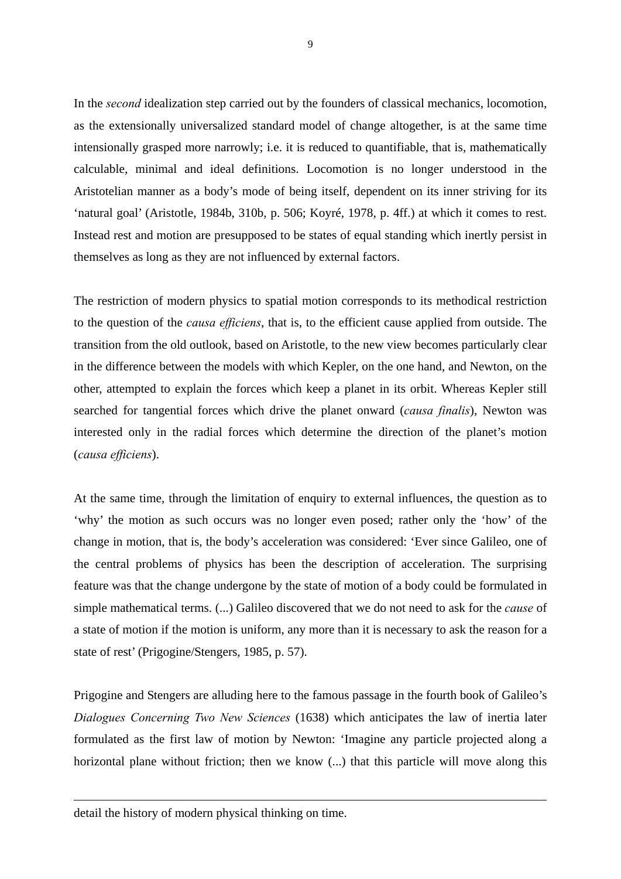In the *second* idealization step carried out by the founders of classical mechanics, locomotion, as the extensionally universalized standard model of change altogether, is at the same time intensionally grasped more narrowly; i.e. it is reduced to quantifiable, that is, mathematically calculable, minimal and ideal definitions. Locomotion is no longer understood in the Aristotelian manner as a body's mode of being itself, dependent on its inner striving for its 'natural goal' (Aristotle, 1984b, 310b, p. 506; Koyré, 1978, p. 4ff.) at which it comes to rest. Instead rest and motion are presupposed to be states of equal standing which inertly persist in themselves as long as they are not influenced by external factors.

The restriction of modern physics to spatial motion corresponds to its methodical restriction to the question of the *causa efficiens*, that is, to the efficient cause applied from outside. The transition from the old outlook, based on Aristotle, to the new view becomes particularly clear in the difference between the models with which Kepler, on the one hand, and Newton, on the other, attempted to explain the forces which keep a planet in its orbit. Whereas Kepler still searched for tangential forces which drive the planet onward (*causa finalis*), Newton was interested only in the radial forces which determine the direction of the planet's motion (*causa efficiens*).

At the same time, through the limitation of enquiry to external influences, the question as to 'why' the motion as such occurs was no longer even posed; rather only the 'how' of the change in motion, that is, the body's acceleration was considered: 'Ever since Galileo, one of the central problems of physics has been the description of acceleration. The surprising feature was that the change undergone by the state of motion of a body could be formulated in simple mathematical terms. (...) Galileo discovered that we do not need to ask for the *cause* of a state of motion if the motion is uniform, any more than it is necessary to ask the reason for a state of rest' (Prigogine/Stengers, 1985, p. 57).

Prigogine and Stengers are alluding here to the famous passage in the fourth book of Galileo's *Dialogues Concerning Two New Sciences* (1638) which anticipates the law of inertia later formulated as the first law of motion by Newton: 'Imagine any particle projected along a horizontal plane without friction; then we know  $(...)$  that this particle will move along this

-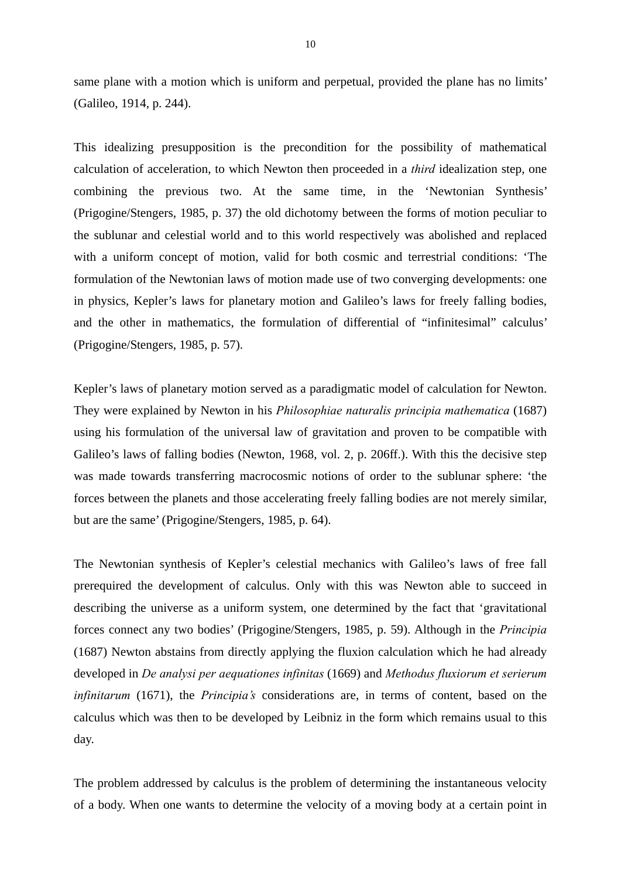same plane with a motion which is uniform and perpetual, provided the plane has no limits' (Galileo, 1914, p. 244).

This idealizing presupposition is the precondition for the possibility of mathematical calculation of acceleration, to which Newton then proceeded in a *third* idealization step, one combining the previous two. At the same time, in the 'Newtonian Synthesis' (Prigogine/Stengers, 1985, p. 37) the old dichotomy between the forms of motion peculiar to the sublunar and celestial world and to this world respectively was abolished and replaced with a uniform concept of motion, valid for both cosmic and terrestrial conditions: 'The formulation of the Newtonian laws of motion made use of two converging developments: one in physics, Kepler's laws for planetary motion and Galileo's laws for freely falling bodies, and the other in mathematics, the formulation of differential of "infinitesimal" calculus' (Prigogine/Stengers, 1985, p. 57).

Kepler's laws of planetary motion served as a paradigmatic model of calculation for Newton. They were explained by Newton in his *Philosophiae naturalis principia mathematica* (1687) using his formulation of the universal law of gravitation and proven to be compatible with Galileo's laws of falling bodies (Newton, 1968, vol. 2, p. 206ff.). With this the decisive step was made towards transferring macrocosmic notions of order to the sublunar sphere: 'the forces between the planets and those accelerating freely falling bodies are not merely similar, but are the same' (Prigogine/Stengers, 1985, p. 64).

The Newtonian synthesis of Kepler's celestial mechanics with Galileo's laws of free fall prerequired the development of calculus. Only with this was Newton able to succeed in describing the universe as a uniform system, one determined by the fact that 'gravitational forces connect any two bodies' (Prigogine/Stengers, 1985, p. 59). Although in the *Principia* (1687) Newton abstains from directly applying the fluxion calculation which he had already developed in *De analysi per aequationes infinitas* (1669) and *Methodus fluxiorum et serierum infinitarum* (1671), the *Principia's* considerations are, in terms of content, based on the calculus which was then to be developed by Leibniz in the form which remains usual to this day.

The problem addressed by calculus is the problem of determining the instantaneous velocity of a body. When one wants to determine the velocity of a moving body at a certain point in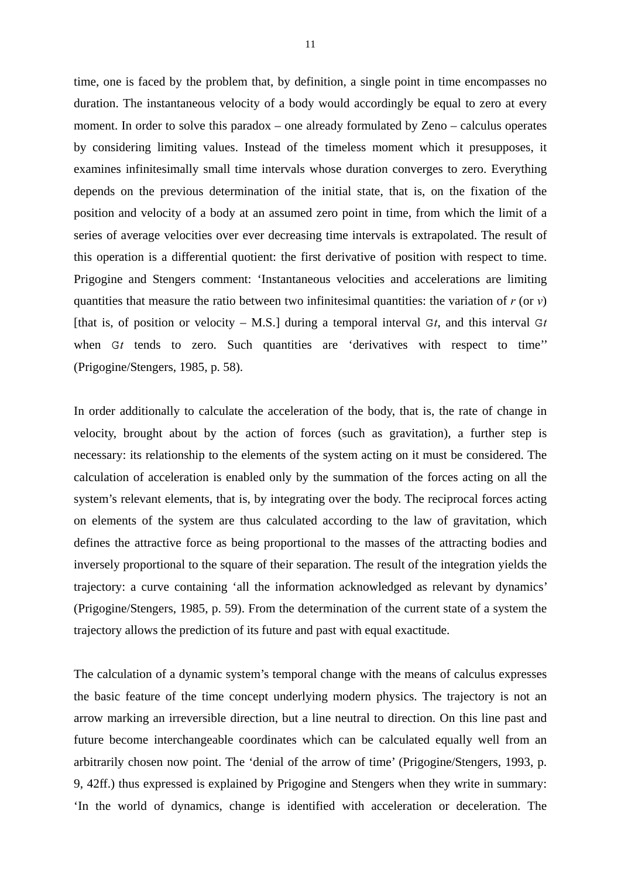time, one is faced by the problem that, by definition, a single point in time encompasses no duration. The instantaneous velocity of a body would accordingly be equal to zero at every moment. In order to solve this paradox – one already formulated by Zeno – calculus operates by considering limiting values. Instead of the timeless moment which it presupposes, it examines infinitesimally small time intervals whose duration converges to zero. Everything depends on the previous determination of the initial state, that is, on the fixation of the position and velocity of a body at an assumed zero point in time, from which the limit of a series of average velocities over ever decreasing time intervals is extrapolated. The result of this operation is a differential quotient: the first derivative of position with respect to time. Prigogine and Stengers comment: 'Instantaneous velocities and accelerations are limiting quantities that measure the ratio between two infinitesimal quantities: the variation of *r* (or *v*) [that is, of position or velocity  $-$  M.S.] during a temporal interval  $G_t$ , and this interval  $G_t$ when  $G_t$  tends to zero. Such quantities are 'derivatives with respect to time'' (Prigogine/Stengers, 1985, p. 58).

In order additionally to calculate the acceleration of the body, that is, the rate of change in velocity, brought about by the action of forces (such as gravitation), a further step is necessary: its relationship to the elements of the system acting on it must be considered. The calculation of acceleration is enabled only by the summation of the forces acting on all the system's relevant elements, that is, by integrating over the body. The reciprocal forces acting on elements of the system are thus calculated according to the law of gravitation, which defines the attractive force as being proportional to the masses of the attracting bodies and inversely proportional to the square of their separation. The result of the integration yields the trajectory: a curve containing 'all the information acknowledged as relevant by dynamics' (Prigogine/Stengers, 1985, p. 59). From the determination of the current state of a system the trajectory allows the prediction of its future and past with equal exactitude.

The calculation of a dynamic system's temporal change with the means of calculus expresses the basic feature of the time concept underlying modern physics. The trajectory is not an arrow marking an irreversible direction, but a line neutral to direction. On this line past and future become interchangeable coordinates which can be calculated equally well from an arbitrarily chosen now point. The 'denial of the arrow of time' (Prigogine/Stengers, 1993, p. 9, 42ff.) thus expressed is explained by Prigogine and Stengers when they write in summary: 'In the world of dynamics, change is identified with acceleration or deceleration. The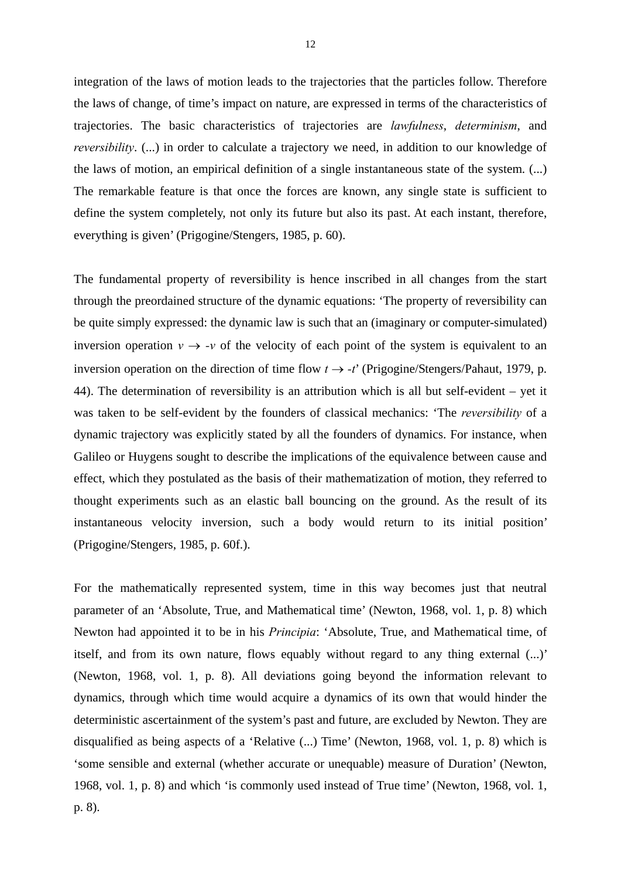integration of the laws of motion leads to the trajectories that the particles follow. Therefore the laws of change, of time's impact on nature, are expressed in terms of the characteristics of trajectories. The basic characteristics of trajectories are *lawfulness*, *determinism*, and *reversibility*. (...) in order to calculate a trajectory we need, in addition to our knowledge of the laws of motion, an empirical definition of a single instantaneous state of the system. (...) The remarkable feature is that once the forces are known, any single state is sufficient to define the system completely, not only its future but also its past. At each instant, therefore, everything is given' (Prigogine/Stengers, 1985, p. 60).

The fundamental property of reversibility is hence inscribed in all changes from the start through the preordained structure of the dynamic equations: 'The property of reversibility can be quite simply expressed: the dynamic law is such that an (imaginary or computer-simulated) inversion operation  $v \rightarrow -v$  of the velocity of each point of the system is equivalent to an inversion operation on the direction of time flow  $t \rightarrow -t'$  (Prigogine/Stengers/Pahaut, 1979, p. 44). The determination of reversibility is an attribution which is all but self-evident – yet it was taken to be self-evident by the founders of classical mechanics: 'The *reversibility* of a dynamic trajectory was explicitly stated by all the founders of dynamics. For instance, when Galileo or Huygens sought to describe the implications of the equivalence between cause and effect, which they postulated as the basis of their mathematization of motion, they referred to thought experiments such as an elastic ball bouncing on the ground. As the result of its instantaneous velocity inversion, such a body would return to its initial position' (Prigogine/Stengers, 1985, p. 60f.).

For the mathematically represented system, time in this way becomes just that neutral parameter of an 'Absolute, True, and Mathematical time' (Newton, 1968, vol. 1, p. 8) which Newton had appointed it to be in his *Principia*: 'Absolute, True, and Mathematical time, of itself, and from its own nature, flows equably without regard to any thing external (...)' (Newton, 1968, vol. 1, p. 8). All deviations going beyond the information relevant to dynamics, through which time would acquire a dynamics of its own that would hinder the deterministic ascertainment of the system's past and future, are excluded by Newton. They are disqualified as being aspects of a 'Relative (...) Time' (Newton, 1968, vol. 1, p. 8) which is 'some sensible and external (whether accurate or unequable) measure of Duration' (Newton, 1968, vol. 1, p. 8) and which 'is commonly used instead of True time' (Newton, 1968, vol. 1, p. 8).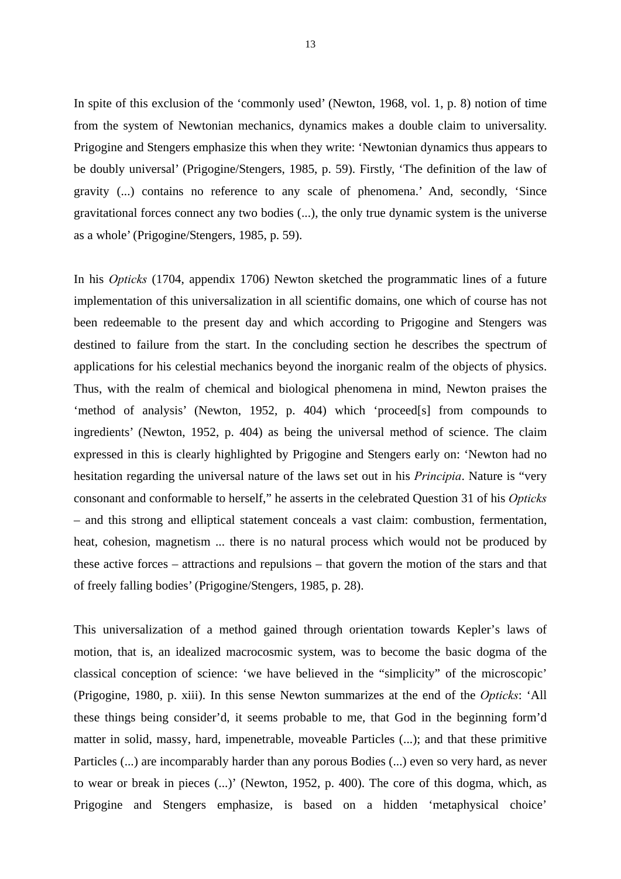In spite of this exclusion of the 'commonly used' (Newton, 1968, vol. 1, p. 8) notion of time from the system of Newtonian mechanics, dynamics makes a double claim to universality. Prigogine and Stengers emphasize this when they write: 'Newtonian dynamics thus appears to be doubly universal' (Prigogine/Stengers, 1985, p. 59). Firstly, 'The definition of the law of gravity (...) contains no reference to any scale of phenomena.' And, secondly, 'Since gravitational forces connect any two bodies (...), the only true dynamic system is the universe as a whole' (Prigogine/Stengers, 1985, p. 59).

In his *Opticks* (1704, appendix 1706) Newton sketched the programmatic lines of a future implementation of this universalization in all scientific domains, one which of course has not been redeemable to the present day and which according to Prigogine and Stengers was destined to failure from the start. In the concluding section he describes the spectrum of applications for his celestial mechanics beyond the inorganic realm of the objects of physics. Thus, with the realm of chemical and biological phenomena in mind, Newton praises the 'method of analysis' (Newton, 1952, p. 404) which 'proceed[s] from compounds to ingredients' (Newton, 1952, p. 404) as being the universal method of science. The claim expressed in this is clearly highlighted by Prigogine and Stengers early on: 'Newton had no hesitation regarding the universal nature of the laws set out in his *Principia*. Nature is "very consonant and conformable to herself," he asserts in the celebrated Question 31 of his *Opticks* – and this strong and elliptical statement conceals a vast claim: combustion, fermentation, heat, cohesion, magnetism ... there is no natural process which would not be produced by these active forces – attractions and repulsions – that govern the motion of the stars and that of freely falling bodies' (Prigogine/Stengers, 1985, p. 28).

This universalization of a method gained through orientation towards Kepler's laws of motion, that is, an idealized macrocosmic system, was to become the basic dogma of the classical conception of science: 'we have believed in the "simplicity" of the microscopic' (Prigogine, 1980, p. xiii). In this sense Newton summarizes at the end of the *Opticks*: 'All these things being consider'd, it seems probable to me, that God in the beginning form'd matter in solid, massy, hard, impenetrable, moveable Particles (...); and that these primitive Particles (...) are incomparably harder than any porous Bodies (...) even so very hard, as never to wear or break in pieces (...)' (Newton, 1952, p. 400). The core of this dogma, which, as Prigogine and Stengers emphasize, is based on a hidden 'metaphysical choice'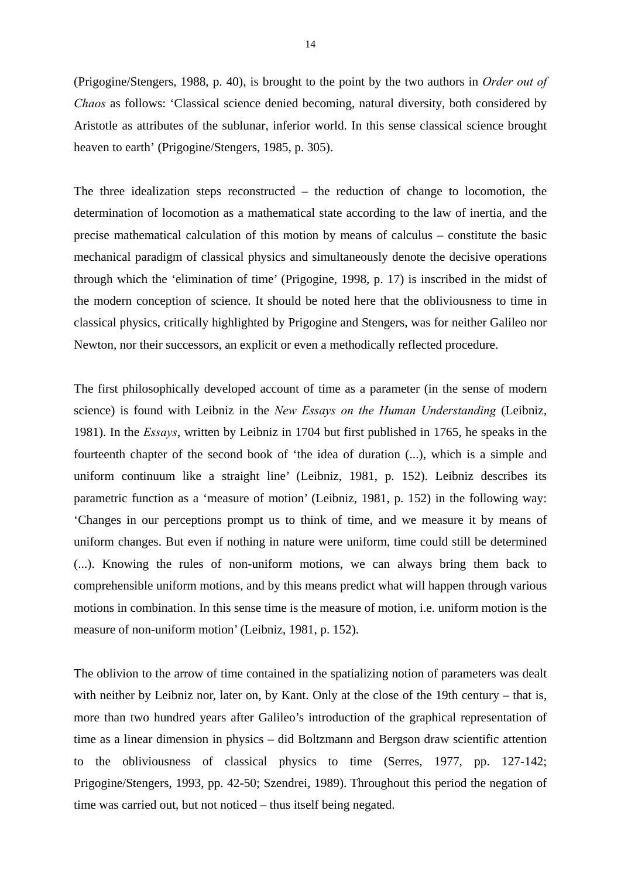(Prigogine/Stengers, 1988, p. 40), is brought to the point by the two authors in *Order out of Chaos* as follows: 'Classical science denied becoming, natural diversity, both considered by Aristotle as attributes of the sublunar, inferior world. In this sense classical science brought heaven to earth' (Prigogine/Stengers, 1985, p. 305).

The three idealization steps reconstructed – the reduction of change to locomotion, the determination of locomotion as a mathematical state according to the law of inertia, and the precise mathematical calculation of this motion by means of calculus – constitute the basic mechanical paradigm of classical physics and simultaneously denote the decisive operations through which the 'elimination of time' (Prigogine, 1998, p. 17) is inscribed in the midst of the modern conception of science. It should be noted here that the obliviousness to time in classical physics, critically highlighted by Prigogine and Stengers, was for neither Galileo nor Newton, nor their successors, an explicit or even a methodically reflected procedure.

The first philosophically developed account of time as a parameter (in the sense of modern science) is found with Leibniz in the *New Essays on the Human Understanding* (Leibniz, 1981). In the *Essays*, written by Leibniz in 1704 but first published in 1765, he speaks in the fourteenth chapter of the second book of 'the idea of duration (...), which is a simple and uniform continuum like a straight line' (Leibniz, 1981, p. 152). Leibniz describes its parametric function as a 'measure of motion' (Leibniz, 1981, p. 152) in the following way: 'Changes in our perceptions prompt us to think of time, and we measure it by means of uniform changes. But even if nothing in nature were uniform, time could still be determined (...). Knowing the rules of non-uniform motions, we can always bring them back to comprehensible uniform motions, and by this means predict what will happen through various motions in combination. In this sense time is the measure of motion, i.e. uniform motion is the measure of non-uniform motion' (Leibniz, 1981, p. 152).

The oblivion to the arrow of time contained in the spatializing notion of parameters was dealt with neither by Leibniz nor, later on, by Kant. Only at the close of the 19th century – that is, more than two hundred years after Galileo's introduction of the graphical representation of time as a linear dimension in physics – did Boltzmann and Bergson draw scientific attention to the obliviousness of classical physics to time (Serres, 1977, pp. 127-142; Prigogine/Stengers, 1993, pp. 42-50; Szendrei, 1989). Throughout this period the negation of time was carried out, but not noticed – thus itself being negated.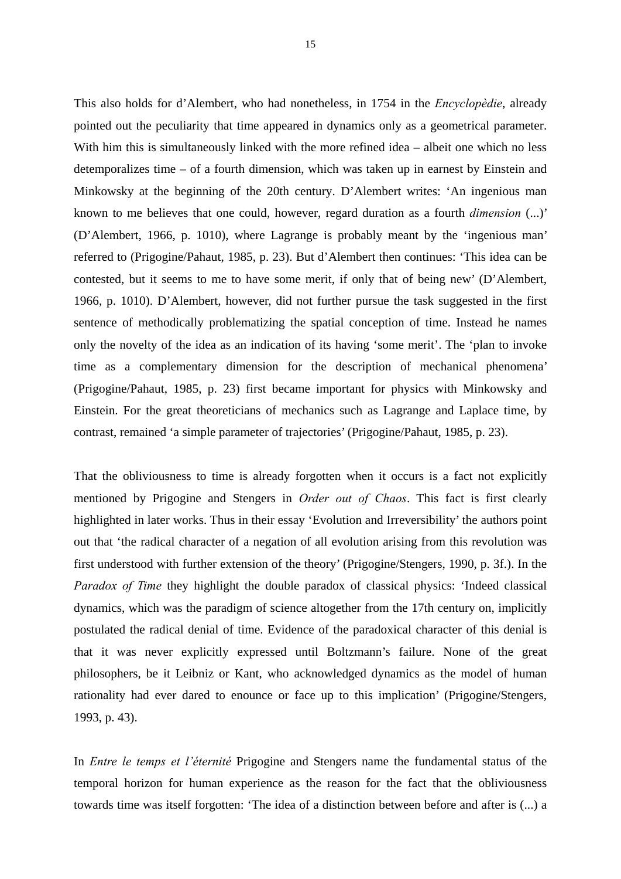This also holds for d'Alembert, who had nonetheless, in 1754 in the *Encyclopèdie*, already pointed out the peculiarity that time appeared in dynamics only as a geometrical parameter. With him this is simultaneously linked with the more refined idea – albeit one which no less detemporalizes time – of a fourth dimension, which was taken up in earnest by Einstein and Minkowsky at the beginning of the 20th century. D'Alembert writes: 'An ingenious man known to me believes that one could, however, regard duration as a fourth *dimension* (...)' (D'Alembert, 1966, p. 1010), where Lagrange is probably meant by the 'ingenious man' referred to (Prigogine/Pahaut, 1985, p. 23). But d'Alembert then continues: 'This idea can be contested, but it seems to me to have some merit, if only that of being new' (D'Alembert, 1966, p. 1010). D'Alembert, however, did not further pursue the task suggested in the first sentence of methodically problematizing the spatial conception of time. Instead he names only the novelty of the idea as an indication of its having 'some merit'. The 'plan to invoke time as a complementary dimension for the description of mechanical phenomena' (Prigogine/Pahaut, 1985, p. 23) first became important for physics with Minkowsky and Einstein. For the great theoreticians of mechanics such as Lagrange and Laplace time, by contrast, remained 'a simple parameter of trajectories' (Prigogine/Pahaut, 1985, p. 23).

That the obliviousness to time is already forgotten when it occurs is a fact not explicitly mentioned by Prigogine and Stengers in *Order out of Chaos*. This fact is first clearly highlighted in later works. Thus in their essay 'Evolution and Irreversibility' the authors point out that 'the radical character of a negation of all evolution arising from this revolution was first understood with further extension of the theory' (Prigogine/Stengers, 1990, p. 3f.). In the *Paradox of Time* they highlight the double paradox of classical physics: 'Indeed classical dynamics, which was the paradigm of science altogether from the 17th century on, implicitly postulated the radical denial of time. Evidence of the paradoxical character of this denial is that it was never explicitly expressed until Boltzmann's failure. None of the great philosophers, be it Leibniz or Kant, who acknowledged dynamics as the model of human rationality had ever dared to enounce or face up to this implication' (Prigogine/Stengers, 1993, p. 43).

In *Entre le temps et l'éternité* Prigogine and Stengers name the fundamental status of the temporal horizon for human experience as the reason for the fact that the obliviousness towards time was itself forgotten: 'The idea of a distinction between before and after is (...) a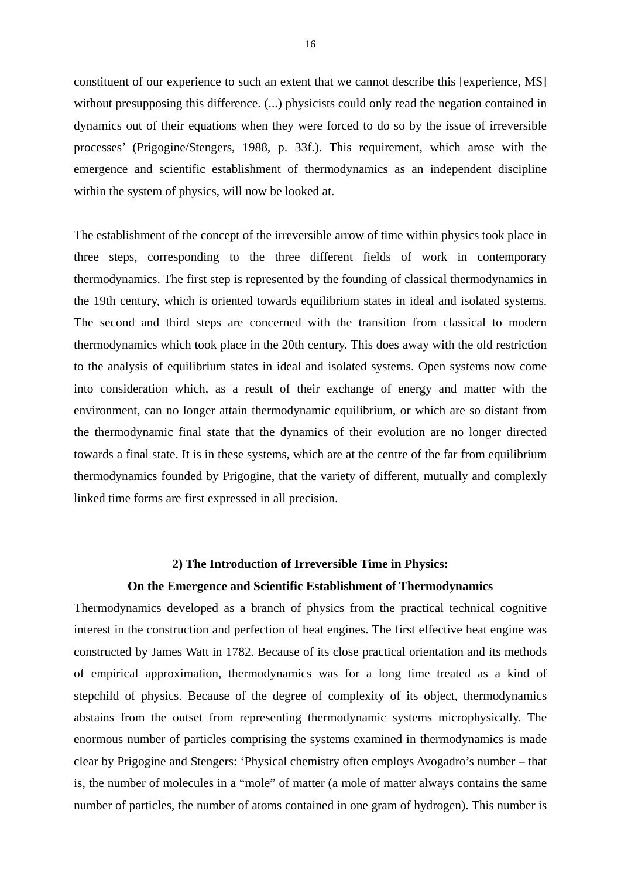constituent of our experience to such an extent that we cannot describe this [experience, MS] without presupposing this difference. (...) physicists could only read the negation contained in dynamics out of their equations when they were forced to do so by the issue of irreversible processes' (Prigogine/Stengers, 1988, p. 33f.). This requirement, which arose with the emergence and scientific establishment of thermodynamics as an independent discipline within the system of physics, will now be looked at.

The establishment of the concept of the irreversible arrow of time within physics took place in three steps, corresponding to the three different fields of work in contemporary thermodynamics. The first step is represented by the founding of classical thermodynamics in the 19th century, which is oriented towards equilibrium states in ideal and isolated systems. The second and third steps are concerned with the transition from classical to modern thermodynamics which took place in the 20th century. This does away with the old restriction to the analysis of equilibrium states in ideal and isolated systems. Open systems now come into consideration which, as a result of their exchange of energy and matter with the environment, can no longer attain thermodynamic equilibrium, or which are so distant from the thermodynamic final state that the dynamics of their evolution are no longer directed towards a final state. It is in these systems, which are at the centre of the far from equilibrium thermodynamics founded by Prigogine, that the variety of different, mutually and complexly linked time forms are first expressed in all precision.

#### **2) The Introduction of Irreversible Time in Physics:**

#### **On the Emergence and Scientific Establishment of Thermodynamics**

Thermodynamics developed as a branch of physics from the practical technical cognitive interest in the construction and perfection of heat engines. The first effective heat engine was constructed by James Watt in 1782. Because of its close practical orientation and its methods of empirical approximation, thermodynamics was for a long time treated as a kind of stepchild of physics. Because of the degree of complexity of its object, thermodynamics abstains from the outset from representing thermodynamic systems microphysically. The enormous number of particles comprising the systems examined in thermodynamics is made clear by Prigogine and Stengers: 'Physical chemistry often employs Avogadro's number – that is, the number of molecules in a "mole" of matter (a mole of matter always contains the same number of particles, the number of atoms contained in one gram of hydrogen). This number is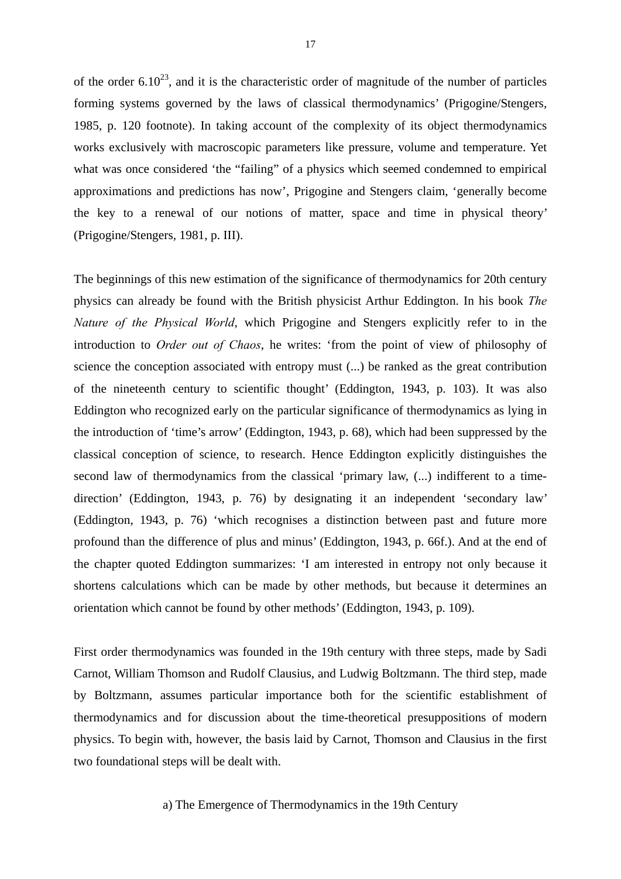of the order  $6.10^{23}$ , and it is the characteristic order of magnitude of the number of particles forming systems governed by the laws of classical thermodynamics' (Prigogine/Stengers, 1985, p. 120 footnote). In taking account of the complexity of its object thermodynamics works exclusively with macroscopic parameters like pressure, volume and temperature. Yet what was once considered 'the "failing" of a physics which seemed condemned to empirical approximations and predictions has now', Prigogine and Stengers claim, 'generally become the key to a renewal of our notions of matter, space and time in physical theory' (Prigogine/Stengers, 1981, p. III).

The beginnings of this new estimation of the significance of thermodynamics for 20th century physics can already be found with the British physicist Arthur Eddington. In his book *The Nature of the Physical World*, which Prigogine and Stengers explicitly refer to in the introduction to *Order out of Chaos*, he writes: 'from the point of view of philosophy of science the conception associated with entropy must (...) be ranked as the great contribution of the nineteenth century to scientific thought' (Eddington, 1943, p. 103). It was also Eddington who recognized early on the particular significance of thermodynamics as lying in the introduction of 'time's arrow' (Eddington, 1943, p. 68), which had been suppressed by the classical conception of science, to research. Hence Eddington explicitly distinguishes the second law of thermodynamics from the classical 'primary law, (...) indifferent to a timedirection' (Eddington, 1943, p. 76) by designating it an independent 'secondary law' (Eddington, 1943, p. 76) 'which recognises a distinction between past and future more profound than the difference of plus and minus' (Eddington, 1943, p. 66f.). And at the end of the chapter quoted Eddington summarizes: 'I am interested in entropy not only because it shortens calculations which can be made by other methods, but because it determines an orientation which cannot be found by other methods' (Eddington, 1943, p. 109).

First order thermodynamics was founded in the 19th century with three steps, made by Sadi Carnot, William Thomson and Rudolf Clausius, and Ludwig Boltzmann. The third step, made by Boltzmann, assumes particular importance both for the scientific establishment of thermodynamics and for discussion about the time-theoretical presuppositions of modern physics. To begin with, however, the basis laid by Carnot, Thomson and Clausius in the first two foundational steps will be dealt with.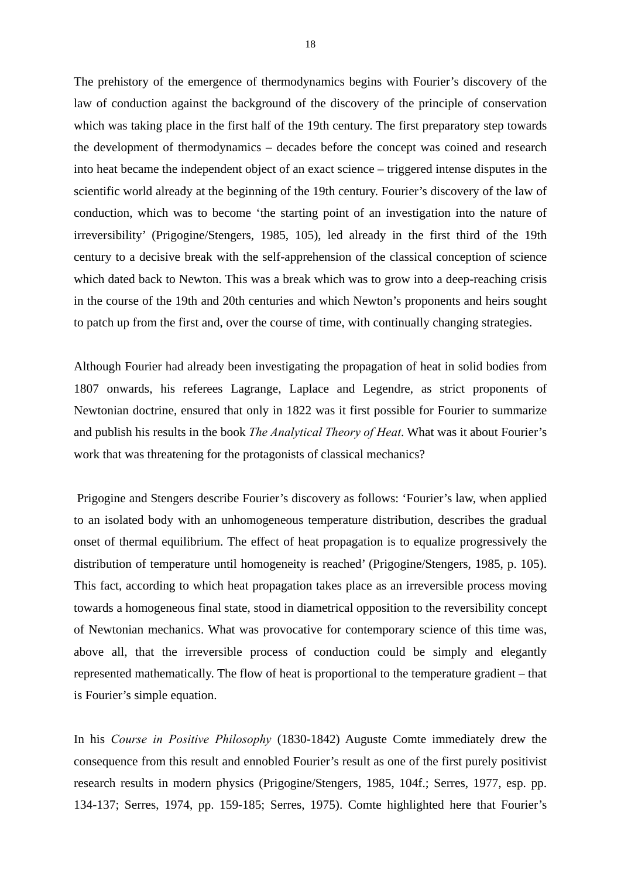The prehistory of the emergence of thermodynamics begins with Fourier's discovery of the law of conduction against the background of the discovery of the principle of conservation which was taking place in the first half of the 19th century. The first preparatory step towards the development of thermodynamics – decades before the concept was coined and research into heat became the independent object of an exact science – triggered intense disputes in the scientific world already at the beginning of the 19th century. Fourier's discovery of the law of conduction, which was to become 'the starting point of an investigation into the nature of irreversibility' (Prigogine/Stengers, 1985, 105), led already in the first third of the 19th century to a decisive break with the self-apprehension of the classical conception of science which dated back to Newton. This was a break which was to grow into a deep-reaching crisis in the course of the 19th and 20th centuries and which Newton's proponents and heirs sought to patch up from the first and, over the course of time, with continually changing strategies.

Although Fourier had already been investigating the propagation of heat in solid bodies from 1807 onwards, his referees Lagrange, Laplace and Legendre, as strict proponents of Newtonian doctrine, ensured that only in 1822 was it first possible for Fourier to summarize and publish his results in the book *The Analytical Theory of Heat*. What was it about Fourier's work that was threatening for the protagonists of classical mechanics?

 Prigogine and Stengers describe Fourier's discovery as follows: 'Fourier's law, when applied to an isolated body with an unhomogeneous temperature distribution, describes the gradual onset of thermal equilibrium. The effect of heat propagation is to equalize progressively the distribution of temperature until homogeneity is reached' (Prigogine/Stengers, 1985, p. 105). This fact, according to which heat propagation takes place as an irreversible process moving towards a homogeneous final state, stood in diametrical opposition to the reversibility concept of Newtonian mechanics. What was provocative for contemporary science of this time was, above all, that the irreversible process of conduction could be simply and elegantly represented mathematically. The flow of heat is proportional to the temperature gradient – that is Fourier's simple equation.

In his *Course in Positive Philosophy* (1830-1842) Auguste Comte immediately drew the consequence from this result and ennobled Fourier's result as one of the first purely positivist research results in modern physics (Prigogine/Stengers, 1985, 104f.; Serres, 1977, esp. pp. 134-137; Serres, 1974, pp. 159-185; Serres, 1975). Comte highlighted here that Fourier's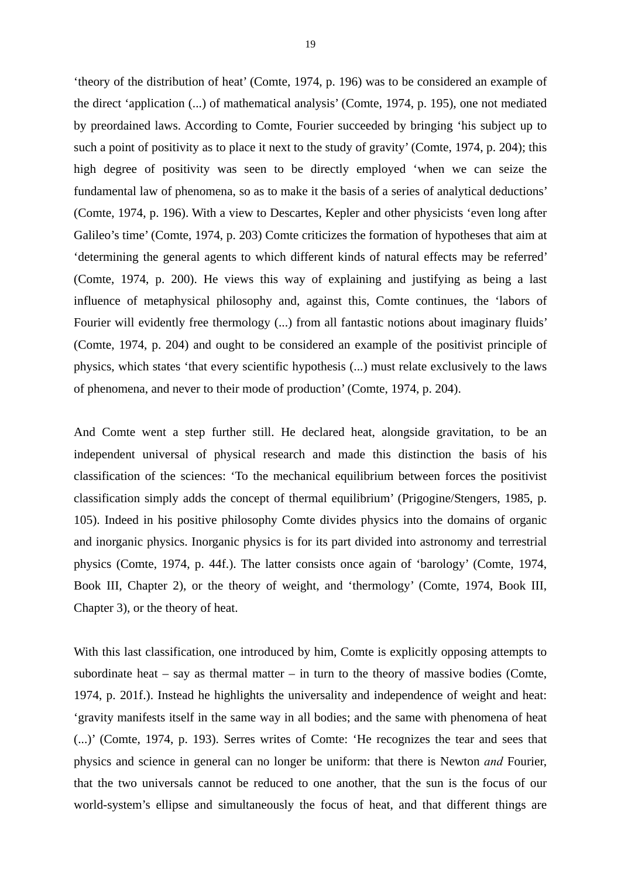'theory of the distribution of heat' (Comte, 1974, p. 196) was to be considered an example of the direct 'application (...) of mathematical analysis' (Comte, 1974, p. 195), one not mediated by preordained laws. According to Comte, Fourier succeeded by bringing 'his subject up to such a point of positivity as to place it next to the study of gravity' (Comte, 1974, p. 204); this high degree of positivity was seen to be directly employed 'when we can seize the fundamental law of phenomena, so as to make it the basis of a series of analytical deductions' (Comte, 1974, p. 196). With a view to Descartes, Kepler and other physicists 'even long after Galileo's time' (Comte, 1974, p. 203) Comte criticizes the formation of hypotheses that aim at 'determining the general agents to which different kinds of natural effects may be referred' (Comte, 1974, p. 200). He views this way of explaining and justifying as being a last influence of metaphysical philosophy and, against this, Comte continues, the 'labors of Fourier will evidently free thermology (...) from all fantastic notions about imaginary fluids' (Comte, 1974, p. 204) and ought to be considered an example of the positivist principle of physics, which states 'that every scientific hypothesis (...) must relate exclusively to the laws of phenomena, and never to their mode of production' (Comte, 1974, p. 204).

And Comte went a step further still. He declared heat, alongside gravitation, to be an independent universal of physical research and made this distinction the basis of his classification of the sciences: 'To the mechanical equilibrium between forces the positivist classification simply adds the concept of thermal equilibrium' (Prigogine/Stengers, 1985, p. 105). Indeed in his positive philosophy Comte divides physics into the domains of organic and inorganic physics. Inorganic physics is for its part divided into astronomy and terrestrial physics (Comte, 1974, p. 44f.). The latter consists once again of 'barology' (Comte, 1974, Book III, Chapter 2), or the theory of weight, and 'thermology' (Comte, 1974, Book III, Chapter 3), or the theory of heat.

With this last classification, one introduced by him, Comte is explicitly opposing attempts to subordinate heat – say as thermal matter – in turn to the theory of massive bodies (Comte, 1974, p. 201f.). Instead he highlights the universality and independence of weight and heat: 'gravity manifests itself in the same way in all bodies; and the same with phenomena of heat (...)' (Comte, 1974, p. 193). Serres writes of Comte: 'He recognizes the tear and sees that physics and science in general can no longer be uniform: that there is Newton *and* Fourier, that the two universals cannot be reduced to one another, that the sun is the focus of our world-system's ellipse and simultaneously the focus of heat, and that different things are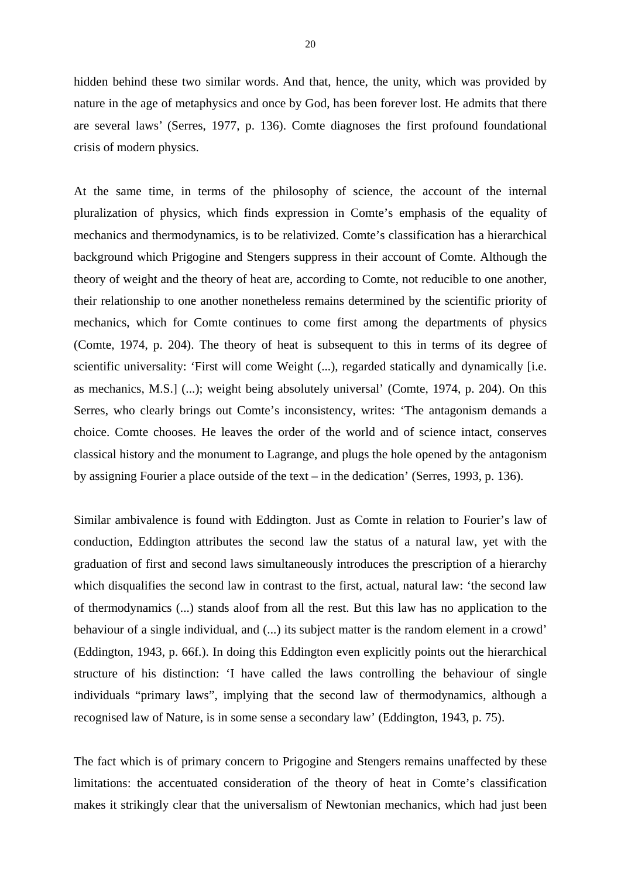hidden behind these two similar words. And that, hence, the unity, which was provided by nature in the age of metaphysics and once by God, has been forever lost. He admits that there are several laws' (Serres, 1977, p. 136). Comte diagnoses the first profound foundational crisis of modern physics.

At the same time, in terms of the philosophy of science, the account of the internal pluralization of physics, which finds expression in Comte's emphasis of the equality of mechanics and thermodynamics, is to be relativized. Comte's classification has a hierarchical background which Prigogine and Stengers suppress in their account of Comte. Although the theory of weight and the theory of heat are, according to Comte, not reducible to one another, their relationship to one another nonetheless remains determined by the scientific priority of mechanics, which for Comte continues to come first among the departments of physics (Comte, 1974, p. 204). The theory of heat is subsequent to this in terms of its degree of scientific universality: 'First will come Weight (...), regarded statically and dynamically [i.e. as mechanics, M.S.] (...); weight being absolutely universal' (Comte, 1974, p. 204). On this Serres, who clearly brings out Comte's inconsistency, writes: 'The antagonism demands a choice. Comte chooses. He leaves the order of the world and of science intact, conserves classical history and the monument to Lagrange, and plugs the hole opened by the antagonism by assigning Fourier a place outside of the text – in the dedication' (Serres, 1993, p. 136).

Similar ambivalence is found with Eddington. Just as Comte in relation to Fourier's law of conduction, Eddington attributes the second law the status of a natural law, yet with the graduation of first and second laws simultaneously introduces the prescription of a hierarchy which disqualifies the second law in contrast to the first, actual, natural law: 'the second law of thermodynamics (...) stands aloof from all the rest. But this law has no application to the behaviour of a single individual, and (...) its subject matter is the random element in a crowd' (Eddington, 1943, p. 66f.). In doing this Eddington even explicitly points out the hierarchical structure of his distinction: 'I have called the laws controlling the behaviour of single individuals "primary laws", implying that the second law of thermodynamics, although a recognised law of Nature, is in some sense a secondary law' (Eddington, 1943, p. 75).

The fact which is of primary concern to Prigogine and Stengers remains unaffected by these limitations: the accentuated consideration of the theory of heat in Comte's classification makes it strikingly clear that the universalism of Newtonian mechanics, which had just been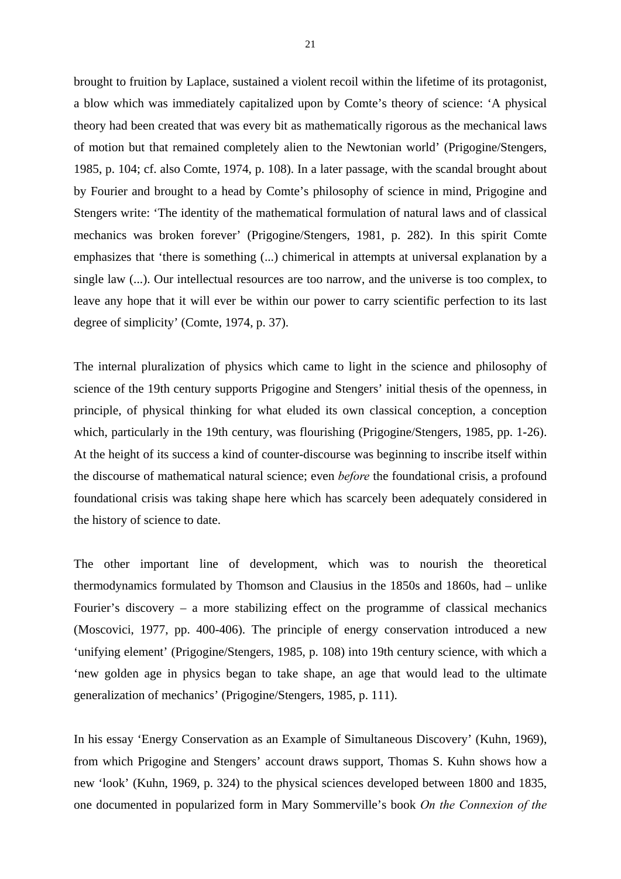brought to fruition by Laplace, sustained a violent recoil within the lifetime of its protagonist, a blow which was immediately capitalized upon by Comte's theory of science: 'A physical theory had been created that was every bit as mathematically rigorous as the mechanical laws of motion but that remained completely alien to the Newtonian world' (Prigogine/Stengers, 1985, p. 104; cf. also Comte, 1974, p. 108). In a later passage, with the scandal brought about by Fourier and brought to a head by Comte's philosophy of science in mind, Prigogine and Stengers write: 'The identity of the mathematical formulation of natural laws and of classical mechanics was broken forever' (Prigogine/Stengers, 1981, p. 282). In this spirit Comte emphasizes that 'there is something (...) chimerical in attempts at universal explanation by a single law (...). Our intellectual resources are too narrow, and the universe is too complex, to leave any hope that it will ever be within our power to carry scientific perfection to its last degree of simplicity' (Comte, 1974, p. 37).

The internal pluralization of physics which came to light in the science and philosophy of science of the 19th century supports Prigogine and Stengers' initial thesis of the openness, in principle, of physical thinking for what eluded its own classical conception, a conception which, particularly in the 19th century, was flourishing (Prigogine/Stengers, 1985, pp. 1-26). At the height of its success a kind of counter-discourse was beginning to inscribe itself within the discourse of mathematical natural science; even *before* the foundational crisis, a profound foundational crisis was taking shape here which has scarcely been adequately considered in the history of science to date.

The other important line of development, which was to nourish the theoretical thermodynamics formulated by Thomson and Clausius in the 1850s and 1860s, had – unlike Fourier's discovery – a more stabilizing effect on the programme of classical mechanics (Moscovici, 1977, pp. 400-406). The principle of energy conservation introduced a new 'unifying element' (Prigogine/Stengers, 1985, p. 108) into 19th century science, with which a 'new golden age in physics began to take shape, an age that would lead to the ultimate generalization of mechanics' (Prigogine/Stengers, 1985, p. 111).

In his essay 'Energy Conservation as an Example of Simultaneous Discovery' (Kuhn, 1969), from which Prigogine and Stengers' account draws support, Thomas S. Kuhn shows how a new 'look' (Kuhn, 1969, p. 324) to the physical sciences developed between 1800 and 1835, one documented in popularized form in Mary Sommerville's book *On the Connexion of the*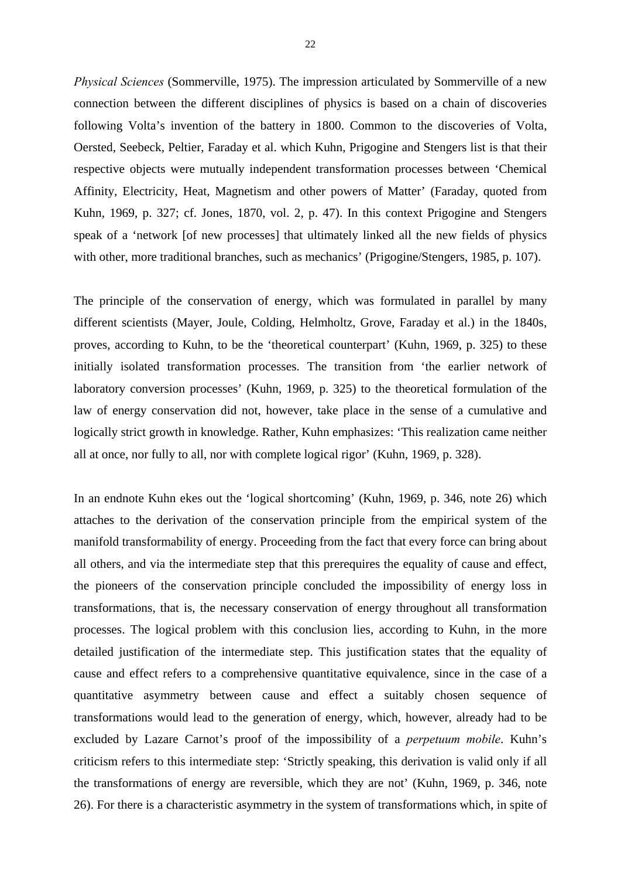*Physical Sciences* (Sommerville, 1975). The impression articulated by Sommerville of a new connection between the different disciplines of physics is based on a chain of discoveries following Volta's invention of the battery in 1800. Common to the discoveries of Volta, Oersted, Seebeck, Peltier, Faraday et al. which Kuhn, Prigogine and Stengers list is that their respective objects were mutually independent transformation processes between 'Chemical Affinity, Electricity, Heat, Magnetism and other powers of Matter' (Faraday, quoted from Kuhn, 1969, p. 327; cf. Jones, 1870, vol. 2, p. 47). In this context Prigogine and Stengers speak of a 'network [of new processes] that ultimately linked all the new fields of physics with other, more traditional branches, such as mechanics' (Prigogine/Stengers, 1985, p. 107).

The principle of the conservation of energy, which was formulated in parallel by many different scientists (Mayer, Joule, Colding, Helmholtz, Grove, Faraday et al.) in the 1840s, proves, according to Kuhn, to be the 'theoretical counterpart' (Kuhn, 1969, p. 325) to these initially isolated transformation processes. The transition from 'the earlier network of laboratory conversion processes' (Kuhn, 1969, p. 325) to the theoretical formulation of the law of energy conservation did not, however, take place in the sense of a cumulative and logically strict growth in knowledge. Rather, Kuhn emphasizes: 'This realization came neither all at once, nor fully to all, nor with complete logical rigor' (Kuhn, 1969, p. 328).

In an endnote Kuhn ekes out the 'logical shortcoming' (Kuhn, 1969, p. 346, note 26) which attaches to the derivation of the conservation principle from the empirical system of the manifold transformability of energy. Proceeding from the fact that every force can bring about all others, and via the intermediate step that this prerequires the equality of cause and effect, the pioneers of the conservation principle concluded the impossibility of energy loss in transformations, that is, the necessary conservation of energy throughout all transformation processes. The logical problem with this conclusion lies, according to Kuhn, in the more detailed justification of the intermediate step. This justification states that the equality of cause and effect refers to a comprehensive quantitative equivalence, since in the case of a quantitative asymmetry between cause and effect a suitably chosen sequence of transformations would lead to the generation of energy, which, however, already had to be excluded by Lazare Carnot's proof of the impossibility of a *perpetuum mobile*. Kuhn's criticism refers to this intermediate step: 'Strictly speaking, this derivation is valid only if all the transformations of energy are reversible, which they are not' (Kuhn, 1969, p. 346, note 26). For there is a characteristic asymmetry in the system of transformations which, in spite of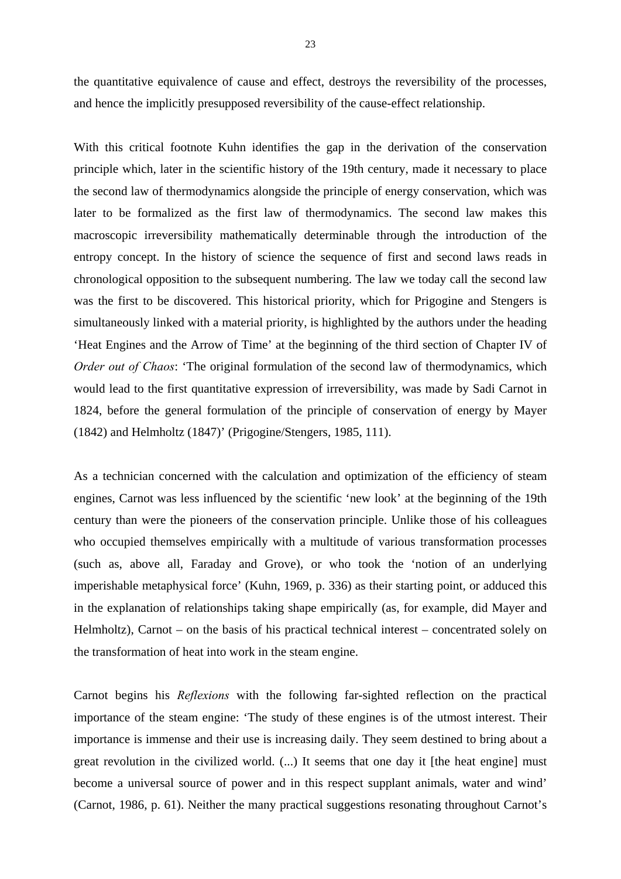the quantitative equivalence of cause and effect, destroys the reversibility of the processes, and hence the implicitly presupposed reversibility of the cause-effect relationship.

With this critical footnote Kuhn identifies the gap in the derivation of the conservation principle which, later in the scientific history of the 19th century, made it necessary to place the second law of thermodynamics alongside the principle of energy conservation, which was later to be formalized as the first law of thermodynamics. The second law makes this macroscopic irreversibility mathematically determinable through the introduction of the entropy concept. In the history of science the sequence of first and second laws reads in chronological opposition to the subsequent numbering. The law we today call the second law was the first to be discovered. This historical priority, which for Prigogine and Stengers is simultaneously linked with a material priority, is highlighted by the authors under the heading 'Heat Engines and the Arrow of Time' at the beginning of the third section of Chapter IV of *Order out of Chaos*: 'The original formulation of the second law of thermodynamics, which would lead to the first quantitative expression of irreversibility, was made by Sadi Carnot in 1824, before the general formulation of the principle of conservation of energy by Mayer (1842) and Helmholtz (1847)' (Prigogine/Stengers, 1985, 111).

As a technician concerned with the calculation and optimization of the efficiency of steam engines, Carnot was less influenced by the scientific 'new look' at the beginning of the 19th century than were the pioneers of the conservation principle. Unlike those of his colleagues who occupied themselves empirically with a multitude of various transformation processes (such as, above all, Faraday and Grove), or who took the 'notion of an underlying imperishable metaphysical force' (Kuhn, 1969, p. 336) as their starting point, or adduced this in the explanation of relationships taking shape empirically (as, for example, did Mayer and Helmholtz), Carnot – on the basis of his practical technical interest – concentrated solely on the transformation of heat into work in the steam engine.

Carnot begins his *Reflexions* with the following far-sighted reflection on the practical importance of the steam engine: 'The study of these engines is of the utmost interest. Their importance is immense and their use is increasing daily. They seem destined to bring about a great revolution in the civilized world. (...) It seems that one day it [the heat engine] must become a universal source of power and in this respect supplant animals, water and wind' (Carnot, 1986, p. 61). Neither the many practical suggestions resonating throughout Carnot's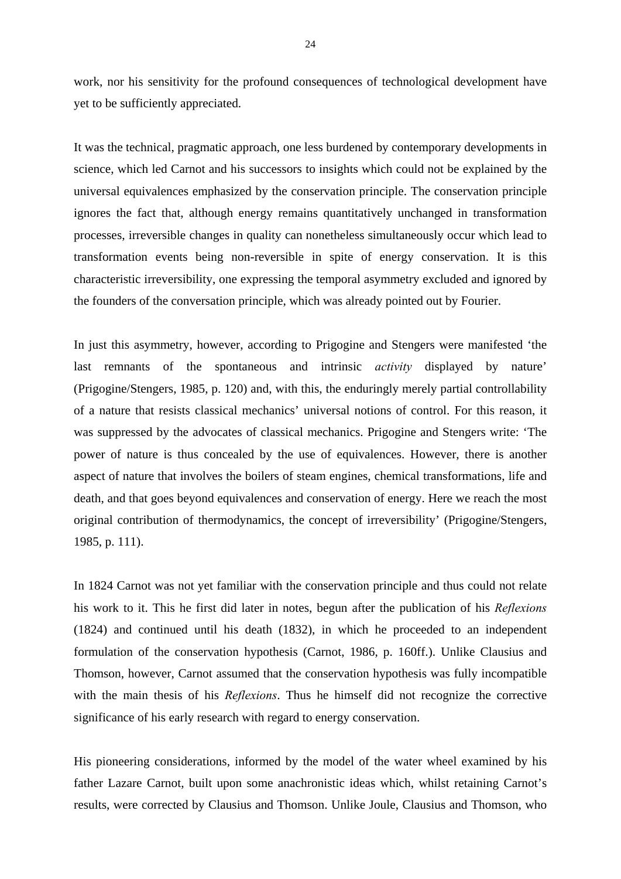work, nor his sensitivity for the profound consequences of technological development have yet to be sufficiently appreciated.

It was the technical, pragmatic approach, one less burdened by contemporary developments in science, which led Carnot and his successors to insights which could not be explained by the universal equivalences emphasized by the conservation principle. The conservation principle ignores the fact that, although energy remains quantitatively unchanged in transformation processes, irreversible changes in quality can nonetheless simultaneously occur which lead to transformation events being non-reversible in spite of energy conservation. It is this characteristic irreversibility, one expressing the temporal asymmetry excluded and ignored by the founders of the conversation principle, which was already pointed out by Fourier.

In just this asymmetry, however, according to Prigogine and Stengers were manifested 'the last remnants of the spontaneous and intrinsic *activity* displayed by nature' (Prigogine/Stengers, 1985, p. 120) and, with this, the enduringly merely partial controllability of a nature that resists classical mechanics' universal notions of control. For this reason, it was suppressed by the advocates of classical mechanics. Prigogine and Stengers write: 'The power of nature is thus concealed by the use of equivalences. However, there is another aspect of nature that involves the boilers of steam engines, chemical transformations, life and death, and that goes beyond equivalences and conservation of energy. Here we reach the most original contribution of thermodynamics, the concept of irreversibility' (Prigogine/Stengers, 1985, p. 111).

In 1824 Carnot was not yet familiar with the conservation principle and thus could not relate his work to it. This he first did later in notes, begun after the publication of his *Reflexions* (1824) and continued until his death (1832), in which he proceeded to an independent formulation of the conservation hypothesis (Carnot, 1986, p. 160ff.). Unlike Clausius and Thomson, however, Carnot assumed that the conservation hypothesis was fully incompatible with the main thesis of his *Reflexions*. Thus he himself did not recognize the corrective significance of his early research with regard to energy conservation.

His pioneering considerations, informed by the model of the water wheel examined by his father Lazare Carnot, built upon some anachronistic ideas which, whilst retaining Carnot's results, were corrected by Clausius and Thomson. Unlike Joule, Clausius and Thomson, who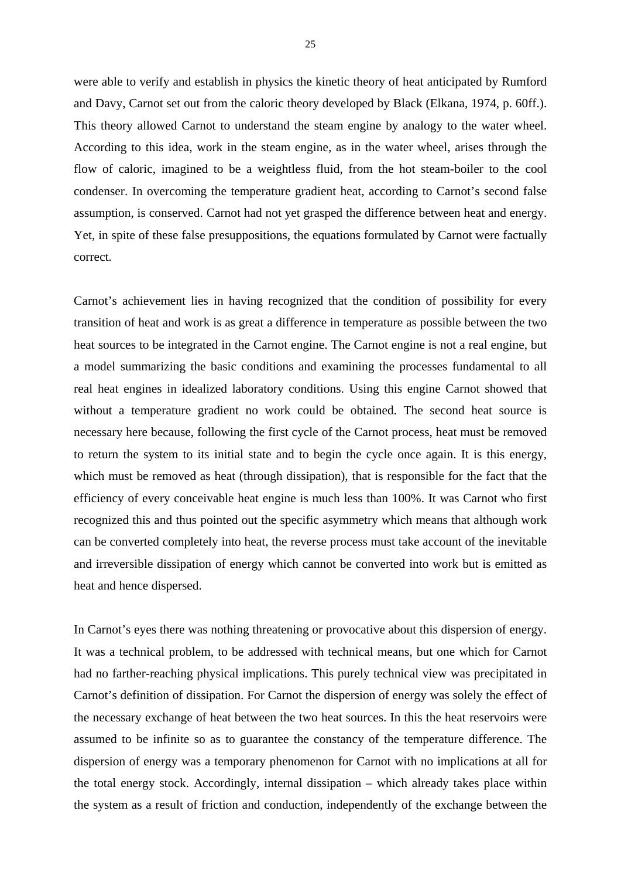were able to verify and establish in physics the kinetic theory of heat anticipated by Rumford and Davy, Carnot set out from the caloric theory developed by Black (Elkana, 1974, p. 60ff.). This theory allowed Carnot to understand the steam engine by analogy to the water wheel. According to this idea, work in the steam engine, as in the water wheel, arises through the flow of caloric, imagined to be a weightless fluid, from the hot steam-boiler to the cool condenser. In overcoming the temperature gradient heat, according to Carnot's second false assumption, is conserved. Carnot had not yet grasped the difference between heat and energy. Yet, in spite of these false presuppositions, the equations formulated by Carnot were factually correct.

Carnot's achievement lies in having recognized that the condition of possibility for every transition of heat and work is as great a difference in temperature as possible between the two heat sources to be integrated in the Carnot engine. The Carnot engine is not a real engine, but a model summarizing the basic conditions and examining the processes fundamental to all real heat engines in idealized laboratory conditions. Using this engine Carnot showed that without a temperature gradient no work could be obtained. The second heat source is necessary here because, following the first cycle of the Carnot process, heat must be removed to return the system to its initial state and to begin the cycle once again. It is this energy, which must be removed as heat (through dissipation), that is responsible for the fact that the efficiency of every conceivable heat engine is much less than 100%. It was Carnot who first recognized this and thus pointed out the specific asymmetry which means that although work can be converted completely into heat, the reverse process must take account of the inevitable and irreversible dissipation of energy which cannot be converted into work but is emitted as heat and hence dispersed.

In Carnot's eyes there was nothing threatening or provocative about this dispersion of energy. It was a technical problem, to be addressed with technical means, but one which for Carnot had no farther-reaching physical implications. This purely technical view was precipitated in Carnot's definition of dissipation. For Carnot the dispersion of energy was solely the effect of the necessary exchange of heat between the two heat sources. In this the heat reservoirs were assumed to be infinite so as to guarantee the constancy of the temperature difference. The dispersion of energy was a temporary phenomenon for Carnot with no implications at all for the total energy stock. Accordingly, internal dissipation – which already takes place within the system as a result of friction and conduction, independently of the exchange between the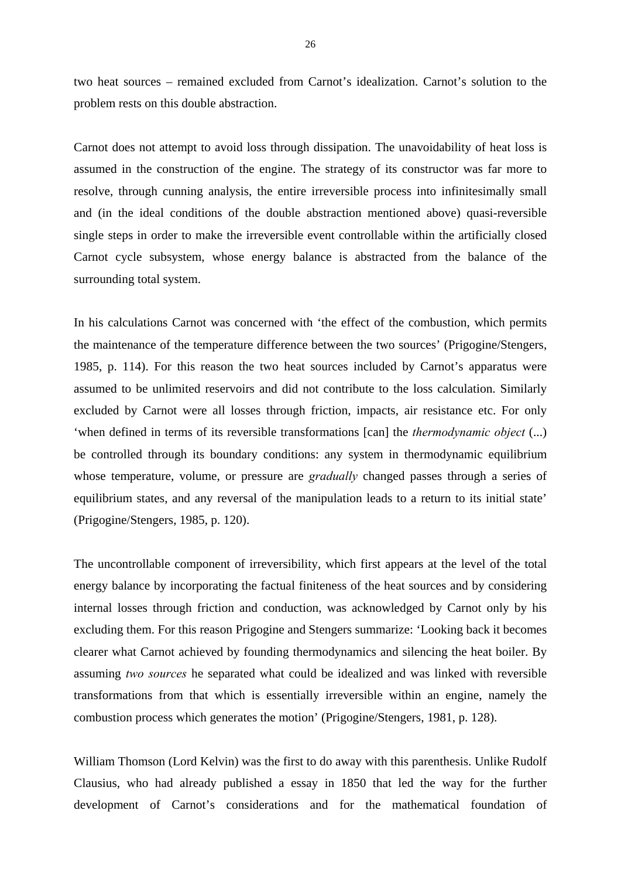two heat sources – remained excluded from Carnot's idealization. Carnot's solution to the problem rests on this double abstraction.

Carnot does not attempt to avoid loss through dissipation. The unavoidability of heat loss is assumed in the construction of the engine. The strategy of its constructor was far more to resolve, through cunning analysis, the entire irreversible process into infinitesimally small and (in the ideal conditions of the double abstraction mentioned above) quasi-reversible single steps in order to make the irreversible event controllable within the artificially closed Carnot cycle subsystem, whose energy balance is abstracted from the balance of the surrounding total system.

In his calculations Carnot was concerned with 'the effect of the combustion, which permits the maintenance of the temperature difference between the two sources' (Prigogine/Stengers, 1985, p. 114). For this reason the two heat sources included by Carnot's apparatus were assumed to be unlimited reservoirs and did not contribute to the loss calculation. Similarly excluded by Carnot were all losses through friction, impacts, air resistance etc. For only 'when defined in terms of its reversible transformations [can] the *thermodynamic object* (...) be controlled through its boundary conditions: any system in thermodynamic equilibrium whose temperature, volume, or pressure are *gradually* changed passes through a series of equilibrium states, and any reversal of the manipulation leads to a return to its initial state' (Prigogine/Stengers, 1985, p. 120).

The uncontrollable component of irreversibility, which first appears at the level of the total energy balance by incorporating the factual finiteness of the heat sources and by considering internal losses through friction and conduction, was acknowledged by Carnot only by his excluding them. For this reason Prigogine and Stengers summarize: 'Looking back it becomes clearer what Carnot achieved by founding thermodynamics and silencing the heat boiler. By assuming *two sources* he separated what could be idealized and was linked with reversible transformations from that which is essentially irreversible within an engine, namely the combustion process which generates the motion' (Prigogine/Stengers, 1981, p. 128).

William Thomson (Lord Kelvin) was the first to do away with this parenthesis. Unlike Rudolf Clausius, who had already published a essay in 1850 that led the way for the further development of Carnot's considerations and for the mathematical foundation of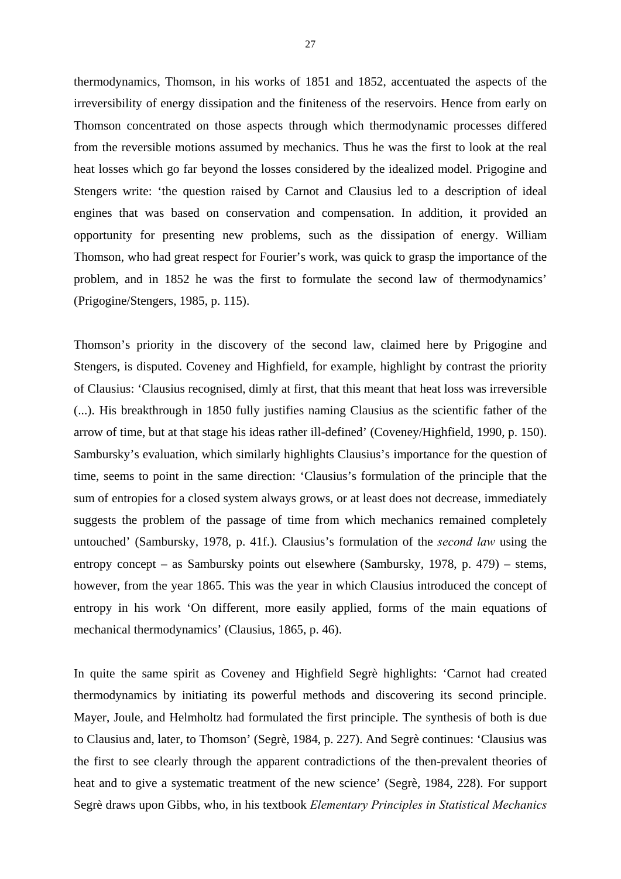thermodynamics, Thomson, in his works of 1851 and 1852, accentuated the aspects of the irreversibility of energy dissipation and the finiteness of the reservoirs. Hence from early on Thomson concentrated on those aspects through which thermodynamic processes differed from the reversible motions assumed by mechanics. Thus he was the first to look at the real heat losses which go far beyond the losses considered by the idealized model. Prigogine and Stengers write: 'the question raised by Carnot and Clausius led to a description of ideal engines that was based on conservation and compensation. In addition, it provided an opportunity for presenting new problems, such as the dissipation of energy. William Thomson, who had great respect for Fourier's work, was quick to grasp the importance of the problem, and in 1852 he was the first to formulate the second law of thermodynamics' (Prigogine/Stengers, 1985, p. 115).

Thomson's priority in the discovery of the second law, claimed here by Prigogine and Stengers, is disputed. Coveney and Highfield, for example, highlight by contrast the priority of Clausius: 'Clausius recognised, dimly at first, that this meant that heat loss was irreversible (...). His breakthrough in 1850 fully justifies naming Clausius as the scientific father of the arrow of time, but at that stage his ideas rather ill-defined' (Coveney/Highfield, 1990, p. 150). Sambursky's evaluation, which similarly highlights Clausius's importance for the question of time, seems to point in the same direction: 'Clausius's formulation of the principle that the sum of entropies for a closed system always grows, or at least does not decrease, immediately suggests the problem of the passage of time from which mechanics remained completely untouched' (Sambursky, 1978, p. 41f.). Clausius's formulation of the *second law* using the entropy concept – as Sambursky points out elsewhere (Sambursky, 1978, p. 479) – stems, however, from the year 1865. This was the year in which Clausius introduced the concept of entropy in his work 'On different, more easily applied, forms of the main equations of mechanical thermodynamics' (Clausius, 1865, p. 46).

In quite the same spirit as Coveney and Highfield Segrè highlights: 'Carnot had created thermodynamics by initiating its powerful methods and discovering its second principle. Mayer, Joule, and Helmholtz had formulated the first principle. The synthesis of both is due to Clausius and, later, to Thomson' (Segrè, 1984, p. 227). And Segrè continues: 'Clausius was the first to see clearly through the apparent contradictions of the then-prevalent theories of heat and to give a systematic treatment of the new science' (Segrè, 1984, 228). For support Segrè draws upon Gibbs, who, in his textbook *Elementary Principles in Statistical Mechanics*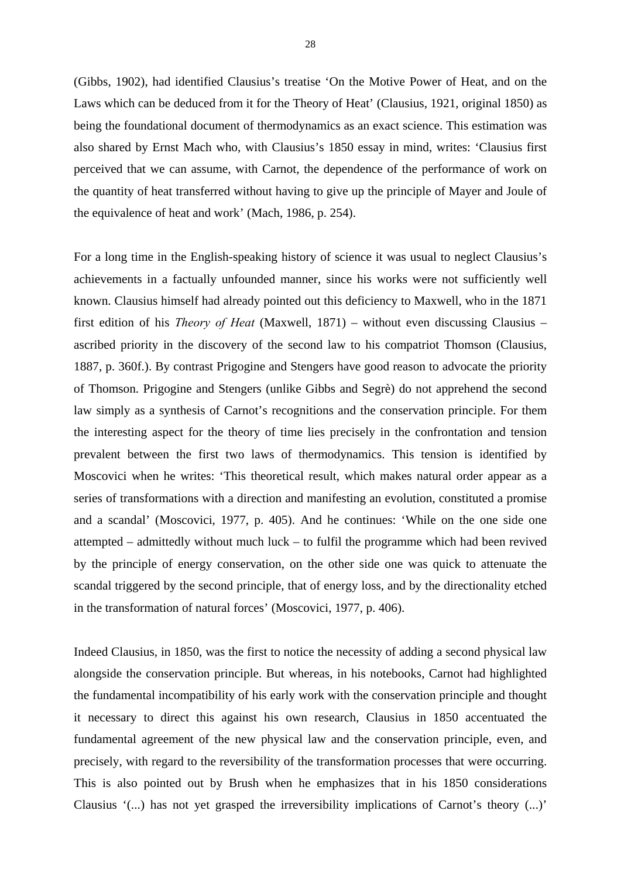(Gibbs, 1902), had identified Clausius's treatise 'On the Motive Power of Heat, and on the Laws which can be deduced from it for the Theory of Heat' (Clausius, 1921, original 1850) as being the foundational document of thermodynamics as an exact science. This estimation was also shared by Ernst Mach who, with Clausius's 1850 essay in mind, writes: 'Clausius first perceived that we can assume, with Carnot, the dependence of the performance of work on the quantity of heat transferred without having to give up the principle of Mayer and Joule of the equivalence of heat and work' (Mach, 1986, p. 254).

For a long time in the English-speaking history of science it was usual to neglect Clausius's achievements in a factually unfounded manner, since his works were not sufficiently well known. Clausius himself had already pointed out this deficiency to Maxwell, who in the 1871 first edition of his *Theory of Heat* (Maxwell, 1871) – without even discussing Clausius – ascribed priority in the discovery of the second law to his compatriot Thomson (Clausius, 1887, p. 360f.). By contrast Prigogine and Stengers have good reason to advocate the priority of Thomson. Prigogine and Stengers (unlike Gibbs and Segrè) do not apprehend the second law simply as a synthesis of Carnot's recognitions and the conservation principle. For them the interesting aspect for the theory of time lies precisely in the confrontation and tension prevalent between the first two laws of thermodynamics. This tension is identified by Moscovici when he writes: 'This theoretical result, which makes natural order appear as a series of transformations with a direction and manifesting an evolution, constituted a promise and a scandal' (Moscovici, 1977, p. 405). And he continues: 'While on the one side one attempted – admittedly without much luck – to fulfil the programme which had been revived by the principle of energy conservation, on the other side one was quick to attenuate the scandal triggered by the second principle, that of energy loss, and by the directionality etched in the transformation of natural forces' (Moscovici, 1977, p. 406).

Indeed Clausius, in 1850, was the first to notice the necessity of adding a second physical law alongside the conservation principle. But whereas, in his notebooks, Carnot had highlighted the fundamental incompatibility of his early work with the conservation principle and thought it necessary to direct this against his own research, Clausius in 1850 accentuated the fundamental agreement of the new physical law and the conservation principle, even, and precisely, with regard to the reversibility of the transformation processes that were occurring. This is also pointed out by Brush when he emphasizes that in his 1850 considerations Clausius '(...) has not yet grasped the irreversibility implications of Carnot's theory (...)'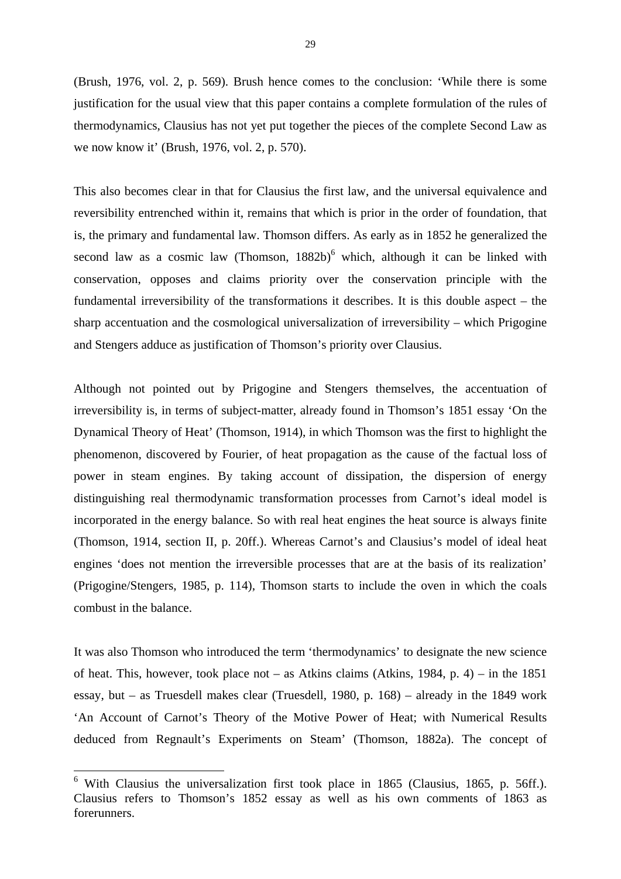(Brush, 1976, vol. 2, p. 569). Brush hence comes to the conclusion: 'While there is some justification for the usual view that this paper contains a complete formulation of the rules of thermodynamics, Clausius has not yet put together the pieces of the complete Second Law as we now know it' (Brush, 1976, vol. 2, p. 570).

This also becomes clear in that for Clausius the first law, and the universal equivalence and reversibility entrenched within it, remains that which is prior in the order of foundation, that is, the primary and fundamental law. Thomson differs. As early as in 1852 he generalized the second law as a cosmic law (Thomson,  $1882b$ )<sup>6</sup> which, although it can be linked with conservation, opposes and claims priority over the conservation principle with the fundamental irreversibility of the transformations it describes. It is this double aspect – the sharp accentuation and the cosmological universalization of irreversibility – which Prigogine and Stengers adduce as justification of Thomson's priority over Clausius.

Although not pointed out by Prigogine and Stengers themselves, the accentuation of irreversibility is, in terms of subject-matter, already found in Thomson's 1851 essay 'On the Dynamical Theory of Heat' (Thomson, 1914), in which Thomson was the first to highlight the phenomenon, discovered by Fourier, of heat propagation as the cause of the factual loss of power in steam engines. By taking account of dissipation, the dispersion of energy distinguishing real thermodynamic transformation processes from Carnot's ideal model is incorporated in the energy balance. So with real heat engines the heat source is always finite (Thomson, 1914, section II, p. 20ff.). Whereas Carnot's and Clausius's model of ideal heat engines 'does not mention the irreversible processes that are at the basis of its realization' (Prigogine/Stengers, 1985, p. 114), Thomson starts to include the oven in which the coals combust in the balance.

It was also Thomson who introduced the term 'thermodynamics' to designate the new science of heat. This, however, took place not – as Atkins claims (Atkins, 1984, p. 4) – in the 1851 essay, but – as Truesdell makes clear (Truesdell, 1980, p. 168) – already in the 1849 work 'An Account of Carnot's Theory of the Motive Power of Heat; with Numerical Results deduced from Regnault's Experiments on Steam' (Thomson, 1882a). The concept of

1

 $6$  With Clausius the universalization first took place in 1865 (Clausius, 1865, p. 56ff.). Clausius refers to Thomson's 1852 essay as well as his own comments of 1863 as forerunners.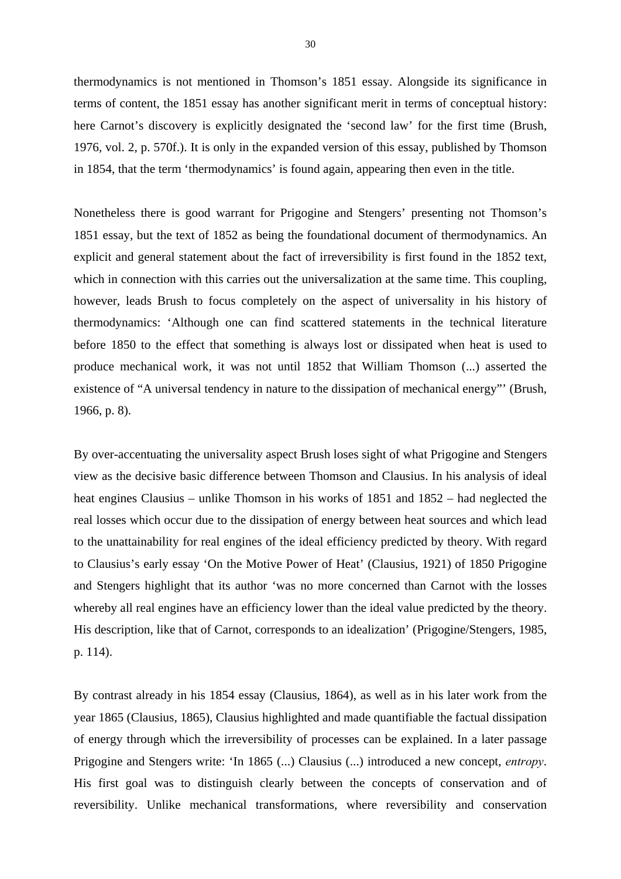thermodynamics is not mentioned in Thomson's 1851 essay. Alongside its significance in terms of content, the 1851 essay has another significant merit in terms of conceptual history: here Carnot's discovery is explicitly designated the 'second law' for the first time (Brush, 1976, vol. 2, p. 570f.). It is only in the expanded version of this essay, published by Thomson in 1854, that the term 'thermodynamics' is found again, appearing then even in the title.

Nonetheless there is good warrant for Prigogine and Stengers' presenting not Thomson's 1851 essay, but the text of 1852 as being the foundational document of thermodynamics. An explicit and general statement about the fact of irreversibility is first found in the 1852 text, which in connection with this carries out the universalization at the same time. This coupling, however, leads Brush to focus completely on the aspect of universality in his history of thermodynamics: 'Although one can find scattered statements in the technical literature before 1850 to the effect that something is always lost or dissipated when heat is used to produce mechanical work, it was not until 1852 that William Thomson (...) asserted the existence of "A universal tendency in nature to the dissipation of mechanical energy"' (Brush, 1966, p. 8).

By over-accentuating the universality aspect Brush loses sight of what Prigogine and Stengers view as the decisive basic difference between Thomson and Clausius. In his analysis of ideal heat engines Clausius – unlike Thomson in his works of 1851 and 1852 – had neglected the real losses which occur due to the dissipation of energy between heat sources and which lead to the unattainability for real engines of the ideal efficiency predicted by theory. With regard to Clausius's early essay 'On the Motive Power of Heat' (Clausius, 1921) of 1850 Prigogine and Stengers highlight that its author 'was no more concerned than Carnot with the losses whereby all real engines have an efficiency lower than the ideal value predicted by the theory. His description, like that of Carnot, corresponds to an idealization' (Prigogine/Stengers, 1985, p. 114).

By contrast already in his 1854 essay (Clausius, 1864), as well as in his later work from the year 1865 (Clausius, 1865), Clausius highlighted and made quantifiable the factual dissipation of energy through which the irreversibility of processes can be explained. In a later passage Prigogine and Stengers write: 'In 1865 (...) Clausius (...) introduced a new concept, *entropy*. His first goal was to distinguish clearly between the concepts of conservation and of reversibility. Unlike mechanical transformations, where reversibility and conservation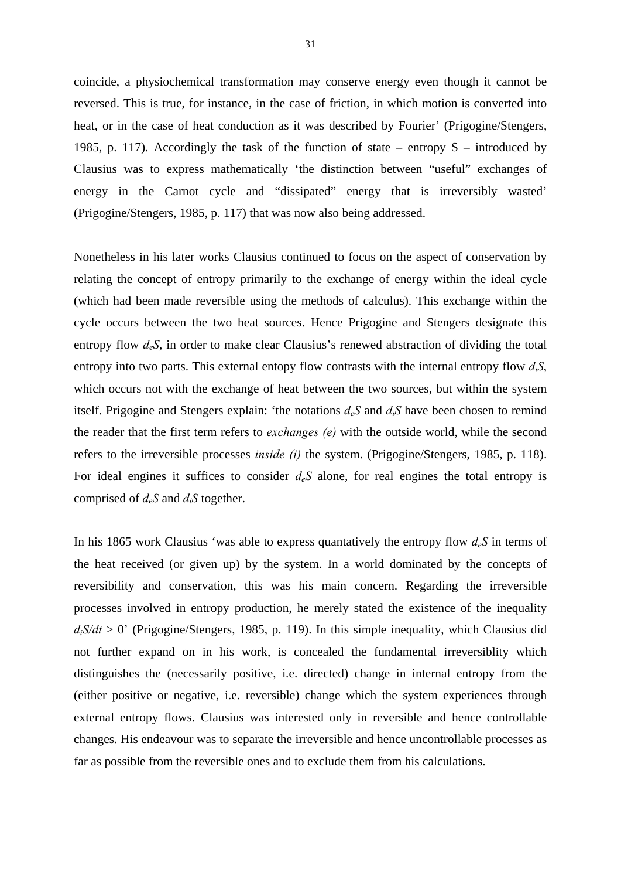coincide, a physiochemical transformation may conserve energy even though it cannot be reversed. This is true, for instance, in the case of friction, in which motion is converted into heat, or in the case of heat conduction as it was described by Fourier' (Prigogine/Stengers, 1985, p. 117). Accordingly the task of the function of state – entropy  $S$  – introduced by Clausius was to express mathematically 'the distinction between "useful" exchanges of energy in the Carnot cycle and "dissipated" energy that is irreversibly wasted' (Prigogine/Stengers, 1985, p. 117) that was now also being addressed.

Nonetheless in his later works Clausius continued to focus on the aspect of conservation by relating the concept of entropy primarily to the exchange of energy within the ideal cycle (which had been made reversible using the methods of calculus). This exchange within the cycle occurs between the two heat sources. Hence Prigogine and Stengers designate this entropy flow *deS*, in order to make clear Clausius's renewed abstraction of dividing the total entropy into two parts. This external entopy flow contrasts with the internal entropy flow  $d_iS$ , which occurs not with the exchange of heat between the two sources, but within the system itself. Prigogine and Stengers explain: 'the notations  $d_eS$  and  $d_iS$  have been chosen to remind the reader that the first term refers to *exchanges (e)* with the outside world, while the second refers to the irreversible processes *inside (i)* the system. (Prigogine/Stengers, 1985, p. 118). For ideal engines it suffices to consider  $d_eS$  alone, for real engines the total entropy is comprised of *deS* and *diS* together.

In his 1865 work Clausius 'was able to express quantatively the entropy flow  $d_eS$  in terms of the heat received (or given up) by the system. In a world dominated by the concepts of reversibility and conservation, this was his main concern. Regarding the irreversible processes involved in entropy production, he merely stated the existence of the inequality  $d_iS/dt > 0$ ' (Prigogine/Stengers, 1985, p. 119). In this simple inequality, which Clausius did not further expand on in his work, is concealed the fundamental irreversiblity which distinguishes the (necessarily positive, i.e. directed) change in internal entropy from the (either positive or negative, i.e. reversible) change which the system experiences through external entropy flows. Clausius was interested only in reversible and hence controllable changes. His endeavour was to separate the irreversible and hence uncontrollable processes as far as possible from the reversible ones and to exclude them from his calculations.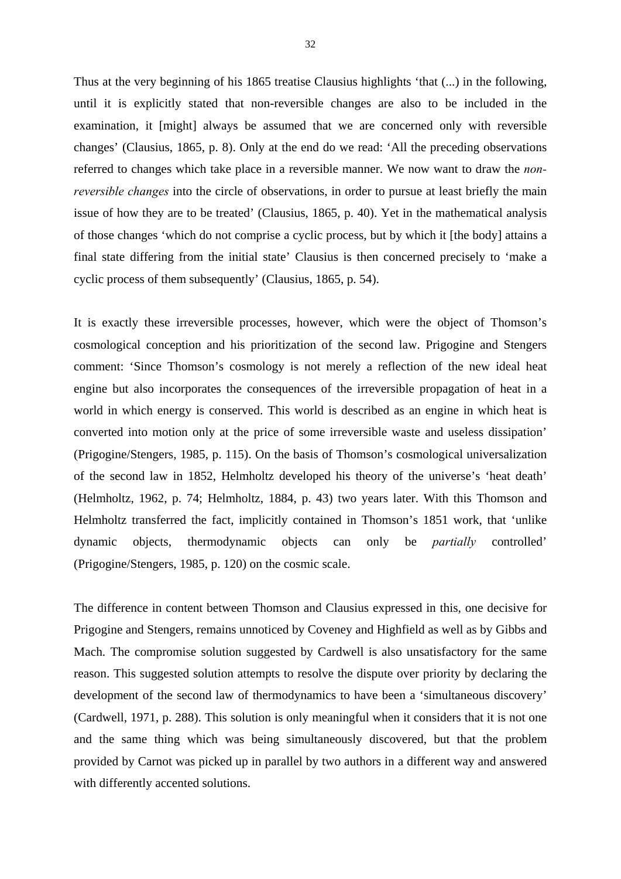Thus at the very beginning of his 1865 treatise Clausius highlights 'that (...) in the following, until it is explicitly stated that non-reversible changes are also to be included in the examination, it [might] always be assumed that we are concerned only with reversible changes' (Clausius, 1865, p. 8). Only at the end do we read: 'All the preceding observations referred to changes which take place in a reversible manner. We now want to draw the *nonreversible changes* into the circle of observations, in order to pursue at least briefly the main issue of how they are to be treated' (Clausius, 1865, p. 40). Yet in the mathematical analysis of those changes 'which do not comprise a cyclic process, but by which it [the body] attains a final state differing from the initial state' Clausius is then concerned precisely to 'make a cyclic process of them subsequently' (Clausius, 1865, p. 54).

It is exactly these irreversible processes, however, which were the object of Thomson's cosmological conception and his prioritization of the second law. Prigogine and Stengers comment: 'Since Thomson's cosmology is not merely a reflection of the new ideal heat engine but also incorporates the consequences of the irreversible propagation of heat in a world in which energy is conserved. This world is described as an engine in which heat is converted into motion only at the price of some irreversible waste and useless dissipation' (Prigogine/Stengers, 1985, p. 115). On the basis of Thomson's cosmological universalization of the second law in 1852, Helmholtz developed his theory of the universe's 'heat death' (Helmholtz, 1962, p. 74; Helmholtz, 1884, p. 43) two years later. With this Thomson and Helmholtz transferred the fact, implicitly contained in Thomson's 1851 work, that 'unlike dynamic objects, thermodynamic objects can only be *partially* controlled' (Prigogine/Stengers, 1985, p. 120) on the cosmic scale.

The difference in content between Thomson and Clausius expressed in this, one decisive for Prigogine and Stengers, remains unnoticed by Coveney and Highfield as well as by Gibbs and Mach. The compromise solution suggested by Cardwell is also unsatisfactory for the same reason. This suggested solution attempts to resolve the dispute over priority by declaring the development of the second law of thermodynamics to have been a 'simultaneous discovery' (Cardwell, 1971, p. 288). This solution is only meaningful when it considers that it is not one and the same thing which was being simultaneously discovered, but that the problem provided by Carnot was picked up in parallel by two authors in a different way and answered with differently accented solutions.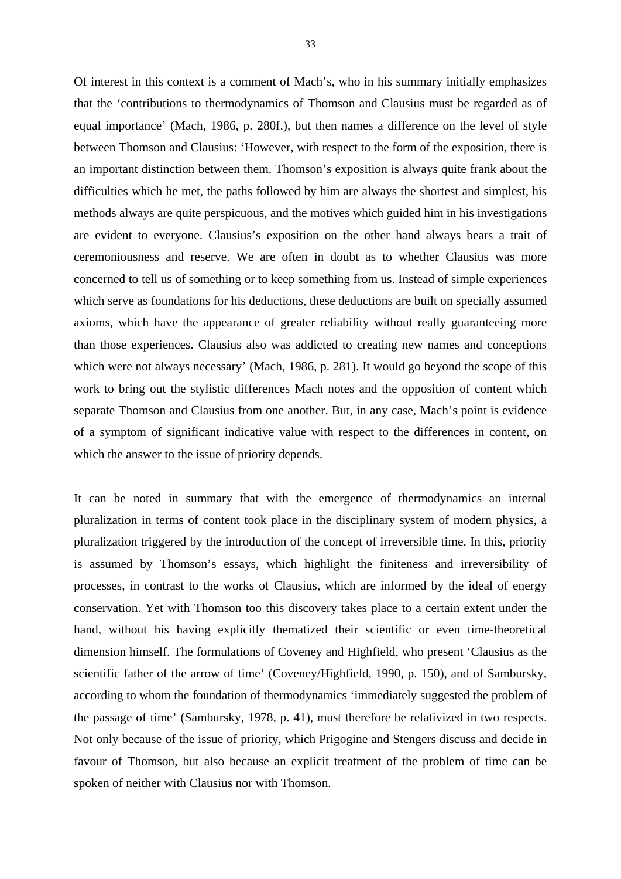Of interest in this context is a comment of Mach's, who in his summary initially emphasizes that the 'contributions to thermodynamics of Thomson and Clausius must be regarded as of equal importance' (Mach, 1986, p. 280f.), but then names a difference on the level of style between Thomson and Clausius: 'However, with respect to the form of the exposition, there is an important distinction between them. Thomson's exposition is always quite frank about the difficulties which he met, the paths followed by him are always the shortest and simplest, his methods always are quite perspicuous, and the motives which guided him in his investigations are evident to everyone. Clausius's exposition on the other hand always bears a trait of ceremoniousness and reserve. We are often in doubt as to whether Clausius was more concerned to tell us of something or to keep something from us. Instead of simple experiences which serve as foundations for his deductions, these deductions are built on specially assumed axioms, which have the appearance of greater reliability without really guaranteeing more than those experiences. Clausius also was addicted to creating new names and conceptions which were not always necessary' (Mach, 1986, p. 281). It would go beyond the scope of this work to bring out the stylistic differences Mach notes and the opposition of content which separate Thomson and Clausius from one another. But, in any case, Mach's point is evidence of a symptom of significant indicative value with respect to the differences in content, on which the answer to the issue of priority depends.

It can be noted in summary that with the emergence of thermodynamics an internal pluralization in terms of content took place in the disciplinary system of modern physics, a pluralization triggered by the introduction of the concept of irreversible time. In this, priority is assumed by Thomson's essays, which highlight the finiteness and irreversibility of processes, in contrast to the works of Clausius, which are informed by the ideal of energy conservation. Yet with Thomson too this discovery takes place to a certain extent under the hand, without his having explicitly thematized their scientific or even time-theoretical dimension himself. The formulations of Coveney and Highfield, who present 'Clausius as the scientific father of the arrow of time' (Coveney/Highfield, 1990, p. 150), and of Sambursky, according to whom the foundation of thermodynamics 'immediately suggested the problem of the passage of time' (Sambursky, 1978, p. 41), must therefore be relativized in two respects. Not only because of the issue of priority, which Prigogine and Stengers discuss and decide in favour of Thomson, but also because an explicit treatment of the problem of time can be spoken of neither with Clausius nor with Thomson.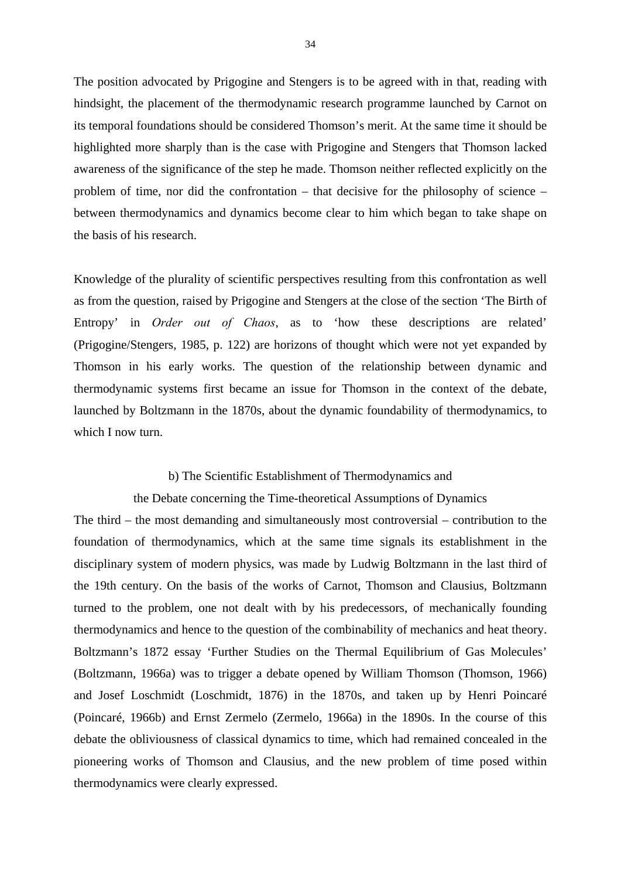The position advocated by Prigogine and Stengers is to be agreed with in that, reading with hindsight, the placement of the thermodynamic research programme launched by Carnot on its temporal foundations should be considered Thomson's merit. At the same time it should be highlighted more sharply than is the case with Prigogine and Stengers that Thomson lacked awareness of the significance of the step he made. Thomson neither reflected explicitly on the problem of time, nor did the confrontation – that decisive for the philosophy of science – between thermodynamics and dynamics become clear to him which began to take shape on the basis of his research.

Knowledge of the plurality of scientific perspectives resulting from this confrontation as well as from the question, raised by Prigogine and Stengers at the close of the section 'The Birth of Entropy' in *Order out of Chaos*, as to 'how these descriptions are related' (Prigogine/Stengers, 1985, p. 122) are horizons of thought which were not yet expanded by Thomson in his early works. The question of the relationship between dynamic and thermodynamic systems first became an issue for Thomson in the context of the debate, launched by Boltzmann in the 1870s, about the dynamic foundability of thermodynamics, to which I now turn.

#### b) The Scientific Establishment of Thermodynamics and

#### the Debate concerning the Time-theoretical Assumptions of Dynamics

The third – the most demanding and simultaneously most controversial – contribution to the foundation of thermodynamics, which at the same time signals its establishment in the disciplinary system of modern physics, was made by Ludwig Boltzmann in the last third of the 19th century. On the basis of the works of Carnot, Thomson and Clausius, Boltzmann turned to the problem, one not dealt with by his predecessors, of mechanically founding thermodynamics and hence to the question of the combinability of mechanics and heat theory. Boltzmann's 1872 essay 'Further Studies on the Thermal Equilibrium of Gas Molecules' (Boltzmann, 1966a) was to trigger a debate opened by William Thomson (Thomson, 1966) and Josef Loschmidt (Loschmidt, 1876) in the 1870s, and taken up by Henri Poincaré (Poincaré, 1966b) and Ernst Zermelo (Zermelo, 1966a) in the 1890s. In the course of this debate the obliviousness of classical dynamics to time, which had remained concealed in the pioneering works of Thomson and Clausius, and the new problem of time posed within thermodynamics were clearly expressed.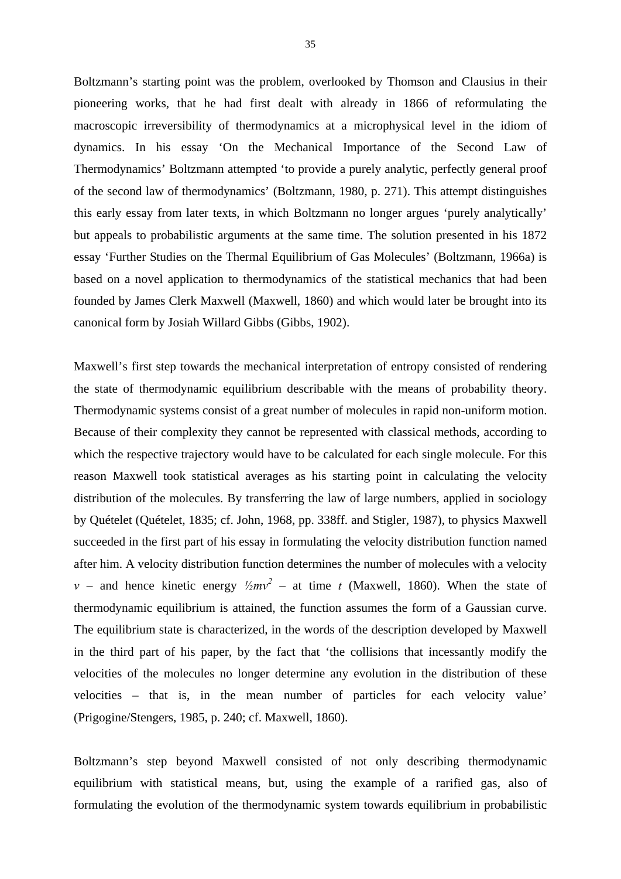Boltzmann's starting point was the problem, overlooked by Thomson and Clausius in their pioneering works, that he had first dealt with already in 1866 of reformulating the macroscopic irreversibility of thermodynamics at a microphysical level in the idiom of dynamics. In his essay 'On the Mechanical Importance of the Second Law of Thermodynamics' Boltzmann attempted 'to provide a purely analytic, perfectly general proof of the second law of thermodynamics' (Boltzmann, 1980, p. 271). This attempt distinguishes this early essay from later texts, in which Boltzmann no longer argues 'purely analytically' but appeals to probabilistic arguments at the same time. The solution presented in his 1872 essay 'Further Studies on the Thermal Equilibrium of Gas Molecules' (Boltzmann, 1966a) is based on a novel application to thermodynamics of the statistical mechanics that had been founded by James Clerk Maxwell (Maxwell, 1860) and which would later be brought into its canonical form by Josiah Willard Gibbs (Gibbs, 1902).

Maxwell's first step towards the mechanical interpretation of entropy consisted of rendering the state of thermodynamic equilibrium describable with the means of probability theory. Thermodynamic systems consist of a great number of molecules in rapid non-uniform motion. Because of their complexity they cannot be represented with classical methods, according to which the respective trajectory would have to be calculated for each single molecule. For this reason Maxwell took statistical averages as his starting point in calculating the velocity distribution of the molecules. By transferring the law of large numbers, applied in sociology by Quételet (Quételet, 1835; cf. John, 1968, pp. 338ff. and Stigler, 1987), to physics Maxwell succeeded in the first part of his essay in formulating the velocity distribution function named after him. A velocity distribution function determines the number of molecules with a velocity *v* – and hence kinetic energy  $\frac{1}{2}mv^2$  – at time *t* (Maxwell, 1860). When the state of thermodynamic equilibrium is attained, the function assumes the form of a Gaussian curve. The equilibrium state is characterized, in the words of the description developed by Maxwell in the third part of his paper, by the fact that 'the collisions that incessantly modify the velocities of the molecules no longer determine any evolution in the distribution of these velocities – that is, in the mean number of particles for each velocity value' (Prigogine/Stengers, 1985, p. 240; cf. Maxwell, 1860).

Boltzmann's step beyond Maxwell consisted of not only describing thermodynamic equilibrium with statistical means, but, using the example of a rarified gas, also of formulating the evolution of the thermodynamic system towards equilibrium in probabilistic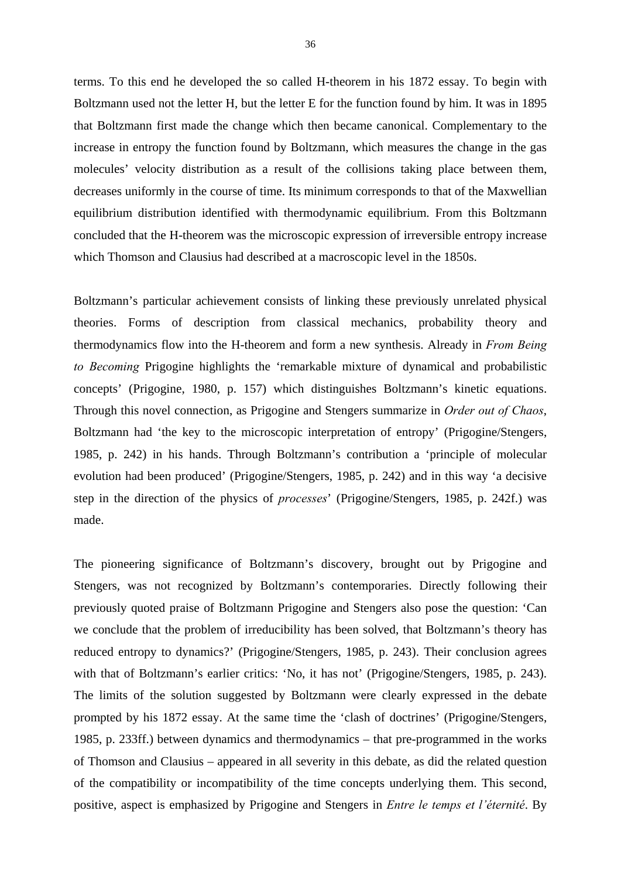terms. To this end he developed the so called H-theorem in his 1872 essay. To begin with Boltzmann used not the letter H, but the letter E for the function found by him. It was in 1895 that Boltzmann first made the change which then became canonical. Complementary to the increase in entropy the function found by Boltzmann, which measures the change in the gas molecules' velocity distribution as a result of the collisions taking place between them, decreases uniformly in the course of time. Its minimum corresponds to that of the Maxwellian equilibrium distribution identified with thermodynamic equilibrium. From this Boltzmann concluded that the H-theorem was the microscopic expression of irreversible entropy increase which Thomson and Clausius had described at a macroscopic level in the 1850s.

Boltzmann's particular achievement consists of linking these previously unrelated physical theories. Forms of description from classical mechanics, probability theory and thermodynamics flow into the H-theorem and form a new synthesis. Already in *From Being to Becoming* Prigogine highlights the 'remarkable mixture of dynamical and probabilistic concepts' (Prigogine, 1980, p. 157) which distinguishes Boltzmann's kinetic equations. Through this novel connection, as Prigogine and Stengers summarize in *Order out of Chaos*, Boltzmann had 'the key to the microscopic interpretation of entropy' (Prigogine/Stengers, 1985, p. 242) in his hands. Through Boltzmann's contribution a 'principle of molecular evolution had been produced' (Prigogine/Stengers, 1985, p. 242) and in this way 'a decisive step in the direction of the physics of *processes*' (Prigogine/Stengers, 1985, p. 242f.) was made.

The pioneering significance of Boltzmann's discovery, brought out by Prigogine and Stengers, was not recognized by Boltzmann's contemporaries. Directly following their previously quoted praise of Boltzmann Prigogine and Stengers also pose the question: 'Can we conclude that the problem of irreducibility has been solved, that Boltzmann's theory has reduced entropy to dynamics?' (Prigogine/Stengers, 1985, p. 243). Their conclusion agrees with that of Boltzmann's earlier critics: 'No, it has not' (Prigogine/Stengers, 1985, p. 243). The limits of the solution suggested by Boltzmann were clearly expressed in the debate prompted by his 1872 essay. At the same time the 'clash of doctrines' (Prigogine/Stengers, 1985, p. 233ff.) between dynamics and thermodynamics – that pre-programmed in the works of Thomson and Clausius – appeared in all severity in this debate, as did the related question of the compatibility or incompatibility of the time concepts underlying them. This second, positive, aspect is emphasized by Prigogine and Stengers in *Entre le temps et l'éternité*. By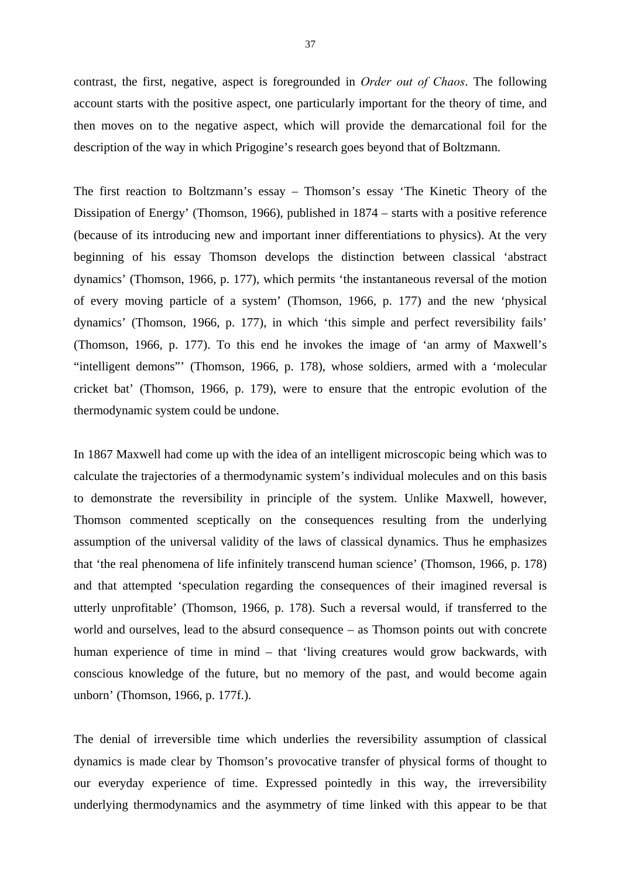contrast, the first, negative, aspect is foregrounded in *Order out of Chaos*. The following account starts with the positive aspect, one particularly important for the theory of time, and then moves on to the negative aspect, which will provide the demarcational foil for the description of the way in which Prigogine's research goes beyond that of Boltzmann.

The first reaction to Boltzmann's essay – Thomson's essay 'The Kinetic Theory of the Dissipation of Energy' (Thomson, 1966), published in 1874 – starts with a positive reference (because of its introducing new and important inner differentiations to physics). At the very beginning of his essay Thomson develops the distinction between classical 'abstract dynamics' (Thomson, 1966, p. 177), which permits 'the instantaneous reversal of the motion of every moving particle of a system' (Thomson, 1966, p. 177) and the new 'physical dynamics' (Thomson, 1966, p. 177), in which 'this simple and perfect reversibility fails' (Thomson, 1966, p. 177). To this end he invokes the image of 'an army of Maxwell's "intelligent demons"' (Thomson, 1966, p. 178), whose soldiers, armed with a 'molecular cricket bat' (Thomson, 1966, p. 179), were to ensure that the entropic evolution of the thermodynamic system could be undone.

In 1867 Maxwell had come up with the idea of an intelligent microscopic being which was to calculate the trajectories of a thermodynamic system's individual molecules and on this basis to demonstrate the reversibility in principle of the system. Unlike Maxwell, however, Thomson commented sceptically on the consequences resulting from the underlying assumption of the universal validity of the laws of classical dynamics. Thus he emphasizes that 'the real phenomena of life infinitely transcend human science' (Thomson, 1966, p. 178) and that attempted 'speculation regarding the consequences of their imagined reversal is utterly unprofitable' (Thomson, 1966, p. 178). Such a reversal would, if transferred to the world and ourselves, lead to the absurd consequence – as Thomson points out with concrete human experience of time in mind – that 'living creatures would grow backwards, with conscious knowledge of the future, but no memory of the past, and would become again unborn' (Thomson, 1966, p. 177f.).

The denial of irreversible time which underlies the reversibility assumption of classical dynamics is made clear by Thomson's provocative transfer of physical forms of thought to our everyday experience of time. Expressed pointedly in this way, the irreversibility underlying thermodynamics and the asymmetry of time linked with this appear to be that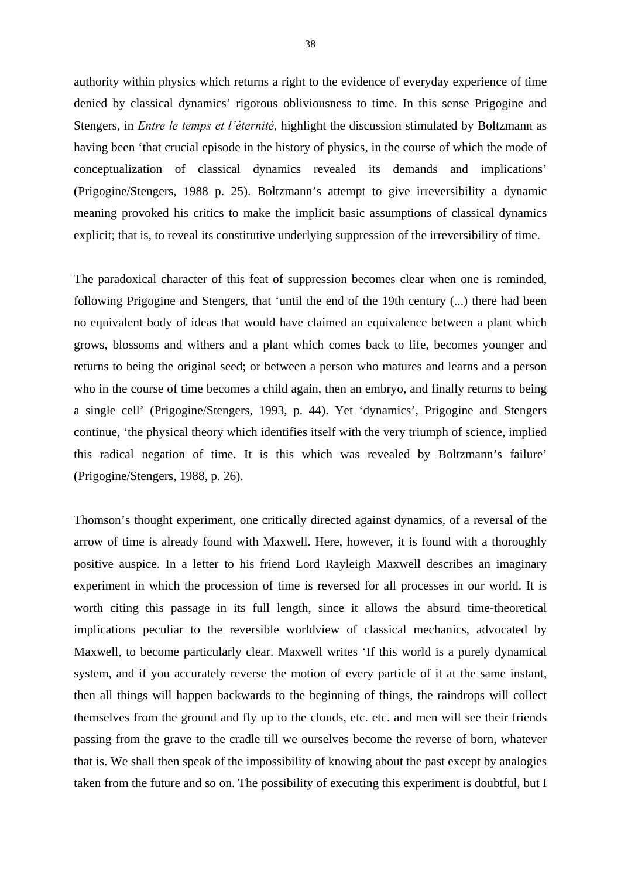authority within physics which returns a right to the evidence of everyday experience of time denied by classical dynamics' rigorous obliviousness to time. In this sense Prigogine and Stengers, in *Entre le temps et l'éternité*, highlight the discussion stimulated by Boltzmann as having been 'that crucial episode in the history of physics, in the course of which the mode of conceptualization of classical dynamics revealed its demands and implications' (Prigogine/Stengers, 1988 p. 25). Boltzmann's attempt to give irreversibility a dynamic meaning provoked his critics to make the implicit basic assumptions of classical dynamics explicit; that is, to reveal its constitutive underlying suppression of the irreversibility of time.

The paradoxical character of this feat of suppression becomes clear when one is reminded, following Prigogine and Stengers, that 'until the end of the 19th century (...) there had been no equivalent body of ideas that would have claimed an equivalence between a plant which grows, blossoms and withers and a plant which comes back to life, becomes younger and returns to being the original seed; or between a person who matures and learns and a person who in the course of time becomes a child again, then an embryo, and finally returns to being a single cell' (Prigogine/Stengers, 1993, p. 44). Yet 'dynamics', Prigogine and Stengers continue, 'the physical theory which identifies itself with the very triumph of science, implied this radical negation of time. It is this which was revealed by Boltzmann's failure' (Prigogine/Stengers, 1988, p. 26).

Thomson's thought experiment, one critically directed against dynamics, of a reversal of the arrow of time is already found with Maxwell. Here, however, it is found with a thoroughly positive auspice. In a letter to his friend Lord Rayleigh Maxwell describes an imaginary experiment in which the procession of time is reversed for all processes in our world. It is worth citing this passage in its full length, since it allows the absurd time-theoretical implications peculiar to the reversible worldview of classical mechanics, advocated by Maxwell, to become particularly clear. Maxwell writes 'If this world is a purely dynamical system, and if you accurately reverse the motion of every particle of it at the same instant, then all things will happen backwards to the beginning of things, the raindrops will collect themselves from the ground and fly up to the clouds, etc. etc. and men will see their friends passing from the grave to the cradle till we ourselves become the reverse of born, whatever that is. We shall then speak of the impossibility of knowing about the past except by analogies taken from the future and so on. The possibility of executing this experiment is doubtful, but I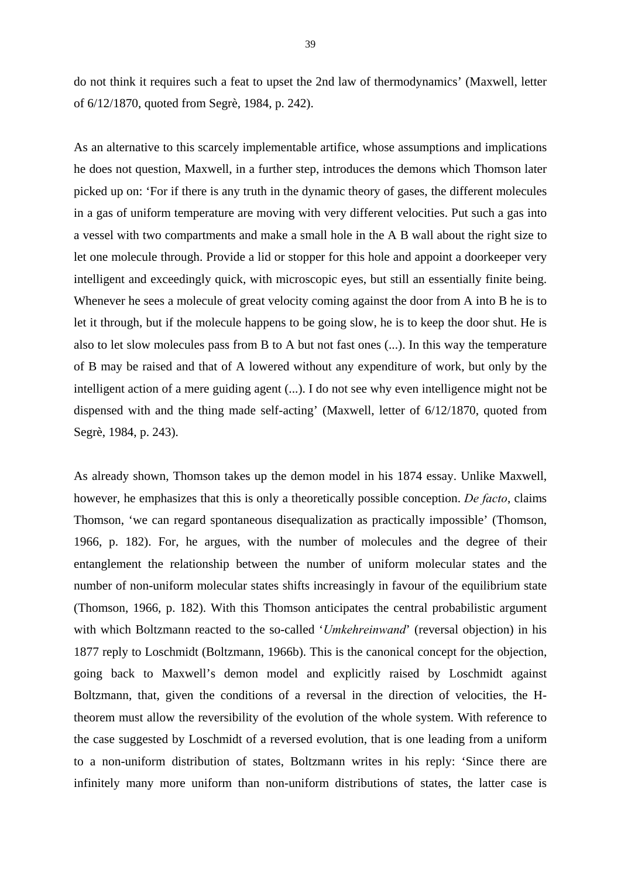do not think it requires such a feat to upset the 2nd law of thermodynamics' (Maxwell, letter of 6/12/1870, quoted from Segrè, 1984, p. 242).

As an alternative to this scarcely implementable artifice, whose assumptions and implications he does not question, Maxwell, in a further step, introduces the demons which Thomson later picked up on: 'For if there is any truth in the dynamic theory of gases, the different molecules in a gas of uniform temperature are moving with very different velocities. Put such a gas into a vessel with two compartments and make a small hole in the A B wall about the right size to let one molecule through. Provide a lid or stopper for this hole and appoint a doorkeeper very intelligent and exceedingly quick, with microscopic eyes, but still an essentially finite being. Whenever he sees a molecule of great velocity coming against the door from A into B he is to let it through, but if the molecule happens to be going slow, he is to keep the door shut. He is also to let slow molecules pass from B to A but not fast ones (...). In this way the temperature of B may be raised and that of A lowered without any expenditure of work, but only by the intelligent action of a mere guiding agent (...). I do not see why even intelligence might not be dispensed with and the thing made self-acting' (Maxwell, letter of 6/12/1870, quoted from Segrè, 1984, p. 243).

As already shown, Thomson takes up the demon model in his 1874 essay. Unlike Maxwell, however, he emphasizes that this is only a theoretically possible conception. *De facto*, claims Thomson, 'we can regard spontaneous disequalization as practically impossible' (Thomson, 1966, p. 182). For, he argues, with the number of molecules and the degree of their entanglement the relationship between the number of uniform molecular states and the number of non-uniform molecular states shifts increasingly in favour of the equilibrium state (Thomson, 1966, p. 182). With this Thomson anticipates the central probabilistic argument with which Boltzmann reacted to the so-called '*Umkehreinwand*' (reversal objection) in his 1877 reply to Loschmidt (Boltzmann, 1966b). This is the canonical concept for the objection, going back to Maxwell's demon model and explicitly raised by Loschmidt against Boltzmann, that, given the conditions of a reversal in the direction of velocities, the Htheorem must allow the reversibility of the evolution of the whole system. With reference to the case suggested by Loschmidt of a reversed evolution, that is one leading from a uniform to a non-uniform distribution of states, Boltzmann writes in his reply: 'Since there are infinitely many more uniform than non-uniform distributions of states, the latter case is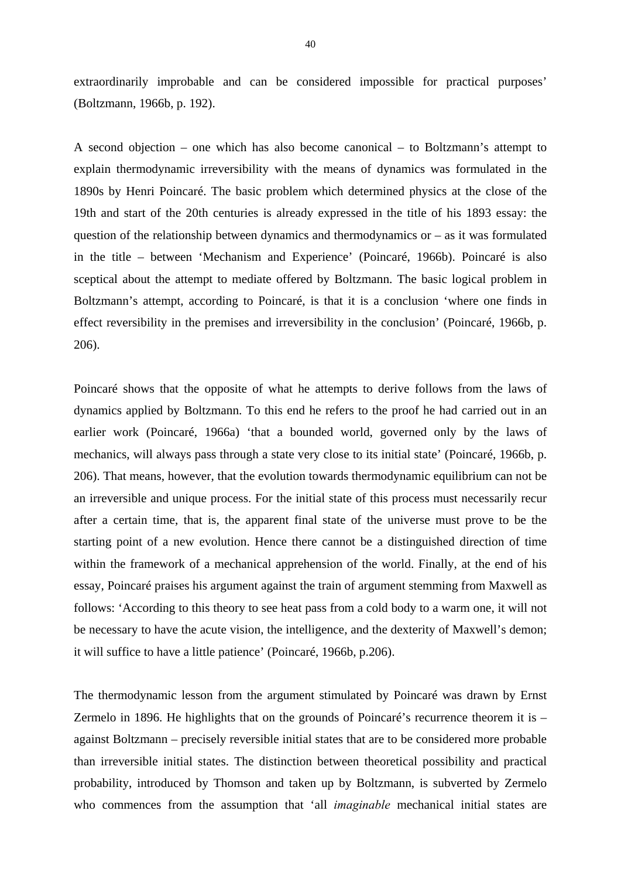extraordinarily improbable and can be considered impossible for practical purposes' (Boltzmann, 1966b, p. 192).

A second objection – one which has also become canonical – to Boltzmann's attempt to explain thermodynamic irreversibility with the means of dynamics was formulated in the 1890s by Henri Poincaré. The basic problem which determined physics at the close of the 19th and start of the 20th centuries is already expressed in the title of his 1893 essay: the question of the relationship between dynamics and thermodynamics or  $-$  as it was formulated in the title – between 'Mechanism and Experience' (Poincaré, 1966b). Poincaré is also sceptical about the attempt to mediate offered by Boltzmann. The basic logical problem in Boltzmann's attempt, according to Poincaré, is that it is a conclusion 'where one finds in effect reversibility in the premises and irreversibility in the conclusion' (Poincaré, 1966b, p. 206).

Poincaré shows that the opposite of what he attempts to derive follows from the laws of dynamics applied by Boltzmann. To this end he refers to the proof he had carried out in an earlier work (Poincaré, 1966a) 'that a bounded world, governed only by the laws of mechanics, will always pass through a state very close to its initial state' (Poincaré, 1966b, p. 206). That means, however, that the evolution towards thermodynamic equilibrium can not be an irreversible and unique process. For the initial state of this process must necessarily recur after a certain time, that is, the apparent final state of the universe must prove to be the starting point of a new evolution. Hence there cannot be a distinguished direction of time within the framework of a mechanical apprehension of the world. Finally, at the end of his essay, Poincaré praises his argument against the train of argument stemming from Maxwell as follows: 'According to this theory to see heat pass from a cold body to a warm one, it will not be necessary to have the acute vision, the intelligence, and the dexterity of Maxwell's demon; it will suffice to have a little patience' (Poincaré, 1966b, p.206).

The thermodynamic lesson from the argument stimulated by Poincaré was drawn by Ernst Zermelo in 1896. He highlights that on the grounds of Poincaré's recurrence theorem it is – against Boltzmann – precisely reversible initial states that are to be considered more probable than irreversible initial states. The distinction between theoretical possibility and practical probability, introduced by Thomson and taken up by Boltzmann, is subverted by Zermelo who commences from the assumption that 'all *imaginable* mechanical initial states are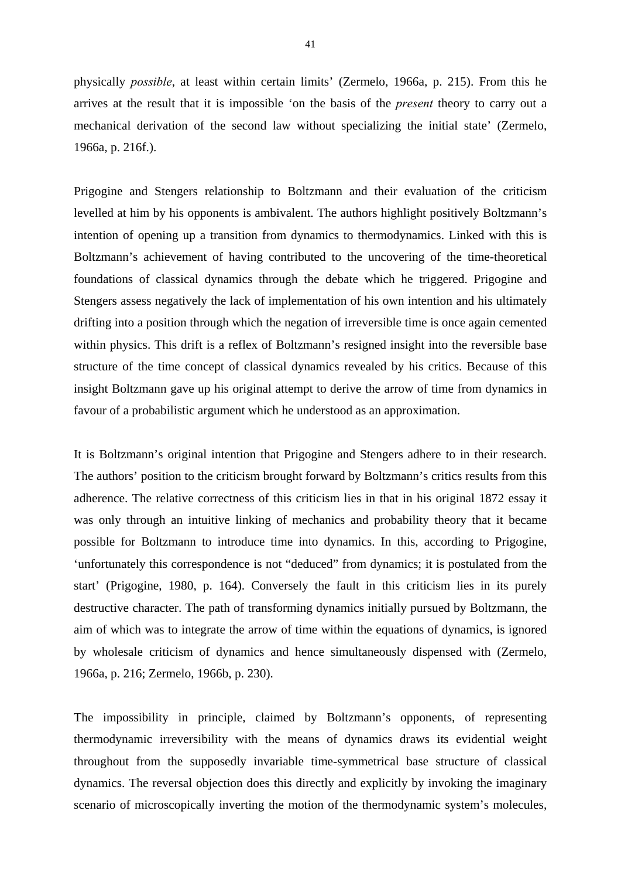physically *possible*, at least within certain limits' (Zermelo, 1966a, p. 215). From this he arrives at the result that it is impossible 'on the basis of the *present* theory to carry out a mechanical derivation of the second law without specializing the initial state' (Zermelo, 1966a, p. 216f.).

Prigogine and Stengers relationship to Boltzmann and their evaluation of the criticism levelled at him by his opponents is ambivalent. The authors highlight positively Boltzmann's intention of opening up a transition from dynamics to thermodynamics. Linked with this is Boltzmann's achievement of having contributed to the uncovering of the time-theoretical foundations of classical dynamics through the debate which he triggered. Prigogine and Stengers assess negatively the lack of implementation of his own intention and his ultimately drifting into a position through which the negation of irreversible time is once again cemented within physics. This drift is a reflex of Boltzmann's resigned insight into the reversible base structure of the time concept of classical dynamics revealed by his critics. Because of this insight Boltzmann gave up his original attempt to derive the arrow of time from dynamics in favour of a probabilistic argument which he understood as an approximation.

It is Boltzmann's original intention that Prigogine and Stengers adhere to in their research. The authors' position to the criticism brought forward by Boltzmann's critics results from this adherence. The relative correctness of this criticism lies in that in his original 1872 essay it was only through an intuitive linking of mechanics and probability theory that it became possible for Boltzmann to introduce time into dynamics. In this, according to Prigogine, 'unfortunately this correspondence is not "deduced" from dynamics; it is postulated from the start' (Prigogine, 1980, p. 164). Conversely the fault in this criticism lies in its purely destructive character. The path of transforming dynamics initially pursued by Boltzmann, the aim of which was to integrate the arrow of time within the equations of dynamics, is ignored by wholesale criticism of dynamics and hence simultaneously dispensed with (Zermelo, 1966a, p. 216; Zermelo, 1966b, p. 230).

The impossibility in principle, claimed by Boltzmann's opponents, of representing thermodynamic irreversibility with the means of dynamics draws its evidential weight throughout from the supposedly invariable time-symmetrical base structure of classical dynamics. The reversal objection does this directly and explicitly by invoking the imaginary scenario of microscopically inverting the motion of the thermodynamic system's molecules,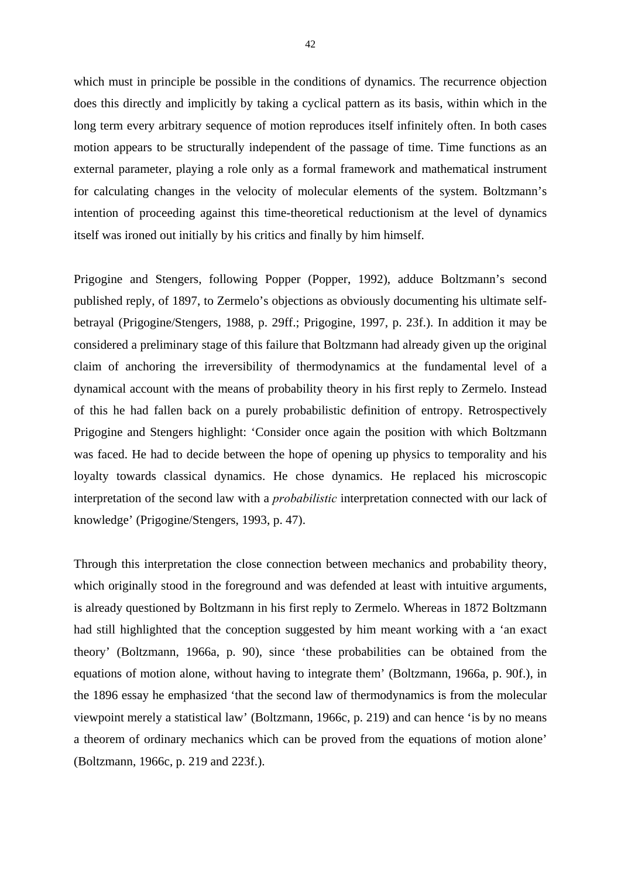which must in principle be possible in the conditions of dynamics. The recurrence objection does this directly and implicitly by taking a cyclical pattern as its basis, within which in the long term every arbitrary sequence of motion reproduces itself infinitely often. In both cases motion appears to be structurally independent of the passage of time. Time functions as an external parameter, playing a role only as a formal framework and mathematical instrument for calculating changes in the velocity of molecular elements of the system. Boltzmann's intention of proceeding against this time-theoretical reductionism at the level of dynamics itself was ironed out initially by his critics and finally by him himself.

Prigogine and Stengers, following Popper (Popper, 1992), adduce Boltzmann's second published reply, of 1897, to Zermelo's objections as obviously documenting his ultimate selfbetrayal (Prigogine/Stengers, 1988, p. 29ff.; Prigogine, 1997, p. 23f.). In addition it may be considered a preliminary stage of this failure that Boltzmann had already given up the original claim of anchoring the irreversibility of thermodynamics at the fundamental level of a dynamical account with the means of probability theory in his first reply to Zermelo. Instead of this he had fallen back on a purely probabilistic definition of entropy. Retrospectively Prigogine and Stengers highlight: 'Consider once again the position with which Boltzmann was faced. He had to decide between the hope of opening up physics to temporality and his loyalty towards classical dynamics. He chose dynamics. He replaced his microscopic interpretation of the second law with a *probabilistic* interpretation connected with our lack of knowledge' (Prigogine/Stengers, 1993, p. 47).

Through this interpretation the close connection between mechanics and probability theory, which originally stood in the foreground and was defended at least with intuitive arguments, is already questioned by Boltzmann in his first reply to Zermelo. Whereas in 1872 Boltzmann had still highlighted that the conception suggested by him meant working with a 'an exact theory' (Boltzmann, 1966a, p. 90), since 'these probabilities can be obtained from the equations of motion alone, without having to integrate them' (Boltzmann, 1966a, p. 90f.), in the 1896 essay he emphasized 'that the second law of thermodynamics is from the molecular viewpoint merely a statistical law' (Boltzmann, 1966c, p. 219) and can hence 'is by no means a theorem of ordinary mechanics which can be proved from the equations of motion alone' (Boltzmann, 1966c, p. 219 and 223f.).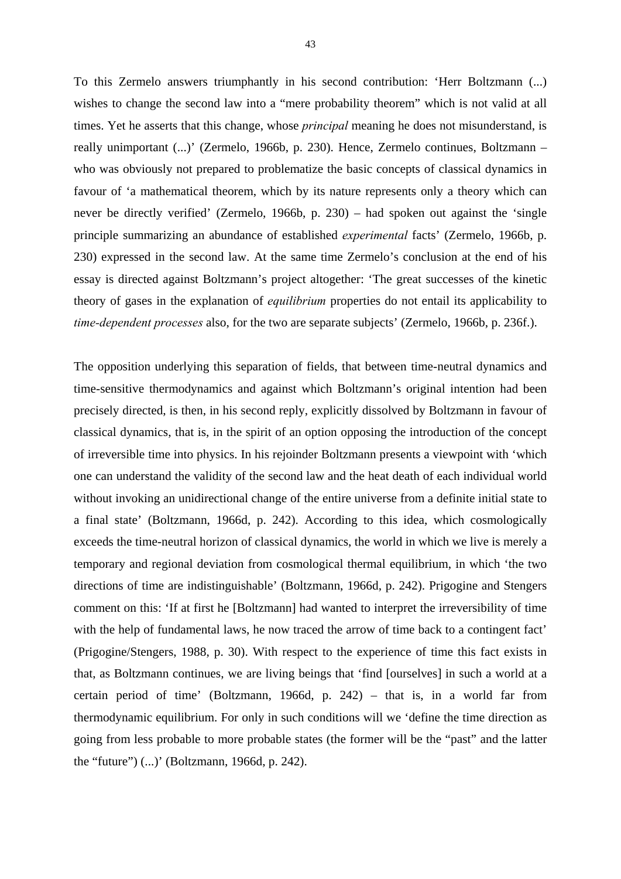To this Zermelo answers triumphantly in his second contribution: 'Herr Boltzmann (...) wishes to change the second law into a "mere probability theorem" which is not valid at all times. Yet he asserts that this change, whose *principal* meaning he does not misunderstand, is really unimportant (...)' (Zermelo, 1966b, p. 230). Hence, Zermelo continues, Boltzmann – who was obviously not prepared to problematize the basic concepts of classical dynamics in favour of 'a mathematical theorem, which by its nature represents only a theory which can never be directly verified' (Zermelo, 1966b, p. 230) – had spoken out against the 'single principle summarizing an abundance of established *experimental* facts' (Zermelo, 1966b, p. 230) expressed in the second law. At the same time Zermelo's conclusion at the end of his essay is directed against Boltzmann's project altogether: 'The great successes of the kinetic theory of gases in the explanation of *equilibrium* properties do not entail its applicability to *time-dependent processes* also, for the two are separate subjects' (Zermelo, 1966b, p. 236f.).

The opposition underlying this separation of fields, that between time-neutral dynamics and time-sensitive thermodynamics and against which Boltzmann's original intention had been precisely directed, is then, in his second reply, explicitly dissolved by Boltzmann in favour of classical dynamics, that is, in the spirit of an option opposing the introduction of the concept of irreversible time into physics. In his rejoinder Boltzmann presents a viewpoint with 'which one can understand the validity of the second law and the heat death of each individual world without invoking an unidirectional change of the entire universe from a definite initial state to a final state' (Boltzmann, 1966d, p. 242). According to this idea, which cosmologically exceeds the time-neutral horizon of classical dynamics, the world in which we live is merely a temporary and regional deviation from cosmological thermal equilibrium, in which 'the two directions of time are indistinguishable' (Boltzmann, 1966d, p. 242). Prigogine and Stengers comment on this: 'If at first he [Boltzmann] had wanted to interpret the irreversibility of time with the help of fundamental laws, he now traced the arrow of time back to a contingent fact' (Prigogine/Stengers, 1988, p. 30). With respect to the experience of time this fact exists in that, as Boltzmann continues, we are living beings that 'find [ourselves] in such a world at a certain period of time' (Boltzmann, 1966d, p. 242) – that is, in a world far from thermodynamic equilibrium. For only in such conditions will we 'define the time direction as going from less probable to more probable states (the former will be the "past" and the latter the "future") (...)' (Boltzmann, 1966d, p. 242).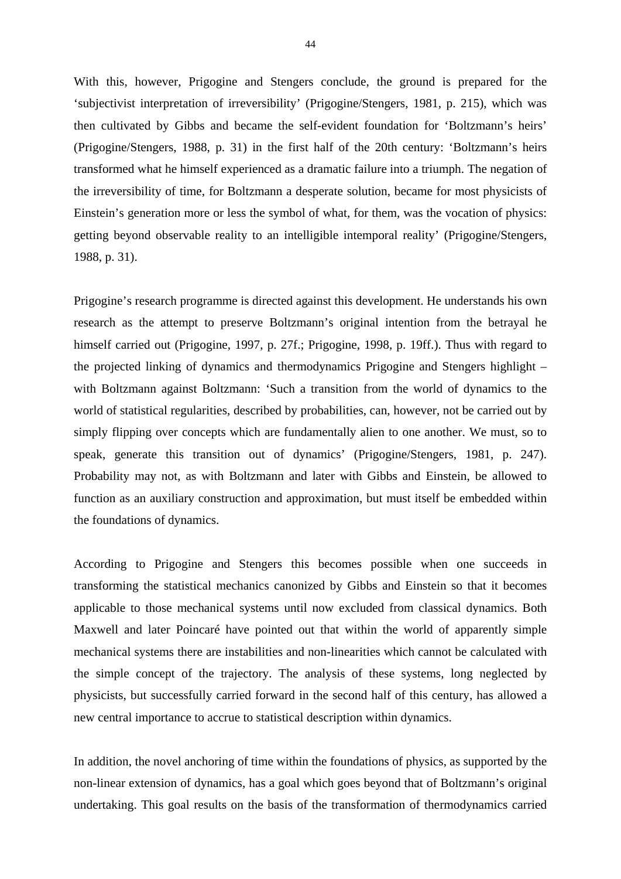With this, however, Prigogine and Stengers conclude, the ground is prepared for the 'subjectivist interpretation of irreversibility' (Prigogine/Stengers, 1981, p. 215), which was then cultivated by Gibbs and became the self-evident foundation for 'Boltzmann's heirs' (Prigogine/Stengers, 1988, p. 31) in the first half of the 20th century: 'Boltzmann's heirs transformed what he himself experienced as a dramatic failure into a triumph. The negation of the irreversibility of time, for Boltzmann a desperate solution, became for most physicists of Einstein's generation more or less the symbol of what, for them, was the vocation of physics: getting beyond observable reality to an intelligible intemporal reality' (Prigogine/Stengers, 1988, p. 31).

Prigogine's research programme is directed against this development. He understands his own research as the attempt to preserve Boltzmann's original intention from the betrayal he himself carried out (Prigogine, 1997, p. 27f.; Prigogine, 1998, p. 19ff.). Thus with regard to the projected linking of dynamics and thermodynamics Prigogine and Stengers highlight – with Boltzmann against Boltzmann: 'Such a transition from the world of dynamics to the world of statistical regularities, described by probabilities, can, however, not be carried out by simply flipping over concepts which are fundamentally alien to one another. We must, so to speak, generate this transition out of dynamics' (Prigogine/Stengers, 1981, p. 247). Probability may not, as with Boltzmann and later with Gibbs and Einstein, be allowed to function as an auxiliary construction and approximation, but must itself be embedded within the foundations of dynamics.

According to Prigogine and Stengers this becomes possible when one succeeds in transforming the statistical mechanics canonized by Gibbs and Einstein so that it becomes applicable to those mechanical systems until now excluded from classical dynamics. Both Maxwell and later Poincaré have pointed out that within the world of apparently simple mechanical systems there are instabilities and non-linearities which cannot be calculated with the simple concept of the trajectory. The analysis of these systems, long neglected by physicists, but successfully carried forward in the second half of this century, has allowed a new central importance to accrue to statistical description within dynamics.

In addition, the novel anchoring of time within the foundations of physics, as supported by the non-linear extension of dynamics, has a goal which goes beyond that of Boltzmann's original undertaking. This goal results on the basis of the transformation of thermodynamics carried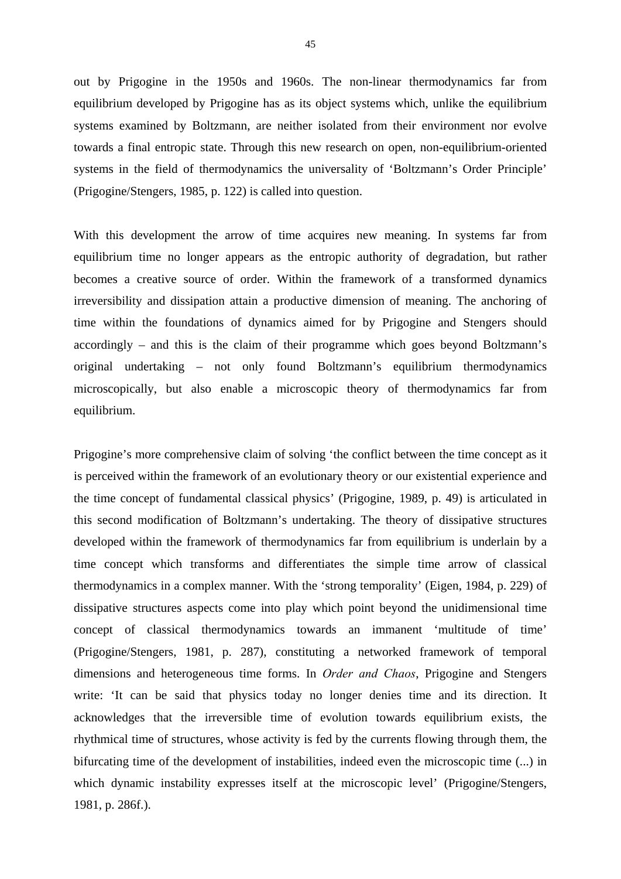out by Prigogine in the 1950s and 1960s. The non-linear thermodynamics far from equilibrium developed by Prigogine has as its object systems which, unlike the equilibrium systems examined by Boltzmann, are neither isolated from their environment nor evolve towards a final entropic state. Through this new research on open, non-equilibrium-oriented systems in the field of thermodynamics the universality of 'Boltzmann's Order Principle' (Prigogine/Stengers, 1985, p. 122) is called into question.

With this development the arrow of time acquires new meaning. In systems far from equilibrium time no longer appears as the entropic authority of degradation, but rather becomes a creative source of order. Within the framework of a transformed dynamics irreversibility and dissipation attain a productive dimension of meaning. The anchoring of time within the foundations of dynamics aimed for by Prigogine and Stengers should accordingly – and this is the claim of their programme which goes beyond Boltzmann's original undertaking – not only found Boltzmann's equilibrium thermodynamics microscopically, but also enable a microscopic theory of thermodynamics far from equilibrium.

Prigogine's more comprehensive claim of solving 'the conflict between the time concept as it is perceived within the framework of an evolutionary theory or our existential experience and the time concept of fundamental classical physics' (Prigogine, 1989, p. 49) is articulated in this second modification of Boltzmann's undertaking. The theory of dissipative structures developed within the framework of thermodynamics far from equilibrium is underlain by a time concept which transforms and differentiates the simple time arrow of classical thermodynamics in a complex manner. With the 'strong temporality' (Eigen, 1984, p. 229) of dissipative structures aspects come into play which point beyond the unidimensional time concept of classical thermodynamics towards an immanent 'multitude of time' (Prigogine/Stengers, 1981, p. 287), constituting a networked framework of temporal dimensions and heterogeneous time forms. In *Order and Chaos*, Prigogine and Stengers write: 'It can be said that physics today no longer denies time and its direction. It acknowledges that the irreversible time of evolution towards equilibrium exists, the rhythmical time of structures, whose activity is fed by the currents flowing through them, the bifurcating time of the development of instabilities, indeed even the microscopic time (...) in which dynamic instability expresses itself at the microscopic level' (Prigogine/Stengers, 1981, p. 286f.).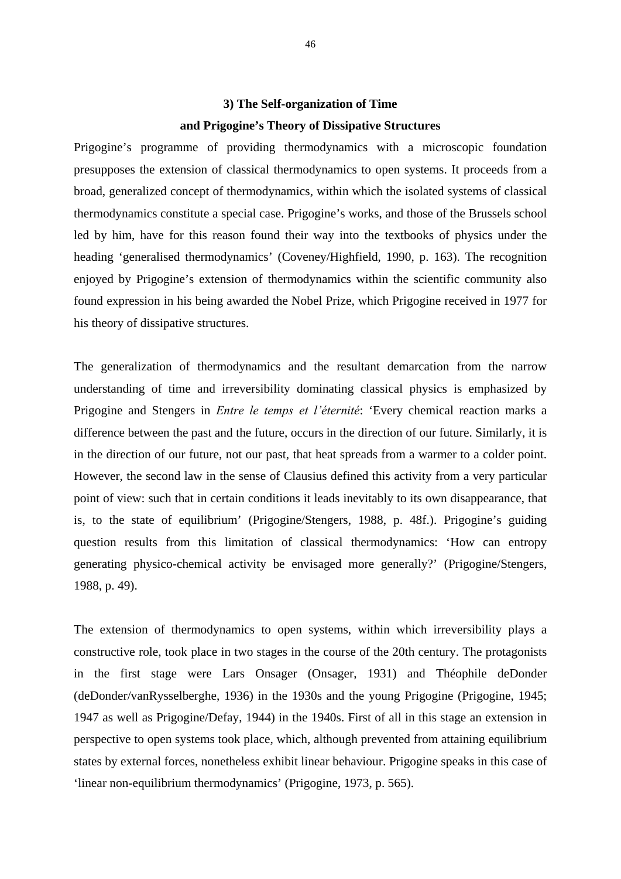## **3) The Self-organization of Time and Prigogine's Theory of Dissipative Structures**

Prigogine's programme of providing thermodynamics with a microscopic foundation presupposes the extension of classical thermodynamics to open systems. It proceeds from a broad, generalized concept of thermodynamics, within which the isolated systems of classical thermodynamics constitute a special case. Prigogine's works, and those of the Brussels school led by him, have for this reason found their way into the textbooks of physics under the heading 'generalised thermodynamics' (Coveney/Highfield, 1990, p. 163). The recognition enjoyed by Prigogine's extension of thermodynamics within the scientific community also found expression in his being awarded the Nobel Prize, which Prigogine received in 1977 for his theory of dissipative structures.

The generalization of thermodynamics and the resultant demarcation from the narrow understanding of time and irreversibility dominating classical physics is emphasized by Prigogine and Stengers in *Entre le temps et l'éternité*: 'Every chemical reaction marks a difference between the past and the future, occurs in the direction of our future. Similarly, it is in the direction of our future, not our past, that heat spreads from a warmer to a colder point. However, the second law in the sense of Clausius defined this activity from a very particular point of view: such that in certain conditions it leads inevitably to its own disappearance, that is, to the state of equilibrium' (Prigogine/Stengers, 1988, p. 48f.). Prigogine's guiding question results from this limitation of classical thermodynamics: 'How can entropy generating physico-chemical activity be envisaged more generally?' (Prigogine/Stengers, 1988, p. 49).

The extension of thermodynamics to open systems, within which irreversibility plays a constructive role, took place in two stages in the course of the 20th century. The protagonists in the first stage were Lars Onsager (Onsager, 1931) and Théophile deDonder (deDonder/vanRysselberghe, 1936) in the 1930s and the young Prigogine (Prigogine, 1945; 1947 as well as Prigogine/Defay, 1944) in the 1940s. First of all in this stage an extension in perspective to open systems took place, which, although prevented from attaining equilibrium states by external forces, nonetheless exhibit linear behaviour. Prigogine speaks in this case of 'linear non-equilibrium thermodynamics' (Prigogine, 1973, p. 565).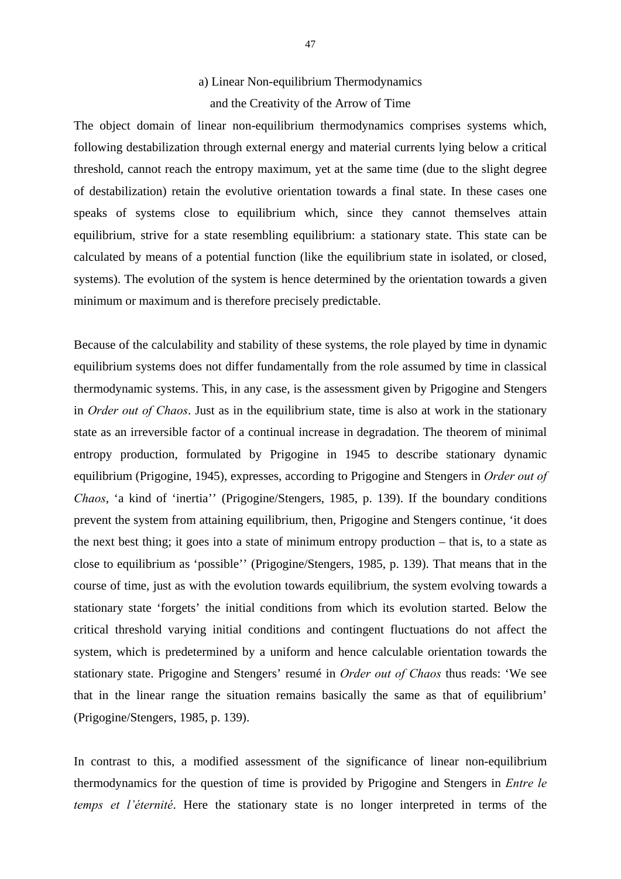#### a) Linear Non-equilibrium Thermodynamics

### and the Creativity of the Arrow of Time

The object domain of linear non-equilibrium thermodynamics comprises systems which, following destabilization through external energy and material currents lying below a critical threshold, cannot reach the entropy maximum, yet at the same time (due to the slight degree of destabilization) retain the evolutive orientation towards a final state. In these cases one speaks of systems close to equilibrium which, since they cannot themselves attain equilibrium, strive for a state resembling equilibrium: a stationary state. This state can be calculated by means of a potential function (like the equilibrium state in isolated, or closed, systems). The evolution of the system is hence determined by the orientation towards a given minimum or maximum and is therefore precisely predictable.

Because of the calculability and stability of these systems, the role played by time in dynamic equilibrium systems does not differ fundamentally from the role assumed by time in classical thermodynamic systems. This, in any case, is the assessment given by Prigogine and Stengers in *Order out of Chaos*. Just as in the equilibrium state, time is also at work in the stationary state as an irreversible factor of a continual increase in degradation. The theorem of minimal entropy production, formulated by Prigogine in 1945 to describe stationary dynamic equilibrium (Prigogine, 1945), expresses, according to Prigogine and Stengers in *Order out of Chaos*, 'a kind of 'inertia'' (Prigogine/Stengers, 1985, p. 139). If the boundary conditions prevent the system from attaining equilibrium, then, Prigogine and Stengers continue, 'it does the next best thing; it goes into a state of minimum entropy production – that is, to a state as close to equilibrium as 'possible'' (Prigogine/Stengers, 1985, p. 139). That means that in the course of time, just as with the evolution towards equilibrium, the system evolving towards a stationary state 'forgets' the initial conditions from which its evolution started. Below the critical threshold varying initial conditions and contingent fluctuations do not affect the system, which is predetermined by a uniform and hence calculable orientation towards the stationary state. Prigogine and Stengers' resumé in *Order out of Chaos* thus reads: 'We see that in the linear range the situation remains basically the same as that of equilibrium' (Prigogine/Stengers, 1985, p. 139).

In contrast to this, a modified assessment of the significance of linear non-equilibrium thermodynamics for the question of time is provided by Prigogine and Stengers in *Entre le temps et l'éternité*. Here the stationary state is no longer interpreted in terms of the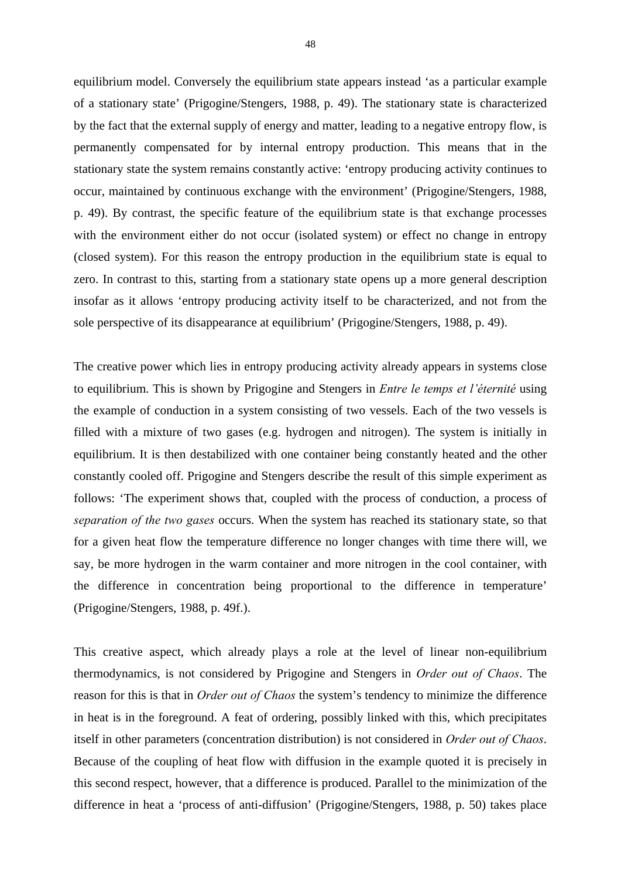equilibrium model. Conversely the equilibrium state appears instead 'as a particular example of a stationary state' (Prigogine/Stengers, 1988, p. 49). The stationary state is characterized by the fact that the external supply of energy and matter, leading to a negative entropy flow, is permanently compensated for by internal entropy production. This means that in the stationary state the system remains constantly active: 'entropy producing activity continues to occur, maintained by continuous exchange with the environment' (Prigogine/Stengers, 1988, p. 49). By contrast, the specific feature of the equilibrium state is that exchange processes with the environment either do not occur (isolated system) or effect no change in entropy (closed system). For this reason the entropy production in the equilibrium state is equal to zero. In contrast to this, starting from a stationary state opens up a more general description insofar as it allows 'entropy producing activity itself to be characterized, and not from the sole perspective of its disappearance at equilibrium' (Prigogine/Stengers, 1988, p. 49).

The creative power which lies in entropy producing activity already appears in systems close to equilibrium. This is shown by Prigogine and Stengers in *Entre le temps et l'éternité* using the example of conduction in a system consisting of two vessels. Each of the two vessels is filled with a mixture of two gases (e.g. hydrogen and nitrogen). The system is initially in equilibrium. It is then destabilized with one container being constantly heated and the other constantly cooled off. Prigogine and Stengers describe the result of this simple experiment as follows: 'The experiment shows that, coupled with the process of conduction, a process of *separation of the two gases* occurs. When the system has reached its stationary state, so that for a given heat flow the temperature difference no longer changes with time there will, we say, be more hydrogen in the warm container and more nitrogen in the cool container, with the difference in concentration being proportional to the difference in temperature' (Prigogine/Stengers, 1988, p. 49f.).

This creative aspect, which already plays a role at the level of linear non-equilibrium thermodynamics, is not considered by Prigogine and Stengers in *Order out of Chaos*. The reason for this is that in *Order out of Chaos* the system's tendency to minimize the difference in heat is in the foreground. A feat of ordering, possibly linked with this, which precipitates itself in other parameters (concentration distribution) is not considered in *Order out of Chaos*. Because of the coupling of heat flow with diffusion in the example quoted it is precisely in this second respect, however, that a difference is produced. Parallel to the minimization of the difference in heat a 'process of anti-diffusion' (Prigogine/Stengers, 1988, p. 50) takes place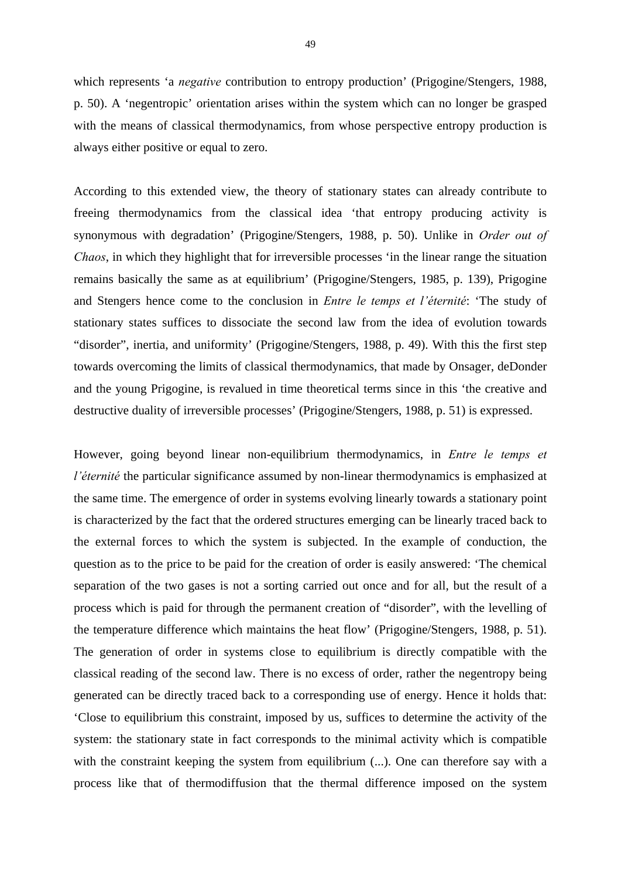which represents 'a *negative* contribution to entropy production' (Prigogine/Stengers, 1988, p. 50). A 'negentropic' orientation arises within the system which can no longer be grasped with the means of classical thermodynamics, from whose perspective entropy production is always either positive or equal to zero.

According to this extended view, the theory of stationary states can already contribute to freeing thermodynamics from the classical idea 'that entropy producing activity is synonymous with degradation' (Prigogine/Stengers, 1988, p. 50). Unlike in *Order out of Chaos*, in which they highlight that for irreversible processes 'in the linear range the situation remains basically the same as at equilibrium' (Prigogine/Stengers, 1985, p. 139), Prigogine and Stengers hence come to the conclusion in *Entre le temps et l'éternité*: 'The study of stationary states suffices to dissociate the second law from the idea of evolution towards "disorder", inertia, and uniformity' (Prigogine/Stengers, 1988, p. 49). With this the first step towards overcoming the limits of classical thermodynamics, that made by Onsager, deDonder and the young Prigogine, is revalued in time theoretical terms since in this 'the creative and destructive duality of irreversible processes' (Prigogine/Stengers, 1988, p. 51) is expressed.

However, going beyond linear non-equilibrium thermodynamics, in *Entre le temps et l'éternité* the particular significance assumed by non-linear thermodynamics is emphasized at the same time. The emergence of order in systems evolving linearly towards a stationary point is characterized by the fact that the ordered structures emerging can be linearly traced back to the external forces to which the system is subjected. In the example of conduction, the question as to the price to be paid for the creation of order is easily answered: 'The chemical separation of the two gases is not a sorting carried out once and for all, but the result of a process which is paid for through the permanent creation of "disorder", with the levelling of the temperature difference which maintains the heat flow' (Prigogine/Stengers, 1988, p. 51). The generation of order in systems close to equilibrium is directly compatible with the classical reading of the second law. There is no excess of order, rather the negentropy being generated can be directly traced back to a corresponding use of energy. Hence it holds that: 'Close to equilibrium this constraint, imposed by us, suffices to determine the activity of the system: the stationary state in fact corresponds to the minimal activity which is compatible with the constraint keeping the system from equilibrium (...). One can therefore say with a process like that of thermodiffusion that the thermal difference imposed on the system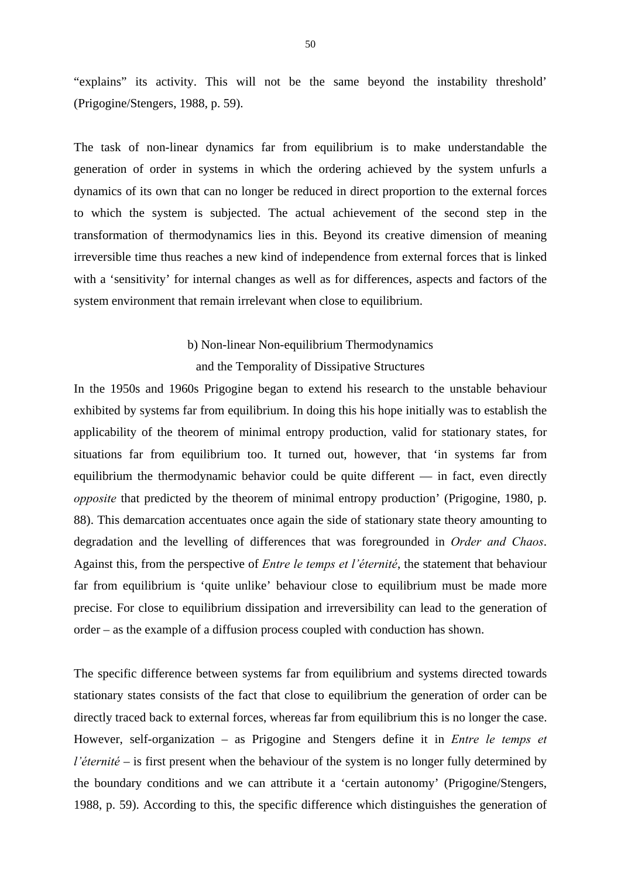"explains" its activity. This will not be the same beyond the instability threshold' (Prigogine/Stengers, 1988, p. 59).

The task of non-linear dynamics far from equilibrium is to make understandable the generation of order in systems in which the ordering achieved by the system unfurls a dynamics of its own that can no longer be reduced in direct proportion to the external forces to which the system is subjected. The actual achievement of the second step in the transformation of thermodynamics lies in this. Beyond its creative dimension of meaning irreversible time thus reaches a new kind of independence from external forces that is linked with a 'sensitivity' for internal changes as well as for differences, aspects and factors of the system environment that remain irrelevant when close to equilibrium.

> b) Non-linear Non-equilibrium Thermodynamics and the Temporality of Dissipative Structures

In the 1950s and 1960s Prigogine began to extend his research to the unstable behaviour exhibited by systems far from equilibrium. In doing this his hope initially was to establish the applicability of the theorem of minimal entropy production, valid for stationary states, for situations far from equilibrium too. It turned out, however, that 'in systems far from equilibrium the thermodynamic behavior could be quite different — in fact, even directly *opposite* that predicted by the theorem of minimal entropy production' (Prigogine, 1980, p. 88). This demarcation accentuates once again the side of stationary state theory amounting to degradation and the levelling of differences that was foregrounded in *Order and Chaos*. Against this, from the perspective of *Entre le temps et l'éternité*, the statement that behaviour far from equilibrium is 'quite unlike' behaviour close to equilibrium must be made more precise. For close to equilibrium dissipation and irreversibility can lead to the generation of order – as the example of a diffusion process coupled with conduction has shown.

The specific difference between systems far from equilibrium and systems directed towards stationary states consists of the fact that close to equilibrium the generation of order can be directly traced back to external forces, whereas far from equilibrium this is no longer the case. However, self-organization – as Prigogine and Stengers define it in *Entre le temps et l'éternité* – is first present when the behaviour of the system is no longer fully determined by the boundary conditions and we can attribute it a 'certain autonomy' (Prigogine/Stengers, 1988, p. 59). According to this, the specific difference which distinguishes the generation of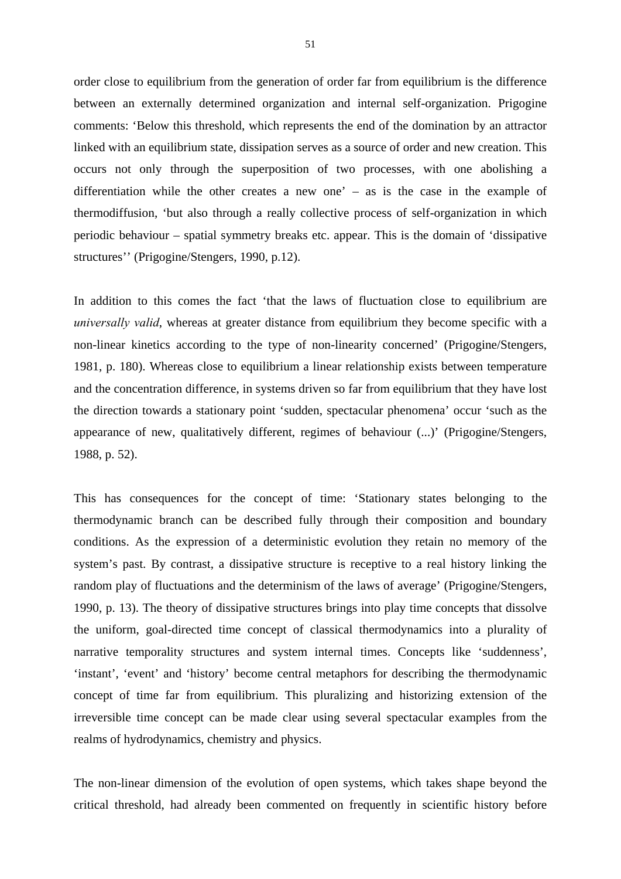order close to equilibrium from the generation of order far from equilibrium is the difference between an externally determined organization and internal self-organization. Prigogine comments: 'Below this threshold, which represents the end of the domination by an attractor linked with an equilibrium state, dissipation serves as a source of order and new creation. This occurs not only through the superposition of two processes, with one abolishing a differentiation while the other creates a new one' – as is the case in the example of thermodiffusion, 'but also through a really collective process of self-organization in which periodic behaviour – spatial symmetry breaks etc. appear. This is the domain of 'dissipative structures'' (Prigogine/Stengers, 1990, p.12).

In addition to this comes the fact 'that the laws of fluctuation close to equilibrium are *universally valid*, whereas at greater distance from equilibrium they become specific with a non-linear kinetics according to the type of non-linearity concerned' (Prigogine/Stengers, 1981, p. 180). Whereas close to equilibrium a linear relationship exists between temperature and the concentration difference, in systems driven so far from equilibrium that they have lost the direction towards a stationary point 'sudden, spectacular phenomena' occur 'such as the appearance of new, qualitatively different, regimes of behaviour (...)' (Prigogine/Stengers, 1988, p. 52).

This has consequences for the concept of time: 'Stationary states belonging to the thermodynamic branch can be described fully through their composition and boundary conditions. As the expression of a deterministic evolution they retain no memory of the system's past. By contrast, a dissipative structure is receptive to a real history linking the random play of fluctuations and the determinism of the laws of average' (Prigogine/Stengers, 1990, p. 13). The theory of dissipative structures brings into play time concepts that dissolve the uniform, goal-directed time concept of classical thermodynamics into a plurality of narrative temporality structures and system internal times. Concepts like 'suddenness', 'instant', 'event' and 'history' become central metaphors for describing the thermodynamic concept of time far from equilibrium. This pluralizing and historizing extension of the irreversible time concept can be made clear using several spectacular examples from the realms of hydrodynamics, chemistry and physics.

The non-linear dimension of the evolution of open systems, which takes shape beyond the critical threshold, had already been commented on frequently in scientific history before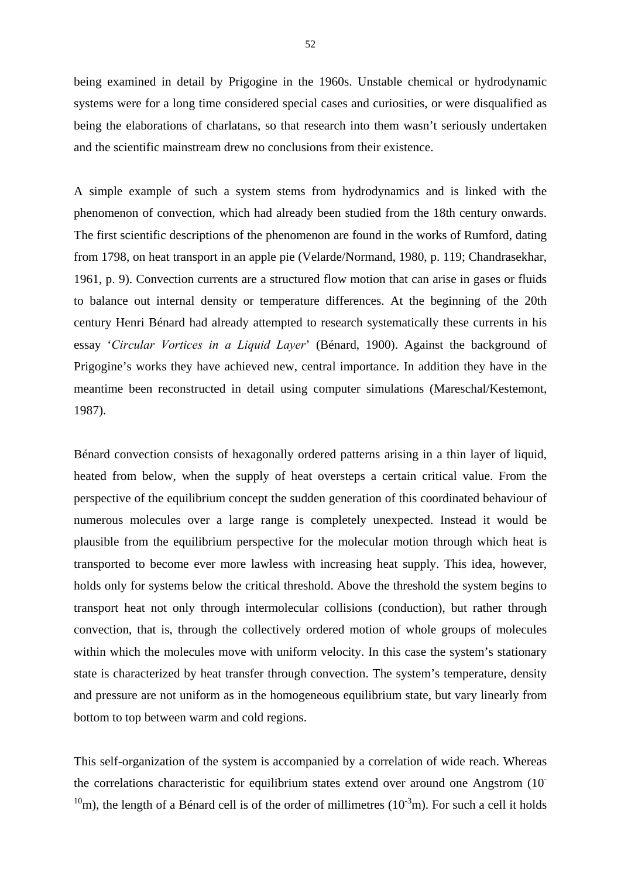being examined in detail by Prigogine in the 1960s. Unstable chemical or hydrodynamic systems were for a long time considered special cases and curiosities, or were disqualified as being the elaborations of charlatans, so that research into them wasn't seriously undertaken and the scientific mainstream drew no conclusions from their existence.

A simple example of such a system stems from hydrodynamics and is linked with the phenomenon of convection, which had already been studied from the 18th century onwards. The first scientific descriptions of the phenomenon are found in the works of Rumford, dating from 1798, on heat transport in an apple pie (Velarde/Normand, 1980, p. 119; Chandrasekhar, 1961, p. 9). Convection currents are a structured flow motion that can arise in gases or fluids to balance out internal density or temperature differences. At the beginning of the 20th century Henri Bénard had already attempted to research systematically these currents in his essay '*Circular Vortices in a Liquid Layer*' (Bénard, 1900). Against the background of Prigogine's works they have achieved new, central importance. In addition they have in the meantime been reconstructed in detail using computer simulations (Mareschal/Kestemont, 1987).

Bénard convection consists of hexagonally ordered patterns arising in a thin layer of liquid, heated from below, when the supply of heat oversteps a certain critical value. From the perspective of the equilibrium concept the sudden generation of this coordinated behaviour of numerous molecules over a large range is completely unexpected. Instead it would be plausible from the equilibrium perspective for the molecular motion through which heat is transported to become ever more lawless with increasing heat supply. This idea, however, holds only for systems below the critical threshold. Above the threshold the system begins to transport heat not only through intermolecular collisions (conduction), but rather through convection, that is, through the collectively ordered motion of whole groups of molecules within which the molecules move with uniform velocity. In this case the system's stationary state is characterized by heat transfer through convection. The system's temperature, density and pressure are not uniform as in the homogeneous equilibrium state, but vary linearly from bottom to top between warm and cold regions.

This self-organization of the system is accompanied by a correlation of wide reach. Whereas the correlations characteristic for equilibrium states extend over around one Angstrom (10- <sup>10</sup>m), the length of a Bénard cell is of the order of millimetres ( $10^{-3}$ m). For such a cell it holds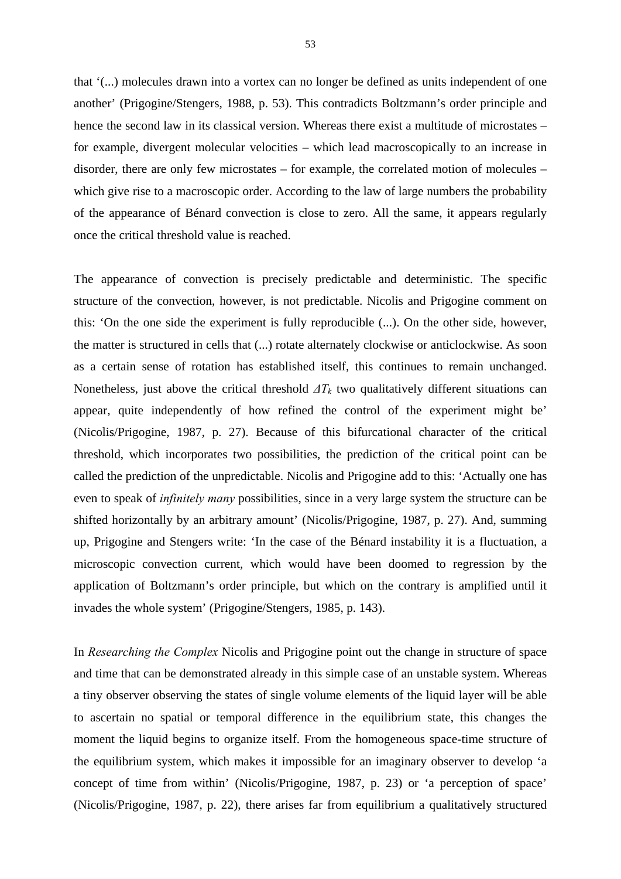that '(...) molecules drawn into a vortex can no longer be defined as units independent of one another' (Prigogine/Stengers, 1988, p. 53). This contradicts Boltzmann's order principle and hence the second law in its classical version. Whereas there exist a multitude of microstates – for example, divergent molecular velocities – which lead macroscopically to an increase in disorder, there are only few microstates – for example, the correlated motion of molecules – which give rise to a macroscopic order. According to the law of large numbers the probability of the appearance of Bénard convection is close to zero. All the same, it appears regularly once the critical threshold value is reached.

The appearance of convection is precisely predictable and deterministic. The specific structure of the convection, however, is not predictable. Nicolis and Prigogine comment on this: 'On the one side the experiment is fully reproducible (...). On the other side, however, the matter is structured in cells that (...) rotate alternately clockwise or anticlockwise. As soon as a certain sense of rotation has established itself, this continues to remain unchanged. Nonetheless, just above the critical threshold  $\Delta T_k$  two qualitatively different situations can appear, quite independently of how refined the control of the experiment might be' (Nicolis/Prigogine, 1987, p. 27). Because of this bifurcational character of the critical threshold, which incorporates two possibilities, the prediction of the critical point can be called the prediction of the unpredictable. Nicolis and Prigogine add to this: 'Actually one has even to speak of *infinitely many* possibilities, since in a very large system the structure can be shifted horizontally by an arbitrary amount' (Nicolis/Prigogine, 1987, p. 27). And, summing up, Prigogine and Stengers write: 'In the case of the Bénard instability it is a fluctuation, a microscopic convection current, which would have been doomed to regression by the application of Boltzmann's order principle, but which on the contrary is amplified until it invades the whole system' (Prigogine/Stengers, 1985, p. 143).

In *Researching the Complex* Nicolis and Prigogine point out the change in structure of space and time that can be demonstrated already in this simple case of an unstable system. Whereas a tiny observer observing the states of single volume elements of the liquid layer will be able to ascertain no spatial or temporal difference in the equilibrium state, this changes the moment the liquid begins to organize itself. From the homogeneous space-time structure of the equilibrium system, which makes it impossible for an imaginary observer to develop 'a concept of time from within' (Nicolis/Prigogine, 1987, p. 23) or 'a perception of space' (Nicolis/Prigogine, 1987, p. 22), there arises far from equilibrium a qualitatively structured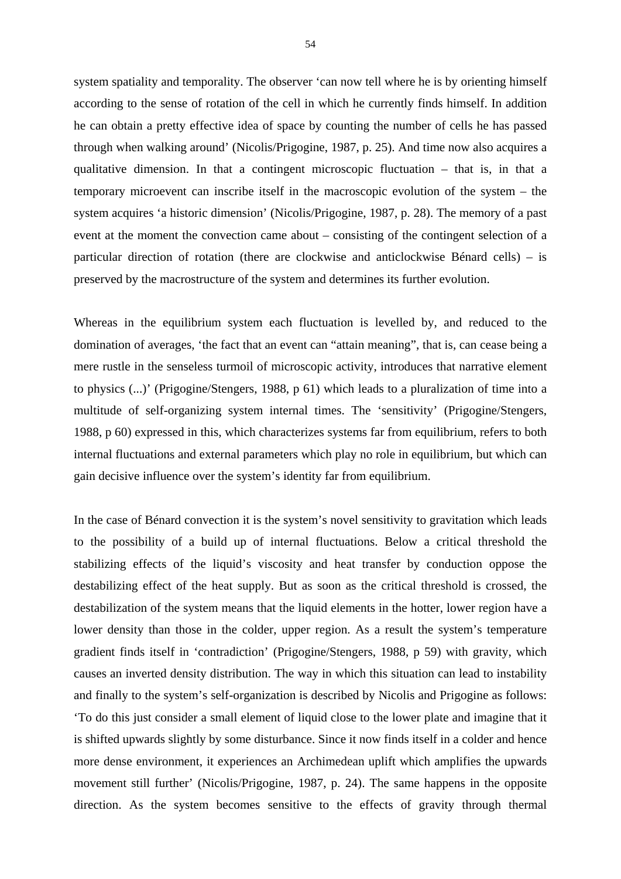system spatiality and temporality. The observer 'can now tell where he is by orienting himself according to the sense of rotation of the cell in which he currently finds himself. In addition he can obtain a pretty effective idea of space by counting the number of cells he has passed through when walking around' (Nicolis/Prigogine, 1987, p. 25). And time now also acquires a qualitative dimension. In that a contingent microscopic fluctuation – that is, in that a temporary microevent can inscribe itself in the macroscopic evolution of the system – the system acquires 'a historic dimension' (Nicolis/Prigogine, 1987, p. 28). The memory of a past event at the moment the convection came about – consisting of the contingent selection of a particular direction of rotation (there are clockwise and anticlockwise Bénard cells) – is preserved by the macrostructure of the system and determines its further evolution.

Whereas in the equilibrium system each fluctuation is levelled by, and reduced to the domination of averages, 'the fact that an event can "attain meaning", that is, can cease being a mere rustle in the senseless turmoil of microscopic activity, introduces that narrative element to physics (...)' (Prigogine/Stengers, 1988, p 61) which leads to a pluralization of time into a multitude of self-organizing system internal times. The 'sensitivity' (Prigogine/Stengers, 1988, p 60) expressed in this, which characterizes systems far from equilibrium, refers to both internal fluctuations and external parameters which play no role in equilibrium, but which can gain decisive influence over the system's identity far from equilibrium.

In the case of Bénard convection it is the system's novel sensitivity to gravitation which leads to the possibility of a build up of internal fluctuations. Below a critical threshold the stabilizing effects of the liquid's viscosity and heat transfer by conduction oppose the destabilizing effect of the heat supply. But as soon as the critical threshold is crossed, the destabilization of the system means that the liquid elements in the hotter, lower region have a lower density than those in the colder, upper region. As a result the system's temperature gradient finds itself in 'contradiction' (Prigogine/Stengers, 1988, p 59) with gravity, which causes an inverted density distribution. The way in which this situation can lead to instability and finally to the system's self-organization is described by Nicolis and Prigogine as follows: 'To do this just consider a small element of liquid close to the lower plate and imagine that it is shifted upwards slightly by some disturbance. Since it now finds itself in a colder and hence more dense environment, it experiences an Archimedean uplift which amplifies the upwards movement still further' (Nicolis/Prigogine, 1987, p. 24). The same happens in the opposite direction. As the system becomes sensitive to the effects of gravity through thermal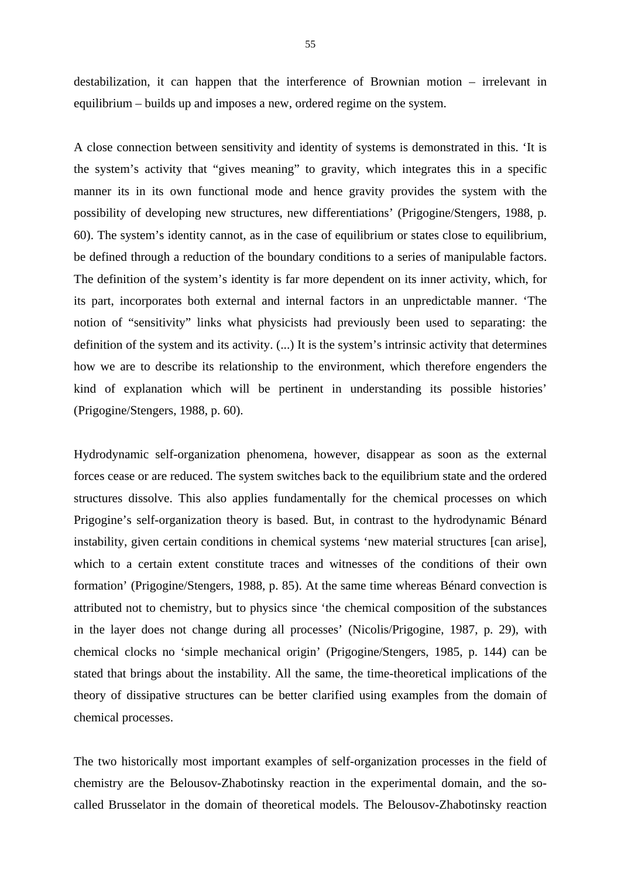destabilization, it can happen that the interference of Brownian motion – irrelevant in equilibrium – builds up and imposes a new, ordered regime on the system.

A close connection between sensitivity and identity of systems is demonstrated in this. 'It is the system's activity that "gives meaning" to gravity, which integrates this in a specific manner its in its own functional mode and hence gravity provides the system with the possibility of developing new structures, new differentiations' (Prigogine/Stengers, 1988, p. 60). The system's identity cannot, as in the case of equilibrium or states close to equilibrium, be defined through a reduction of the boundary conditions to a series of manipulable factors. The definition of the system's identity is far more dependent on its inner activity, which, for its part, incorporates both external and internal factors in an unpredictable manner. 'The notion of "sensitivity" links what physicists had previously been used to separating: the definition of the system and its activity. (...) It is the system's intrinsic activity that determines how we are to describe its relationship to the environment, which therefore engenders the kind of explanation which will be pertinent in understanding its possible histories' (Prigogine/Stengers, 1988, p. 60).

Hydrodynamic self-organization phenomena, however, disappear as soon as the external forces cease or are reduced. The system switches back to the equilibrium state and the ordered structures dissolve. This also applies fundamentally for the chemical processes on which Prigogine's self-organization theory is based. But, in contrast to the hydrodynamic Bénard instability, given certain conditions in chemical systems 'new material structures [can arise], which to a certain extent constitute traces and witnesses of the conditions of their own formation' (Prigogine/Stengers, 1988, p. 85). At the same time whereas Bénard convection is attributed not to chemistry, but to physics since 'the chemical composition of the substances in the layer does not change during all processes' (Nicolis/Prigogine, 1987, p. 29), with chemical clocks no 'simple mechanical origin' (Prigogine/Stengers, 1985, p. 144) can be stated that brings about the instability. All the same, the time-theoretical implications of the theory of dissipative structures can be better clarified using examples from the domain of chemical processes.

The two historically most important examples of self-organization processes in the field of chemistry are the Belousov-Zhabotinsky reaction in the experimental domain, and the socalled Brusselator in the domain of theoretical models. The Belousov-Zhabotinsky reaction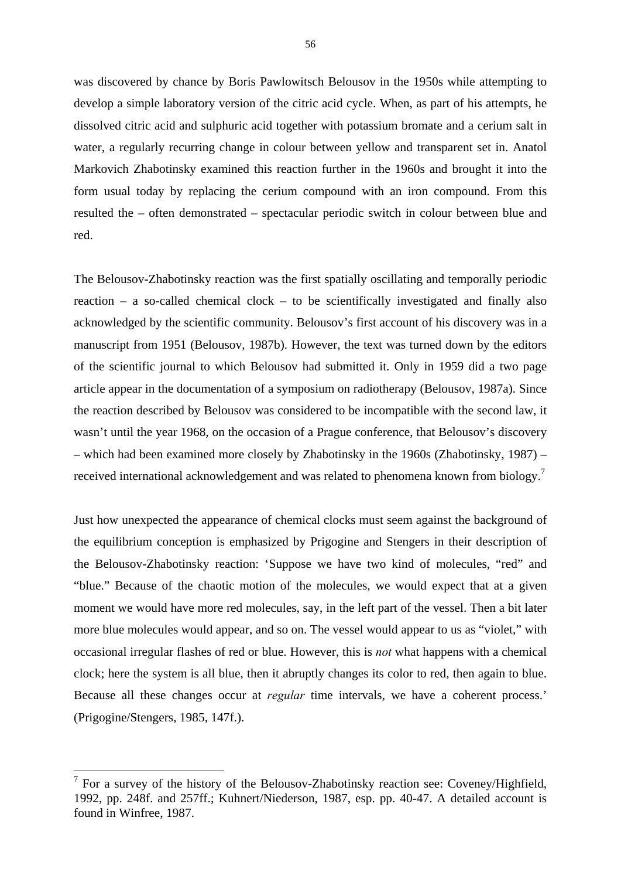was discovered by chance by Boris Pawlowitsch Belousov in the 1950s while attempting to develop a simple laboratory version of the citric acid cycle. When, as part of his attempts, he dissolved citric acid and sulphuric acid together with potassium bromate and a cerium salt in water, a regularly recurring change in colour between yellow and transparent set in. Anatol Markovich Zhabotinsky examined this reaction further in the 1960s and brought it into the form usual today by replacing the cerium compound with an iron compound. From this resulted the – often demonstrated – spectacular periodic switch in colour between blue and red.

The Belousov-Zhabotinsky reaction was the first spatially oscillating and temporally periodic reaction – a so-called chemical clock – to be scientifically investigated and finally also acknowledged by the scientific community. Belousov's first account of his discovery was in a manuscript from 1951 (Belousov, 1987b). However, the text was turned down by the editors of the scientific journal to which Belousov had submitted it. Only in 1959 did a two page article appear in the documentation of a symposium on radiotherapy (Belousov, 1987a). Since the reaction described by Belousov was considered to be incompatible with the second law, it wasn't until the year 1968, on the occasion of a Prague conference, that Belousov's discovery – which had been examined more closely by Zhabotinsky in the 1960s (Zhabotinsky, 1987) – received international acknowledgement and was related to phenomena known from biology.<sup>7</sup>

Just how unexpected the appearance of chemical clocks must seem against the background of the equilibrium conception is emphasized by Prigogine and Stengers in their description of the Belousov-Zhabotinsky reaction: 'Suppose we have two kind of molecules, "red" and "blue." Because of the chaotic motion of the molecules, we would expect that at a given moment we would have more red molecules, say, in the left part of the vessel. Then a bit later more blue molecules would appear, and so on. The vessel would appear to us as "violet," with occasional irregular flashes of red or blue. However, this is *not* what happens with a chemical clock; here the system is all blue, then it abruptly changes its color to red, then again to blue. Because all these changes occur at *regular* time intervals, we have a coherent process.' (Prigogine/Stengers, 1985, 147f.).

1

 $7$  For a survey of the history of the Belousov-Zhabotinsky reaction see: Coveney/Highfield, 1992, pp. 248f. and 257ff.; Kuhnert/Niederson, 1987, esp. pp. 40-47. A detailed account is found in Winfree, 1987.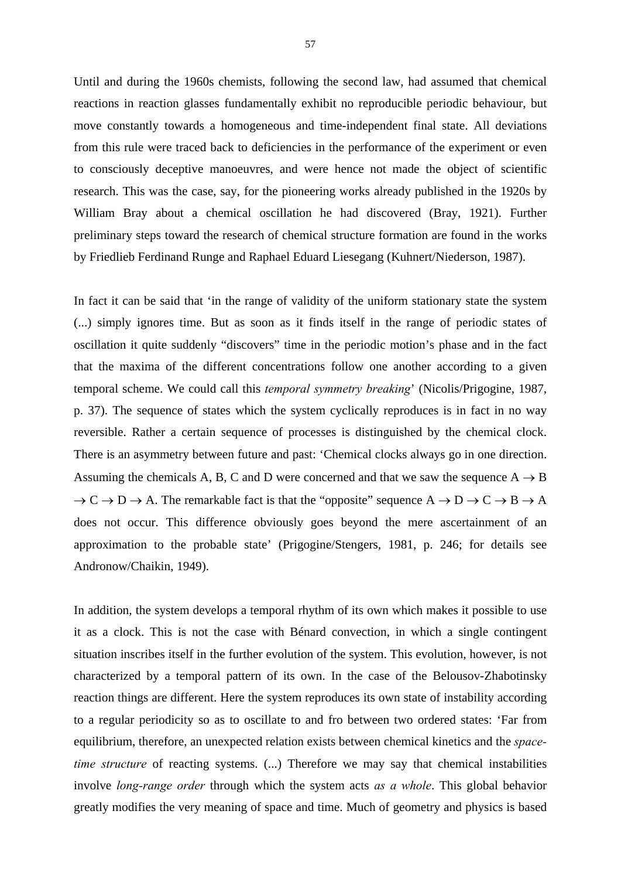Until and during the 1960s chemists, following the second law, had assumed that chemical reactions in reaction glasses fundamentally exhibit no reproducible periodic behaviour, but move constantly towards a homogeneous and time-independent final state. All deviations from this rule were traced back to deficiencies in the performance of the experiment or even to consciously deceptive manoeuvres, and were hence not made the object of scientific research. This was the case, say, for the pioneering works already published in the 1920s by William Bray about a chemical oscillation he had discovered (Bray, 1921). Further preliminary steps toward the research of chemical structure formation are found in the works by Friedlieb Ferdinand Runge and Raphael Eduard Liesegang (Kuhnert/Niederson, 1987).

In fact it can be said that 'in the range of validity of the uniform stationary state the system (...) simply ignores time. But as soon as it finds itself in the range of periodic states of oscillation it quite suddenly "discovers" time in the periodic motion's phase and in the fact that the maxima of the different concentrations follow one another according to a given temporal scheme. We could call this *temporal symmetry breaking*' (Nicolis/Prigogine, 1987, p. 37). The sequence of states which the system cyclically reproduces is in fact in no way reversible. Rather a certain sequence of processes is distinguished by the chemical clock. There is an asymmetry between future and past: 'Chemical clocks always go in one direction. Assuming the chemicals A, B, C and D were concerned and that we saw the sequence  $A \rightarrow B$  $\rightarrow$  C  $\rightarrow$  D  $\rightarrow$  A. The remarkable fact is that the "opposite" sequence A  $\rightarrow$  D  $\rightarrow$  C  $\rightarrow$  B  $\rightarrow$  A does not occur. This difference obviously goes beyond the mere ascertainment of an approximation to the probable state' (Prigogine/Stengers, 1981, p. 246; for details see Andronow/Chaikin, 1949).

In addition, the system develops a temporal rhythm of its own which makes it possible to use it as a clock. This is not the case with Bénard convection, in which a single contingent situation inscribes itself in the further evolution of the system. This evolution, however, is not characterized by a temporal pattern of its own. In the case of the Belousov-Zhabotinsky reaction things are different. Here the system reproduces its own state of instability according to a regular periodicity so as to oscillate to and fro between two ordered states: 'Far from equilibrium, therefore, an unexpected relation exists between chemical kinetics and the *spacetime structure* of reacting systems. (...) Therefore we may say that chemical instabilities involve *long-range order* through which the system acts *as a whole*. This global behavior greatly modifies the very meaning of space and time. Much of geometry and physics is based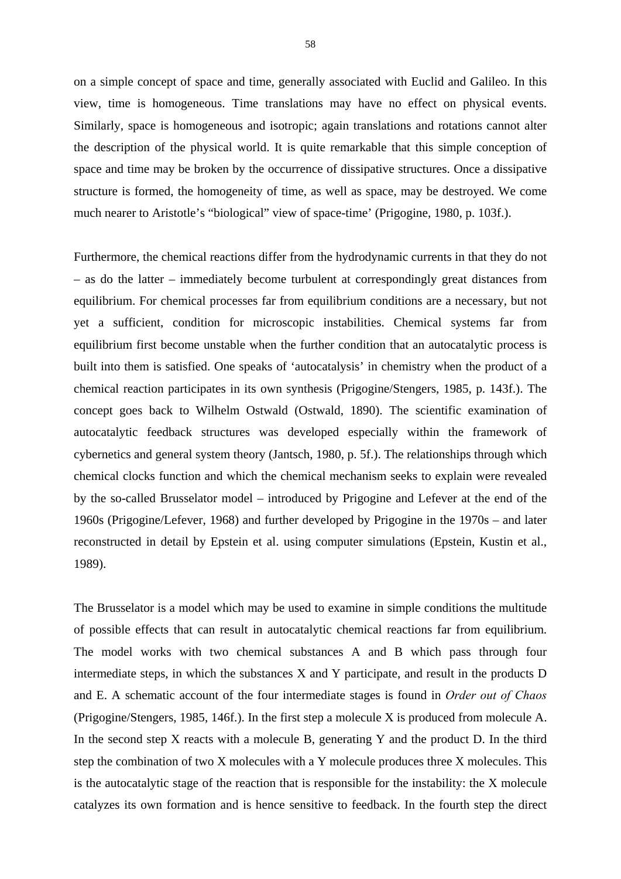on a simple concept of space and time, generally associated with Euclid and Galileo. In this view, time is homogeneous. Time translations may have no effect on physical events. Similarly, space is homogeneous and isotropic; again translations and rotations cannot alter the description of the physical world. It is quite remarkable that this simple conception of space and time may be broken by the occurrence of dissipative structures. Once a dissipative structure is formed, the homogeneity of time, as well as space, may be destroyed. We come much nearer to Aristotle's "biological" view of space-time' (Prigogine, 1980, p. 103f.).

Furthermore, the chemical reactions differ from the hydrodynamic currents in that they do not – as do the latter – immediately become turbulent at correspondingly great distances from equilibrium. For chemical processes far from equilibrium conditions are a necessary, but not yet a sufficient, condition for microscopic instabilities. Chemical systems far from equilibrium first become unstable when the further condition that an autocatalytic process is built into them is satisfied. One speaks of 'autocatalysis' in chemistry when the product of a chemical reaction participates in its own synthesis (Prigogine/Stengers, 1985, p. 143f.). The concept goes back to Wilhelm Ostwald (Ostwald, 1890). The scientific examination of autocatalytic feedback structures was developed especially within the framework of cybernetics and general system theory (Jantsch, 1980, p. 5f.). The relationships through which chemical clocks function and which the chemical mechanism seeks to explain were revealed by the so-called Brusselator model – introduced by Prigogine and Lefever at the end of the 1960s (Prigogine/Lefever, 1968) and further developed by Prigogine in the 1970s – and later reconstructed in detail by Epstein et al. using computer simulations (Epstein, Kustin et al., 1989).

The Brusselator is a model which may be used to examine in simple conditions the multitude of possible effects that can result in autocatalytic chemical reactions far from equilibrium. The model works with two chemical substances A and B which pass through four intermediate steps, in which the substances X and Y participate, and result in the products D and E. A schematic account of the four intermediate stages is found in *Order out of Chaos* (Prigogine/Stengers, 1985, 146f.). In the first step a molecule X is produced from molecule A. In the second step  $X$  reacts with a molecule  $B$ , generating  $Y$  and the product  $D$ . In the third step the combination of two X molecules with a Y molecule produces three X molecules. This is the autocatalytic stage of the reaction that is responsible for the instability: the X molecule catalyzes its own formation and is hence sensitive to feedback. In the fourth step the direct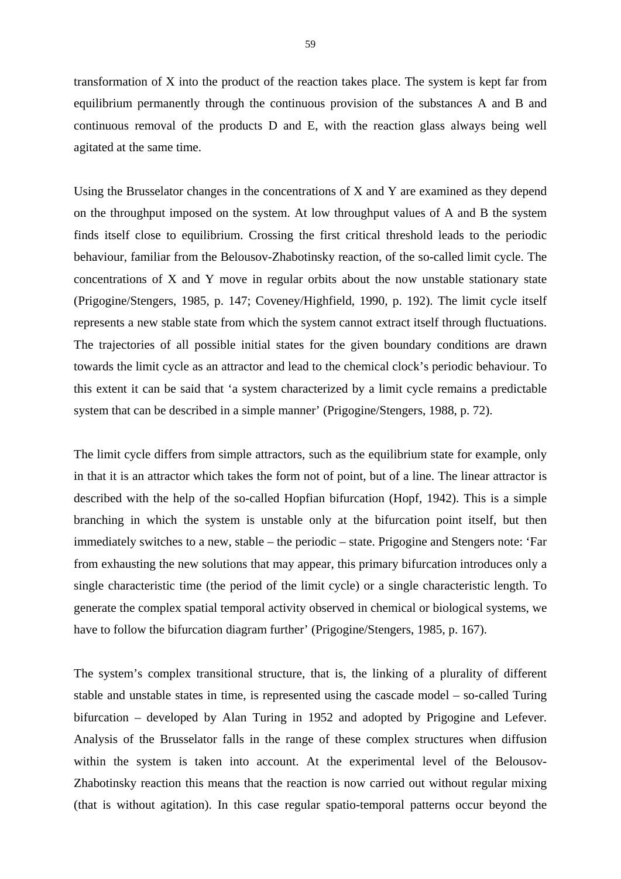transformation of X into the product of the reaction takes place. The system is kept far from equilibrium permanently through the continuous provision of the substances A and B and continuous removal of the products D and E, with the reaction glass always being well agitated at the same time.

Using the Brusselator changes in the concentrations of X and Y are examined as they depend on the throughput imposed on the system. At low throughput values of A and B the system finds itself close to equilibrium. Crossing the first critical threshold leads to the periodic behaviour, familiar from the Belousov-Zhabotinsky reaction, of the so-called limit cycle. The concentrations of X and Y move in regular orbits about the now unstable stationary state (Prigogine/Stengers, 1985, p. 147; Coveney/Highfield, 1990, p. 192). The limit cycle itself represents a new stable state from which the system cannot extract itself through fluctuations. The trajectories of all possible initial states for the given boundary conditions are drawn towards the limit cycle as an attractor and lead to the chemical clock's periodic behaviour. To this extent it can be said that 'a system characterized by a limit cycle remains a predictable system that can be described in a simple manner' (Prigogine/Stengers, 1988, p. 72).

The limit cycle differs from simple attractors, such as the equilibrium state for example, only in that it is an attractor which takes the form not of point, but of a line. The linear attractor is described with the help of the so-called Hopfian bifurcation (Hopf, 1942). This is a simple branching in which the system is unstable only at the bifurcation point itself, but then immediately switches to a new, stable – the periodic – state. Prigogine and Stengers note: 'Far from exhausting the new solutions that may appear, this primary bifurcation introduces only a single characteristic time (the period of the limit cycle) or a single characteristic length. To generate the complex spatial temporal activity observed in chemical or biological systems, we have to follow the bifurcation diagram further' (Prigogine/Stengers, 1985, p. 167).

The system's complex transitional structure, that is, the linking of a plurality of different stable and unstable states in time, is represented using the cascade model – so-called Turing bifurcation – developed by Alan Turing in 1952 and adopted by Prigogine and Lefever. Analysis of the Brusselator falls in the range of these complex structures when diffusion within the system is taken into account. At the experimental level of the Belousov-Zhabotinsky reaction this means that the reaction is now carried out without regular mixing (that is without agitation). In this case regular spatio-temporal patterns occur beyond the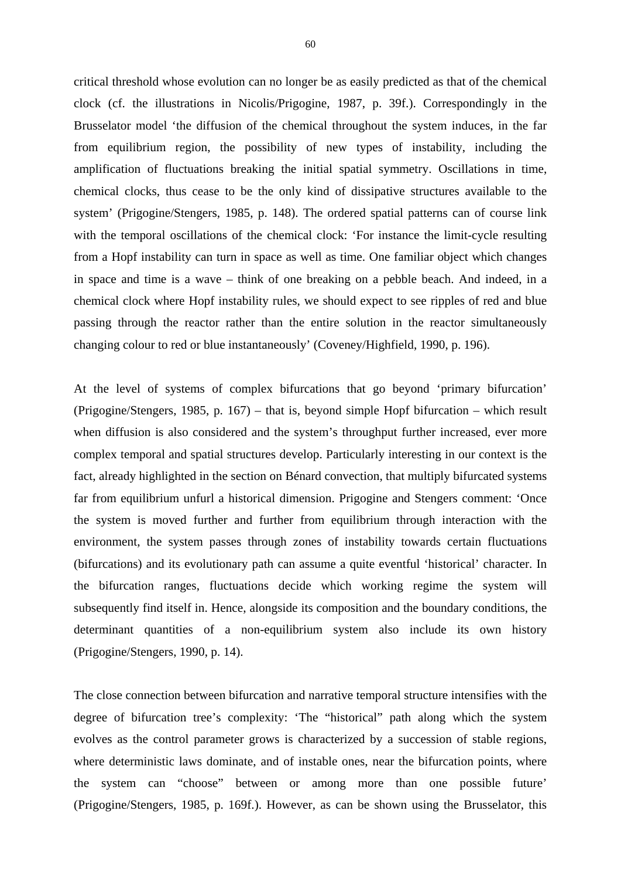critical threshold whose evolution can no longer be as easily predicted as that of the chemical clock (cf. the illustrations in Nicolis/Prigogine, 1987, p. 39f.). Correspondingly in the Brusselator model 'the diffusion of the chemical throughout the system induces, in the far from equilibrium region, the possibility of new types of instability, including the amplification of fluctuations breaking the initial spatial symmetry. Oscillations in time, chemical clocks, thus cease to be the only kind of dissipative structures available to the system' (Prigogine/Stengers, 1985, p. 148). The ordered spatial patterns can of course link with the temporal oscillations of the chemical clock: 'For instance the limit-cycle resulting from a Hopf instability can turn in space as well as time. One familiar object which changes in space and time is a wave – think of one breaking on a pebble beach. And indeed, in a chemical clock where Hopf instability rules, we should expect to see ripples of red and blue passing through the reactor rather than the entire solution in the reactor simultaneously changing colour to red or blue instantaneously' (Coveney/Highfield, 1990, p. 196).

At the level of systems of complex bifurcations that go beyond 'primary bifurcation' (Prigogine/Stengers, 1985, p. 167) – that is, beyond simple Hopf bifurcation – which result when diffusion is also considered and the system's throughput further increased, ever more complex temporal and spatial structures develop. Particularly interesting in our context is the fact, already highlighted in the section on Bénard convection, that multiply bifurcated systems far from equilibrium unfurl a historical dimension. Prigogine and Stengers comment: 'Once the system is moved further and further from equilibrium through interaction with the environment, the system passes through zones of instability towards certain fluctuations (bifurcations) and its evolutionary path can assume a quite eventful 'historical' character. In the bifurcation ranges, fluctuations decide which working regime the system will subsequently find itself in. Hence, alongside its composition and the boundary conditions, the determinant quantities of a non-equilibrium system also include its own history (Prigogine/Stengers, 1990, p. 14).

The close connection between bifurcation and narrative temporal structure intensifies with the degree of bifurcation tree's complexity: 'The "historical" path along which the system evolves as the control parameter grows is characterized by a succession of stable regions, where deterministic laws dominate, and of instable ones, near the bifurcation points, where the system can "choose" between or among more than one possible future' (Prigogine/Stengers, 1985, p. 169f.). However, as can be shown using the Brusselator, this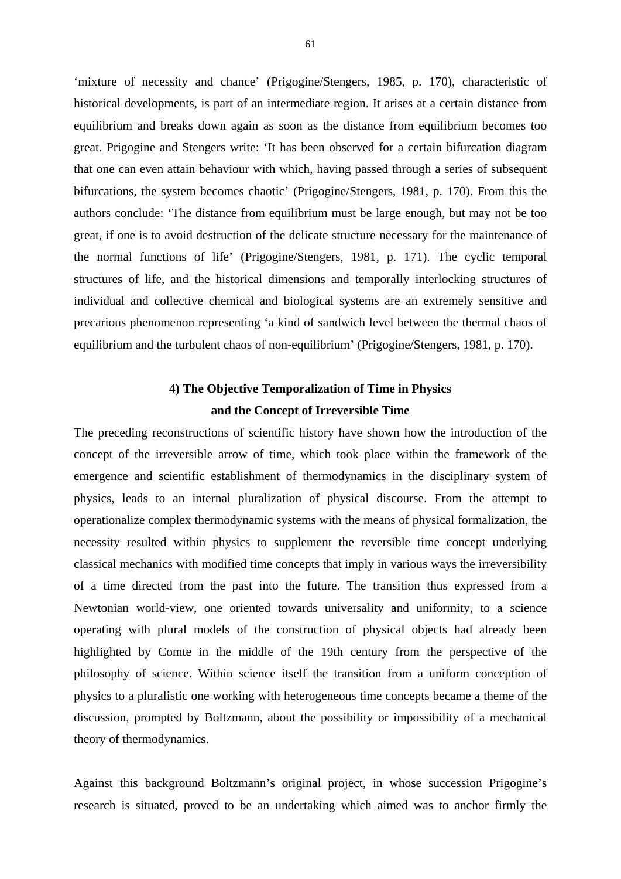'mixture of necessity and chance' (Prigogine/Stengers, 1985, p. 170), characteristic of historical developments, is part of an intermediate region. It arises at a certain distance from equilibrium and breaks down again as soon as the distance from equilibrium becomes too great. Prigogine and Stengers write: 'It has been observed for a certain bifurcation diagram that one can even attain behaviour with which, having passed through a series of subsequent bifurcations, the system becomes chaotic' (Prigogine/Stengers, 1981, p. 170). From this the authors conclude: 'The distance from equilibrium must be large enough, but may not be too great, if one is to avoid destruction of the delicate structure necessary for the maintenance of the normal functions of life' (Prigogine/Stengers, 1981, p. 171). The cyclic temporal structures of life, and the historical dimensions and temporally interlocking structures of individual and collective chemical and biological systems are an extremely sensitive and precarious phenomenon representing 'a kind of sandwich level between the thermal chaos of equilibrium and the turbulent chaos of non-equilibrium' (Prigogine/Stengers, 1981, p. 170).

## **4) The Objective Temporalization of Time in Physics and the Concept of Irreversible Time**

The preceding reconstructions of scientific history have shown how the introduction of the concept of the irreversible arrow of time, which took place within the framework of the emergence and scientific establishment of thermodynamics in the disciplinary system of physics, leads to an internal pluralization of physical discourse. From the attempt to operationalize complex thermodynamic systems with the means of physical formalization, the necessity resulted within physics to supplement the reversible time concept underlying classical mechanics with modified time concepts that imply in various ways the irreversibility of a time directed from the past into the future. The transition thus expressed from a Newtonian world-view, one oriented towards universality and uniformity, to a science operating with plural models of the construction of physical objects had already been highlighted by Comte in the middle of the 19th century from the perspective of the philosophy of science. Within science itself the transition from a uniform conception of physics to a pluralistic one working with heterogeneous time concepts became a theme of the discussion, prompted by Boltzmann, about the possibility or impossibility of a mechanical theory of thermodynamics.

Against this background Boltzmann's original project, in whose succession Prigogine's research is situated, proved to be an undertaking which aimed was to anchor firmly the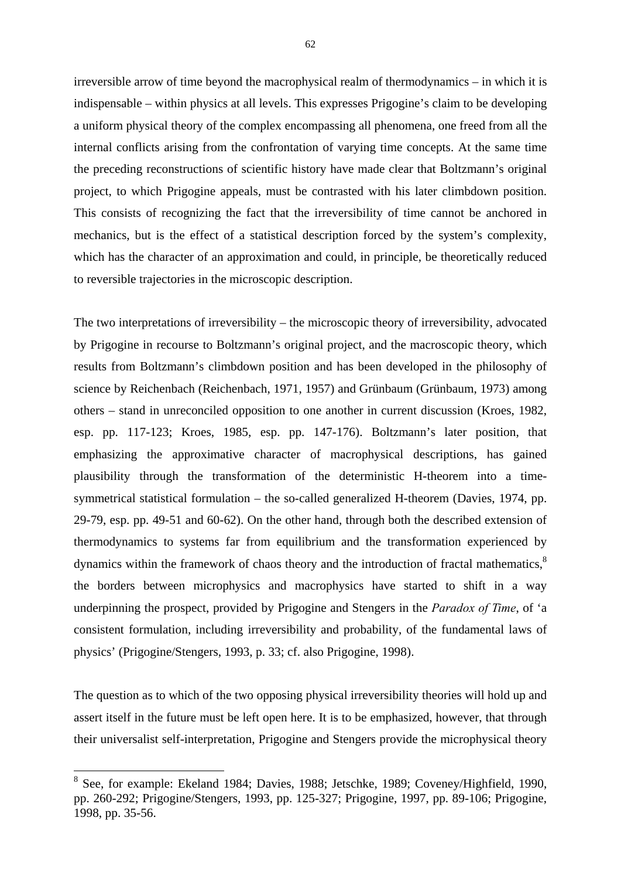irreversible arrow of time beyond the macrophysical realm of thermodynamics – in which it is indispensable – within physics at all levels. This expresses Prigogine's claim to be developing a uniform physical theory of the complex encompassing all phenomena, one freed from all the internal conflicts arising from the confrontation of varying time concepts. At the same time the preceding reconstructions of scientific history have made clear that Boltzmann's original project, to which Prigogine appeals, must be contrasted with his later climbdown position. This consists of recognizing the fact that the irreversibility of time cannot be anchored in mechanics, but is the effect of a statistical description forced by the system's complexity, which has the character of an approximation and could, in principle, be theoretically reduced to reversible trajectories in the microscopic description.

The two interpretations of irreversibility – the microscopic theory of irreversibility, advocated by Prigogine in recourse to Boltzmann's original project, and the macroscopic theory, which results from Boltzmann's climbdown position and has been developed in the philosophy of science by Reichenbach (Reichenbach, 1971, 1957) and Grünbaum (Grünbaum, 1973) among others – stand in unreconciled opposition to one another in current discussion (Kroes, 1982, esp. pp. 117-123; Kroes, 1985, esp. pp. 147-176). Boltzmann's later position, that emphasizing the approximative character of macrophysical descriptions, has gained plausibility through the transformation of the deterministic H-theorem into a timesymmetrical statistical formulation – the so-called generalized H-theorem (Davies, 1974, pp. 29-79, esp. pp. 49-51 and 60-62). On the other hand, through both the described extension of thermodynamics to systems far from equilibrium and the transformation experienced by dynamics within the framework of chaos theory and the introduction of fractal mathematics,<sup>8</sup> the borders between microphysics and macrophysics have started to shift in a way underpinning the prospect, provided by Prigogine and Stengers in the *Paradox of Time*, of 'a consistent formulation, including irreversibility and probability, of the fundamental laws of physics' (Prigogine/Stengers, 1993, p. 33; cf. also Prigogine, 1998).

The question as to which of the two opposing physical irreversibility theories will hold up and assert itself in the future must be left open here. It is to be emphasized, however, that through their universalist self-interpretation, Prigogine and Stengers provide the microphysical theory

1

<sup>&</sup>lt;sup>8</sup> See, for example: Ekeland 1984; Davies, 1988; Jetschke, 1989; Coveney/Highfield, 1990, pp. 260-292; Prigogine/Stengers, 1993, pp. 125-327; Prigogine, 1997, pp. 89-106; Prigogine, 1998, pp. 35-56.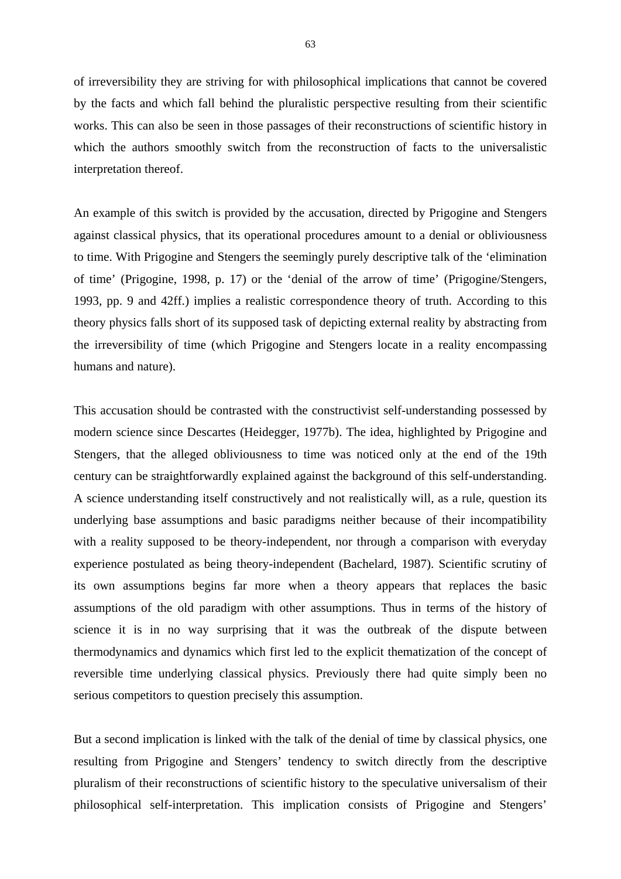of irreversibility they are striving for with philosophical implications that cannot be covered by the facts and which fall behind the pluralistic perspective resulting from their scientific works. This can also be seen in those passages of their reconstructions of scientific history in which the authors smoothly switch from the reconstruction of facts to the universalistic interpretation thereof.

An example of this switch is provided by the accusation, directed by Prigogine and Stengers against classical physics, that its operational procedures amount to a denial or obliviousness to time. With Prigogine and Stengers the seemingly purely descriptive talk of the 'elimination of time' (Prigogine, 1998, p. 17) or the 'denial of the arrow of time' (Prigogine/Stengers, 1993, pp. 9 and 42ff.) implies a realistic correspondence theory of truth. According to this theory physics falls short of its supposed task of depicting external reality by abstracting from the irreversibility of time (which Prigogine and Stengers locate in a reality encompassing humans and nature).

This accusation should be contrasted with the constructivist self-understanding possessed by modern science since Descartes (Heidegger, 1977b). The idea, highlighted by Prigogine and Stengers, that the alleged obliviousness to time was noticed only at the end of the 19th century can be straightforwardly explained against the background of this self-understanding. A science understanding itself constructively and not realistically will, as a rule, question its underlying base assumptions and basic paradigms neither because of their incompatibility with a reality supposed to be theory-independent, nor through a comparison with everyday experience postulated as being theory-independent (Bachelard, 1987). Scientific scrutiny of its own assumptions begins far more when a theory appears that replaces the basic assumptions of the old paradigm with other assumptions. Thus in terms of the history of science it is in no way surprising that it was the outbreak of the dispute between thermodynamics and dynamics which first led to the explicit thematization of the concept of reversible time underlying classical physics. Previously there had quite simply been no serious competitors to question precisely this assumption.

But a second implication is linked with the talk of the denial of time by classical physics, one resulting from Prigogine and Stengers' tendency to switch directly from the descriptive pluralism of their reconstructions of scientific history to the speculative universalism of their philosophical self-interpretation. This implication consists of Prigogine and Stengers'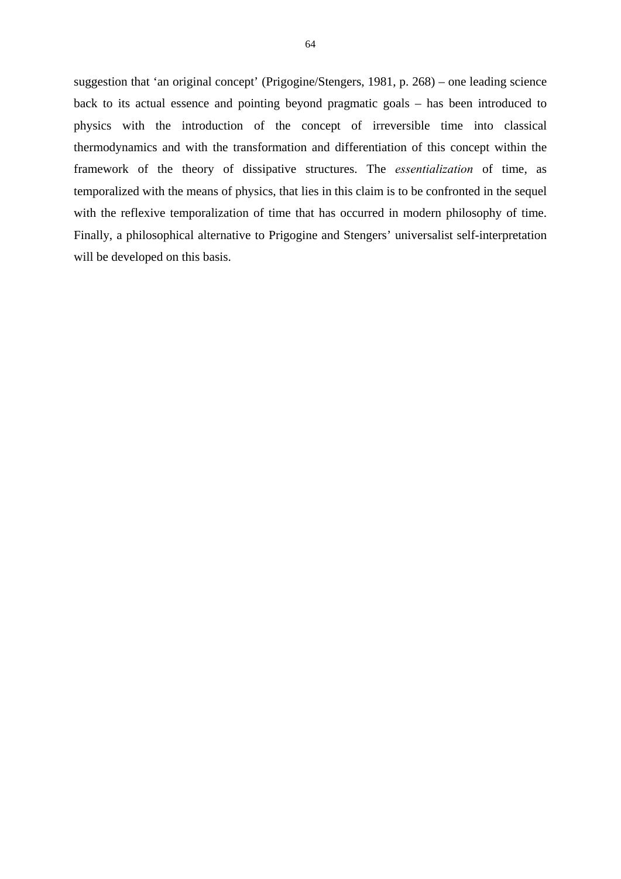suggestion that 'an original concept' (Prigogine/Stengers, 1981, p. 268) – one leading science back to its actual essence and pointing beyond pragmatic goals – has been introduced to physics with the introduction of the concept of irreversible time into classical thermodynamics and with the transformation and differentiation of this concept within the framework of the theory of dissipative structures. The *essentialization* of time, as temporalized with the means of physics, that lies in this claim is to be confronted in the sequel with the reflexive temporalization of time that has occurred in modern philosophy of time. Finally, a philosophical alternative to Prigogine and Stengers' universalist self-interpretation will be developed on this basis.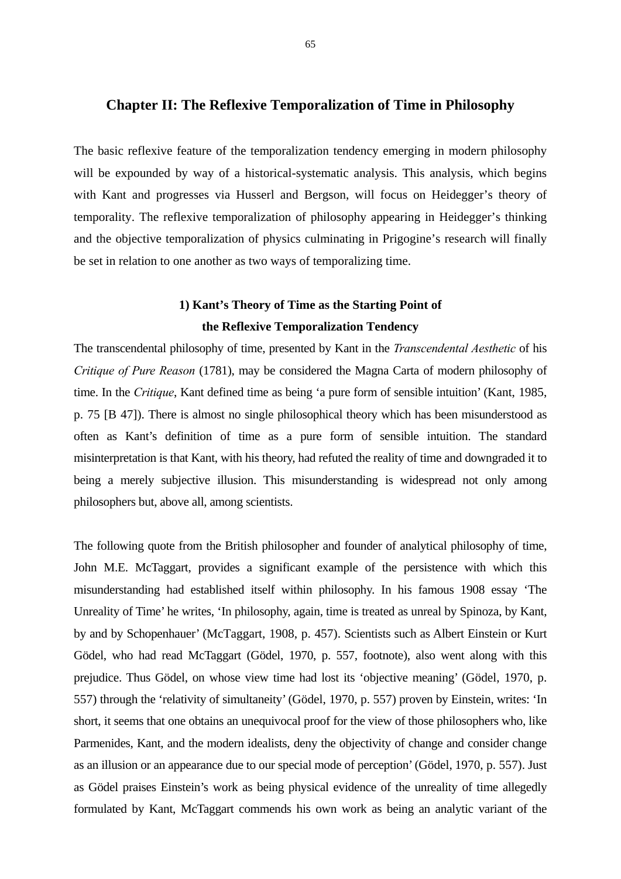## **Chapter II: The Reflexive Temporalization of Time in Philosophy**

The basic reflexive feature of the temporalization tendency emerging in modern philosophy will be expounded by way of a historical-systematic analysis. This analysis, which begins with Kant and progresses via Husserl and Bergson, will focus on Heidegger's theory of temporality. The reflexive temporalization of philosophy appearing in Heidegger's thinking and the objective temporalization of physics culminating in Prigogine's research will finally be set in relation to one another as two ways of temporalizing time.

# **1) Kant's Theory of Time as the Starting Point of the Reflexive Temporalization Tendency**

The transcendental philosophy of time, presented by Kant in the *Transcendental Aesthetic* of his *Critique of Pure Reason* (1781), may be considered the Magna Carta of modern philosophy of time. In the *Critique*, Kant defined time as being 'a pure form of sensible intuition' (Kant, 1985, p. 75 [B 47]). There is almost no single philosophical theory which has been misunderstood as often as Kant's definition of time as a pure form of sensible intuition. The standard misinterpretation is that Kant, with his theory, had refuted the reality of time and downgraded it to being a merely subjective illusion. This misunderstanding is widespread not only among philosophers but, above all, among scientists.

The following quote from the British philosopher and founder of analytical philosophy of time, John M.E. McTaggart, provides a significant example of the persistence with which this misunderstanding had established itself within philosophy. In his famous 1908 essay 'The Unreality of Time' he writes, 'In philosophy, again, time is treated as unreal by Spinoza, by Kant, by and by Schopenhauer' (McTaggart, 1908, p. 457). Scientists such as Albert Einstein or Kurt Gödel, who had read McTaggart (Gödel, 1970, p. 557, footnote), also went along with this prejudice. Thus Gödel, on whose view time had lost its 'objective meaning' (Gödel, 1970, p. 557) through the 'relativity of simultaneity' (Gödel, 1970, p. 557) proven by Einstein, writes: 'In short, it seems that one obtains an unequivocal proof for the view of those philosophers who, like Parmenides, Kant, and the modern idealists, deny the objectivity of change and consider change as an illusion or an appearance due to our special mode of perception' (Gödel, 1970, p. 557). Just as Gödel praises Einstein's work as being physical evidence of the unreality of time allegedly formulated by Kant, McTaggart commends his own work as being an analytic variant of the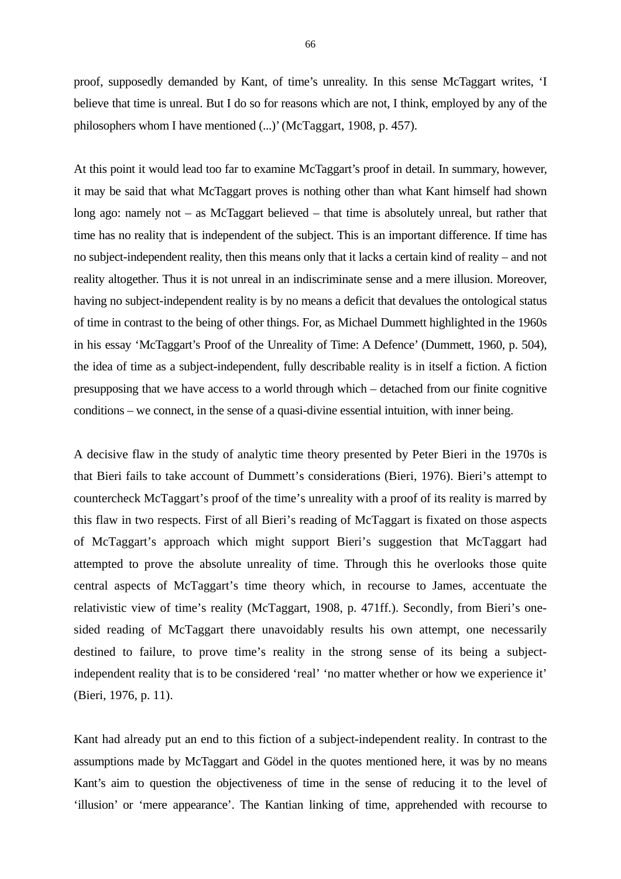proof, supposedly demanded by Kant, of time's unreality. In this sense McTaggart writes, 'I believe that time is unreal. But I do so for reasons which are not, I think, employed by any of the philosophers whom I have mentioned (...)' (McTaggart, 1908, p. 457).

At this point it would lead too far to examine McTaggart's proof in detail. In summary, however, it may be said that what McTaggart proves is nothing other than what Kant himself had shown long ago: namely not – as McTaggart believed – that time is absolutely unreal, but rather that time has no reality that is independent of the subject. This is an important difference. If time has no subject-independent reality, then this means only that it lacks a certain kind of reality – and not reality altogether. Thus it is not unreal in an indiscriminate sense and a mere illusion. Moreover, having no subject-independent reality is by no means a deficit that devalues the ontological status of time in contrast to the being of other things. For, as Michael Dummett highlighted in the 1960s in his essay 'McTaggart's Proof of the Unreality of Time: A Defence' (Dummett, 1960, p. 504), the idea of time as a subject-independent, fully describable reality is in itself a fiction. A fiction presupposing that we have access to a world through which – detached from our finite cognitive conditions – we connect, in the sense of a quasi-divine essential intuition, with inner being.

A decisive flaw in the study of analytic time theory presented by Peter Bieri in the 1970s is that Bieri fails to take account of Dummett's considerations (Bieri, 1976). Bieri's attempt to countercheck McTaggart's proof of the time's unreality with a proof of its reality is marred by this flaw in two respects. First of all Bieri's reading of McTaggart is fixated on those aspects of McTaggart's approach which might support Bieri's suggestion that McTaggart had attempted to prove the absolute unreality of time. Through this he overlooks those quite central aspects of McTaggart's time theory which, in recourse to James, accentuate the relativistic view of time's reality (McTaggart, 1908, p. 471ff.). Secondly, from Bieri's onesided reading of McTaggart there unavoidably results his own attempt, one necessarily destined to failure, to prove time's reality in the strong sense of its being a subjectindependent reality that is to be considered 'real' 'no matter whether or how we experience it' (Bieri, 1976, p. 11).

Kant had already put an end to this fiction of a subject-independent reality. In contrast to the assumptions made by McTaggart and Gödel in the quotes mentioned here, it was by no means Kant's aim to question the objectiveness of time in the sense of reducing it to the level of 'illusion' or 'mere appearance'. The Kantian linking of time, apprehended with recourse to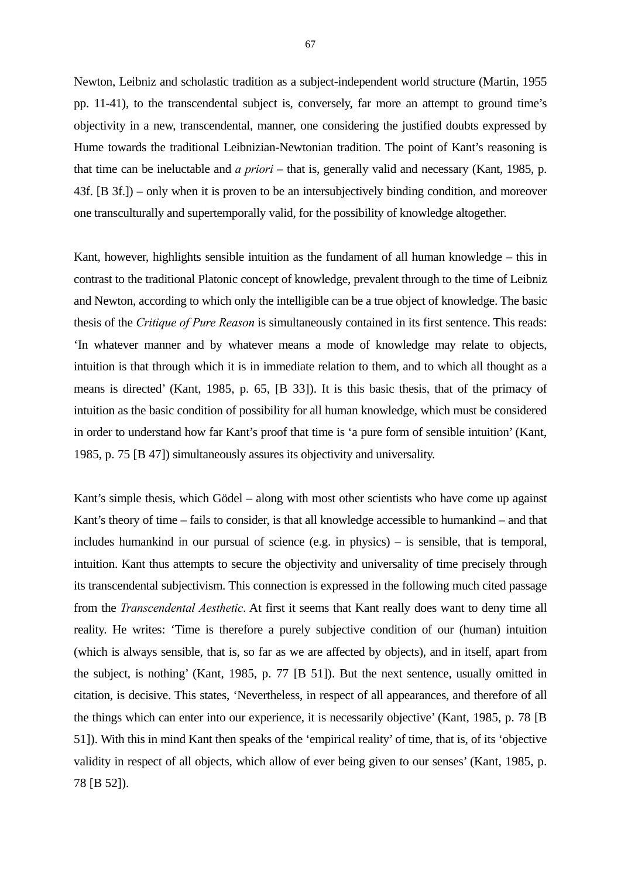Newton, Leibniz and scholastic tradition as a subject-independent world structure (Martin, 1955 pp. 11-41), to the transcendental subject is, conversely, far more an attempt to ground time's objectivity in a new, transcendental, manner, one considering the justified doubts expressed by Hume towards the traditional Leibnizian-Newtonian tradition. The point of Kant's reasoning is that time can be ineluctable and *a priori* – that is, generally valid and necessary (Kant, 1985, p. 43f. [B 3f.]) – only when it is proven to be an intersubjectively binding condition, and moreover one transculturally and supertemporally valid, for the possibility of knowledge altogether.

Kant, however, highlights sensible intuition as the fundament of all human knowledge – this in contrast to the traditional Platonic concept of knowledge, prevalent through to the time of Leibniz and Newton, according to which only the intelligible can be a true object of knowledge. The basic thesis of the *Critique of Pure Reason* is simultaneously contained in its first sentence. This reads: 'In whatever manner and by whatever means a mode of knowledge may relate to objects, intuition is that through which it is in immediate relation to them, and to which all thought as a means is directed' (Kant, 1985, p. 65, [B 33]). It is this basic thesis, that of the primacy of intuition as the basic condition of possibility for all human knowledge, which must be considered in order to understand how far Kant's proof that time is 'a pure form of sensible intuition' (Kant, 1985, p. 75 [B 47]) simultaneously assures its objectivity and universality.

Kant's simple thesis, which Gödel – along with most other scientists who have come up against Kant's theory of time – fails to consider, is that all knowledge accessible to humankind – and that includes humankind in our pursual of science (e.g. in physics) – is sensible, that is temporal, intuition. Kant thus attempts to secure the objectivity and universality of time precisely through its transcendental subjectivism. This connection is expressed in the following much cited passage from the *Transcendental Aesthetic*. At first it seems that Kant really does want to deny time all reality. He writes: 'Time is therefore a purely subjective condition of our (human) intuition (which is always sensible, that is, so far as we are affected by objects), and in itself, apart from the subject, is nothing' (Kant, 1985, p. 77 [B 51]). But the next sentence, usually omitted in citation, is decisive. This states, 'Nevertheless, in respect of all appearances, and therefore of all the things which can enter into our experience, it is necessarily objective' (Kant, 1985, p. 78 [B 51]). With this in mind Kant then speaks of the 'empirical reality' of time, that is, of its 'objective validity in respect of all objects, which allow of ever being given to our senses' (Kant, 1985, p. 78 [B 52]).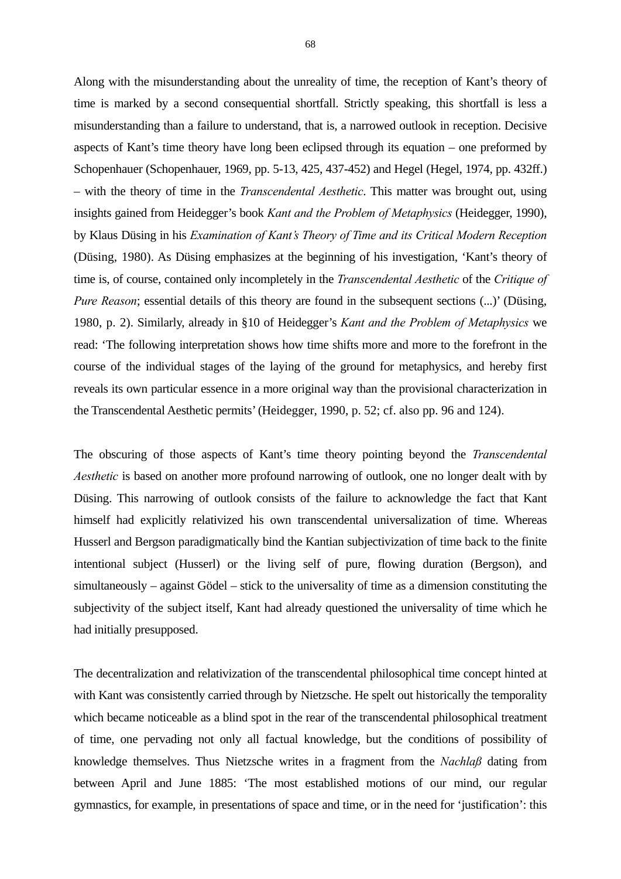Along with the misunderstanding about the unreality of time, the reception of Kant's theory of time is marked by a second consequential shortfall. Strictly speaking, this shortfall is less a misunderstanding than a failure to understand, that is, a narrowed outlook in reception. Decisive aspects of Kant's time theory have long been eclipsed through its equation – one preformed by Schopenhauer (Schopenhauer, 1969, pp. 5-13, 425, 437-452) and Hegel (Hegel, 1974, pp. 432ff.) – with the theory of time in the *Transcendental Aesthetic*. This matter was brought out, using insights gained from Heidegger's book *Kant and the Problem of Metaphysics* (Heidegger, 1990), by Klaus Düsing in his *Examination of Kant's Theory of Time and its Critical Modern Reception*  (Düsing, 1980). As Düsing emphasizes at the beginning of his investigation, 'Kant's theory of time is, of course, contained only incompletely in the *Transcendental Aesthetic* of the *Critique of Pure Reason*; essential details of this theory are found in the subsequent sections  $(...)$  (Düsing, 1980, p. 2). Similarly, already in §10 of Heidegger's *Kant and the Problem of Metaphysics* we read: 'The following interpretation shows how time shifts more and more to the forefront in the course of the individual stages of the laying of the ground for metaphysics, and hereby first reveals its own particular essence in a more original way than the provisional characterization in the Transcendental Aesthetic permits' (Heidegger, 1990, p. 52; cf. also pp. 96 and 124).

The obscuring of those aspects of Kant's time theory pointing beyond the *Transcendental Aesthetic* is based on another more profound narrowing of outlook, one no longer dealt with by Düsing. This narrowing of outlook consists of the failure to acknowledge the fact that Kant himself had explicitly relativized his own transcendental universalization of time. Whereas Husserl and Bergson paradigmatically bind the Kantian subjectivization of time back to the finite intentional subject (Husserl) or the living self of pure, flowing duration (Bergson), and simultaneously – against Gödel – stick to the universality of time as a dimension constituting the subjectivity of the subject itself, Kant had already questioned the universality of time which he had initially presupposed.

The decentralization and relativization of the transcendental philosophical time concept hinted at with Kant was consistently carried through by Nietzsche. He spelt out historically the temporality which became noticeable as a blind spot in the rear of the transcendental philosophical treatment of time, one pervading not only all factual knowledge, but the conditions of possibility of knowledge themselves. Thus Nietzsche writes in a fragment from the *Nachlaß* dating from between April and June 1885: 'The most established motions of our mind, our regular gymnastics, for example, in presentations of space and time, or in the need for 'justification': this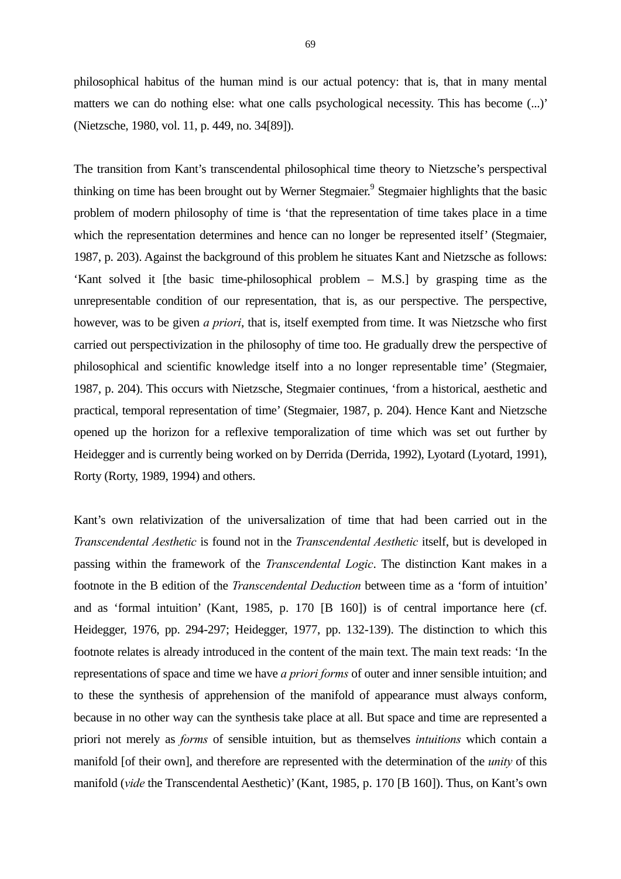philosophical habitus of the human mind is our actual potency: that is, that in many mental matters we can do nothing else: what one calls psychological necessity. This has become  $(...)$ (Nietzsche, 1980, vol. 11, p. 449, no. 34[89]).

The transition from Kant's transcendental philosophical time theory to Nietzsche's perspectival thinking on time has been brought out by Werner Stegmaier.<sup>9</sup> Stegmaier highlights that the basic problem of modern philosophy of time is 'that the representation of time takes place in a time which the representation determines and hence can no longer be represented itself' (Stegmaier, 1987, p. 203). Against the background of this problem he situates Kant and Nietzsche as follows: 'Kant solved it [the basic time-philosophical problem – M.S.] by grasping time as the unrepresentable condition of our representation, that is, as our perspective. The perspective, however, was to be given *a priori*, that is, itself exempted from time. It was Nietzsche who first carried out perspectivization in the philosophy of time too. He gradually drew the perspective of philosophical and scientific knowledge itself into a no longer representable time' (Stegmaier, 1987, p. 204). This occurs with Nietzsche, Stegmaier continues, 'from a historical, aesthetic and practical, temporal representation of time' (Stegmaier, 1987, p. 204). Hence Kant and Nietzsche opened up the horizon for a reflexive temporalization of time which was set out further by Heidegger and is currently being worked on by Derrida (Derrida, 1992), Lyotard (Lyotard, 1991), Rorty (Rorty, 1989, 1994) and others.

Kant's own relativization of the universalization of time that had been carried out in the *Transcendental Aesthetic* is found not in the *Transcendental Aesthetic* itself, but is developed in passing within the framework of the *Transcendental Logic*. The distinction Kant makes in a footnote in the B edition of the *Transcendental Deduction* between time as a 'form of intuition' and as 'formal intuition' (Kant, 1985, p. 170 [B 160]) is of central importance here (cf. Heidegger, 1976, pp. 294-297; Heidegger, 1977, pp. 132-139). The distinction to which this footnote relates is already introduced in the content of the main text. The main text reads: 'In the representations of space and time we have *a priori forms* of outer and inner sensible intuition; and to these the synthesis of apprehension of the manifold of appearance must always conform, because in no other way can the synthesis take place at all. But space and time are represented a priori not merely as *forms* of sensible intuition, but as themselves *intuitions* which contain a manifold [of their own], and therefore are represented with the determination of the *unity* of this manifold (*vide* the Transcendental Aesthetic)' (Kant, 1985, p. 170 [B 160]). Thus, on Kant's own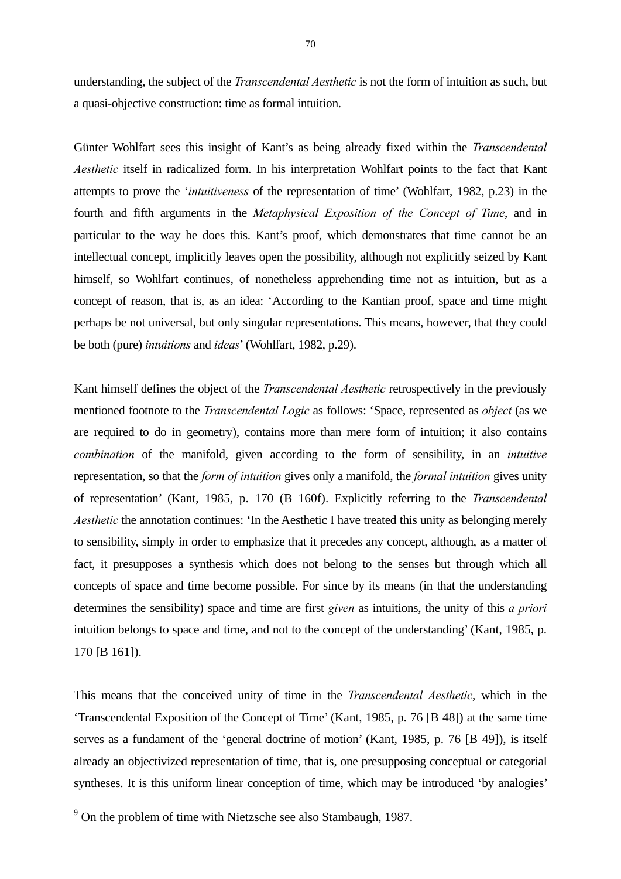understanding, the subject of the *Transcendental Aesthetic* is not the form of intuition as such, but a quasi-objective construction: time as formal intuition.

Günter Wohlfart sees this insight of Kant's as being already fixed within the *Transcendental Aesthetic* itself in radicalized form. In his interpretation Wohlfart points to the fact that Kant attempts to prove the '*intuitiveness* of the representation of time' (Wohlfart, 1982, p.23) in the fourth and fifth arguments in the *Metaphysical Exposition of the Concept of Time*, and in particular to the way he does this. Kant's proof, which demonstrates that time cannot be an intellectual concept, implicitly leaves open the possibility, although not explicitly seized by Kant himself, so Wohlfart continues, of nonetheless apprehending time not as intuition, but as a concept of reason, that is, as an idea: 'According to the Kantian proof, space and time might perhaps be not universal, but only singular representations. This means, however, that they could be both (pure) *intuitions* and *ideas*' (Wohlfart, 1982, p.29).

Kant himself defines the object of the *Transcendental Aesthetic* retrospectively in the previously mentioned footnote to the *Transcendental Logic* as follows: 'Space, represented as *object* (as we are required to do in geometry), contains more than mere form of intuition; it also contains *combination* of the manifold, given according to the form of sensibility, in an *intuitive* representation, so that the *form of intuition* gives only a manifold, the *formal intuition* gives unity of representation' (Kant, 1985, p. 170 (B 160f). Explicitly referring to the *Transcendental Aesthetic* the annotation continues: 'In the Aesthetic I have treated this unity as belonging merely to sensibility, simply in order to emphasize that it precedes any concept, although, as a matter of fact, it presupposes a synthesis which does not belong to the senses but through which all concepts of space and time become possible. For since by its means (in that the understanding determines the sensibility) space and time are first *given* as intuitions, the unity of this *a priori* intuition belongs to space and time, and not to the concept of the understanding' (Kant, 1985, p. 170 [B 161]).

This means that the conceived unity of time in the *Transcendental Aesthetic*, which in the 'Transcendental Exposition of the Concept of Time' (Kant, 1985, p. 76 [B 48]) at the same time serves as a fundament of the 'general doctrine of motion' (Kant, 1985, p. 76 [B 49]), is itself already an objectivized representation of time, that is, one presupposing conceptual or categorial syntheses. It is this uniform linear conception of time, which may be introduced 'by analogies'

<sup>&</sup>lt;sup>9</sup> On the problem of time with Nietzsche see also Stambaugh, 1987.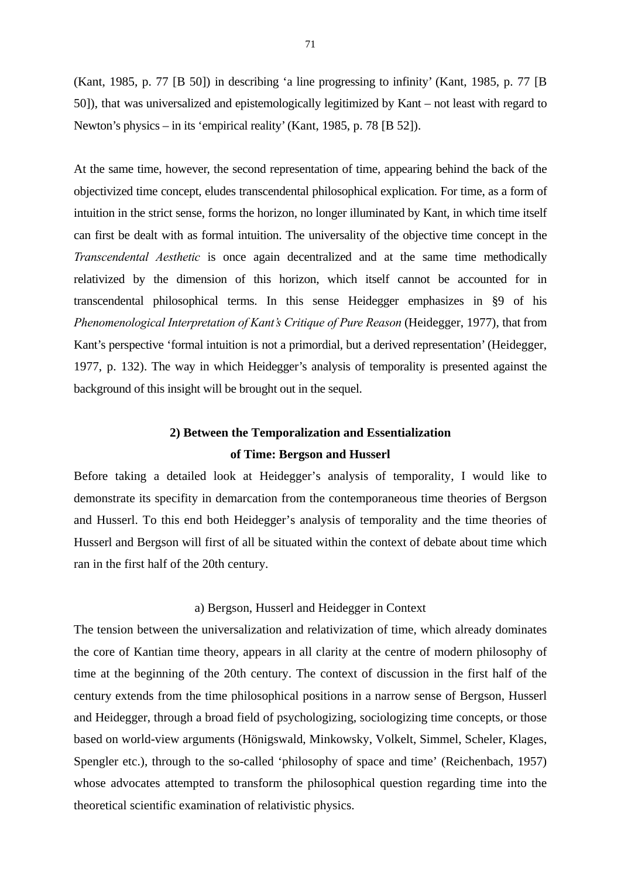(Kant, 1985, p. 77 [B 50]) in describing 'a line progressing to infinity' (Kant, 1985, p. 77 [B 50]), that was universalized and epistemologically legitimized by Kant – not least with regard to Newton's physics – in its 'empirical reality' (Kant, 1985, p. 78 [B 52]).

At the same time, however, the second representation of time, appearing behind the back of the objectivized time concept, eludes transcendental philosophical explication. For time, as a form of intuition in the strict sense, forms the horizon, no longer illuminated by Kant, in which time itself can first be dealt with as formal intuition. The universality of the objective time concept in the *Transcendental Aesthetic* is once again decentralized and at the same time methodically relativized by the dimension of this horizon, which itself cannot be accounted for in transcendental philosophical terms. In this sense Heidegger emphasizes in §9 of his *Phenomenological Interpretation of Kant's Critique of Pure Reason* (Heidegger, 1977), that from Kant's perspective 'formal intuition is not a primordial, but a derived representation' (Heidegger, 1977, p. 132). The way in which Heidegger's analysis of temporality is presented against the background of this insight will be brought out in the sequel.

# **2) Between the Temporalization and Essentialization of Time: Bergson and Husserl**

Before taking a detailed look at Heidegger's analysis of temporality, I would like to demonstrate its specifity in demarcation from the contemporaneous time theories of Bergson and Husserl. To this end both Heidegger's analysis of temporality and the time theories of Husserl and Bergson will first of all be situated within the context of debate about time which ran in the first half of the 20th century.

### a) Bergson, Husserl and Heidegger in Context

The tension between the universalization and relativization of time, which already dominates the core of Kantian time theory, appears in all clarity at the centre of modern philosophy of time at the beginning of the 20th century. The context of discussion in the first half of the century extends from the time philosophical positions in a narrow sense of Bergson, Husserl and Heidegger, through a broad field of psychologizing, sociologizing time concepts, or those based on world-view arguments (Hönigswald, Minkowsky, Volkelt, Simmel, Scheler, Klages, Spengler etc.), through to the so-called 'philosophy of space and time' (Reichenbach, 1957) whose advocates attempted to transform the philosophical question regarding time into the theoretical scientific examination of relativistic physics.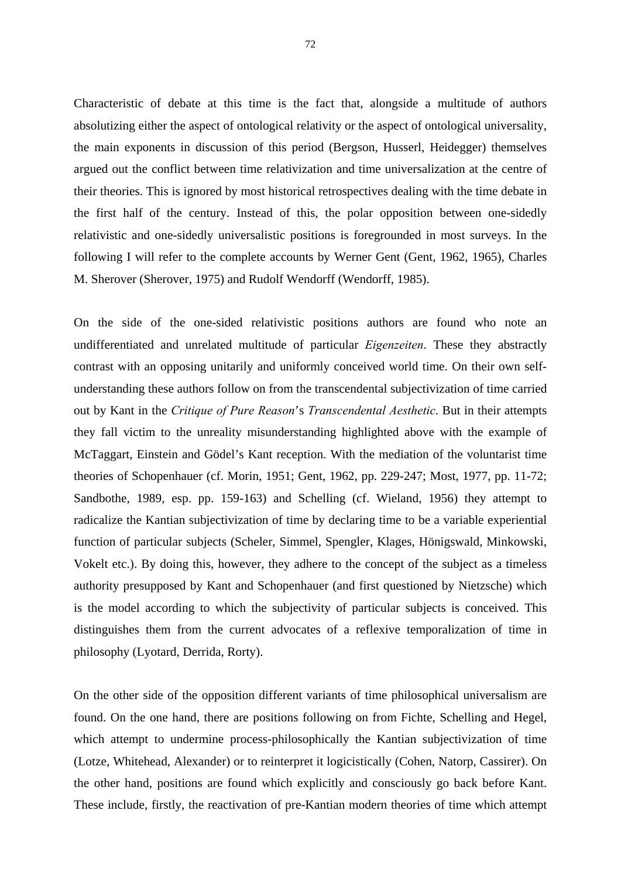Characteristic of debate at this time is the fact that, alongside a multitude of authors absolutizing either the aspect of ontological relativity or the aspect of ontological universality, the main exponents in discussion of this period (Bergson, Husserl, Heidegger) themselves argued out the conflict between time relativization and time universalization at the centre of their theories. This is ignored by most historical retrospectives dealing with the time debate in the first half of the century. Instead of this, the polar opposition between one-sidedly relativistic and one-sidedly universalistic positions is foregrounded in most surveys. In the following I will refer to the complete accounts by Werner Gent (Gent, 1962, 1965), Charles M. Sherover (Sherover, 1975) and Rudolf Wendorff (Wendorff, 1985).

On the side of the one-sided relativistic positions authors are found who note an undifferentiated and unrelated multitude of particular *Eigenzeiten*. These they abstractly contrast with an opposing unitarily and uniformly conceived world time. On their own selfunderstanding these authors follow on from the transcendental subjectivization of time carried out by Kant in the *Critique of Pure Reason*'s *Transcendental Aesthetic*. But in their attempts they fall victim to the unreality misunderstanding highlighted above with the example of McTaggart, Einstein and Gödel's Kant reception. With the mediation of the voluntarist time theories of Schopenhauer (cf. Morin, 1951; Gent, 1962, pp. 229-247; Most, 1977, pp. 11-72; Sandbothe, 1989, esp. pp. 159-163) and Schelling (cf. Wieland, 1956) they attempt to radicalize the Kantian subjectivization of time by declaring time to be a variable experiential function of particular subjects (Scheler, Simmel, Spengler, Klages, Hönigswald, Minkowski, Vokelt etc.). By doing this, however, they adhere to the concept of the subject as a timeless authority presupposed by Kant and Schopenhauer (and first questioned by Nietzsche) which is the model according to which the subjectivity of particular subjects is conceived. This distinguishes them from the current advocates of a reflexive temporalization of time in philosophy (Lyotard, Derrida, Rorty).

On the other side of the opposition different variants of time philosophical universalism are found. On the one hand, there are positions following on from Fichte, Schelling and Hegel, which attempt to undermine process-philosophically the Kantian subjectivization of time (Lotze, Whitehead, Alexander) or to reinterpret it logicistically (Cohen, Natorp, Cassirer). On the other hand, positions are found which explicitly and consciously go back before Kant. These include, firstly, the reactivation of pre-Kantian modern theories of time which attempt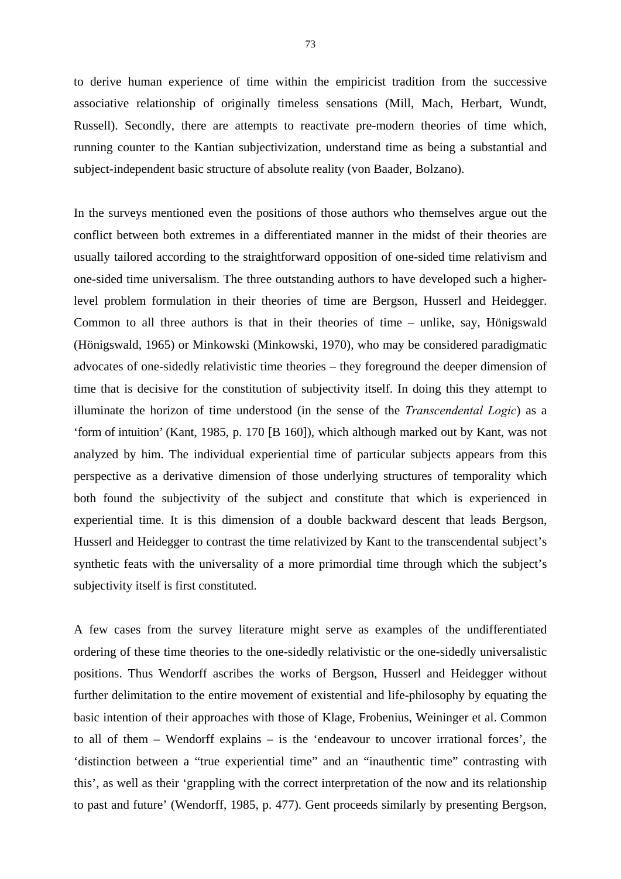to derive human experience of time within the empiricist tradition from the successive associative relationship of originally timeless sensations (Mill, Mach, Herbart, Wundt, Russell). Secondly, there are attempts to reactivate pre-modern theories of time which, running counter to the Kantian subjectivization, understand time as being a substantial and subject-independent basic structure of absolute reality (von Baader, Bolzano).

In the surveys mentioned even the positions of those authors who themselves argue out the conflict between both extremes in a differentiated manner in the midst of their theories are usually tailored according to the straightforward opposition of one-sided time relativism and one-sided time universalism. The three outstanding authors to have developed such a higherlevel problem formulation in their theories of time are Bergson, Husserl and Heidegger. Common to all three authors is that in their theories of time – unlike, say, Hönigswald (Hönigswald, 1965) or Minkowski (Minkowski, 1970), who may be considered paradigmatic advocates of one-sidedly relativistic time theories – they foreground the deeper dimension of time that is decisive for the constitution of subjectivity itself. In doing this they attempt to illuminate the horizon of time understood (in the sense of the *Transcendental Logic*) as a 'form of intuition' (Kant, 1985, p. 170 [B 160]), which although marked out by Kant, was not analyzed by him. The individual experiential time of particular subjects appears from this perspective as a derivative dimension of those underlying structures of temporality which both found the subjectivity of the subject and constitute that which is experienced in experiential time. It is this dimension of a double backward descent that leads Bergson, Husserl and Heidegger to contrast the time relativized by Kant to the transcendental subject's synthetic feats with the universality of a more primordial time through which the subject's subjectivity itself is first constituted.

A few cases from the survey literature might serve as examples of the undifferentiated ordering of these time theories to the one-sidedly relativistic or the one-sidedly universalistic positions. Thus Wendorff ascribes the works of Bergson, Husserl and Heidegger without further delimitation to the entire movement of existential and life-philosophy by equating the basic intention of their approaches with those of Klage, Frobenius, Weininger et al. Common to all of them – Wendorff explains – is the 'endeavour to uncover irrational forces', the 'distinction between a "true experiential time" and an "inauthentic time" contrasting with this', as well as their 'grappling with the correct interpretation of the now and its relationship to past and future' (Wendorff, 1985, p. 477). Gent proceeds similarly by presenting Bergson,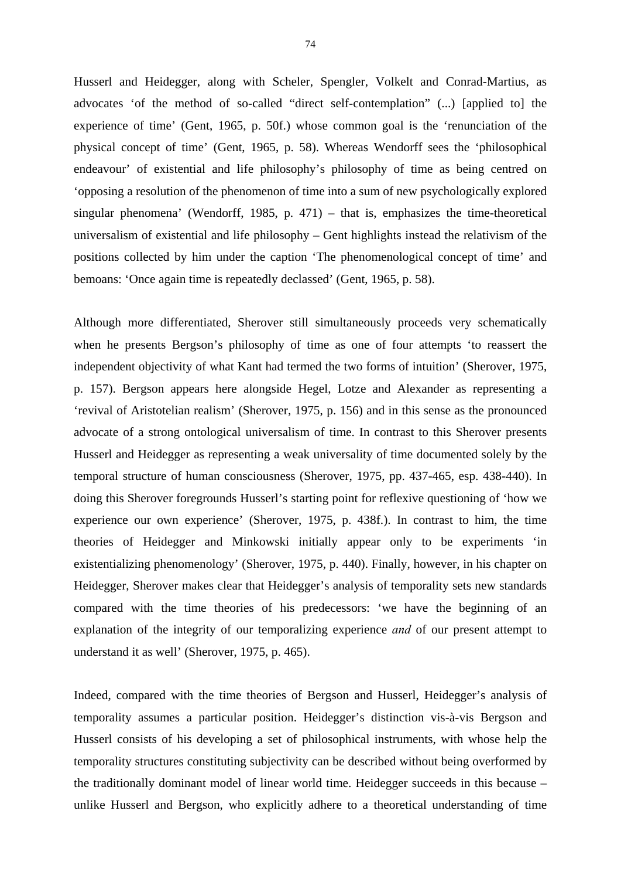Husserl and Heidegger, along with Scheler, Spengler, Volkelt and Conrad-Martius, as advocates 'of the method of so-called "direct self-contemplation" (...) [applied to] the experience of time' (Gent, 1965, p. 50f.) whose common goal is the 'renunciation of the physical concept of time' (Gent, 1965, p. 58). Whereas Wendorff sees the 'philosophical endeavour' of existential and life philosophy's philosophy of time as being centred on 'opposing a resolution of the phenomenon of time into a sum of new psychologically explored singular phenomena' (Wendorff, 1985, p. 471) – that is, emphasizes the time-theoretical universalism of existential and life philosophy – Gent highlights instead the relativism of the positions collected by him under the caption 'The phenomenological concept of time' and bemoans: 'Once again time is repeatedly declassed' (Gent, 1965, p. 58).

Although more differentiated, Sherover still simultaneously proceeds very schematically when he presents Bergson's philosophy of time as one of four attempts 'to reassert the independent objectivity of what Kant had termed the two forms of intuition' (Sherover, 1975, p. 157). Bergson appears here alongside Hegel, Lotze and Alexander as representing a 'revival of Aristotelian realism' (Sherover, 1975, p. 156) and in this sense as the pronounced advocate of a strong ontological universalism of time. In contrast to this Sherover presents Husserl and Heidegger as representing a weak universality of time documented solely by the temporal structure of human consciousness (Sherover, 1975, pp. 437-465, esp. 438-440). In doing this Sherover foregrounds Husserl's starting point for reflexive questioning of 'how we experience our own experience' (Sherover, 1975, p. 438f.). In contrast to him, the time theories of Heidegger and Minkowski initially appear only to be experiments 'in existentializing phenomenology' (Sherover, 1975, p. 440). Finally, however, in his chapter on Heidegger, Sherover makes clear that Heidegger's analysis of temporality sets new standards compared with the time theories of his predecessors: 'we have the beginning of an explanation of the integrity of our temporalizing experience *and* of our present attempt to understand it as well' (Sherover, 1975, p. 465).

Indeed, compared with the time theories of Bergson and Husserl, Heidegger's analysis of temporality assumes a particular position. Heidegger's distinction vis-à-vis Bergson and Husserl consists of his developing a set of philosophical instruments, with whose help the temporality structures constituting subjectivity can be described without being overformed by the traditionally dominant model of linear world time. Heidegger succeeds in this because – unlike Husserl and Bergson, who explicitly adhere to a theoretical understanding of time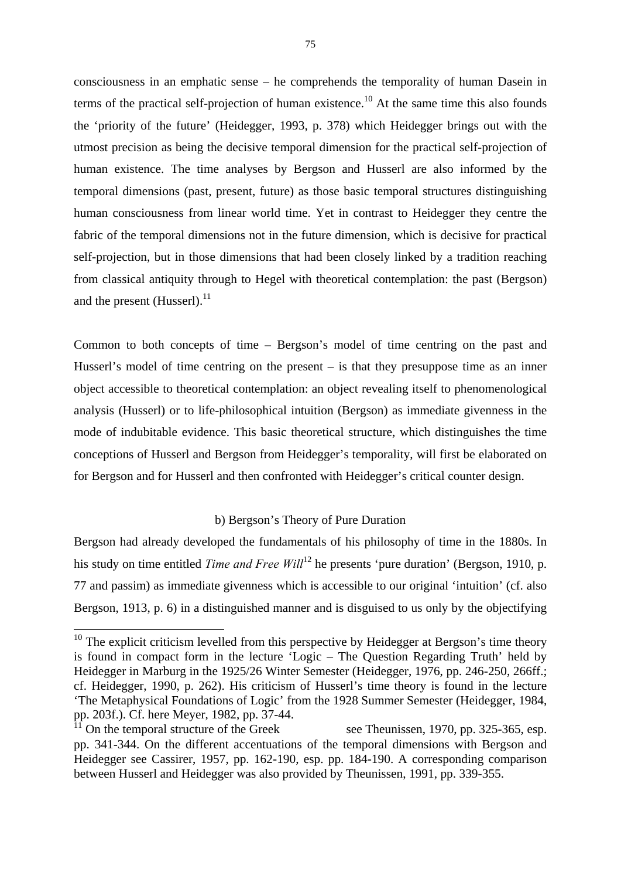consciousness in an emphatic sense – he comprehends the temporality of human Dasein in terms of the practical self-projection of human existence.<sup>10</sup> At the same time this also founds the 'priority of the future' (Heidegger, 1993, p. 378) which Heidegger brings out with the utmost precision as being the decisive temporal dimension for the practical self-projection of human existence. The time analyses by Bergson and Husserl are also informed by the temporal dimensions (past, present, future) as those basic temporal structures distinguishing human consciousness from linear world time. Yet in contrast to Heidegger they centre the fabric of the temporal dimensions not in the future dimension, which is decisive for practical self-projection, but in those dimensions that had been closely linked by a tradition reaching from classical antiquity through to Hegel with theoretical contemplation: the past (Bergson) and the present (Husserl).<sup>11</sup>

Common to both concepts of time – Bergson's model of time centring on the past and Husserl's model of time centring on the present – is that they presuppose time as an inner object accessible to theoretical contemplation: an object revealing itself to phenomenological analysis (Husserl) or to life-philosophical intuition (Bergson) as immediate givenness in the mode of indubitable evidence. This basic theoretical structure, which distinguishes the time conceptions of Husserl and Bergson from Heidegger's temporality, will first be elaborated on for Bergson and for Husserl and then confronted with Heidegger's critical counter design.

### b) Bergson's Theory of Pure Duration

Bergson had already developed the fundamentals of his philosophy of time in the 1880s. In his study on time entitled *Time and Free Will*<sup>12</sup> he presents 'pure duration' (Bergson, 1910, p. 77 and passim) as immediate givenness which is accessible to our original 'intuition' (cf. also Bergson, 1913, p. 6) in a distinguished manner and is disguised to us only by the objectifying

1

 $10$  The explicit criticism levelled from this perspective by Heidegger at Bergson's time theory is found in compact form in the lecture 'Logic – The Question Regarding Truth' held by Heidegger in Marburg in the 1925/26 Winter Semester (Heidegger, 1976, pp. 246-250, 266ff.; cf. Heidegger, 1990, p. 262). His criticism of Husserl's time theory is found in the lecture 'The Metaphysical Foundations of Logic' from the 1928 Summer Semester (Heidegger, 1984, pp. 203f.). Cf. here Meyer, 1982, pp. 37-44.

<sup>&</sup>lt;sup>1</sup> On the temporal structure of the Greek see Theunissen, 1970, pp. 325-365, esp. pp. 341-344. On the different accentuations of the temporal dimensions with Bergson and Heidegger see Cassirer, 1957, pp. 162-190, esp. pp. 184-190. A corresponding comparison between Husserl and Heidegger was also provided by Theunissen, 1991, pp. 339-355.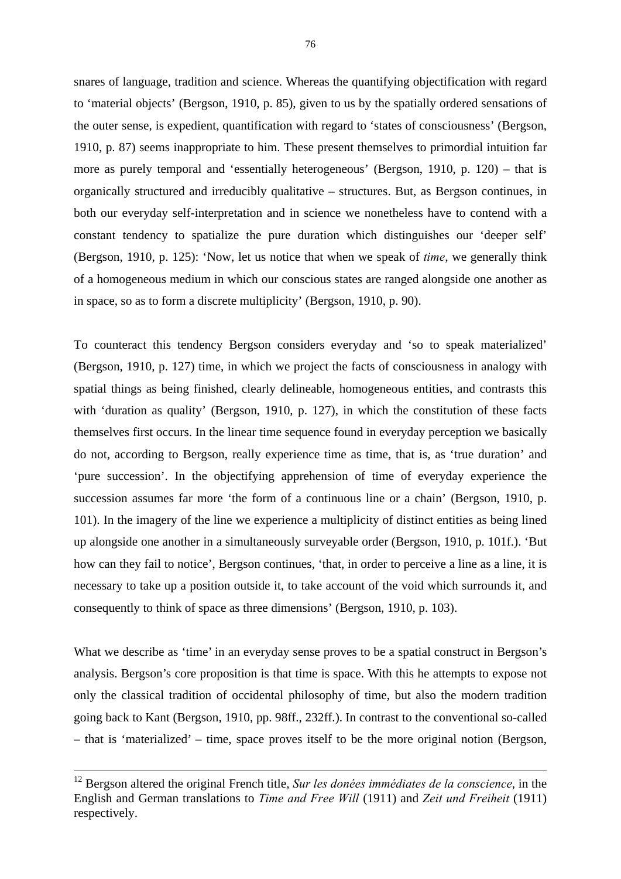snares of language, tradition and science. Whereas the quantifying objectification with regard to 'material objects' (Bergson, 1910, p. 85), given to us by the spatially ordered sensations of the outer sense, is expedient, quantification with regard to 'states of consciousness' (Bergson, 1910, p. 87) seems inappropriate to him. These present themselves to primordial intuition far more as purely temporal and 'essentially heterogeneous' (Bergson, 1910, p. 120) – that is organically structured and irreducibly qualitative – structures. But, as Bergson continues, in both our everyday self-interpretation and in science we nonetheless have to contend with a constant tendency to spatialize the pure duration which distinguishes our 'deeper self' (Bergson, 1910, p. 125): 'Now, let us notice that when we speak of *time*, we generally think of a homogeneous medium in which our conscious states are ranged alongside one another as in space, so as to form a discrete multiplicity' (Bergson, 1910, p. 90).

To counteract this tendency Bergson considers everyday and 'so to speak materialized' (Bergson, 1910, p. 127) time, in which we project the facts of consciousness in analogy with spatial things as being finished, clearly delineable, homogeneous entities, and contrasts this with 'duration as quality' (Bergson, 1910, p. 127), in which the constitution of these facts themselves first occurs. In the linear time sequence found in everyday perception we basically do not, according to Bergson, really experience time as time, that is, as 'true duration' and 'pure succession'. In the objectifying apprehension of time of everyday experience the succession assumes far more 'the form of a continuous line or a chain' (Bergson, 1910, p. 101). In the imagery of the line we experience a multiplicity of distinct entities as being lined up alongside one another in a simultaneously surveyable order (Bergson, 1910, p. 101f.). 'But how can they fail to notice', Bergson continues, 'that, in order to perceive a line as a line, it is necessary to take up a position outside it, to take account of the void which surrounds it, and consequently to think of space as three dimensions' (Bergson, 1910, p. 103).

What we describe as 'time' in an everyday sense proves to be a spatial construct in Bergson's analysis. Bergson's core proposition is that time is space. With this he attempts to expose not only the classical tradition of occidental philosophy of time, but also the modern tradition going back to Kant (Bergson, 1910, pp. 98ff., 232ff.). In contrast to the conventional so-called – that is 'materialized' – time, space proves itself to be the more original notion (Bergson,

 <sup>12</sup> Bergson altered the original French title, *Sur les donées immédiates de la conscience*, in the English and German translations to *Time and Free Will* (1911) and *Zeit und Freiheit* (1911) respectively.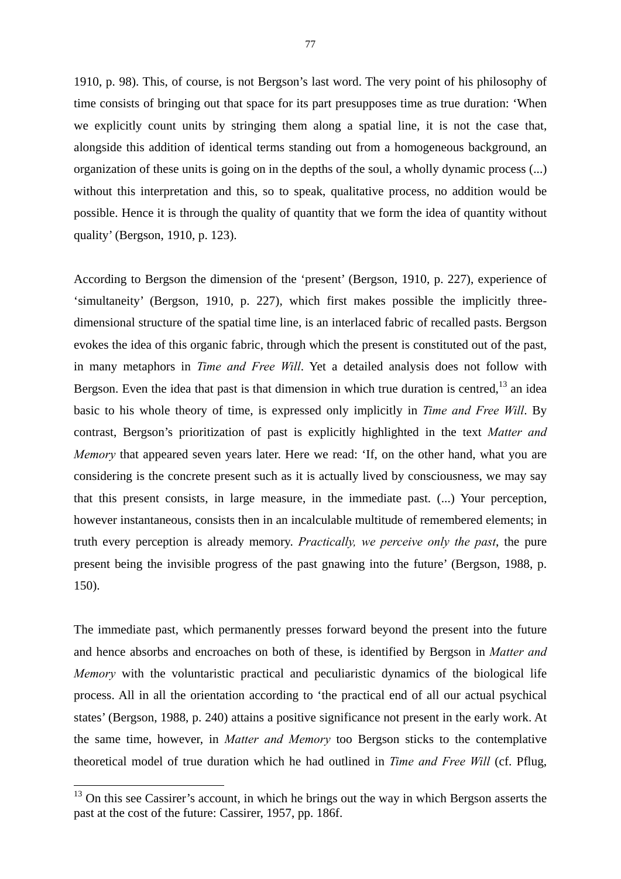1910, p. 98). This, of course, is not Bergson's last word. The very point of his philosophy of time consists of bringing out that space for its part presupposes time as true duration: 'When we explicitly count units by stringing them along a spatial line, it is not the case that, alongside this addition of identical terms standing out from a homogeneous background, an organization of these units is going on in the depths of the soul, a wholly dynamic process (...) without this interpretation and this, so to speak, qualitative process, no addition would be possible. Hence it is through the quality of quantity that we form the idea of quantity without quality' (Bergson, 1910, p. 123).

According to Bergson the dimension of the 'present' (Bergson, 1910, p. 227), experience of 'simultaneity' (Bergson, 1910, p. 227), which first makes possible the implicitly threedimensional structure of the spatial time line, is an interlaced fabric of recalled pasts. Bergson evokes the idea of this organic fabric, through which the present is constituted out of the past, in many metaphors in *Time and Free Will*. Yet a detailed analysis does not follow with Bergson. Even the idea that past is that dimension in which true duration is centred,<sup>13</sup> an idea basic to his whole theory of time, is expressed only implicitly in *Time and Free Will*. By contrast, Bergson's prioritization of past is explicitly highlighted in the text *Matter and Memory* that appeared seven years later. Here we read: 'If, on the other hand, what you are considering is the concrete present such as it is actually lived by consciousness, we may say that this present consists, in large measure, in the immediate past. (...) Your perception, however instantaneous, consists then in an incalculable multitude of remembered elements; in truth every perception is already memory. *Practically, we perceive only the past*, the pure present being the invisible progress of the past gnawing into the future' (Bergson, 1988, p. 150).

The immediate past, which permanently presses forward beyond the present into the future and hence absorbs and encroaches on both of these, is identified by Bergson in *Matter and Memory* with the voluntaristic practical and peculiaristic dynamics of the biological life process. All in all the orientation according to 'the practical end of all our actual psychical states' (Bergson, 1988, p. 240) attains a positive significance not present in the early work. At the same time, however, in *Matter and Memory* too Bergson sticks to the contemplative theoretical model of true duration which he had outlined in *Time and Free Will* (cf. Pflug,

-

 $13$  On this see Cassirer's account, in which he brings out the way in which Bergson asserts the past at the cost of the future: Cassirer, 1957, pp. 186f.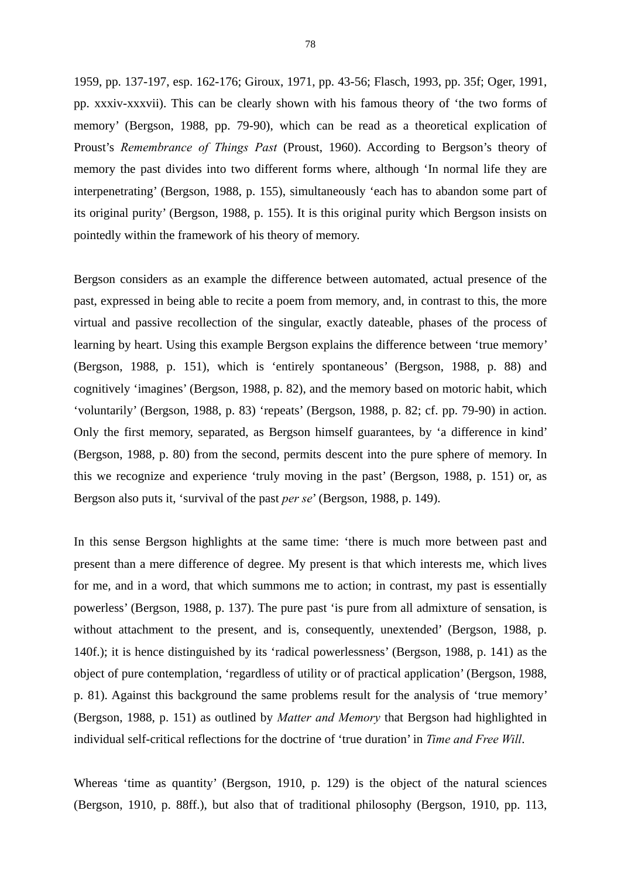1959, pp. 137-197, esp. 162-176; Giroux, 1971, pp. 43-56; Flasch, 1993, pp. 35f; Oger, 1991, pp. xxxiv-xxxvii). This can be clearly shown with his famous theory of 'the two forms of memory' (Bergson, 1988, pp. 79-90), which can be read as a theoretical explication of Proust's *Remembrance of Things Past* (Proust, 1960). According to Bergson's theory of memory the past divides into two different forms where, although 'In normal life they are interpenetrating' (Bergson, 1988, p. 155), simultaneously 'each has to abandon some part of its original purity' (Bergson, 1988, p. 155). It is this original purity which Bergson insists on pointedly within the framework of his theory of memory.

Bergson considers as an example the difference between automated, actual presence of the past, expressed in being able to recite a poem from memory, and, in contrast to this, the more virtual and passive recollection of the singular, exactly dateable, phases of the process of learning by heart. Using this example Bergson explains the difference between 'true memory' (Bergson, 1988, p. 151), which is 'entirely spontaneous' (Bergson, 1988, p. 88) and cognitively 'imagines' (Bergson, 1988, p. 82), and the memory based on motoric habit, which 'voluntarily' (Bergson, 1988, p. 83) 'repeats' (Bergson, 1988, p. 82; cf. pp. 79-90) in action. Only the first memory, separated, as Bergson himself guarantees, by 'a difference in kind' (Bergson, 1988, p. 80) from the second, permits descent into the pure sphere of memory. In this we recognize and experience 'truly moving in the past' (Bergson, 1988, p. 151) or, as Bergson also puts it, 'survival of the past *per se*' (Bergson, 1988, p. 149).

In this sense Bergson highlights at the same time: 'there is much more between past and present than a mere difference of degree. My present is that which interests me, which lives for me, and in a word, that which summons me to action; in contrast, my past is essentially powerless' (Bergson, 1988, p. 137). The pure past 'is pure from all admixture of sensation, is without attachment to the present, and is, consequently, unextended' (Bergson, 1988, p. 140f.); it is hence distinguished by its 'radical powerlessness' (Bergson, 1988, p. 141) as the object of pure contemplation, 'regardless of utility or of practical application' (Bergson, 1988, p. 81). Against this background the same problems result for the analysis of 'true memory' (Bergson, 1988, p. 151) as outlined by *Matter and Memory* that Bergson had highlighted in individual self-critical reflections for the doctrine of 'true duration' in *Time and Free Will*.

Whereas 'time as quantity' (Bergson, 1910, p. 129) is the object of the natural sciences (Bergson, 1910, p. 88ff.), but also that of traditional philosophy (Bergson, 1910, pp. 113,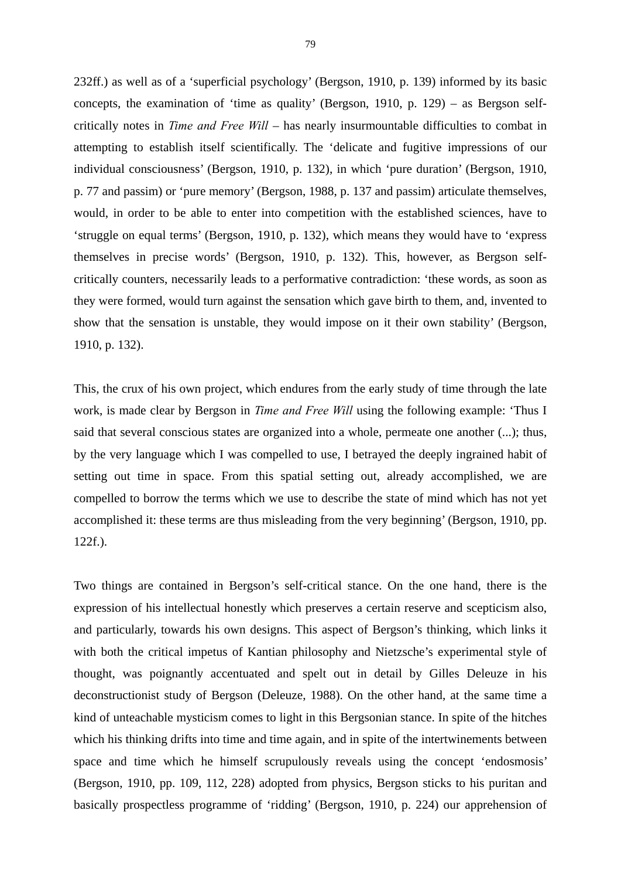232ff.) as well as of a 'superficial psychology' (Bergson, 1910, p. 139) informed by its basic concepts, the examination of 'time as quality' (Bergson, 1910, p. 129) – as Bergson selfcritically notes in *Time and Free Will* – has nearly insurmountable difficulties to combat in attempting to establish itself scientifically. The 'delicate and fugitive impressions of our individual consciousness' (Bergson, 1910, p. 132), in which 'pure duration' (Bergson, 1910, p. 77 and passim) or 'pure memory' (Bergson, 1988, p. 137 and passim) articulate themselves, would, in order to be able to enter into competition with the established sciences, have to 'struggle on equal terms' (Bergson, 1910, p. 132), which means they would have to 'express themselves in precise words' (Bergson, 1910, p. 132). This, however, as Bergson selfcritically counters, necessarily leads to a performative contradiction: 'these words, as soon as they were formed, would turn against the sensation which gave birth to them, and, invented to show that the sensation is unstable, they would impose on it their own stability' (Bergson, 1910, p. 132).

This, the crux of his own project, which endures from the early study of time through the late work, is made clear by Bergson in *Time and Free Will* using the following example: 'Thus I said that several conscious states are organized into a whole, permeate one another (...); thus, by the very language which I was compelled to use, I betrayed the deeply ingrained habit of setting out time in space. From this spatial setting out, already accomplished, we are compelled to borrow the terms which we use to describe the state of mind which has not yet accomplished it: these terms are thus misleading from the very beginning' (Bergson, 1910, pp. 122f.).

Two things are contained in Bergson's self-critical stance. On the one hand, there is the expression of his intellectual honestly which preserves a certain reserve and scepticism also, and particularly, towards his own designs. This aspect of Bergson's thinking, which links it with both the critical impetus of Kantian philosophy and Nietzsche's experimental style of thought, was poignantly accentuated and spelt out in detail by Gilles Deleuze in his deconstructionist study of Bergson (Deleuze, 1988). On the other hand, at the same time a kind of unteachable mysticism comes to light in this Bergsonian stance. In spite of the hitches which his thinking drifts into time and time again, and in spite of the intertwinements between space and time which he himself scrupulously reveals using the concept 'endosmosis' (Bergson, 1910, pp. 109, 112, 228) adopted from physics, Bergson sticks to his puritan and basically prospectless programme of 'ridding' (Bergson, 1910, p. 224) our apprehension of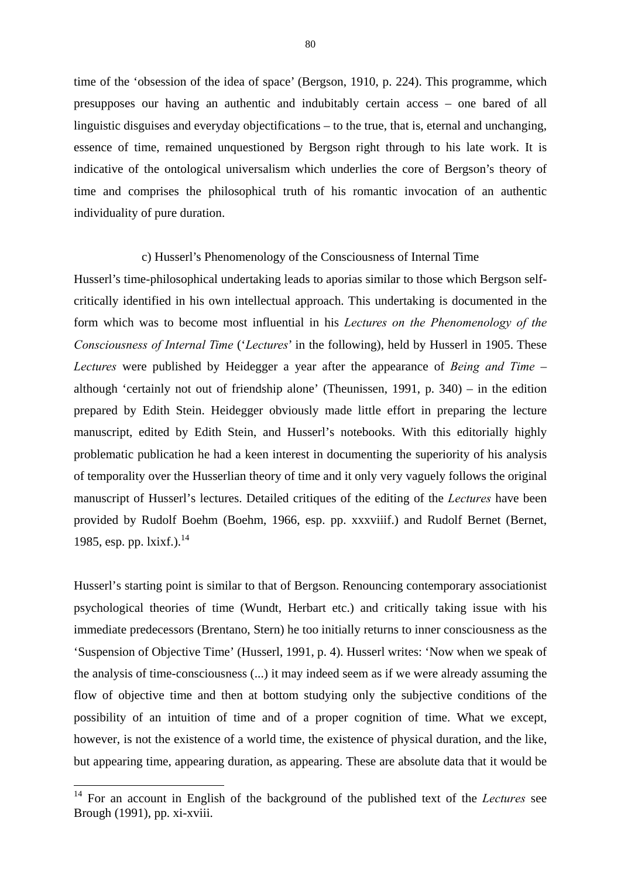time of the 'obsession of the idea of space' (Bergson, 1910, p. 224). This programme, which presupposes our having an authentic and indubitably certain access – one bared of all linguistic disguises and everyday objectifications – to the true, that is, eternal and unchanging, essence of time, remained unquestioned by Bergson right through to his late work. It is indicative of the ontological universalism which underlies the core of Bergson's theory of time and comprises the philosophical truth of his romantic invocation of an authentic individuality of pure duration.

#### c) Husserl's Phenomenology of the Consciousness of Internal Time

Husserl's time-philosophical undertaking leads to aporias similar to those which Bergson selfcritically identified in his own intellectual approach. This undertaking is documented in the form which was to become most influential in his *Lectures on the Phenomenology of the Consciousness of Internal Time* ('*Lectures*' in the following), held by Husserl in 1905. These *Lectures* were published by Heidegger a year after the appearance of *Being and Time* – although 'certainly not out of friendship alone' (Theunissen, 1991, p. 340) – in the edition prepared by Edith Stein. Heidegger obviously made little effort in preparing the lecture manuscript, edited by Edith Stein, and Husserl's notebooks. With this editorially highly problematic publication he had a keen interest in documenting the superiority of his analysis of temporality over the Husserlian theory of time and it only very vaguely follows the original manuscript of Husserl's lectures. Detailed critiques of the editing of the *Lectures* have been provided by Rudolf Boehm (Boehm, 1966, esp. pp. xxxviiif.) and Rudolf Bernet (Bernet, 1985, esp. pp. lxixf.).<sup>14</sup>

Husserl's starting point is similar to that of Bergson. Renouncing contemporary associationist psychological theories of time (Wundt, Herbart etc.) and critically taking issue with his immediate predecessors (Brentano, Stern) he too initially returns to inner consciousness as the 'Suspension of Objective Time' (Husserl, 1991, p. 4). Husserl writes: 'Now when we speak of the analysis of time-consciousness (...) it may indeed seem as if we were already assuming the flow of objective time and then at bottom studying only the subjective conditions of the possibility of an intuition of time and of a proper cognition of time. What we except, however, is not the existence of a world time, the existence of physical duration, and the like, but appearing time, appearing duration, as appearing. These are absolute data that it would be

-

<sup>14</sup> For an account in English of the background of the published text of the *Lectures* see Brough (1991), pp. xi-xviii.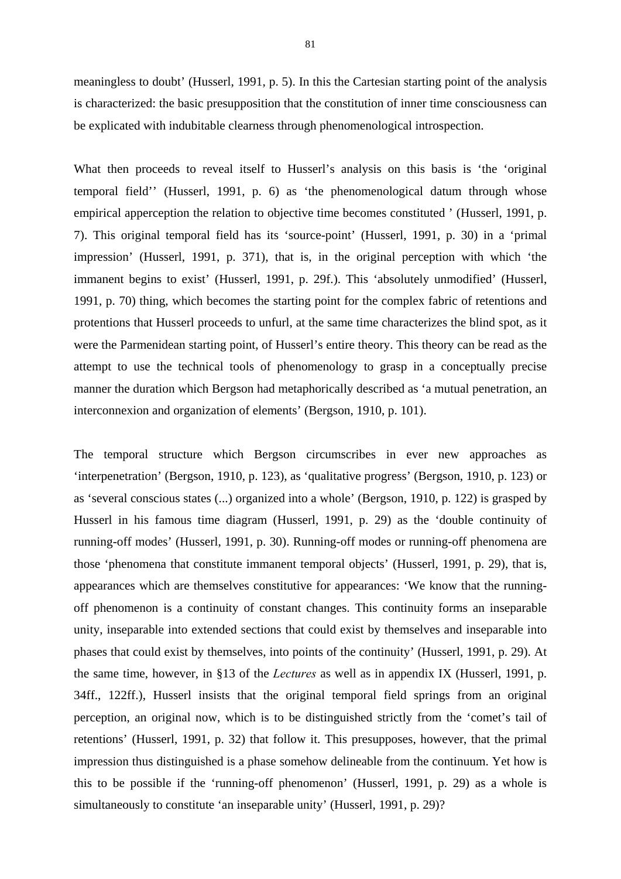meaningless to doubt' (Husserl, 1991, p. 5). In this the Cartesian starting point of the analysis is characterized: the basic presupposition that the constitution of inner time consciousness can be explicated with indubitable clearness through phenomenological introspection.

What then proceeds to reveal itself to Husserl's analysis on this basis is 'the 'original temporal field'' (Husserl, 1991, p. 6) as 'the phenomenological datum through whose empirical apperception the relation to objective time becomes constituted ' (Husserl, 1991, p. 7). This original temporal field has its 'source-point' (Husserl, 1991, p. 30) in a 'primal impression' (Husserl, 1991, p. 371), that is, in the original perception with which 'the immanent begins to exist' (Husserl, 1991, p. 29f.). This 'absolutely unmodified' (Husserl, 1991, p. 70) thing, which becomes the starting point for the complex fabric of retentions and protentions that Husserl proceeds to unfurl, at the same time characterizes the blind spot, as it were the Parmenidean starting point, of Husserl's entire theory. This theory can be read as the attempt to use the technical tools of phenomenology to grasp in a conceptually precise manner the duration which Bergson had metaphorically described as 'a mutual penetration, an interconnexion and organization of elements' (Bergson, 1910, p. 101).

The temporal structure which Bergson circumscribes in ever new approaches as 'interpenetration' (Bergson, 1910, p. 123), as 'qualitative progress' (Bergson, 1910, p. 123) or as 'several conscious states (...) organized into a whole' (Bergson, 1910, p. 122) is grasped by Husserl in his famous time diagram (Husserl, 1991, p. 29) as the 'double continuity of running-off modes' (Husserl, 1991, p. 30). Running-off modes or running-off phenomena are those 'phenomena that constitute immanent temporal objects' (Husserl, 1991, p. 29), that is, appearances which are themselves constitutive for appearances: 'We know that the runningoff phenomenon is a continuity of constant changes. This continuity forms an inseparable unity, inseparable into extended sections that could exist by themselves and inseparable into phases that could exist by themselves, into points of the continuity' (Husserl, 1991, p. 29). At the same time, however, in §13 of the *Lectures* as well as in appendix IX (Husserl, 1991, p. 34ff., 122ff.), Husserl insists that the original temporal field springs from an original perception, an original now, which is to be distinguished strictly from the 'comet's tail of retentions' (Husserl, 1991, p. 32) that follow it. This presupposes, however, that the primal impression thus distinguished is a phase somehow delineable from the continuum. Yet how is this to be possible if the 'running-off phenomenon' (Husserl, 1991, p. 29) as a whole is simultaneously to constitute 'an inseparable unity' (Husserl, 1991, p. 29)?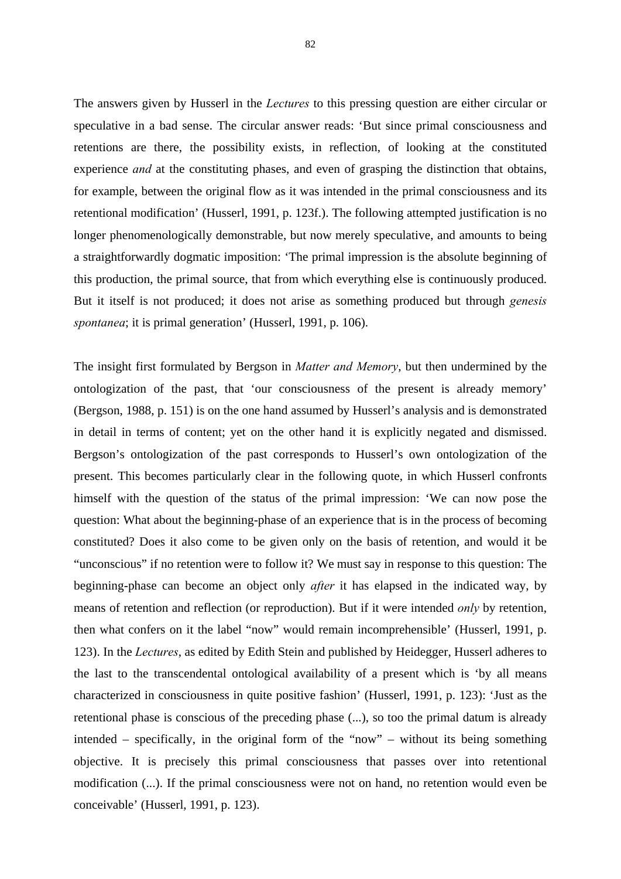The answers given by Husserl in the *Lectures* to this pressing question are either circular or speculative in a bad sense. The circular answer reads: 'But since primal consciousness and retentions are there, the possibility exists, in reflection, of looking at the constituted experience *and* at the constituting phases, and even of grasping the distinction that obtains, for example, between the original flow as it was intended in the primal consciousness and its retentional modification' (Husserl, 1991, p. 123f.). The following attempted justification is no longer phenomenologically demonstrable, but now merely speculative, and amounts to being a straightforwardly dogmatic imposition: 'The primal impression is the absolute beginning of this production, the primal source, that from which everything else is continuously produced. But it itself is not produced; it does not arise as something produced but through *genesis spontanea*; it is primal generation' (Husserl, 1991, p. 106).

The insight first formulated by Bergson in *Matter and Memory*, but then undermined by the ontologization of the past, that 'our consciousness of the present is already memory' (Bergson, 1988, p. 151) is on the one hand assumed by Husserl's analysis and is demonstrated in detail in terms of content; yet on the other hand it is explicitly negated and dismissed. Bergson's ontologization of the past corresponds to Husserl's own ontologization of the present. This becomes particularly clear in the following quote, in which Husserl confronts himself with the question of the status of the primal impression: 'We can now pose the question: What about the beginning-phase of an experience that is in the process of becoming constituted? Does it also come to be given only on the basis of retention, and would it be "unconscious" if no retention were to follow it? We must say in response to this question: The beginning-phase can become an object only *after* it has elapsed in the indicated way, by means of retention and reflection (or reproduction). But if it were intended *only* by retention, then what confers on it the label "now" would remain incomprehensible' (Husserl, 1991, p. 123). In the *Lectures*, as edited by Edith Stein and published by Heidegger, Husserl adheres to the last to the transcendental ontological availability of a present which is 'by all means characterized in consciousness in quite positive fashion' (Husserl, 1991, p. 123): 'Just as the retentional phase is conscious of the preceding phase (...), so too the primal datum is already intended – specifically, in the original form of the "now" – without its being something objective. It is precisely this primal consciousness that passes over into retentional modification (...). If the primal consciousness were not on hand, no retention would even be conceivable' (Husserl, 1991, p. 123).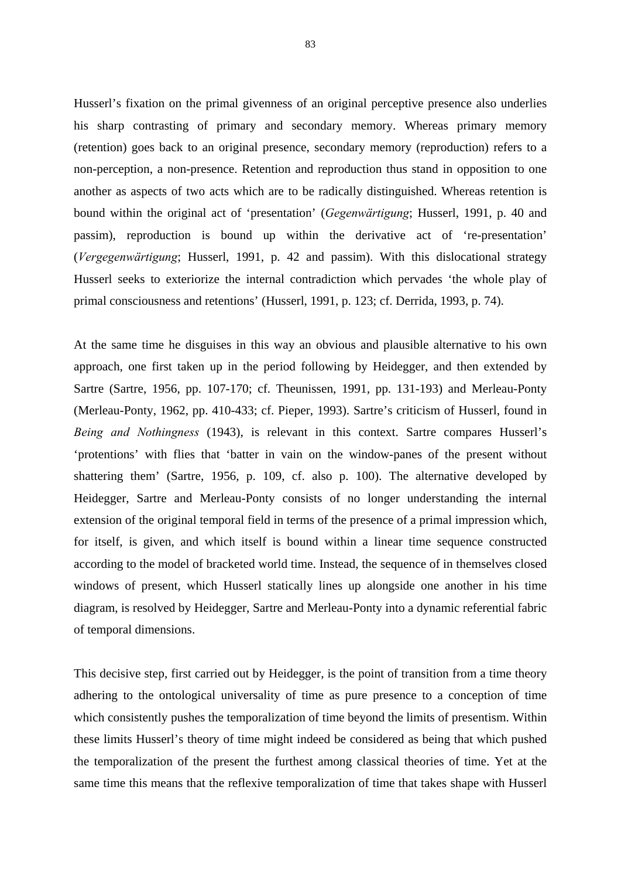Husserl's fixation on the primal givenness of an original perceptive presence also underlies his sharp contrasting of primary and secondary memory. Whereas primary memory (retention) goes back to an original presence, secondary memory (reproduction) refers to a non-perception, a non-presence. Retention and reproduction thus stand in opposition to one another as aspects of two acts which are to be radically distinguished. Whereas retention is bound within the original act of 'presentation' (*Gegenwärtigung*; Husserl, 1991, p. 40 and passim), reproduction is bound up within the derivative act of 're-presentation' (*Vergegenwärtigung*; Husserl, 1991, p. 42 and passim). With this dislocational strategy Husserl seeks to exteriorize the internal contradiction which pervades 'the whole play of primal consciousness and retentions' (Husserl, 1991, p. 123; cf. Derrida, 1993, p. 74).

At the same time he disguises in this way an obvious and plausible alternative to his own approach, one first taken up in the period following by Heidegger, and then extended by Sartre (Sartre, 1956, pp. 107-170; cf. Theunissen, 1991, pp. 131-193) and Merleau-Ponty (Merleau-Ponty, 1962, pp. 410-433; cf. Pieper, 1993). Sartre's criticism of Husserl, found in *Being and Nothingness* (1943), is relevant in this context. Sartre compares Husserl's 'protentions' with flies that 'batter in vain on the window-panes of the present without shattering them' (Sartre, 1956, p. 109, cf. also p. 100). The alternative developed by Heidegger, Sartre and Merleau-Ponty consists of no longer understanding the internal extension of the original temporal field in terms of the presence of a primal impression which, for itself, is given, and which itself is bound within a linear time sequence constructed according to the model of bracketed world time. Instead, the sequence of in themselves closed windows of present, which Husserl statically lines up alongside one another in his time diagram, is resolved by Heidegger, Sartre and Merleau-Ponty into a dynamic referential fabric of temporal dimensions.

This decisive step, first carried out by Heidegger, is the point of transition from a time theory adhering to the ontological universality of time as pure presence to a conception of time which consistently pushes the temporalization of time beyond the limits of presentism. Within these limits Husserl's theory of time might indeed be considered as being that which pushed the temporalization of the present the furthest among classical theories of time. Yet at the same time this means that the reflexive temporalization of time that takes shape with Husserl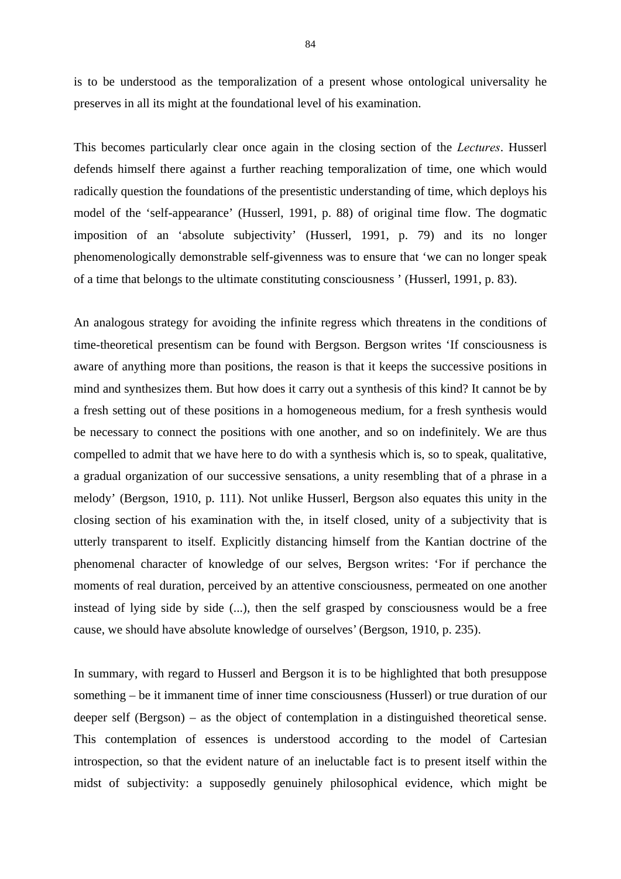is to be understood as the temporalization of a present whose ontological universality he preserves in all its might at the foundational level of his examination.

This becomes particularly clear once again in the closing section of the *Lectures*. Husserl defends himself there against a further reaching temporalization of time, one which would radically question the foundations of the presentistic understanding of time, which deploys his model of the 'self-appearance' (Husserl, 1991, p. 88) of original time flow. The dogmatic imposition of an 'absolute subjectivity' (Husserl, 1991, p. 79) and its no longer phenomenologically demonstrable self-givenness was to ensure that 'we can no longer speak of a time that belongs to the ultimate constituting consciousness ' (Husserl, 1991, p. 83).

An analogous strategy for avoiding the infinite regress which threatens in the conditions of time-theoretical presentism can be found with Bergson. Bergson writes 'If consciousness is aware of anything more than positions, the reason is that it keeps the successive positions in mind and synthesizes them. But how does it carry out a synthesis of this kind? It cannot be by a fresh setting out of these positions in a homogeneous medium, for a fresh synthesis would be necessary to connect the positions with one another, and so on indefinitely. We are thus compelled to admit that we have here to do with a synthesis which is, so to speak, qualitative, a gradual organization of our successive sensations, a unity resembling that of a phrase in a melody' (Bergson, 1910, p. 111). Not unlike Husserl, Bergson also equates this unity in the closing section of his examination with the, in itself closed, unity of a subjectivity that is utterly transparent to itself. Explicitly distancing himself from the Kantian doctrine of the phenomenal character of knowledge of our selves, Bergson writes: 'For if perchance the moments of real duration, perceived by an attentive consciousness, permeated on one another instead of lying side by side (...), then the self grasped by consciousness would be a free cause, we should have absolute knowledge of ourselves' (Bergson, 1910, p. 235).

In summary, with regard to Husserl and Bergson it is to be highlighted that both presuppose something – be it immanent time of inner time consciousness (Husserl) or true duration of our deeper self (Bergson) – as the object of contemplation in a distinguished theoretical sense. This contemplation of essences is understood according to the model of Cartesian introspection, so that the evident nature of an ineluctable fact is to present itself within the midst of subjectivity: a supposedly genuinely philosophical evidence, which might be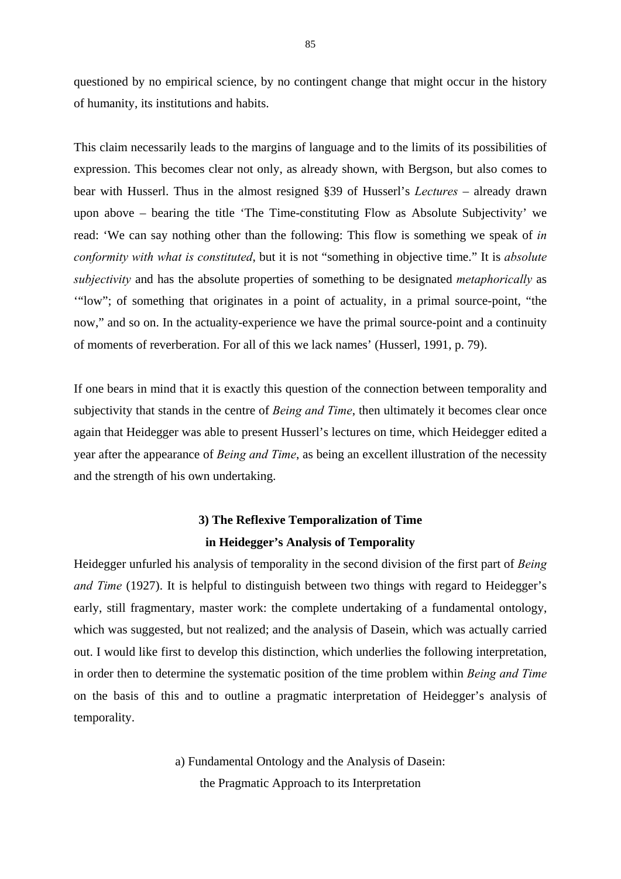questioned by no empirical science, by no contingent change that might occur in the history of humanity, its institutions and habits.

This claim necessarily leads to the margins of language and to the limits of its possibilities of expression. This becomes clear not only, as already shown, with Bergson, but also comes to bear with Husserl. Thus in the almost resigned §39 of Husserl's *Lectures* – already drawn upon above – bearing the title 'The Time-constituting Flow as Absolute Subjectivity' we read: 'We can say nothing other than the following: This flow is something we speak of *in conformity with what is constituted*, but it is not "something in objective time." It is *absolute subjectivity* and has the absolute properties of something to be designated *metaphorically* as '"low"; of something that originates in a point of actuality, in a primal source-point, "the now," and so on. In the actuality-experience we have the primal source-point and a continuity of moments of reverberation. For all of this we lack names' (Husserl, 1991, p. 79).

If one bears in mind that it is exactly this question of the connection between temporality and subjectivity that stands in the centre of *Being and Time*, then ultimately it becomes clear once again that Heidegger was able to present Husserl's lectures on time, which Heidegger edited a year after the appearance of *Being and Time*, as being an excellent illustration of the necessity and the strength of his own undertaking.

### **3) The Reflexive Temporalization of Time in Heidegger's Analysis of Temporality**

Heidegger unfurled his analysis of temporality in the second division of the first part of *Being and Time* (1927). It is helpful to distinguish between two things with regard to Heidegger's early, still fragmentary, master work: the complete undertaking of a fundamental ontology, which was suggested, but not realized; and the analysis of Dasein, which was actually carried out. I would like first to develop this distinction, which underlies the following interpretation, in order then to determine the systematic position of the time problem within *Being and Time* on the basis of this and to outline a pragmatic interpretation of Heidegger's analysis of temporality.

> a) Fundamental Ontology and the Analysis of Dasein: the Pragmatic Approach to its Interpretation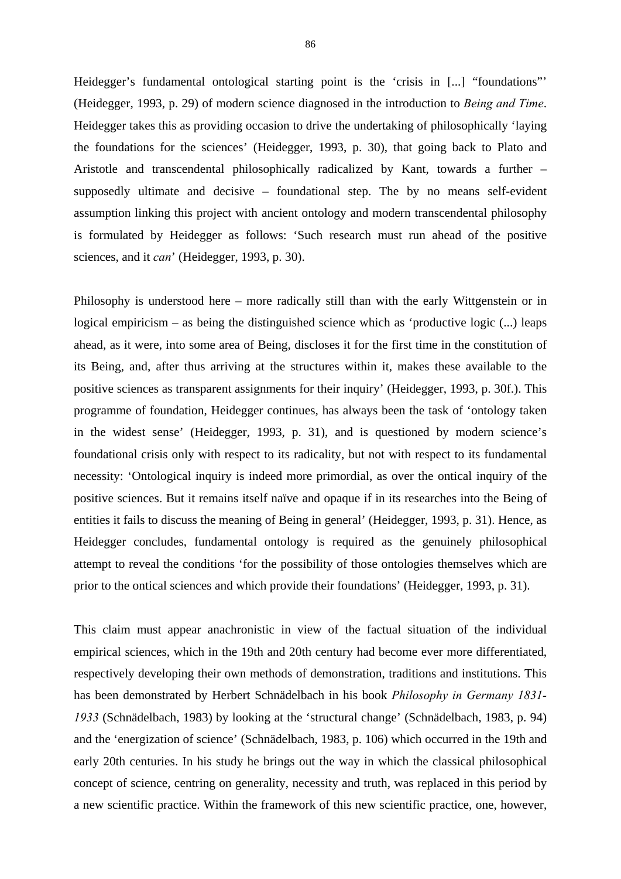Heidegger's fundamental ontological starting point is the 'crisis in [...] "foundations" (Heidegger, 1993, p. 29) of modern science diagnosed in the introduction to *Being and Time*. Heidegger takes this as providing occasion to drive the undertaking of philosophically 'laying the foundations for the sciences' (Heidegger, 1993, p. 30), that going back to Plato and Aristotle and transcendental philosophically radicalized by Kant, towards a further – supposedly ultimate and decisive – foundational step. The by no means self-evident assumption linking this project with ancient ontology and modern transcendental philosophy is formulated by Heidegger as follows: 'Such research must run ahead of the positive sciences, and it *can*' (Heidegger, 1993, p. 30).

Philosophy is understood here – more radically still than with the early Wittgenstein or in logical empiricism – as being the distinguished science which as 'productive logic (...) leaps ahead, as it were, into some area of Being, discloses it for the first time in the constitution of its Being, and, after thus arriving at the structures within it, makes these available to the positive sciences as transparent assignments for their inquiry' (Heidegger, 1993, p. 30f.). This programme of foundation, Heidegger continues, has always been the task of 'ontology taken in the widest sense' (Heidegger, 1993, p. 31), and is questioned by modern science's foundational crisis only with respect to its radicality, but not with respect to its fundamental necessity: 'Ontological inquiry is indeed more primordial, as over the ontical inquiry of the positive sciences. But it remains itself naïve and opaque if in its researches into the Being of entities it fails to discuss the meaning of Being in general' (Heidegger, 1993, p. 31). Hence, as Heidegger concludes, fundamental ontology is required as the genuinely philosophical attempt to reveal the conditions 'for the possibility of those ontologies themselves which are prior to the ontical sciences and which provide their foundations' (Heidegger, 1993, p. 31).

This claim must appear anachronistic in view of the factual situation of the individual empirical sciences, which in the 19th and 20th century had become ever more differentiated, respectively developing their own methods of demonstration, traditions and institutions. This has been demonstrated by Herbert Schnädelbach in his book *Philosophy in Germany 1831- 1933* (Schnädelbach, 1983) by looking at the 'structural change' (Schnädelbach, 1983, p. 94) and the 'energization of science' (Schnädelbach, 1983, p. 106) which occurred in the 19th and early 20th centuries. In his study he brings out the way in which the classical philosophical concept of science, centring on generality, necessity and truth, was replaced in this period by a new scientific practice. Within the framework of this new scientific practice, one, however,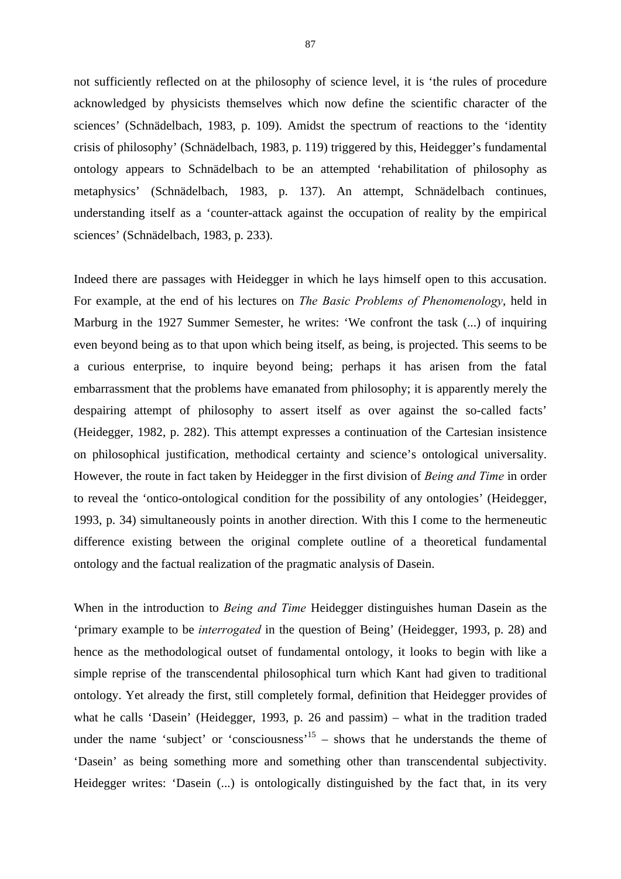not sufficiently reflected on at the philosophy of science level, it is 'the rules of procedure acknowledged by physicists themselves which now define the scientific character of the sciences' (Schnädelbach, 1983, p. 109). Amidst the spectrum of reactions to the 'identity crisis of philosophy' (Schnädelbach, 1983, p. 119) triggered by this, Heidegger's fundamental ontology appears to Schnädelbach to be an attempted 'rehabilitation of philosophy as metaphysics' (Schnädelbach, 1983, p. 137). An attempt, Schnädelbach continues, understanding itself as a 'counter-attack against the occupation of reality by the empirical sciences' (Schnädelbach, 1983, p. 233).

Indeed there are passages with Heidegger in which he lays himself open to this accusation. For example, at the end of his lectures on *The Basic Problems of Phenomenology*, held in Marburg in the 1927 Summer Semester, he writes: 'We confront the task  $(...)$  of inquiring even beyond being as to that upon which being itself, as being, is projected. This seems to be a curious enterprise, to inquire beyond being; perhaps it has arisen from the fatal embarrassment that the problems have emanated from philosophy; it is apparently merely the despairing attempt of philosophy to assert itself as over against the so-called facts' (Heidegger, 1982, p. 282). This attempt expresses a continuation of the Cartesian insistence on philosophical justification, methodical certainty and science's ontological universality. However, the route in fact taken by Heidegger in the first division of *Being and Time* in order to reveal the 'ontico-ontological condition for the possibility of any ontologies' (Heidegger, 1993, p. 34) simultaneously points in another direction. With this I come to the hermeneutic difference existing between the original complete outline of a theoretical fundamental ontology and the factual realization of the pragmatic analysis of Dasein.

When in the introduction to *Being and Time* Heidegger distinguishes human Dasein as the 'primary example to be *interrogated* in the question of Being' (Heidegger, 1993, p. 28) and hence as the methodological outset of fundamental ontology, it looks to begin with like a simple reprise of the transcendental philosophical turn which Kant had given to traditional ontology. Yet already the first, still completely formal, definition that Heidegger provides of what he calls 'Dasein' (Heidegger, 1993, p. 26 and passim) – what in the tradition traded under the name 'subject' or 'consciousness'<sup>15</sup> – shows that he understands the theme of 'Dasein' as being something more and something other than transcendental subjectivity. Heidegger writes: 'Dasein (...) is ontologically distinguished by the fact that, in its very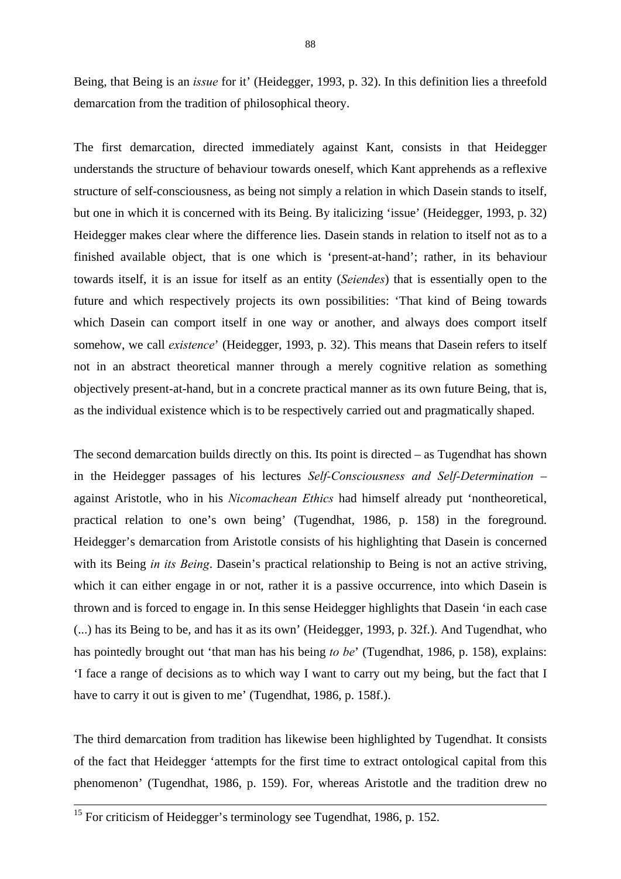Being, that Being is an *issue* for it' (Heidegger, 1993, p. 32). In this definition lies a threefold demarcation from the tradition of philosophical theory.

The first demarcation, directed immediately against Kant, consists in that Heidegger understands the structure of behaviour towards oneself, which Kant apprehends as a reflexive structure of self-consciousness, as being not simply a relation in which Dasein stands to itself, but one in which it is concerned with its Being. By italicizing 'issue' (Heidegger, 1993, p. 32) Heidegger makes clear where the difference lies. Dasein stands in relation to itself not as to a finished available object, that is one which is 'present-at-hand'; rather, in its behaviour towards itself, it is an issue for itself as an entity (*Seiendes*) that is essentially open to the future and which respectively projects its own possibilities: 'That kind of Being towards which Dasein can comport itself in one way or another, and always does comport itself somehow, we call *existence*' (Heidegger, 1993, p. 32). This means that Dasein refers to itself not in an abstract theoretical manner through a merely cognitive relation as something objectively present-at-hand, but in a concrete practical manner as its own future Being, that is, as the individual existence which is to be respectively carried out and pragmatically shaped.

The second demarcation builds directly on this. Its point is directed – as Tugendhat has shown in the Heidegger passages of his lectures *Self-Consciousness and Self-Determination* – against Aristotle, who in his *Nicomachean Ethics* had himself already put 'nontheoretical, practical relation to one's own being' (Tugendhat, 1986, p. 158) in the foreground. Heidegger's demarcation from Aristotle consists of his highlighting that Dasein is concerned with its Being *in its Being*. Dasein's practical relationship to Being is not an active striving, which it can either engage in or not, rather it is a passive occurrence, into which Dasein is thrown and is forced to engage in. In this sense Heidegger highlights that Dasein 'in each case (...) has its Being to be, and has it as its own' (Heidegger, 1993, p. 32f.). And Tugendhat, who has pointedly brought out 'that man has his being *to be*' (Tugendhat, 1986, p. 158), explains: 'I face a range of decisions as to which way I want to carry out my being, but the fact that I have to carry it out is given to me' (Tugendhat, 1986, p. 158f.).

The third demarcation from tradition has likewise been highlighted by Tugendhat. It consists of the fact that Heidegger 'attempts for the first time to extract ontological capital from this phenomenon' (Tugendhat, 1986, p. 159). For, whereas Aristotle and the tradition drew no

<sup>&</sup>lt;sup>15</sup> For criticism of Heidegger's terminology see Tugendhat, 1986, p. 152.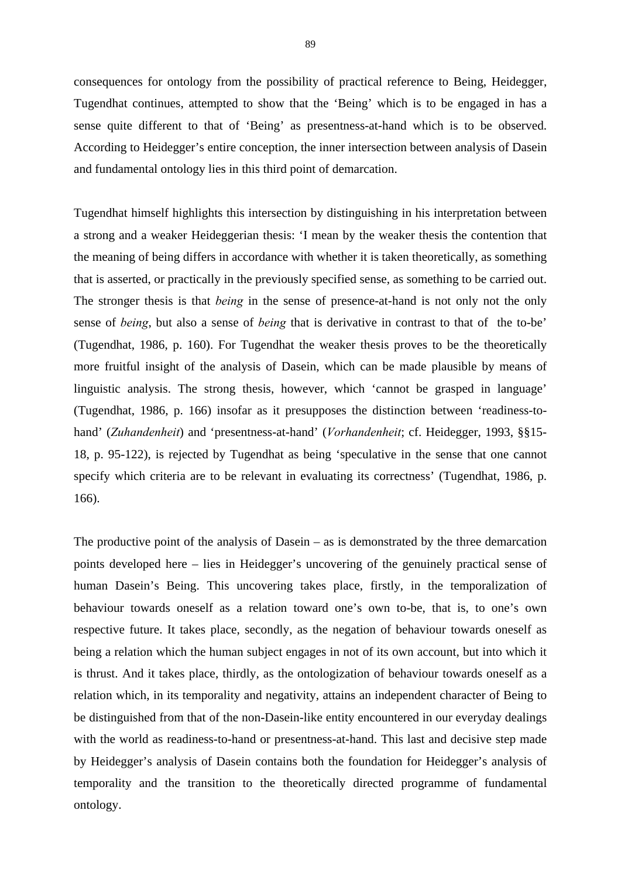consequences for ontology from the possibility of practical reference to Being, Heidegger, Tugendhat continues, attempted to show that the 'Being' which is to be engaged in has a sense quite different to that of 'Being' as presentness-at-hand which is to be observed. According to Heidegger's entire conception, the inner intersection between analysis of Dasein and fundamental ontology lies in this third point of demarcation.

Tugendhat himself highlights this intersection by distinguishing in his interpretation between a strong and a weaker Heideggerian thesis: 'I mean by the weaker thesis the contention that the meaning of being differs in accordance with whether it is taken theoretically, as something that is asserted, or practically in the previously specified sense, as something to be carried out. The stronger thesis is that *being* in the sense of presence-at-hand is not only not the only sense of *being*, but also a sense of *being* that is derivative in contrast to that of the to-be' (Tugendhat, 1986, p. 160). For Tugendhat the weaker thesis proves to be the theoretically more fruitful insight of the analysis of Dasein, which can be made plausible by means of linguistic analysis. The strong thesis, however, which 'cannot be grasped in language' (Tugendhat, 1986, p. 166) insofar as it presupposes the distinction between 'readiness-tohand' (*Zuhandenheit*) and 'presentness-at-hand' (*Vorhandenheit*; cf. Heidegger, 1993, §§15- 18, p. 95-122), is rejected by Tugendhat as being 'speculative in the sense that one cannot specify which criteria are to be relevant in evaluating its correctness' (Tugendhat, 1986, p. 166).

The productive point of the analysis of Dasein – as is demonstrated by the three demarcation points developed here – lies in Heidegger's uncovering of the genuinely practical sense of human Dasein's Being. This uncovering takes place, firstly, in the temporalization of behaviour towards oneself as a relation toward one's own to-be, that is, to one's own respective future. It takes place, secondly, as the negation of behaviour towards oneself as being a relation which the human subject engages in not of its own account, but into which it is thrust. And it takes place, thirdly, as the ontologization of behaviour towards oneself as a relation which, in its temporality and negativity, attains an independent character of Being to be distinguished from that of the non-Dasein-like entity encountered in our everyday dealings with the world as readiness-to-hand or presentness-at-hand. This last and decisive step made by Heidegger's analysis of Dasein contains both the foundation for Heidegger's analysis of temporality and the transition to the theoretically directed programme of fundamental ontology.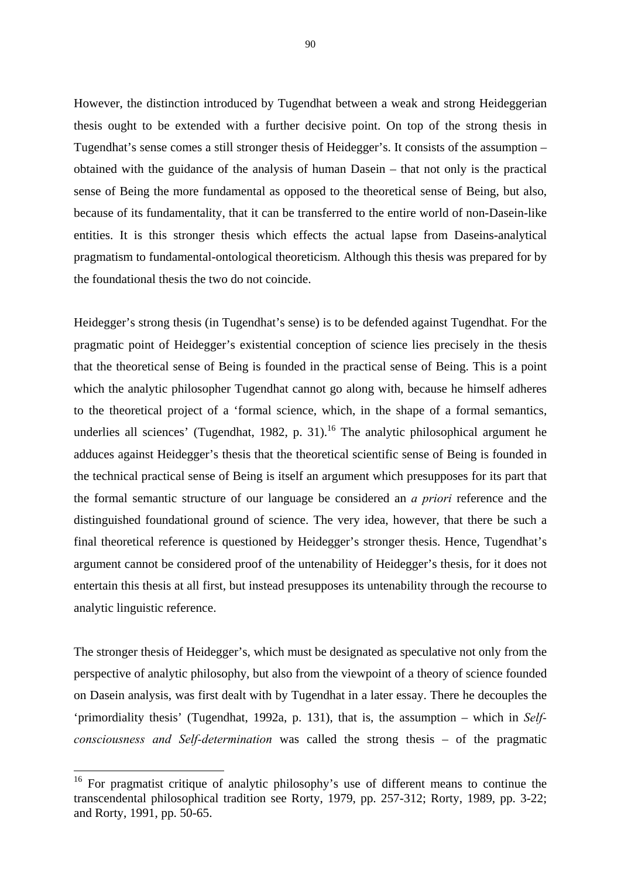However, the distinction introduced by Tugendhat between a weak and strong Heideggerian thesis ought to be extended with a further decisive point. On top of the strong thesis in Tugendhat's sense comes a still stronger thesis of Heidegger's. It consists of the assumption – obtained with the guidance of the analysis of human Dasein – that not only is the practical sense of Being the more fundamental as opposed to the theoretical sense of Being, but also, because of its fundamentality, that it can be transferred to the entire world of non-Dasein-like entities. It is this stronger thesis which effects the actual lapse from Daseins-analytical pragmatism to fundamental-ontological theoreticism. Although this thesis was prepared for by the foundational thesis the two do not coincide.

Heidegger's strong thesis (in Tugendhat's sense) is to be defended against Tugendhat. For the pragmatic point of Heidegger's existential conception of science lies precisely in the thesis that the theoretical sense of Being is founded in the practical sense of Being. This is a point which the analytic philosopher Tugendhat cannot go along with, because he himself adheres to the theoretical project of a 'formal science, which, in the shape of a formal semantics, underlies all sciences' (Tugendhat, 1982, p. 31).<sup>16</sup> The analytic philosophical argument he adduces against Heidegger's thesis that the theoretical scientific sense of Being is founded in the technical practical sense of Being is itself an argument which presupposes for its part that the formal semantic structure of our language be considered an *a priori* reference and the distinguished foundational ground of science. The very idea, however, that there be such a final theoretical reference is questioned by Heidegger's stronger thesis. Hence, Tugendhat's argument cannot be considered proof of the untenability of Heidegger's thesis, for it does not entertain this thesis at all first, but instead presupposes its untenability through the recourse to analytic linguistic reference.

The stronger thesis of Heidegger's, which must be designated as speculative not only from the perspective of analytic philosophy, but also from the viewpoint of a theory of science founded on Dasein analysis, was first dealt with by Tugendhat in a later essay. There he decouples the 'primordiality thesis' (Tugendhat, 1992a, p. 131), that is, the assumption – which in *Selfconsciousness and Self-determination* was called the strong thesis – of the pragmatic

1

<sup>&</sup>lt;sup>16</sup> For pragmatist critique of analytic philosophy's use of different means to continue the transcendental philosophical tradition see Rorty, 1979, pp. 257-312; Rorty, 1989, pp. 3-22; and Rorty, 1991, pp. 50-65.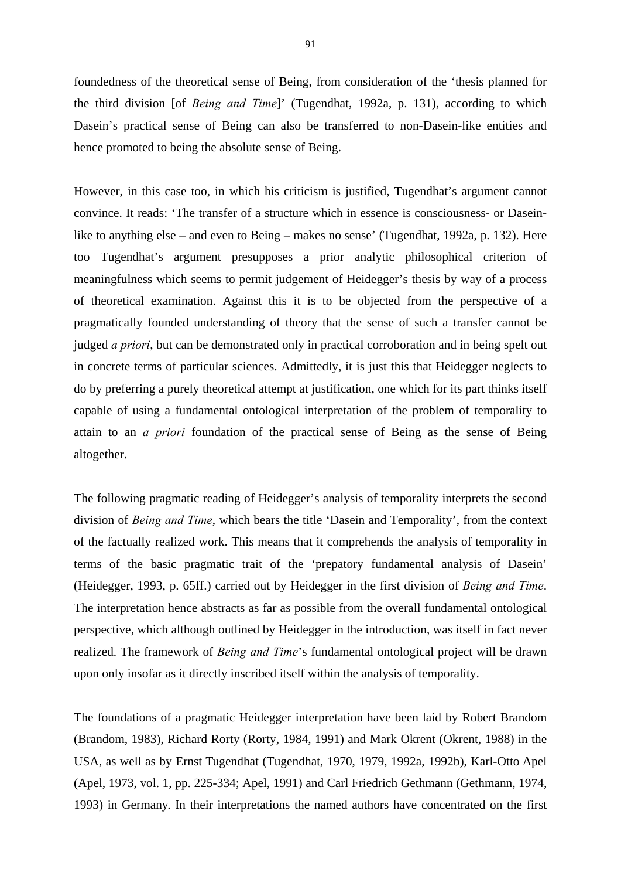foundedness of the theoretical sense of Being, from consideration of the 'thesis planned for the third division [of *Being and Time*]' (Tugendhat, 1992a, p. 131), according to which Dasein's practical sense of Being can also be transferred to non-Dasein-like entities and hence promoted to being the absolute sense of Being.

However, in this case too, in which his criticism is justified, Tugendhat's argument cannot convince. It reads: 'The transfer of a structure which in essence is consciousness- or Daseinlike to anything else – and even to Being – makes no sense' (Tugendhat, 1992a, p. 132). Here too Tugendhat's argument presupposes a prior analytic philosophical criterion of meaningfulness which seems to permit judgement of Heidegger's thesis by way of a process of theoretical examination. Against this it is to be objected from the perspective of a pragmatically founded understanding of theory that the sense of such a transfer cannot be judged *a priori*, but can be demonstrated only in practical corroboration and in being spelt out in concrete terms of particular sciences. Admittedly, it is just this that Heidegger neglects to do by preferring a purely theoretical attempt at justification, one which for its part thinks itself capable of using a fundamental ontological interpretation of the problem of temporality to attain to an *a priori* foundation of the practical sense of Being as the sense of Being altogether.

The following pragmatic reading of Heidegger's analysis of temporality interprets the second division of *Being and Time*, which bears the title 'Dasein and Temporality', from the context of the factually realized work. This means that it comprehends the analysis of temporality in terms of the basic pragmatic trait of the 'prepatory fundamental analysis of Dasein' (Heidegger, 1993, p. 65ff.) carried out by Heidegger in the first division of *Being and Time*. The interpretation hence abstracts as far as possible from the overall fundamental ontological perspective, which although outlined by Heidegger in the introduction, was itself in fact never realized. The framework of *Being and Time*'s fundamental ontological project will be drawn upon only insofar as it directly inscribed itself within the analysis of temporality.

The foundations of a pragmatic Heidegger interpretation have been laid by Robert Brandom (Brandom, 1983), Richard Rorty (Rorty, 1984, 1991) and Mark Okrent (Okrent, 1988) in the USA, as well as by Ernst Tugendhat (Tugendhat, 1970, 1979, 1992a, 1992b), Karl-Otto Apel (Apel, 1973, vol. 1, pp. 225-334; Apel, 1991) and Carl Friedrich Gethmann (Gethmann, 1974, 1993) in Germany. In their interpretations the named authors have concentrated on the first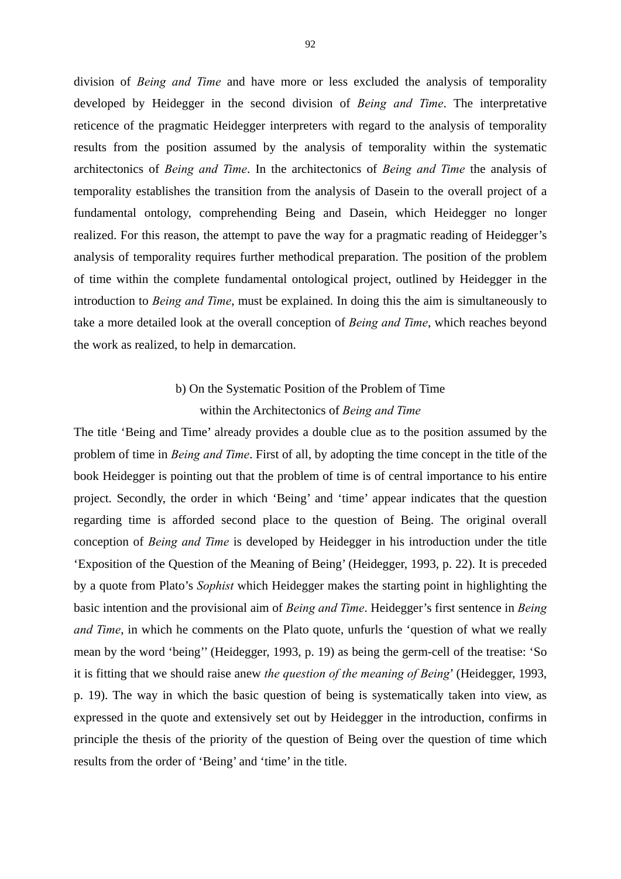division of *Being and Time* and have more or less excluded the analysis of temporality developed by Heidegger in the second division of *Being and Time*. The interpretative reticence of the pragmatic Heidegger interpreters with regard to the analysis of temporality results from the position assumed by the analysis of temporality within the systematic architectonics of *Being and Time*. In the architectonics of *Being and Time* the analysis of temporality establishes the transition from the analysis of Dasein to the overall project of a fundamental ontology, comprehending Being and Dasein, which Heidegger no longer realized. For this reason, the attempt to pave the way for a pragmatic reading of Heidegger's analysis of temporality requires further methodical preparation. The position of the problem of time within the complete fundamental ontological project, outlined by Heidegger in the introduction to *Being and Time*, must be explained. In doing this the aim is simultaneously to take a more detailed look at the overall conception of *Being and Time*, which reaches beyond the work as realized, to help in demarcation.

# b) On the Systematic Position of the Problem of Time within the Architectonics of *Being and Time*

The title 'Being and Time' already provides a double clue as to the position assumed by the problem of time in *Being and Time*. First of all, by adopting the time concept in the title of the book Heidegger is pointing out that the problem of time is of central importance to his entire project. Secondly, the order in which 'Being' and 'time' appear indicates that the question regarding time is afforded second place to the question of Being. The original overall conception of *Being and Time* is developed by Heidegger in his introduction under the title 'Exposition of the Question of the Meaning of Being' (Heidegger, 1993, p. 22). It is preceded by a quote from Plato's *Sophist* which Heidegger makes the starting point in highlighting the basic intention and the provisional aim of *Being and Time*. Heidegger's first sentence in *Being and Time*, in which he comments on the Plato quote, unfurls the 'question of what we really mean by the word 'being'' (Heidegger, 1993, p. 19) as being the germ-cell of the treatise: 'So it is fitting that we should raise anew *the question of the meaning of Being*' (Heidegger, 1993, p. 19). The way in which the basic question of being is systematically taken into view, as expressed in the quote and extensively set out by Heidegger in the introduction, confirms in principle the thesis of the priority of the question of Being over the question of time which results from the order of 'Being' and 'time' in the title.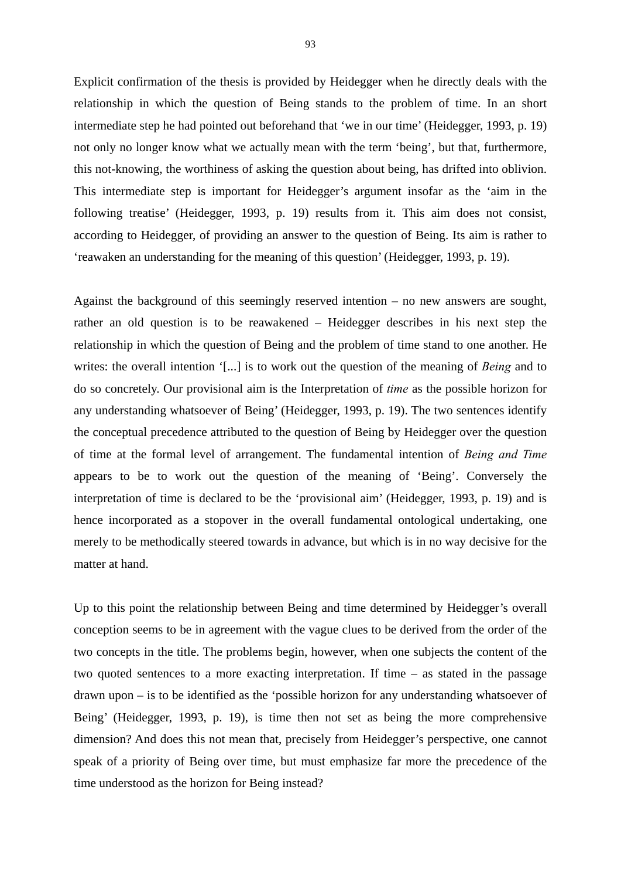Explicit confirmation of the thesis is provided by Heidegger when he directly deals with the relationship in which the question of Being stands to the problem of time. In an short intermediate step he had pointed out beforehand that 'we in our time' (Heidegger, 1993, p. 19) not only no longer know what we actually mean with the term 'being', but that, furthermore, this not-knowing, the worthiness of asking the question about being, has drifted into oblivion. This intermediate step is important for Heidegger's argument insofar as the 'aim in the following treatise' (Heidegger, 1993, p. 19) results from it. This aim does not consist, according to Heidegger, of providing an answer to the question of Being. Its aim is rather to 'reawaken an understanding for the meaning of this question' (Heidegger, 1993, p. 19).

Against the background of this seemingly reserved intention – no new answers are sought, rather an old question is to be reawakened – Heidegger describes in his next step the relationship in which the question of Being and the problem of time stand to one another. He writes: the overall intention '[...] is to work out the question of the meaning of *Being* and to do so concretely. Our provisional aim is the Interpretation of *time* as the possible horizon for any understanding whatsoever of Being' (Heidegger, 1993, p. 19). The two sentences identify the conceptual precedence attributed to the question of Being by Heidegger over the question of time at the formal level of arrangement. The fundamental intention of *Being and Time* appears to be to work out the question of the meaning of 'Being'. Conversely the interpretation of time is declared to be the 'provisional aim' (Heidegger, 1993, p. 19) and is hence incorporated as a stopover in the overall fundamental ontological undertaking, one merely to be methodically steered towards in advance, but which is in no way decisive for the matter at hand.

Up to this point the relationship between Being and time determined by Heidegger's overall conception seems to be in agreement with the vague clues to be derived from the order of the two concepts in the title. The problems begin, however, when one subjects the content of the two quoted sentences to a more exacting interpretation. If time – as stated in the passage drawn upon – is to be identified as the 'possible horizon for any understanding whatsoever of Being' (Heidegger, 1993, p. 19), is time then not set as being the more comprehensive dimension? And does this not mean that, precisely from Heidegger's perspective, one cannot speak of a priority of Being over time, but must emphasize far more the precedence of the time understood as the horizon for Being instead?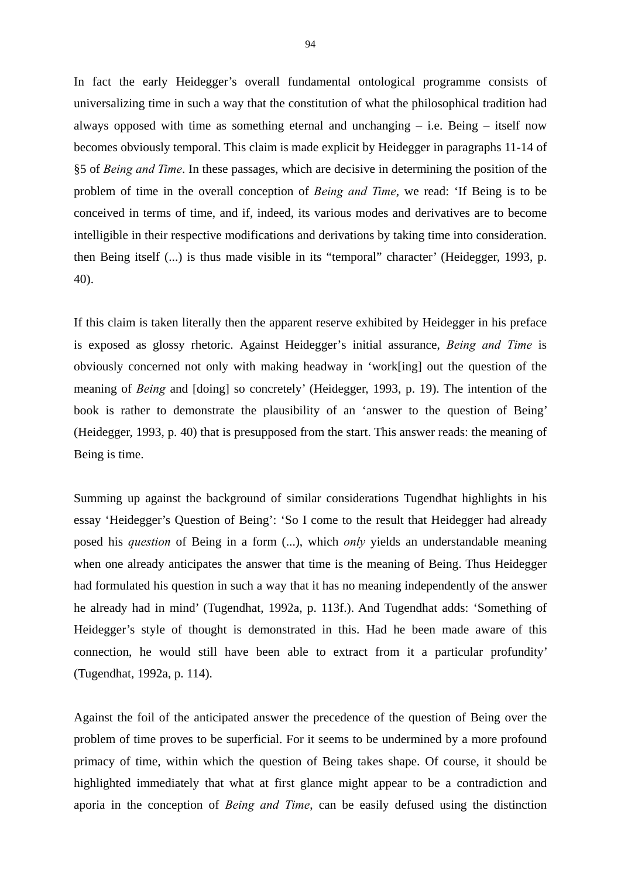In fact the early Heidegger's overall fundamental ontological programme consists of universalizing time in such a way that the constitution of what the philosophical tradition had always opposed with time as something eternal and unchanging – i.e. Being – itself now becomes obviously temporal. This claim is made explicit by Heidegger in paragraphs 11-14 of §5 of *Being and Time*. In these passages, which are decisive in determining the position of the problem of time in the overall conception of *Being and Time*, we read: 'If Being is to be conceived in terms of time, and if, indeed, its various modes and derivatives are to become intelligible in their respective modifications and derivations by taking time into consideration. then Being itself (...) is thus made visible in its "temporal" character' (Heidegger, 1993, p. 40).

If this claim is taken literally then the apparent reserve exhibited by Heidegger in his preface is exposed as glossy rhetoric. Against Heidegger's initial assurance, *Being and Time* is obviously concerned not only with making headway in 'work[ing] out the question of the meaning of *Being* and [doing] so concretely' (Heidegger, 1993, p. 19). The intention of the book is rather to demonstrate the plausibility of an 'answer to the question of Being' (Heidegger, 1993, p. 40) that is presupposed from the start. This answer reads: the meaning of Being is time.

Summing up against the background of similar considerations Tugendhat highlights in his essay 'Heidegger's Question of Being': 'So I come to the result that Heidegger had already posed his *question* of Being in a form (...), which *only* yields an understandable meaning when one already anticipates the answer that time is the meaning of Being. Thus Heidegger had formulated his question in such a way that it has no meaning independently of the answer he already had in mind' (Tugendhat, 1992a, p. 113f.). And Tugendhat adds: 'Something of Heidegger's style of thought is demonstrated in this. Had he been made aware of this connection, he would still have been able to extract from it a particular profundity' (Tugendhat, 1992a, p. 114).

Against the foil of the anticipated answer the precedence of the question of Being over the problem of time proves to be superficial. For it seems to be undermined by a more profound primacy of time, within which the question of Being takes shape. Of course, it should be highlighted immediately that what at first glance might appear to be a contradiction and aporia in the conception of *Being and Time*, can be easily defused using the distinction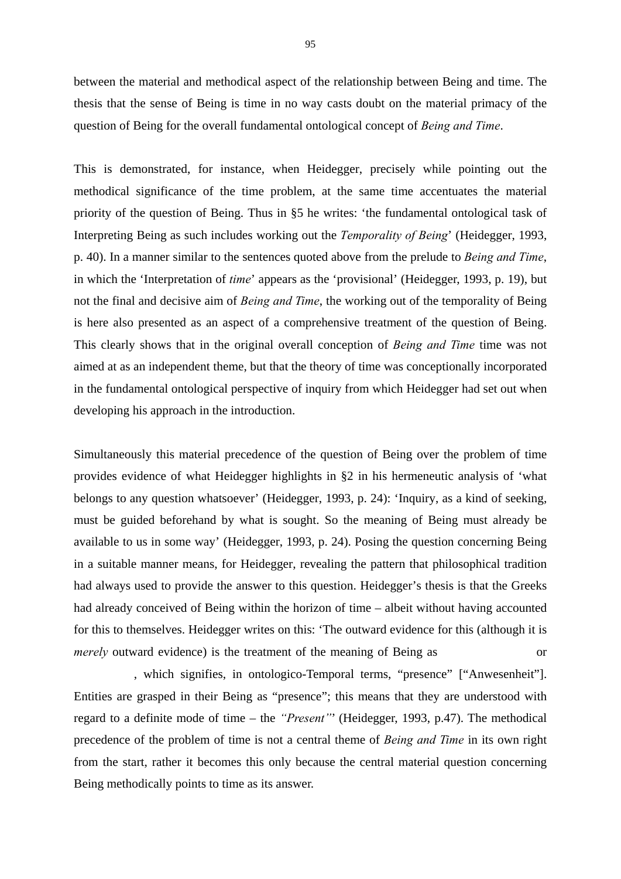between the material and methodical aspect of the relationship between Being and time. The thesis that the sense of Being is time in no way casts doubt on the material primacy of the question of Being for the overall fundamental ontological concept of *Being and Time*.

This is demonstrated, for instance, when Heidegger, precisely while pointing out the methodical significance of the time problem, at the same time accentuates the material priority of the question of Being. Thus in §5 he writes: 'the fundamental ontological task of Interpreting Being as such includes working out the *Temporality of Being*' (Heidegger, 1993, p. 40). In a manner similar to the sentences quoted above from the prelude to *Being and Time*, in which the 'Interpretation of *time*' appears as the 'provisional' (Heidegger, 1993, p. 19), but not the final and decisive aim of *Being and Time*, the working out of the temporality of Being is here also presented as an aspect of a comprehensive treatment of the question of Being. This clearly shows that in the original overall conception of *Being and Time* time was not aimed at as an independent theme, but that the theory of time was conceptionally incorporated in the fundamental ontological perspective of inquiry from which Heidegger had set out when developing his approach in the introduction.

Simultaneously this material precedence of the question of Being over the problem of time provides evidence of what Heidegger highlights in §2 in his hermeneutic analysis of 'what belongs to any question whatsoever' (Heidegger, 1993, p. 24): 'Inquiry, as a kind of seeking, must be guided beforehand by what is sought. So the meaning of Being must already be available to us in some way' (Heidegger, 1993, p. 24). Posing the question concerning Being in a suitable manner means, for Heidegger, revealing the pattern that philosophical tradition had always used to provide the answer to this question. Heidegger's thesis is that the Greeks had already conceived of Being within the horizon of time – albeit without having accounted for this to themselves. Heidegger writes on this: 'The outward evidence for this (although it is *merely* outward evidence) is the treatment of the meaning of Being as or

, which signifies, in ontologico-Temporal terms, "presence" ["Anwesenheit"]. Entities are grasped in their Being as "presence"; this means that they are understood with regard to a definite mode of time – the *"Present"*' (Heidegger, 1993, p.47). The methodical precedence of the problem of time is not a central theme of *Being and Time* in its own right from the start, rather it becomes this only because the central material question concerning Being methodically points to time as its answer.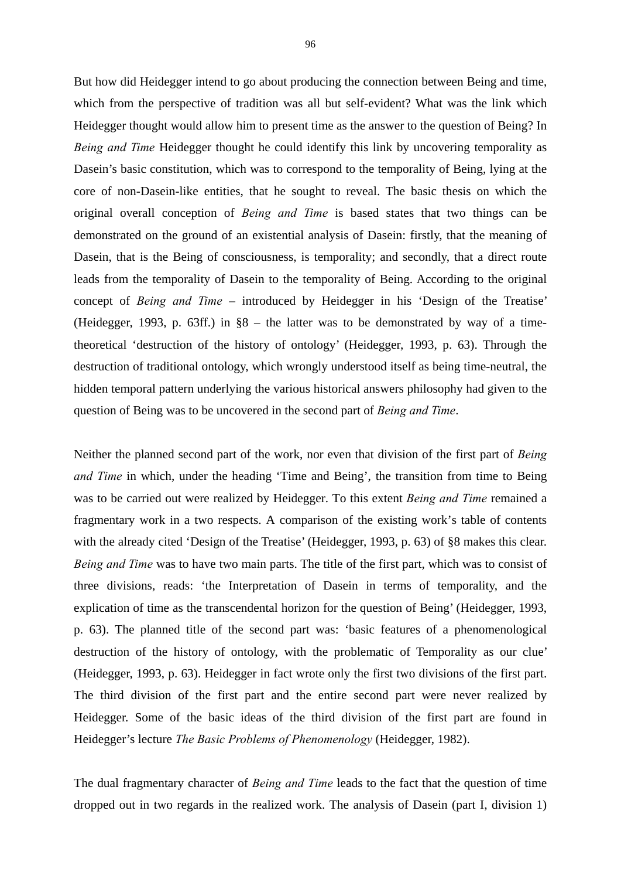But how did Heidegger intend to go about producing the connection between Being and time, which from the perspective of tradition was all but self-evident? What was the link which Heidegger thought would allow him to present time as the answer to the question of Being? In *Being and Time* Heidegger thought he could identify this link by uncovering temporality as Dasein's basic constitution, which was to correspond to the temporality of Being, lying at the core of non-Dasein-like entities, that he sought to reveal. The basic thesis on which the original overall conception of *Being and Time* is based states that two things can be demonstrated on the ground of an existential analysis of Dasein: firstly, that the meaning of Dasein, that is the Being of consciousness, is temporality; and secondly, that a direct route leads from the temporality of Dasein to the temporality of Being. According to the original concept of *Being and Time* – introduced by Heidegger in his 'Design of the Treatise' (Heidegger, 1993, p. 63ff.) in §8 – the latter was to be demonstrated by way of a timetheoretical 'destruction of the history of ontology' (Heidegger, 1993, p. 63). Through the destruction of traditional ontology, which wrongly understood itself as being time-neutral, the hidden temporal pattern underlying the various historical answers philosophy had given to the question of Being was to be uncovered in the second part of *Being and Time*.

Neither the planned second part of the work, nor even that division of the first part of *Being and Time* in which, under the heading 'Time and Being', the transition from time to Being was to be carried out were realized by Heidegger. To this extent *Being and Time* remained a fragmentary work in a two respects. A comparison of the existing work's table of contents with the already cited 'Design of the Treatise' (Heidegger, 1993, p. 63) of §8 makes this clear. *Being and Time* was to have two main parts. The title of the first part, which was to consist of three divisions, reads: 'the Interpretation of Dasein in terms of temporality, and the explication of time as the transcendental horizon for the question of Being' (Heidegger, 1993, p. 63). The planned title of the second part was: 'basic features of a phenomenological destruction of the history of ontology, with the problematic of Temporality as our clue' (Heidegger, 1993, p. 63). Heidegger in fact wrote only the first two divisions of the first part. The third division of the first part and the entire second part were never realized by Heidegger. Some of the basic ideas of the third division of the first part are found in Heidegger's lecture *The Basic Problems of Phenomenology* (Heidegger, 1982).

The dual fragmentary character of *Being and Time* leads to the fact that the question of time dropped out in two regards in the realized work. The analysis of Dasein (part I, division 1)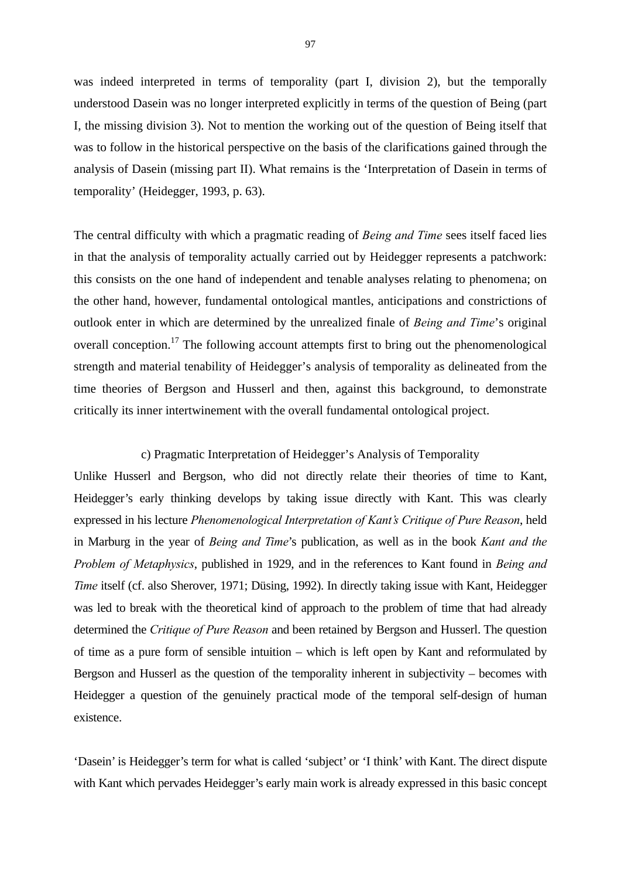was indeed interpreted in terms of temporality (part I, division 2), but the temporally understood Dasein was no longer interpreted explicitly in terms of the question of Being (part I, the missing division 3). Not to mention the working out of the question of Being itself that was to follow in the historical perspective on the basis of the clarifications gained through the analysis of Dasein (missing part II). What remains is the 'Interpretation of Dasein in terms of temporality' (Heidegger, 1993, p. 63).

The central difficulty with which a pragmatic reading of *Being and Time* sees itself faced lies in that the analysis of temporality actually carried out by Heidegger represents a patchwork: this consists on the one hand of independent and tenable analyses relating to phenomena; on the other hand, however, fundamental ontological mantles, anticipations and constrictions of outlook enter in which are determined by the unrealized finale of *Being and Time*'s original overall conception.<sup>17</sup> The following account attempts first to bring out the phenomenological strength and material tenability of Heidegger's analysis of temporality as delineated from the time theories of Bergson and Husserl and then, against this background, to demonstrate critically its inner intertwinement with the overall fundamental ontological project.

#### c) Pragmatic Interpretation of Heidegger's Analysis of Temporality

Unlike Husserl and Bergson, who did not directly relate their theories of time to Kant, Heidegger's early thinking develops by taking issue directly with Kant. This was clearly expressed in his lecture *Phenomenological Interpretation of Kant's Critique of Pure Reason*, held in Marburg in the year of *Being and Time*'s publication, as well as in the book *Kant and the Problem of Metaphysics*, published in 1929, and in the references to Kant found in *Being and Time* itself (cf. also Sherover, 1971; Düsing, 1992). In directly taking issue with Kant, Heidegger was led to break with the theoretical kind of approach to the problem of time that had already determined the *Critique of Pure Reason* and been retained by Bergson and Husserl. The question of time as a pure form of sensible intuition – which is left open by Kant and reformulated by Bergson and Husserl as the question of the temporality inherent in subjectivity – becomes with Heidegger a question of the genuinely practical mode of the temporal self-design of human existence.

'Dasein' is Heidegger's term for what is called 'subject' or 'I think' with Kant. The direct dispute with Kant which pervades Heidegger's early main work is already expressed in this basic concept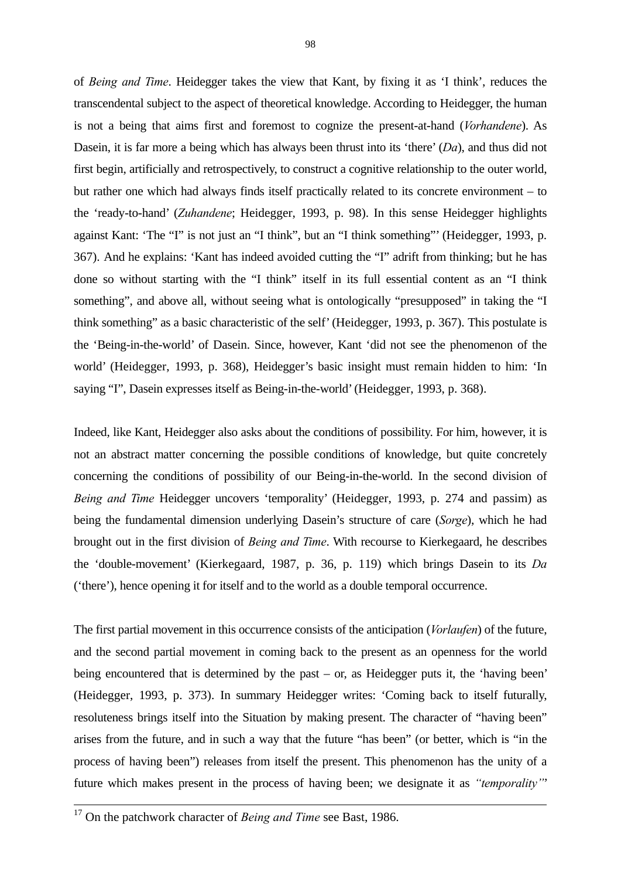of *Being and Time*. Heidegger takes the view that Kant, by fixing it as 'I think', reduces the transcendental subject to the aspect of theoretical knowledge. According to Heidegger, the human is not a being that aims first and foremost to cognize the present-at-hand (*Vorhandene*). As Dasein, it is far more a being which has always been thrust into its 'there' (*Da*), and thus did not first begin, artificially and retrospectively, to construct a cognitive relationship to the outer world, but rather one which had always finds itself practically related to its concrete environment – to the 'ready-to-hand' (*Zuhandene*; Heidegger, 1993, p. 98). In this sense Heidegger highlights against Kant: 'The "I" is not just an "I think", but an "I think something"' (Heidegger, 1993, p. 367). And he explains: 'Kant has indeed avoided cutting the "I" adrift from thinking; but he has done so without starting with the "I think" itself in its full essential content as an "I think something", and above all, without seeing what is ontologically "presupposed" in taking the "I think something" as a basic characteristic of the self' (Heidegger, 1993, p. 367). This postulate is the 'Being-in-the-world' of Dasein. Since, however, Kant 'did not see the phenomenon of the world' (Heidegger, 1993, p. 368), Heidegger's basic insight must remain hidden to him: 'In saying "I", Dasein expresses itself as Being-in-the-world' (Heidegger, 1993, p. 368).

Indeed, like Kant, Heidegger also asks about the conditions of possibility. For him, however, it is not an abstract matter concerning the possible conditions of knowledge, but quite concretely concerning the conditions of possibility of our Being-in-the-world. In the second division of *Being and Time* Heidegger uncovers 'temporality' (Heidegger, 1993, p. 274 and passim) as being the fundamental dimension underlying Dasein's structure of care (*Sorge*), which he had brought out in the first division of *Being and Time*. With recourse to Kierkegaard, he describes the 'double-movement' (Kierkegaard, 1987, p. 36, p. 119) which brings Dasein to its *Da* ('there'), hence opening it for itself and to the world as a double temporal occurrence.

The first partial movement in this occurrence consists of the anticipation (*Vorlaufen*) of the future, and the second partial movement in coming back to the present as an openness for the world being encountered that is determined by the past – or, as Heidegger puts it, the 'having been' (Heidegger, 1993, p. 373). In summary Heidegger writes: 'Coming back to itself futurally, resoluteness brings itself into the Situation by making present. The character of "having been" arises from the future, and in such a way that the future "has been" (or better, which is "in the process of having been") releases from itself the present. This phenomenon has the unity of a future which makes present in the process of having been; we designate it as *"temporality"*'

<sup>&</sup>lt;sup>17</sup> On the patchwork character of *Being and Time* see Bast, 1986.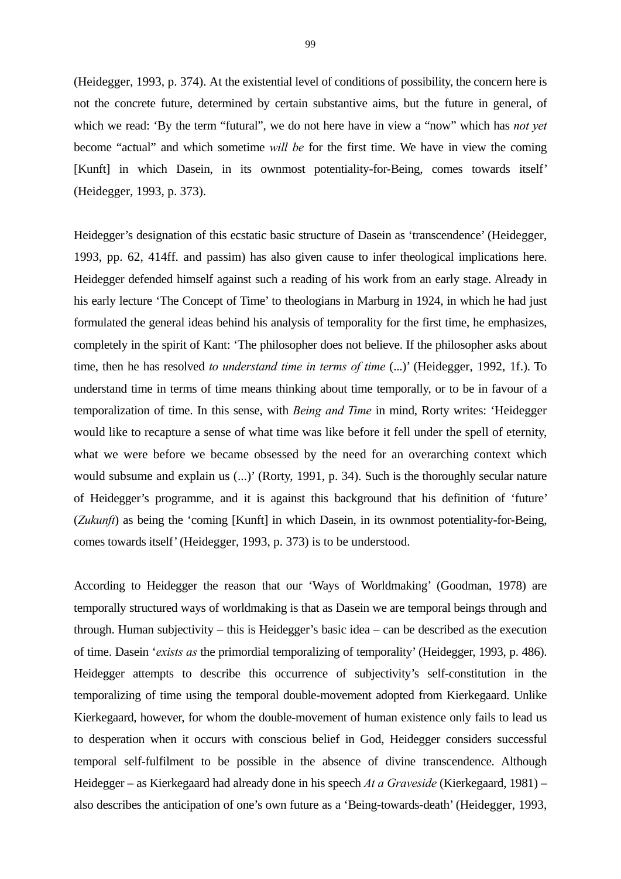(Heidegger, 1993, p. 374). At the existential level of conditions of possibility, the concern here is not the concrete future, determined by certain substantive aims, but the future in general, of which we read: 'By the term "futural", we do not here have in view a "now" which has *not yet* become "actual" and which sometime *will be* for the first time. We have in view the coming [Kunft] in which Dasein, in its ownmost potentiality-for-Being, comes towards itself' (Heidegger, 1993, p. 373).

Heidegger's designation of this ecstatic basic structure of Dasein as 'transcendence' (Heidegger, 1993, pp. 62, 414ff. and passim) has also given cause to infer theological implications here. Heidegger defended himself against such a reading of his work from an early stage. Already in his early lecture 'The Concept of Time' to theologians in Marburg in 1924, in which he had just formulated the general ideas behind his analysis of temporality for the first time, he emphasizes, completely in the spirit of Kant: 'The philosopher does not believe. If the philosopher asks about time, then he has resolved *to understand time in terms of time* (...)' (Heidegger, 1992, 1f.). To understand time in terms of time means thinking about time temporally, or to be in favour of a temporalization of time. In this sense, with *Being and Time* in mind, Rorty writes: 'Heidegger would like to recapture a sense of what time was like before it fell under the spell of eternity, what we were before we became obsessed by the need for an overarching context which would subsume and explain us (...)' (Rorty, 1991, p. 34). Such is the thoroughly secular nature of Heidegger's programme, and it is against this background that his definition of 'future' (*Zukunft*) as being the 'coming [Kunft] in which Dasein, in its ownmost potentiality-for-Being, comes towards itself' (Heidegger, 1993, p. 373) is to be understood.

According to Heidegger the reason that our 'Ways of Worldmaking' (Goodman, 1978) are temporally structured ways of worldmaking is that as Dasein we are temporal beings through and through. Human subjectivity – this is Heidegger's basic idea – can be described as the execution of time. Dasein '*exists as* the primordial temporalizing of temporality' (Heidegger, 1993, p. 486). Heidegger attempts to describe this occurrence of subjectivity's self-constitution in the temporalizing of time using the temporal double-movement adopted from Kierkegaard. Unlike Kierkegaard, however, for whom the double-movement of human existence only fails to lead us to desperation when it occurs with conscious belief in God, Heidegger considers successful temporal self-fulfilment to be possible in the absence of divine transcendence. Although Heidegger – as Kierkegaard had already done in his speech *At a Graveside* (Kierkegaard, 1981) – also describes the anticipation of one's own future as a 'Being-towards-death' (Heidegger, 1993,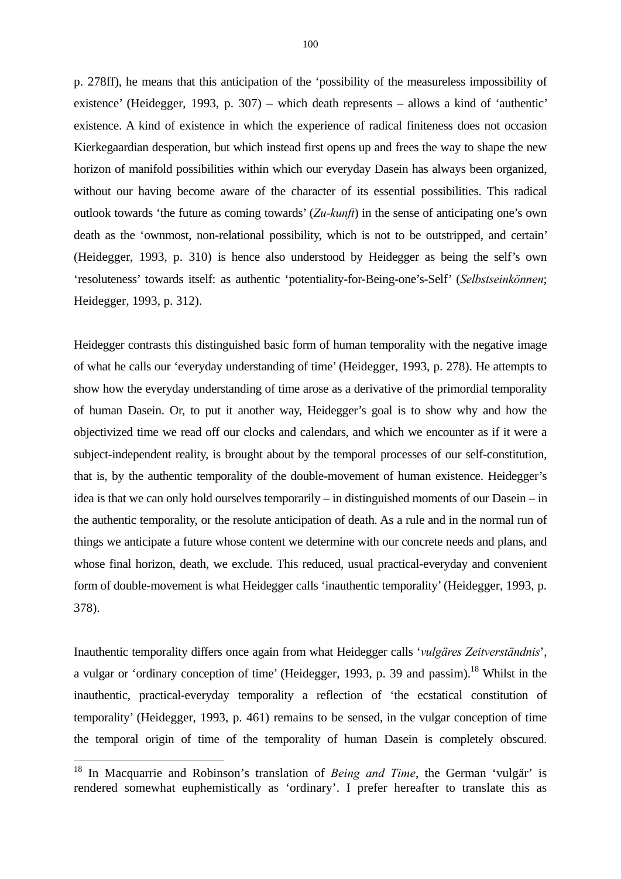p. 278ff), he means that this anticipation of the 'possibility of the measureless impossibility of existence' (Heidegger, 1993, p. 307) – which death represents – allows a kind of 'authentic' existence. A kind of existence in which the experience of radical finiteness does not occasion Kierkegaardian desperation, but which instead first opens up and frees the way to shape the new horizon of manifold possibilities within which our everyday Dasein has always been organized, without our having become aware of the character of its essential possibilities. This radical outlook towards 'the future as coming towards' (*Zu-kunft*) in the sense of anticipating one's own death as the 'ownmost, non-relational possibility, which is not to be outstripped, and certain' (Heidegger, 1993, p. 310) is hence also understood by Heidegger as being the self's own 'resoluteness' towards itself: as authentic 'potentiality-for-Being-one's-Self' (*Selbstseinkönnen*; Heidegger, 1993, p. 312).

Heidegger contrasts this distinguished basic form of human temporality with the negative image of what he calls our 'everyday understanding of time' (Heidegger, 1993, p. 278). He attempts to show how the everyday understanding of time arose as a derivative of the primordial temporality of human Dasein. Or, to put it another way, Heidegger's goal is to show why and how the objectivized time we read off our clocks and calendars, and which we encounter as if it were a subject-independent reality, is brought about by the temporal processes of our self-constitution, that is, by the authentic temporality of the double-movement of human existence. Heidegger's idea is that we can only hold ourselves temporarily – in distinguished moments of our Dasein – in the authentic temporality, or the resolute anticipation of death. As a rule and in the normal run of things we anticipate a future whose content we determine with our concrete needs and plans, and whose final horizon, death, we exclude. This reduced, usual practical-everyday and convenient form of double-movement is what Heidegger calls 'inauthentic temporality' (Heidegger, 1993, p. 378).

Inauthentic temporality differs once again from what Heidegger calls '*vulgäres Zeitverständnis*', a vulgar or 'ordinary conception of time' (Heidegger, 1993, p. 39 and passim).<sup>18</sup> Whilst in the inauthentic, practical-everyday temporality a reflection of 'the ecstatical constitution of temporality' (Heidegger, 1993, p. 461) remains to be sensed, in the vulgar conception of time the temporal origin of time of the temporality of human Dasein is completely obscured.

1

<sup>18</sup> In Macquarrie and Robinson's translation of *Being and Time*, the German 'vulgär' is rendered somewhat euphemistically as 'ordinary'. I prefer hereafter to translate this as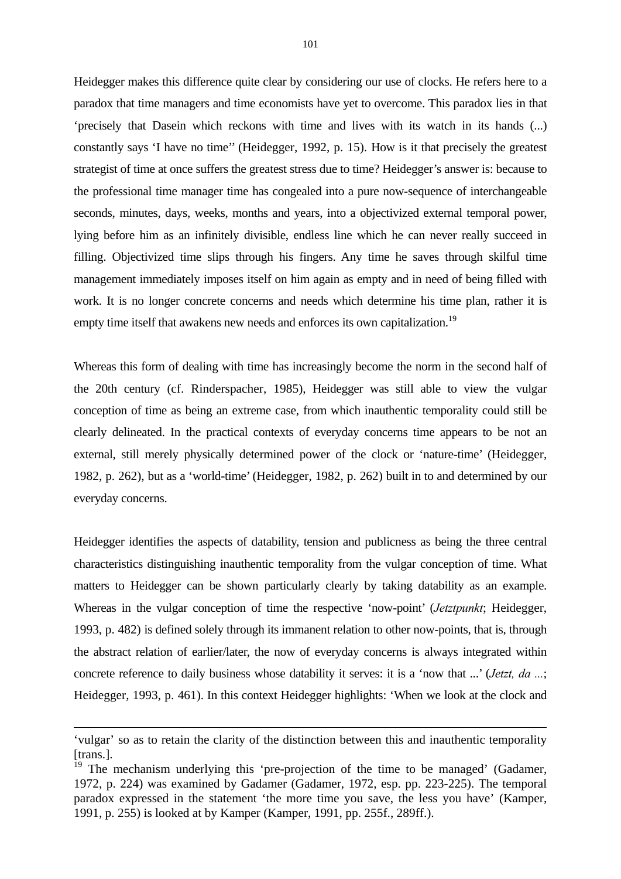Heidegger makes this difference quite clear by considering our use of clocks. He refers here to a paradox that time managers and time economists have yet to overcome. This paradox lies in that 'precisely that Dasein which reckons with time and lives with its watch in its hands (...) constantly says 'I have no time'' (Heidegger, 1992, p. 15). How is it that precisely the greatest strategist of time at once suffers the greatest stress due to time? Heidegger's answer is: because to the professional time manager time has congealed into a pure now-sequence of interchangeable seconds, minutes, days, weeks, months and years, into a objectivized external temporal power, lying before him as an infinitely divisible, endless line which he can never really succeed in filling. Objectivized time slips through his fingers. Any time he saves through skilful time management immediately imposes itself on him again as empty and in need of being filled with work. It is no longer concrete concerns and needs which determine his time plan, rather it is empty time itself that awakens new needs and enforces its own capitalization.<sup>19</sup>

Whereas this form of dealing with time has increasingly become the norm in the second half of the 20th century (cf. Rinderspacher, 1985), Heidegger was still able to view the vulgar conception of time as being an extreme case, from which inauthentic temporality could still be clearly delineated. In the practical contexts of everyday concerns time appears to be not an external, still merely physically determined power of the clock or 'nature-time' (Heidegger, 1982, p. 262), but as a 'world-time' (Heidegger, 1982, p. 262) built in to and determined by our everyday concerns.

Heidegger identifies the aspects of datability, tension and publicness as being the three central characteristics distinguishing inauthentic temporality from the vulgar conception of time. What matters to Heidegger can be shown particularly clearly by taking datability as an example. Whereas in the vulgar conception of time the respective 'now-point' (*Jetztpunkt*; Heidegger, 1993, p. 482) is defined solely through its immanent relation to other now-points, that is, through the abstract relation of earlier/later, the now of everyday concerns is always integrated within concrete reference to daily business whose datability it serves: it is a 'now that ...' (*Jetzt, da ...*; Heidegger, 1993, p. 461). In this context Heidegger highlights: 'When we look at the clock and

1

<sup>&#</sup>x27;vulgar' so as to retain the clarity of the distinction between this and inauthentic temporality [trans.].

<sup>&</sup>lt;sup>19</sup> The mechanism underlying this 'pre-projection of the time to be managed' (Gadamer, 1972, p. 224) was examined by Gadamer (Gadamer, 1972, esp. pp. 223-225). The temporal paradox expressed in the statement 'the more time you save, the less you have' (Kamper, 1991, p. 255) is looked at by Kamper (Kamper, 1991, pp. 255f., 289ff.).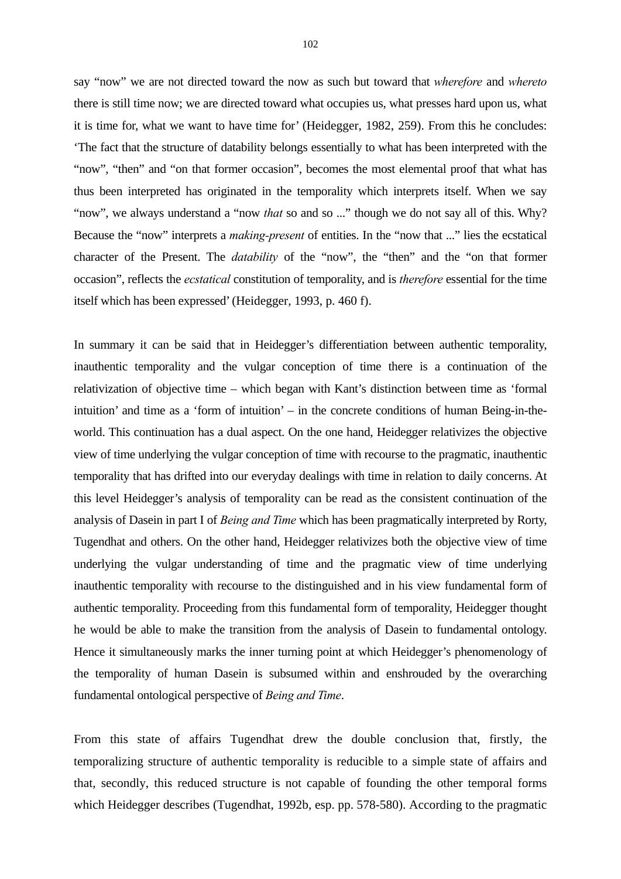say "now" we are not directed toward the now as such but toward that *wherefore* and *whereto* there is still time now; we are directed toward what occupies us, what presses hard upon us, what it is time for, what we want to have time for' (Heidegger, 1982, 259). From this he concludes: 'The fact that the structure of datability belongs essentially to what has been interpreted with the "now", "then" and "on that former occasion", becomes the most elemental proof that what has thus been interpreted has originated in the temporality which interprets itself. When we say "now", we always understand a "now *that* so and so ..." though we do not say all of this. Why? Because the "now" interprets a *making-present* of entities. In the "now that ..." lies the ecstatical character of the Present. The *datability* of the "now", the "then" and the "on that former occasion", reflects the *ecstatical* constitution of temporality, and is *therefore* essential for the time itself which has been expressed' (Heidegger, 1993, p. 460 f).

In summary it can be said that in Heidegger's differentiation between authentic temporality, inauthentic temporality and the vulgar conception of time there is a continuation of the relativization of objective time – which began with Kant's distinction between time as 'formal intuition' and time as a 'form of intuition' – in the concrete conditions of human Being-in-theworld. This continuation has a dual aspect. On the one hand, Heidegger relativizes the objective view of time underlying the vulgar conception of time with recourse to the pragmatic, inauthentic temporality that has drifted into our everyday dealings with time in relation to daily concerns. At this level Heidegger's analysis of temporality can be read as the consistent continuation of the analysis of Dasein in part I of *Being and Time* which has been pragmatically interpreted by Rorty, Tugendhat and others. On the other hand, Heidegger relativizes both the objective view of time underlying the vulgar understanding of time and the pragmatic view of time underlying inauthentic temporality with recourse to the distinguished and in his view fundamental form of authentic temporality. Proceeding from this fundamental form of temporality, Heidegger thought he would be able to make the transition from the analysis of Dasein to fundamental ontology. Hence it simultaneously marks the inner turning point at which Heidegger's phenomenology of the temporality of human Dasein is subsumed within and enshrouded by the overarching fundamental ontological perspective of *Being and Time*.

From this state of affairs Tugendhat drew the double conclusion that, firstly, the temporalizing structure of authentic temporality is reducible to a simple state of affairs and that, secondly, this reduced structure is not capable of founding the other temporal forms which Heidegger describes (Tugendhat, 1992b, esp. pp. 578-580). According to the pragmatic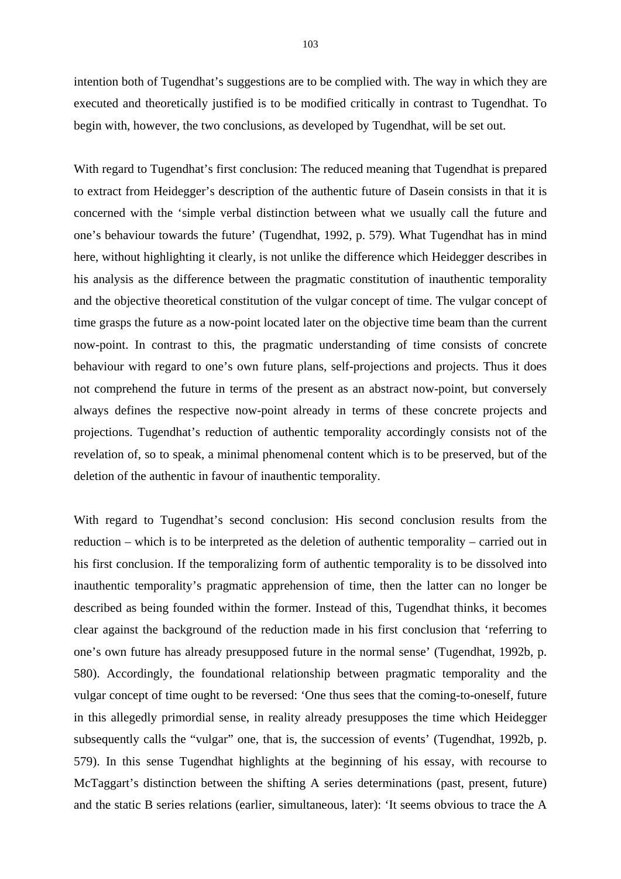intention both of Tugendhat's suggestions are to be complied with. The way in which they are executed and theoretically justified is to be modified critically in contrast to Tugendhat. To begin with, however, the two conclusions, as developed by Tugendhat, will be set out.

With regard to Tugendhat's first conclusion: The reduced meaning that Tugendhat is prepared to extract from Heidegger's description of the authentic future of Dasein consists in that it is concerned with the 'simple verbal distinction between what we usually call the future and one's behaviour towards the future' (Tugendhat, 1992, p. 579). What Tugendhat has in mind here, without highlighting it clearly, is not unlike the difference which Heidegger describes in his analysis as the difference between the pragmatic constitution of inauthentic temporality and the objective theoretical constitution of the vulgar concept of time. The vulgar concept of time grasps the future as a now-point located later on the objective time beam than the current now-point. In contrast to this, the pragmatic understanding of time consists of concrete behaviour with regard to one's own future plans, self-projections and projects. Thus it does not comprehend the future in terms of the present as an abstract now-point, but conversely always defines the respective now-point already in terms of these concrete projects and projections. Tugendhat's reduction of authentic temporality accordingly consists not of the revelation of, so to speak, a minimal phenomenal content which is to be preserved, but of the deletion of the authentic in favour of inauthentic temporality.

With regard to Tugendhat's second conclusion: His second conclusion results from the reduction – which is to be interpreted as the deletion of authentic temporality – carried out in his first conclusion. If the temporalizing form of authentic temporality is to be dissolved into inauthentic temporality's pragmatic apprehension of time, then the latter can no longer be described as being founded within the former. Instead of this, Tugendhat thinks, it becomes clear against the background of the reduction made in his first conclusion that 'referring to one's own future has already presupposed future in the normal sense' (Tugendhat, 1992b, p. 580). Accordingly, the foundational relationship between pragmatic temporality and the vulgar concept of time ought to be reversed: 'One thus sees that the coming-to-oneself, future in this allegedly primordial sense, in reality already presupposes the time which Heidegger subsequently calls the "vulgar" one, that is, the succession of events' (Tugendhat, 1992b, p. 579). In this sense Tugendhat highlights at the beginning of his essay, with recourse to McTaggart's distinction between the shifting A series determinations (past, present, future) and the static B series relations (earlier, simultaneous, later): 'It seems obvious to trace the A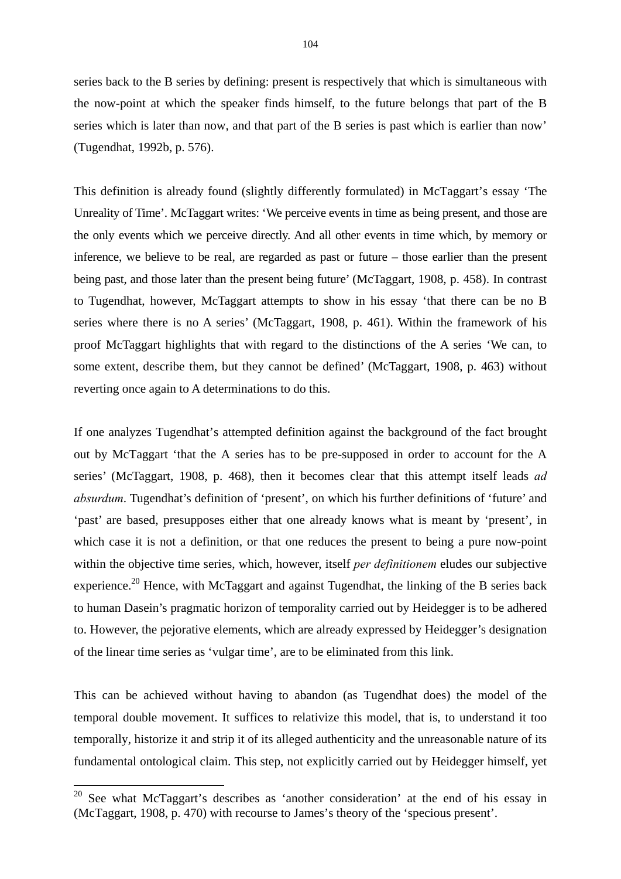series back to the B series by defining: present is respectively that which is simultaneous with the now-point at which the speaker finds himself, to the future belongs that part of the B series which is later than now, and that part of the B series is past which is earlier than now' (Tugendhat, 1992b, p. 576).

This definition is already found (slightly differently formulated) in McTaggart's essay 'The Unreality of Time'. McTaggart writes: 'We perceive events in time as being present, and those are the only events which we perceive directly. And all other events in time which, by memory or inference, we believe to be real, are regarded as past or future – those earlier than the present being past, and those later than the present being future' (McTaggart, 1908, p. 458). In contrast to Tugendhat, however, McTaggart attempts to show in his essay 'that there can be no B series where there is no A series' (McTaggart, 1908, p. 461). Within the framework of his proof McTaggart highlights that with regard to the distinctions of the A series 'We can, to some extent, describe them, but they cannot be defined' (McTaggart, 1908, p. 463) without reverting once again to A determinations to do this.

If one analyzes Tugendhat's attempted definition against the background of the fact brought out by McTaggart 'that the A series has to be pre-supposed in order to account for the A series' (McTaggart, 1908, p. 468), then it becomes clear that this attempt itself leads *ad absurdum*. Tugendhat's definition of 'present', on which his further definitions of 'future' and 'past' are based, presupposes either that one already knows what is meant by 'present', in which case it is not a definition, or that one reduces the present to being a pure now-point within the objective time series, which, however, itself *per definitionem* eludes our subjective experience.<sup>20</sup> Hence, with McTaggart and against Tugendhat, the linking of the B series back to human Dasein's pragmatic horizon of temporality carried out by Heidegger is to be adhered to. However, the pejorative elements, which are already expressed by Heidegger's designation of the linear time series as 'vulgar time', are to be eliminated from this link.

This can be achieved without having to abandon (as Tugendhat does) the model of the temporal double movement. It suffices to relativize this model, that is, to understand it too temporally, historize it and strip it of its alleged authenticity and the unreasonable nature of its fundamental ontological claim. This step, not explicitly carried out by Heidegger himself, yet

-

 $20$  See what McTaggart's describes as 'another consideration' at the end of his essay in (McTaggart, 1908, p. 470) with recourse to James's theory of the 'specious present'.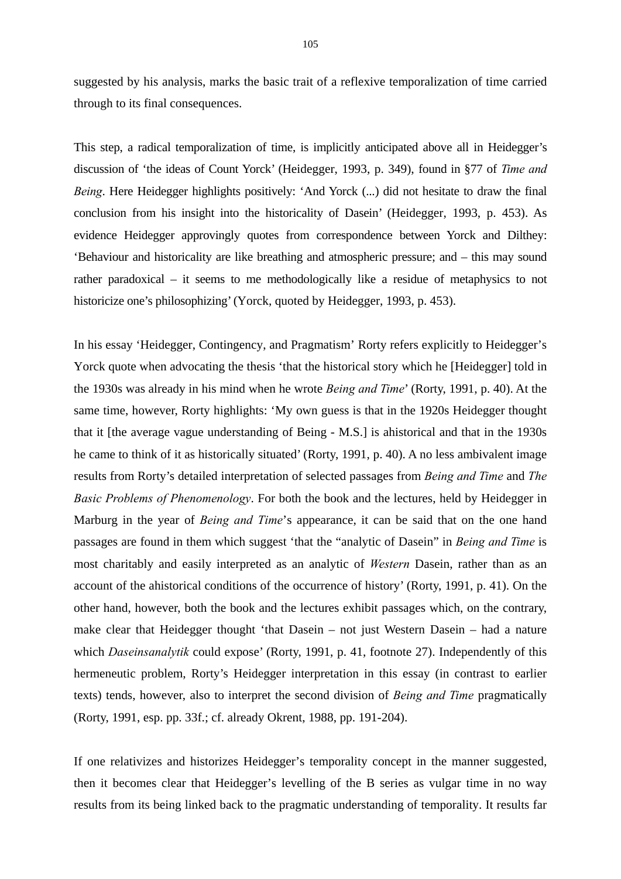suggested by his analysis, marks the basic trait of a reflexive temporalization of time carried through to its final consequences.

This step, a radical temporalization of time, is implicitly anticipated above all in Heidegger's discussion of 'the ideas of Count Yorck' (Heidegger, 1993, p. 349), found in §77 of *Time and Being*. Here Heidegger highlights positively: 'And Yorck (...) did not hesitate to draw the final conclusion from his insight into the historicality of Dasein' (Heidegger, 1993, p. 453). As evidence Heidegger approvingly quotes from correspondence between Yorck and Dilthey: 'Behaviour and historicality are like breathing and atmospheric pressure; and – this may sound rather paradoxical – it seems to me methodologically like a residue of metaphysics to not historicize one's philosophizing' (Yorck, quoted by Heidegger, 1993, p. 453).

In his essay 'Heidegger, Contingency, and Pragmatism' Rorty refers explicitly to Heidegger's Yorck quote when advocating the thesis 'that the historical story which he [Heidegger] told in the 1930s was already in his mind when he wrote *Being and Time*' (Rorty, 1991, p. 40). At the same time, however, Rorty highlights: 'My own guess is that in the 1920s Heidegger thought that it [the average vague understanding of Being - M.S.] is ahistorical and that in the 1930s he came to think of it as historically situated' (Rorty, 1991, p. 40). A no less ambivalent image results from Rorty's detailed interpretation of selected passages from *Being and Time* and *The Basic Problems of Phenomenology*. For both the book and the lectures, held by Heidegger in Marburg in the year of *Being and Time*'s appearance, it can be said that on the one hand passages are found in them which suggest 'that the "analytic of Dasein" in *Being and Time* is most charitably and easily interpreted as an analytic of *Western* Dasein, rather than as an account of the ahistorical conditions of the occurrence of history' (Rorty, 1991, p. 41). On the other hand, however, both the book and the lectures exhibit passages which, on the contrary, make clear that Heidegger thought 'that Dasein – not just Western Dasein – had a nature which *Daseinsanalytik* could expose' (Rorty, 1991, p. 41, footnote 27). Independently of this hermeneutic problem, Rorty's Heidegger interpretation in this essay (in contrast to earlier texts) tends, however, also to interpret the second division of *Being and Time* pragmatically (Rorty, 1991, esp. pp. 33f.; cf. already Okrent, 1988, pp. 191-204).

If one relativizes and historizes Heidegger's temporality concept in the manner suggested, then it becomes clear that Heidegger's levelling of the B series as vulgar time in no way results from its being linked back to the pragmatic understanding of temporality. It results far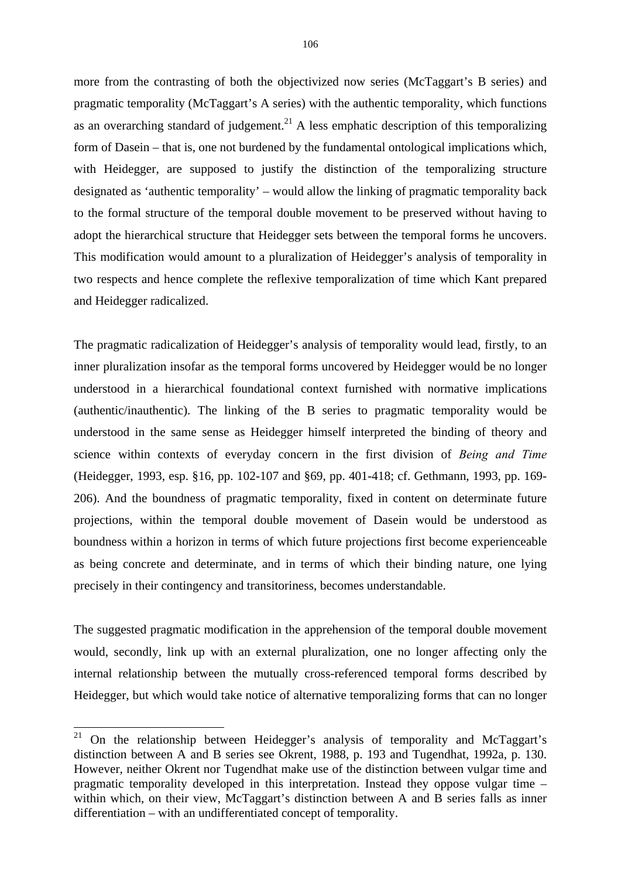more from the contrasting of both the objectivized now series (McTaggart's B series) and pragmatic temporality (McTaggart's A series) with the authentic temporality, which functions as an overarching standard of judgement.<sup>21</sup> A less emphatic description of this temporalizing form of Dasein – that is, one not burdened by the fundamental ontological implications which, with Heidegger, are supposed to justify the distinction of the temporalizing structure designated as 'authentic temporality' – would allow the linking of pragmatic temporality back to the formal structure of the temporal double movement to be preserved without having to adopt the hierarchical structure that Heidegger sets between the temporal forms he uncovers. This modification would amount to a pluralization of Heidegger's analysis of temporality in two respects and hence complete the reflexive temporalization of time which Kant prepared and Heidegger radicalized.

The pragmatic radicalization of Heidegger's analysis of temporality would lead, firstly, to an inner pluralization insofar as the temporal forms uncovered by Heidegger would be no longer understood in a hierarchical foundational context furnished with normative implications (authentic/inauthentic). The linking of the B series to pragmatic temporality would be understood in the same sense as Heidegger himself interpreted the binding of theory and science within contexts of everyday concern in the first division of *Being and Time* (Heidegger, 1993, esp. §16, pp. 102-107 and §69, pp. 401-418; cf. Gethmann, 1993, pp. 169- 206). And the boundness of pragmatic temporality, fixed in content on determinate future projections, within the temporal double movement of Dasein would be understood as boundness within a horizon in terms of which future projections first become experienceable as being concrete and determinate, and in terms of which their binding nature, one lying precisely in their contingency and transitoriness, becomes understandable.

The suggested pragmatic modification in the apprehension of the temporal double movement would, secondly, link up with an external pluralization, one no longer affecting only the internal relationship between the mutually cross-referenced temporal forms described by Heidegger, but which would take notice of alternative temporalizing forms that can no longer

1

<sup>&</sup>lt;sup>21</sup> On the relationship between Heidegger's analysis of temporality and McTaggart's distinction between A and B series see Okrent, 1988, p. 193 and Tugendhat, 1992a, p. 130. However, neither Okrent nor Tugendhat make use of the distinction between vulgar time and pragmatic temporality developed in this interpretation. Instead they oppose vulgar time – within which, on their view, McTaggart's distinction between A and B series falls as inner differentiation – with an undifferentiated concept of temporality.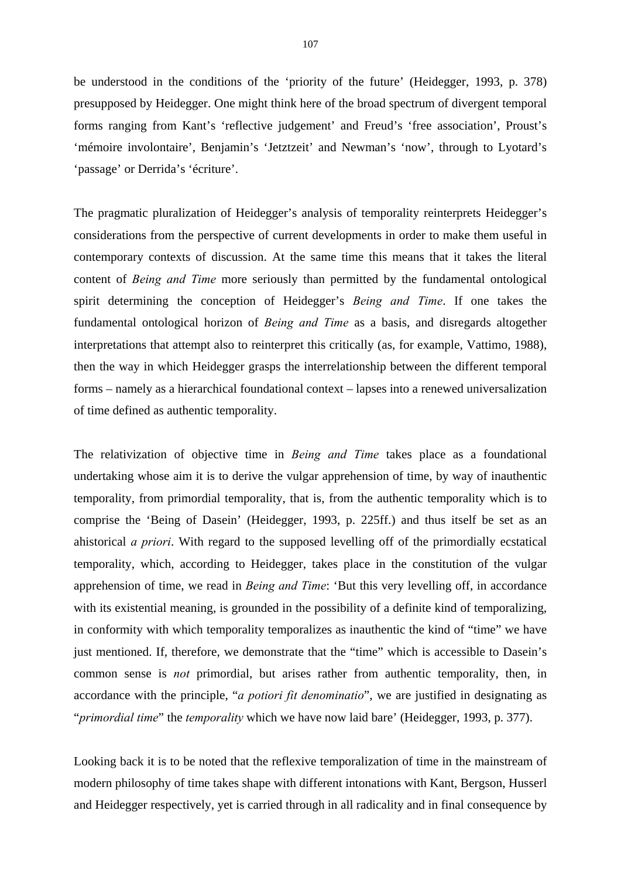be understood in the conditions of the 'priority of the future' (Heidegger, 1993, p. 378) presupposed by Heidegger. One might think here of the broad spectrum of divergent temporal forms ranging from Kant's 'reflective judgement' and Freud's 'free association', Proust's 'mémoire involontaire', Benjamin's 'Jetztzeit' and Newman's 'now', through to Lyotard's 'passage' or Derrida's 'écriture'.

The pragmatic pluralization of Heidegger's analysis of temporality reinterprets Heidegger's considerations from the perspective of current developments in order to make them useful in contemporary contexts of discussion. At the same time this means that it takes the literal content of *Being and Time* more seriously than permitted by the fundamental ontological spirit determining the conception of Heidegger's *Being and Time*. If one takes the fundamental ontological horizon of *Being and Time* as a basis, and disregards altogether interpretations that attempt also to reinterpret this critically (as, for example, Vattimo, 1988), then the way in which Heidegger grasps the interrelationship between the different temporal forms – namely as a hierarchical foundational context – lapses into a renewed universalization of time defined as authentic temporality.

The relativization of objective time in *Being and Time* takes place as a foundational undertaking whose aim it is to derive the vulgar apprehension of time, by way of inauthentic temporality, from primordial temporality, that is, from the authentic temporality which is to comprise the 'Being of Dasein' (Heidegger, 1993, p. 225ff.) and thus itself be set as an ahistorical *a priori*. With regard to the supposed levelling off of the primordially ecstatical temporality, which, according to Heidegger, takes place in the constitution of the vulgar apprehension of time, we read in *Being and Time*: 'But this very levelling off, in accordance with its existential meaning, is grounded in the possibility of a definite kind of temporalizing, in conformity with which temporality temporalizes as inauthentic the kind of "time" we have just mentioned. If, therefore, we demonstrate that the "time" which is accessible to Dasein's common sense is *not* primordial, but arises rather from authentic temporality, then, in accordance with the principle, "*a potiori fit denominatio*", we are justified in designating as "*primordial time*" the *temporality* which we have now laid bare' (Heidegger, 1993, p. 377).

Looking back it is to be noted that the reflexive temporalization of time in the mainstream of modern philosophy of time takes shape with different intonations with Kant, Bergson, Husserl and Heidegger respectively, yet is carried through in all radicality and in final consequence by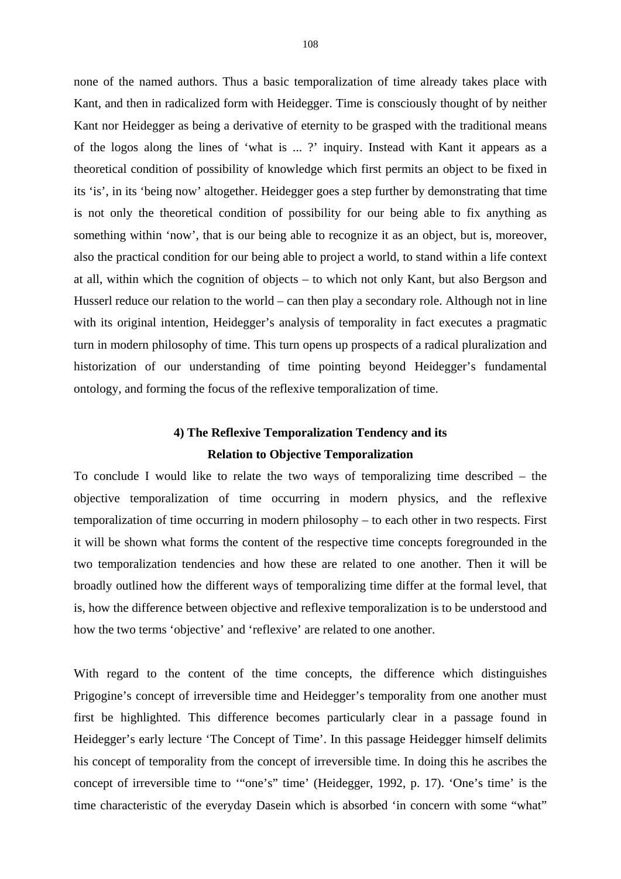none of the named authors. Thus a basic temporalization of time already takes place with Kant, and then in radicalized form with Heidegger. Time is consciously thought of by neither Kant nor Heidegger as being a derivative of eternity to be grasped with the traditional means of the logos along the lines of 'what is ... ?' inquiry. Instead with Kant it appears as a theoretical condition of possibility of knowledge which first permits an object to be fixed in its 'is', in its 'being now' altogether. Heidegger goes a step further by demonstrating that time is not only the theoretical condition of possibility for our being able to fix anything as something within 'now', that is our being able to recognize it as an object, but is, moreover, also the practical condition for our being able to project a world, to stand within a life context at all, within which the cognition of objects – to which not only Kant, but also Bergson and Husserl reduce our relation to the world – can then play a secondary role. Although not in line with its original intention, Heidegger's analysis of temporality in fact executes a pragmatic turn in modern philosophy of time. This turn opens up prospects of a radical pluralization and historization of our understanding of time pointing beyond Heidegger's fundamental ontology, and forming the focus of the reflexive temporalization of time.

# **4) The Reflexive Temporalization Tendency and its Relation to Objective Temporalization**

To conclude I would like to relate the two ways of temporalizing time described – the objective temporalization of time occurring in modern physics, and the reflexive temporalization of time occurring in modern philosophy – to each other in two respects. First it will be shown what forms the content of the respective time concepts foregrounded in the two temporalization tendencies and how these are related to one another. Then it will be broadly outlined how the different ways of temporalizing time differ at the formal level, that is, how the difference between objective and reflexive temporalization is to be understood and how the two terms 'objective' and 'reflexive' are related to one another.

With regard to the content of the time concepts, the difference which distinguishes Prigogine's concept of irreversible time and Heidegger's temporality from one another must first be highlighted. This difference becomes particularly clear in a passage found in Heidegger's early lecture 'The Concept of Time'. In this passage Heidegger himself delimits his concept of temporality from the concept of irreversible time. In doing this he ascribes the concept of irreversible time to '"one's" time' (Heidegger, 1992, p. 17). 'One's time' is the time characteristic of the everyday Dasein which is absorbed 'in concern with some "what"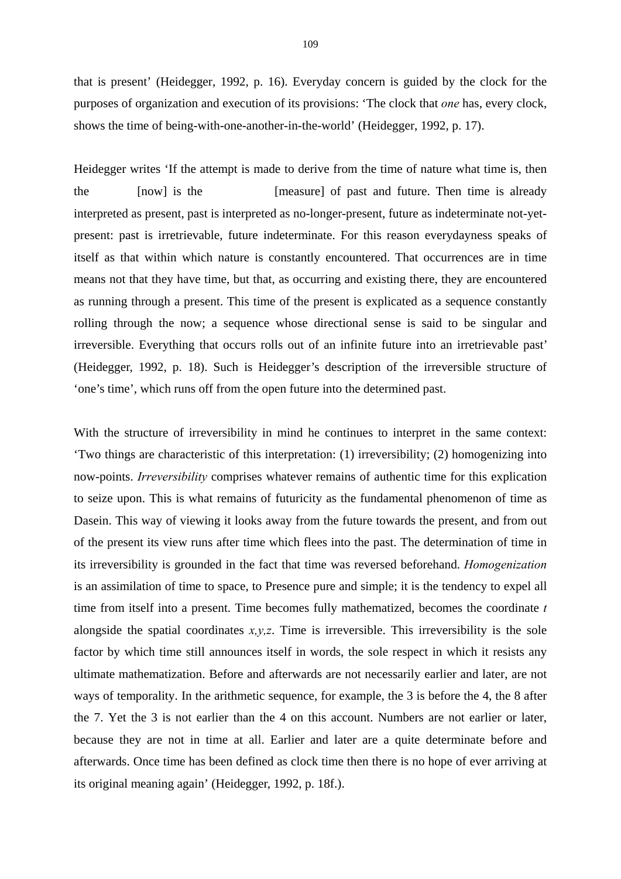that is present' (Heidegger, 1992, p. 16). Everyday concern is guided by the clock for the purposes of organization and execution of its provisions: 'The clock that *one* has, every clock, shows the time of being-with-one-another-in-the-world' (Heidegger, 1992, p. 17).

Heidegger writes 'If the attempt is made to derive from the time of nature what time is, then the [now] is the [measure] of past and future. Then time is already interpreted as present, past is interpreted as no-longer-present, future as indeterminate not-yetpresent: past is irretrievable, future indeterminate. For this reason everydayness speaks of itself as that within which nature is constantly encountered. That occurrences are in time means not that they have time, but that, as occurring and existing there, they are encountered as running through a present. This time of the present is explicated as a sequence constantly rolling through the now; a sequence whose directional sense is said to be singular and irreversible. Everything that occurs rolls out of an infinite future into an irretrievable past' (Heidegger, 1992, p. 18). Such is Heidegger's description of the irreversible structure of 'one's time', which runs off from the open future into the determined past.

With the structure of irreversibility in mind he continues to interpret in the same context: 'Two things are characteristic of this interpretation: (1) irreversibility; (2) homogenizing into now-points. *Irreversibility* comprises whatever remains of authentic time for this explication to seize upon. This is what remains of futuricity as the fundamental phenomenon of time as Dasein. This way of viewing it looks away from the future towards the present, and from out of the present its view runs after time which flees into the past. The determination of time in its irreversibility is grounded in the fact that time was reversed beforehand. *Homogenization* is an assimilation of time to space, to Presence pure and simple; it is the tendency to expel all time from itself into a present. Time becomes fully mathematized, becomes the coordinate *t* alongside the spatial coordinates  $x, y, z$ . Time is irreversible. This irreversibility is the sole factor by which time still announces itself in words, the sole respect in which it resists any ultimate mathematization. Before and afterwards are not necessarily earlier and later, are not ways of temporality. In the arithmetic sequence, for example, the 3 is before the 4, the 8 after the 7. Yet the 3 is not earlier than the 4 on this account. Numbers are not earlier or later, because they are not in time at all. Earlier and later are a quite determinate before and afterwards. Once time has been defined as clock time then there is no hope of ever arriving at its original meaning again' (Heidegger, 1992, p. 18f.).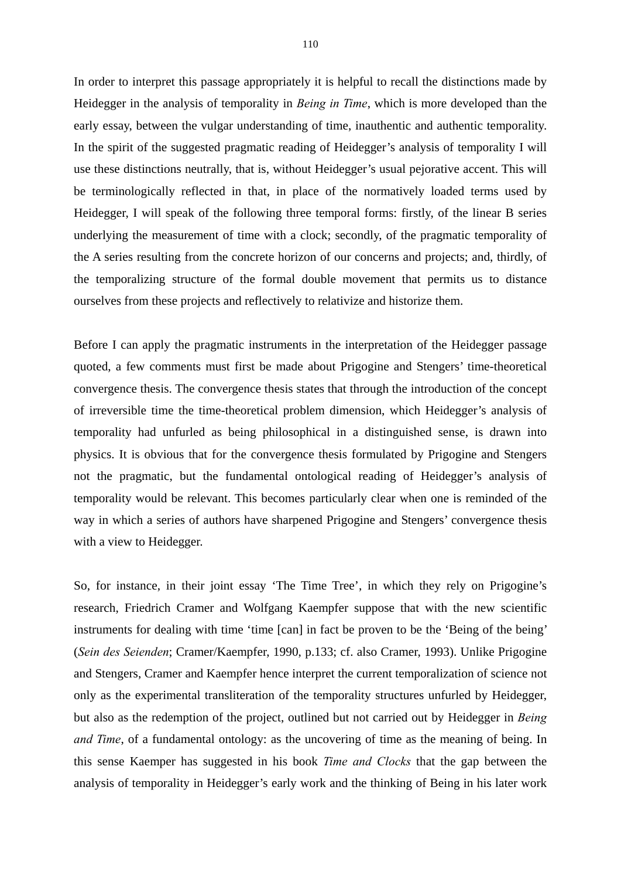In order to interpret this passage appropriately it is helpful to recall the distinctions made by Heidegger in the analysis of temporality in *Being in Time*, which is more developed than the early essay, between the vulgar understanding of time, inauthentic and authentic temporality. In the spirit of the suggested pragmatic reading of Heidegger's analysis of temporality I will use these distinctions neutrally, that is, without Heidegger's usual pejorative accent. This will be terminologically reflected in that, in place of the normatively loaded terms used by Heidegger, I will speak of the following three temporal forms: firstly, of the linear B series underlying the measurement of time with a clock; secondly, of the pragmatic temporality of the A series resulting from the concrete horizon of our concerns and projects; and, thirdly, of the temporalizing structure of the formal double movement that permits us to distance ourselves from these projects and reflectively to relativize and historize them.

Before I can apply the pragmatic instruments in the interpretation of the Heidegger passage quoted, a few comments must first be made about Prigogine and Stengers' time-theoretical convergence thesis. The convergence thesis states that through the introduction of the concept of irreversible time the time-theoretical problem dimension, which Heidegger's analysis of temporality had unfurled as being philosophical in a distinguished sense, is drawn into physics. It is obvious that for the convergence thesis formulated by Prigogine and Stengers not the pragmatic, but the fundamental ontological reading of Heidegger's analysis of temporality would be relevant. This becomes particularly clear when one is reminded of the way in which a series of authors have sharpened Prigogine and Stengers' convergence thesis with a view to Heidegger.

So, for instance, in their joint essay 'The Time Tree', in which they rely on Prigogine's research, Friedrich Cramer and Wolfgang Kaempfer suppose that with the new scientific instruments for dealing with time 'time [can] in fact be proven to be the 'Being of the being' (*Sein des Seienden*; Cramer/Kaempfer, 1990, p.133; cf. also Cramer, 1993). Unlike Prigogine and Stengers, Cramer and Kaempfer hence interpret the current temporalization of science not only as the experimental transliteration of the temporality structures unfurled by Heidegger, but also as the redemption of the project, outlined but not carried out by Heidegger in *Being and Time*, of a fundamental ontology: as the uncovering of time as the meaning of being. In this sense Kaemper has suggested in his book *Time and Clocks* that the gap between the analysis of temporality in Heidegger's early work and the thinking of Being in his later work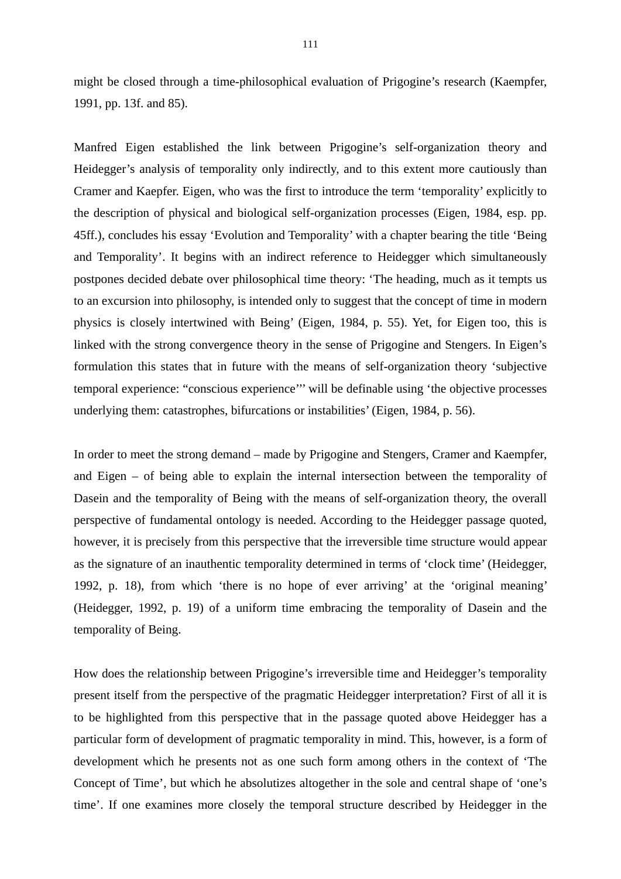might be closed through a time-philosophical evaluation of Prigogine's research (Kaempfer, 1991, pp. 13f. and 85).

Manfred Eigen established the link between Prigogine's self-organization theory and Heidegger's analysis of temporality only indirectly, and to this extent more cautiously than Cramer and Kaepfer. Eigen, who was the first to introduce the term 'temporality' explicitly to the description of physical and biological self-organization processes (Eigen, 1984, esp. pp. 45ff.), concludes his essay 'Evolution and Temporality' with a chapter bearing the title 'Being and Temporality'. It begins with an indirect reference to Heidegger which simultaneously postpones decided debate over philosophical time theory: 'The heading, much as it tempts us to an excursion into philosophy, is intended only to suggest that the concept of time in modern physics is closely intertwined with Being' (Eigen, 1984, p. 55). Yet, for Eigen too, this is linked with the strong convergence theory in the sense of Prigogine and Stengers. In Eigen's formulation this states that in future with the means of self-organization theory 'subjective temporal experience: "conscious experience''' will be definable using 'the objective processes underlying them: catastrophes, bifurcations or instabilities' (Eigen, 1984, p. 56).

In order to meet the strong demand – made by Prigogine and Stengers, Cramer and Kaempfer, and Eigen – of being able to explain the internal intersection between the temporality of Dasein and the temporality of Being with the means of self-organization theory, the overall perspective of fundamental ontology is needed. According to the Heidegger passage quoted, however, it is precisely from this perspective that the irreversible time structure would appear as the signature of an inauthentic temporality determined in terms of 'clock time' (Heidegger, 1992, p. 18), from which 'there is no hope of ever arriving' at the 'original meaning' (Heidegger, 1992, p. 19) of a uniform time embracing the temporality of Dasein and the temporality of Being.

How does the relationship between Prigogine's irreversible time and Heidegger's temporality present itself from the perspective of the pragmatic Heidegger interpretation? First of all it is to be highlighted from this perspective that in the passage quoted above Heidegger has a particular form of development of pragmatic temporality in mind. This, however, is a form of development which he presents not as one such form among others in the context of 'The Concept of Time', but which he absolutizes altogether in the sole and central shape of 'one's time'. If one examines more closely the temporal structure described by Heidegger in the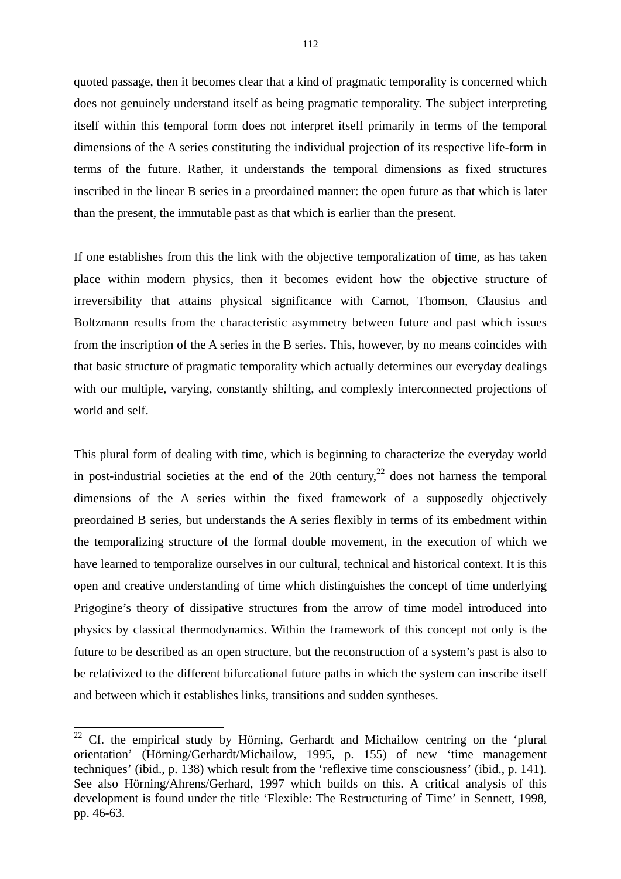quoted passage, then it becomes clear that a kind of pragmatic temporality is concerned which does not genuinely understand itself as being pragmatic temporality. The subject interpreting itself within this temporal form does not interpret itself primarily in terms of the temporal dimensions of the A series constituting the individual projection of its respective life-form in terms of the future. Rather, it understands the temporal dimensions as fixed structures inscribed in the linear B series in a preordained manner: the open future as that which is later than the present, the immutable past as that which is earlier than the present.

If one establishes from this the link with the objective temporalization of time, as has taken place within modern physics, then it becomes evident how the objective structure of irreversibility that attains physical significance with Carnot, Thomson, Clausius and Boltzmann results from the characteristic asymmetry between future and past which issues from the inscription of the A series in the B series. This, however, by no means coincides with that basic structure of pragmatic temporality which actually determines our everyday dealings with our multiple, varying, constantly shifting, and complexly interconnected projections of world and self.

This plural form of dealing with time, which is beginning to characterize the everyday world in post-industrial societies at the end of the 20th century,  $2^2$  does not harness the temporal dimensions of the A series within the fixed framework of a supposedly objectively preordained B series, but understands the A series flexibly in terms of its embedment within the temporalizing structure of the formal double movement, in the execution of which we have learned to temporalize ourselves in our cultural, technical and historical context. It is this open and creative understanding of time which distinguishes the concept of time underlying Prigogine's theory of dissipative structures from the arrow of time model introduced into physics by classical thermodynamics. Within the framework of this concept not only is the future to be described as an open structure, but the reconstruction of a system's past is also to be relativized to the different bifurcational future paths in which the system can inscribe itself and between which it establishes links, transitions and sudden syntheses.

1

 $22$  Cf. the empirical study by Hörning, Gerhardt and Michailow centring on the 'plural orientation' (Hörning/Gerhardt/Michailow, 1995, p. 155) of new 'time management techniques' (ibid., p. 138) which result from the 'reflexive time consciousness' (ibid., p. 141). See also Hörning/Ahrens/Gerhard, 1997 which builds on this. A critical analysis of this development is found under the title 'Flexible: The Restructuring of Time' in Sennett, 1998, pp. 46-63.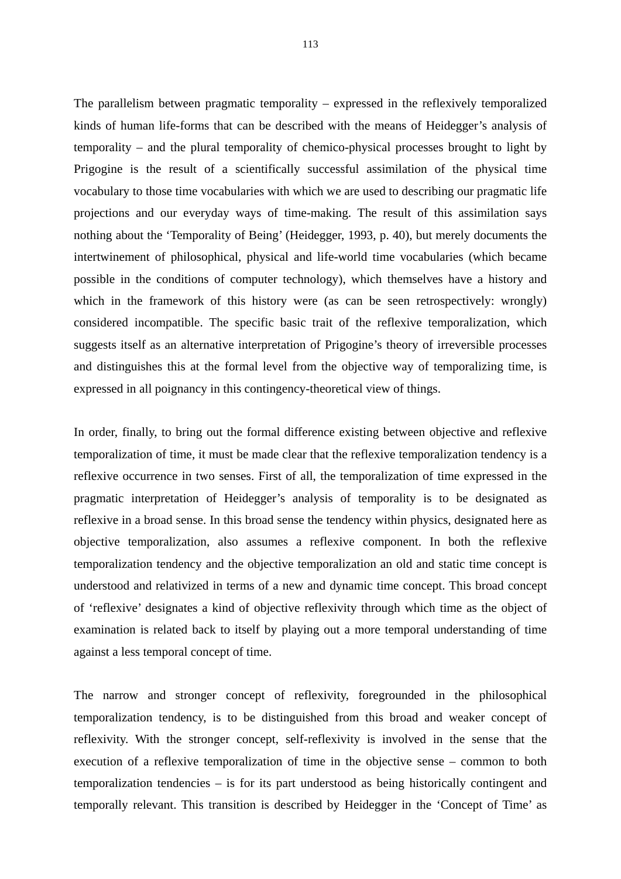The parallelism between pragmatic temporality – expressed in the reflexively temporalized kinds of human life-forms that can be described with the means of Heidegger's analysis of temporality – and the plural temporality of chemico-physical processes brought to light by Prigogine is the result of a scientifically successful assimilation of the physical time vocabulary to those time vocabularies with which we are used to describing our pragmatic life projections and our everyday ways of time-making. The result of this assimilation says nothing about the 'Temporality of Being' (Heidegger, 1993, p. 40), but merely documents the intertwinement of philosophical, physical and life-world time vocabularies (which became possible in the conditions of computer technology), which themselves have a history and which in the framework of this history were (as can be seen retrospectively: wrongly) considered incompatible. The specific basic trait of the reflexive temporalization, which suggests itself as an alternative interpretation of Prigogine's theory of irreversible processes and distinguishes this at the formal level from the objective way of temporalizing time, is expressed in all poignancy in this contingency-theoretical view of things.

In order, finally, to bring out the formal difference existing between objective and reflexive temporalization of time, it must be made clear that the reflexive temporalization tendency is a reflexive occurrence in two senses. First of all, the temporalization of time expressed in the pragmatic interpretation of Heidegger's analysis of temporality is to be designated as reflexive in a broad sense. In this broad sense the tendency within physics, designated here as objective temporalization, also assumes a reflexive component. In both the reflexive temporalization tendency and the objective temporalization an old and static time concept is understood and relativized in terms of a new and dynamic time concept. This broad concept of 'reflexive' designates a kind of objective reflexivity through which time as the object of examination is related back to itself by playing out a more temporal understanding of time against a less temporal concept of time.

The narrow and stronger concept of reflexivity, foregrounded in the philosophical temporalization tendency, is to be distinguished from this broad and weaker concept of reflexivity. With the stronger concept, self-reflexivity is involved in the sense that the execution of a reflexive temporalization of time in the objective sense – common to both temporalization tendencies – is for its part understood as being historically contingent and temporally relevant. This transition is described by Heidegger in the 'Concept of Time' as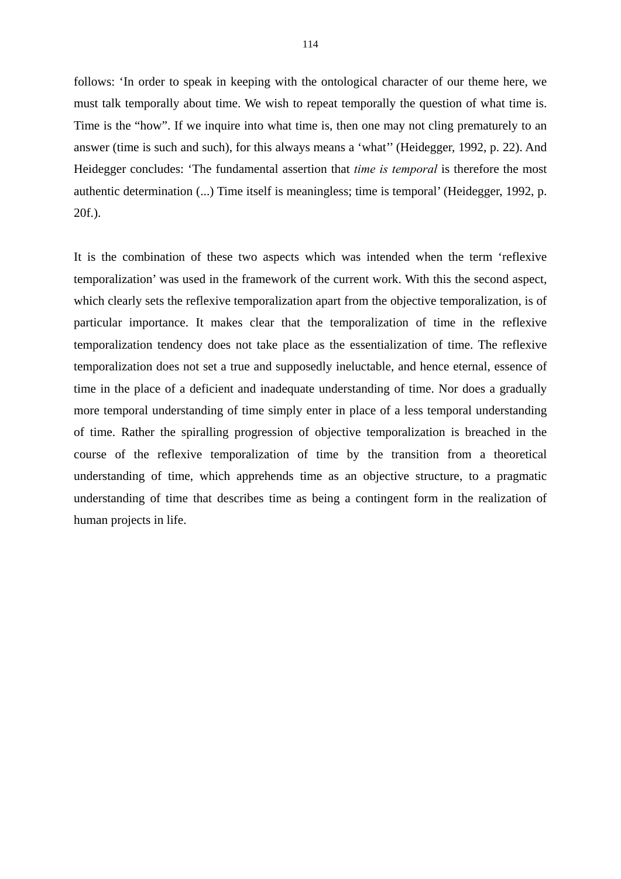follows: 'In order to speak in keeping with the ontological character of our theme here, we must talk temporally about time. We wish to repeat temporally the question of what time is. Time is the "how". If we inquire into what time is, then one may not cling prematurely to an answer (time is such and such), for this always means a 'what'' (Heidegger, 1992, p. 22). And Heidegger concludes: 'The fundamental assertion that *time is temporal* is therefore the most authentic determination (...) Time itself is meaningless; time is temporal' (Heidegger, 1992, p. 20f.).

It is the combination of these two aspects which was intended when the term 'reflexive temporalization' was used in the framework of the current work. With this the second aspect, which clearly sets the reflexive temporalization apart from the objective temporalization, is of particular importance. It makes clear that the temporalization of time in the reflexive temporalization tendency does not take place as the essentialization of time. The reflexive temporalization does not set a true and supposedly ineluctable, and hence eternal, essence of time in the place of a deficient and inadequate understanding of time. Nor does a gradually more temporal understanding of time simply enter in place of a less temporal understanding of time. Rather the spiralling progression of objective temporalization is breached in the course of the reflexive temporalization of time by the transition from a theoretical understanding of time, which apprehends time as an objective structure, to a pragmatic understanding of time that describes time as being a contingent form in the realization of human projects in life.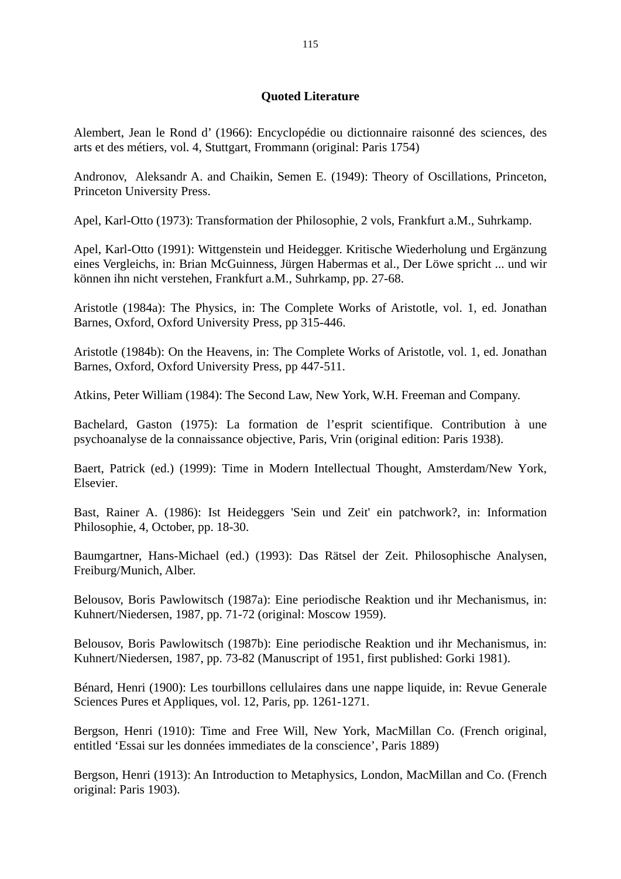## **Quoted Literature**

Alembert, Jean le Rond d' (1966): Encyclopédie ou dictionnaire raisonné des sciences, des arts et des métiers, vol. 4, Stuttgart, Frommann (original: Paris 1754)

Andronov, Aleksandr A. and Chaikin, Semen E. (1949): Theory of Oscillations, Princeton, Princeton University Press.

Apel, Karl-Otto (1973): Transformation der Philosophie, 2 vols, Frankfurt a.M., Suhrkamp.

Apel, Karl-Otto (1991): Wittgenstein und Heidegger. Kritische Wiederholung und Ergänzung eines Vergleichs, in: Brian McGuinness, Jürgen Habermas et al., Der Löwe spricht ... und wir können ihn nicht verstehen, Frankfurt a.M., Suhrkamp, pp. 27-68.

Aristotle (1984a): The Physics, in: The Complete Works of Aristotle, vol. 1, ed. Jonathan Barnes, Oxford, Oxford University Press, pp 315-446.

Aristotle (1984b): On the Heavens, in: The Complete Works of Aristotle, vol. 1, ed. Jonathan Barnes, Oxford, Oxford University Press, pp 447-511.

Atkins, Peter William (1984): The Second Law, New York, W.H. Freeman and Company.

Bachelard, Gaston (1975): La formation de l'esprit scientifique. Contribution à une psychoanalyse de la connaissance objective, Paris, Vrin (original edition: Paris 1938).

Baert, Patrick (ed.) (1999): Time in Modern Intellectual Thought, Amsterdam/New York, Elsevier.

Bast, Rainer A. (1986): Ist Heideggers 'Sein und Zeit' ein patchwork?, in: Information Philosophie, 4, October, pp. 18-30.

Baumgartner, Hans-Michael (ed.) (1993): Das Rätsel der Zeit. Philosophische Analysen, Freiburg/Munich, Alber.

Belousov, Boris Pawlowitsch (1987a): Eine periodische Reaktion und ihr Mechanismus, in: Kuhnert/Niedersen, 1987, pp. 71-72 (original: Moscow 1959).

Belousov, Boris Pawlowitsch (1987b): Eine periodische Reaktion und ihr Mechanismus, in: Kuhnert/Niedersen, 1987, pp. 73-82 (Manuscript of 1951, first published: Gorki 1981).

Bénard, Henri (1900): Les tourbillons cellulaires dans une nappe liquide, in: Revue Generale Sciences Pures et Appliques, vol. 12, Paris, pp. 1261-1271.

Bergson, Henri (1910): Time and Free Will, New York, MacMillan Co. (French original, entitled 'Essai sur les données immediates de la conscience', Paris 1889)

Bergson, Henri (1913): An Introduction to Metaphysics, London, MacMillan and Co. (French original: Paris 1903).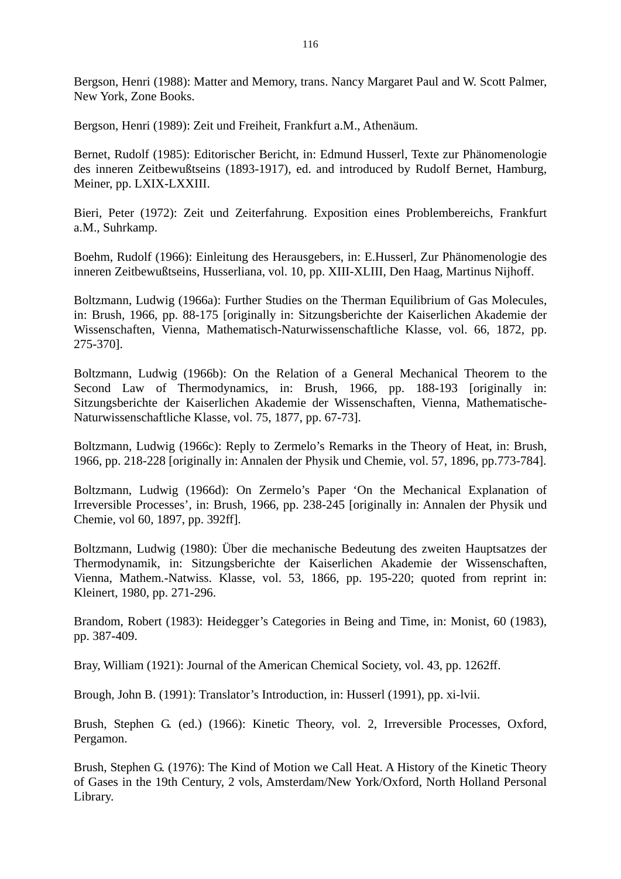Bergson, Henri (1988): Matter and Memory, trans. Nancy Margaret Paul and W. Scott Palmer, New York, Zone Books.

Bergson, Henri (1989): Zeit und Freiheit, Frankfurt a.M., Athenäum.

Bernet, Rudolf (1985): Editorischer Bericht, in: Edmund Husserl, Texte zur Phänomenologie des inneren Zeitbewußtseins (1893-1917), ed. and introduced by Rudolf Bernet, Hamburg, Meiner, pp. LXIX-LXXIII.

Bieri, Peter (1972): Zeit und Zeiterfahrung. Exposition eines Problembereichs, Frankfurt a.M., Suhrkamp.

Boehm, Rudolf (1966): Einleitung des Herausgebers, in: E.Husserl, Zur Phänomenologie des inneren Zeitbewußtseins, Husserliana, vol. 10, pp. XIII-XLIII, Den Haag, Martinus Nijhoff.

Boltzmann, Ludwig (1966a): Further Studies on the Therman Equilibrium of Gas Molecules, in: Brush, 1966, pp. 88-175 [originally in: Sitzungsberichte der Kaiserlichen Akademie der Wissenschaften, Vienna, Mathematisch-Naturwissenschaftliche Klasse, vol. 66, 1872, pp. 275-370].

Boltzmann, Ludwig (1966b): On the Relation of a General Mechanical Theorem to the Second Law of Thermodynamics, in: Brush, 1966, pp. 188-193 [originally in: Sitzungsberichte der Kaiserlichen Akademie der Wissenschaften, Vienna, Mathematische-Naturwissenschaftliche Klasse, vol. 75, 1877, pp. 67-73].

Boltzmann, Ludwig (1966c): Reply to Zermelo's Remarks in the Theory of Heat, in: Brush, 1966, pp. 218-228 [originally in: Annalen der Physik und Chemie, vol. 57, 1896, pp.773-784].

Boltzmann, Ludwig (1966d): On Zermelo's Paper 'On the Mechanical Explanation of Irreversible Processes', in: Brush, 1966, pp. 238-245 [originally in: Annalen der Physik und Chemie, vol 60, 1897, pp. 392ff].

Boltzmann, Ludwig (1980): Über die mechanische Bedeutung des zweiten Hauptsatzes der Thermodynamik, in: Sitzungsberichte der Kaiserlichen Akademie der Wissenschaften, Vienna, Mathem.-Natwiss. Klasse, vol. 53, 1866, pp. 195-220; quoted from reprint in: Kleinert, 1980, pp. 271-296.

Brandom, Robert (1983): Heidegger's Categories in Being and Time, in: Monist, 60 (1983), pp. 387-409.

Bray, William (1921): Journal of the American Chemical Society, vol. 43, pp. 1262ff.

Brough, John B. (1991): Translator's Introduction, in: Husserl (1991), pp. xi-lvii.

Brush, Stephen G. (ed.) (1966): Kinetic Theory, vol. 2, Irreversible Processes, Oxford, Pergamon.

Brush, Stephen G. (1976): The Kind of Motion we Call Heat. A History of the Kinetic Theory of Gases in the 19th Century, 2 vols, Amsterdam/New York/Oxford, North Holland Personal Library.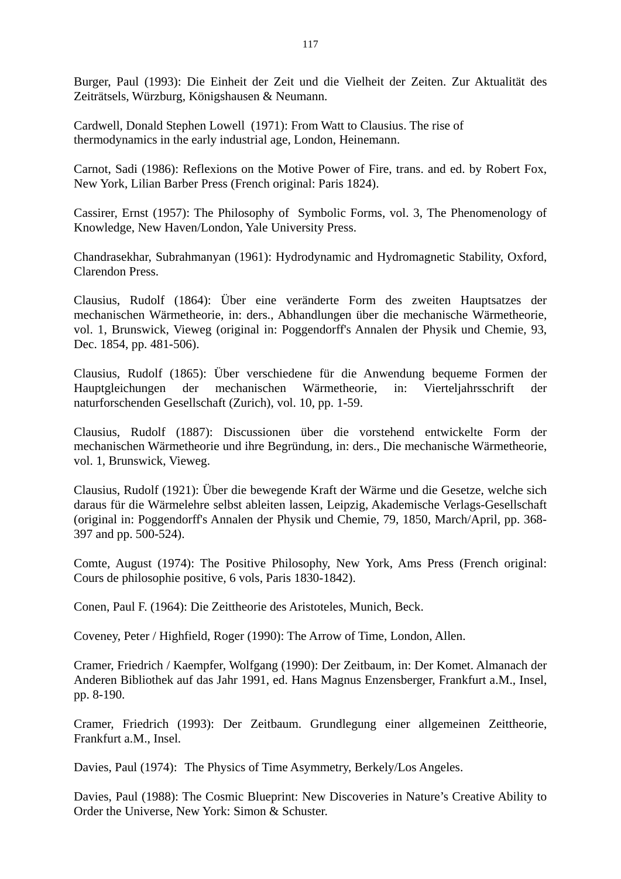Burger, Paul (1993): Die Einheit der Zeit und die Vielheit der Zeiten. Zur Aktualität des Zeiträtsels, Würzburg, Königshausen & Neumann.

Cardwell, Donald Stephen Lowell (1971): From Watt to Clausius. The rise of thermodynamics in the early industrial age, London, Heinemann.

Carnot, Sadi (1986): Reflexions on the Motive Power of Fire, trans. and ed. by Robert Fox, New York, Lilian Barber Press (French original: Paris 1824).

Cassirer, Ernst (1957): The Philosophy of Symbolic Forms, vol. 3, The Phenomenology of Knowledge, New Haven/London, Yale University Press.

Chandrasekhar, Subrahmanyan (1961): Hydrodynamic and Hydromagnetic Stability, Oxford, Clarendon Press.

Clausius, Rudolf (1864): Über eine veränderte Form des zweiten Hauptsatzes der mechanischen Wärmetheorie, in: ders., Abhandlungen über die mechanische Wärmetheorie, vol. 1, Brunswick, Vieweg (original in: Poggendorff's Annalen der Physik und Chemie, 93, Dec. 1854, pp. 481-506).

Clausius, Rudolf (1865): Über verschiedene für die Anwendung bequeme Formen der Hauptgleichungen der mechanischen Wärmetheorie, in: Vierteljahrsschrift der naturforschenden Gesellschaft (Zurich), vol. 10, pp. 1-59.

Clausius, Rudolf (1887): Discussionen über die vorstehend entwickelte Form der mechanischen Wärmetheorie und ihre Begründung, in: ders., Die mechanische Wärmetheorie, vol. 1, Brunswick, Vieweg.

Clausius, Rudolf (1921): Über die bewegende Kraft der Wärme und die Gesetze, welche sich daraus für die Wärmelehre selbst ableiten lassen, Leipzig, Akademische Verlags-Gesellschaft (original in: Poggendorff's Annalen der Physik und Chemie, 79, 1850, March/April, pp. 368- 397 and pp. 500-524).

Comte, August (1974): The Positive Philosophy, New York, Ams Press (French original: Cours de philosophie positive, 6 vols, Paris 1830-1842).

Conen, Paul F. (1964): Die Zeittheorie des Aristoteles, Munich, Beck.

Coveney, Peter / Highfield, Roger (1990): The Arrow of Time, London, Allen.

Cramer, Friedrich / Kaempfer, Wolfgang (1990): Der Zeitbaum, in: Der Komet. Almanach der Anderen Bibliothek auf das Jahr 1991, ed. Hans Magnus Enzensberger, Frankfurt a.M., Insel, pp. 8-190.

Cramer, Friedrich (1993): Der Zeitbaum. Grundlegung einer allgemeinen Zeittheorie, Frankfurt a.M., Insel.

Davies, Paul (1974): The Physics of Time Asymmetry, Berkely/Los Angeles.

Davies, Paul (1988): The Cosmic Blueprint: New Discoveries in Nature's Creative Ability to Order the Universe, New York: Simon & Schuster.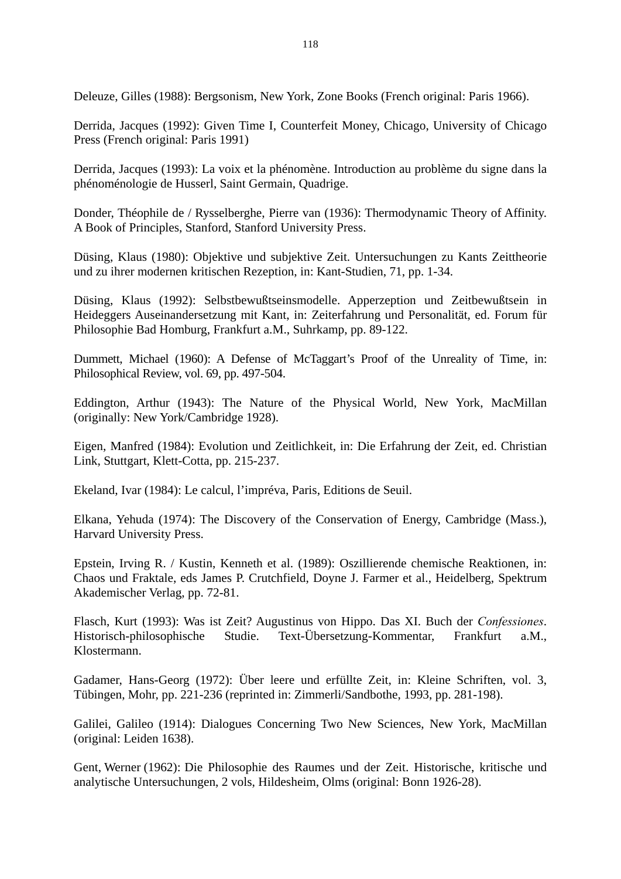Deleuze, Gilles (1988): Bergsonism, New York, Zone Books (French original: Paris 1966).

Derrida, Jacques (1992): Given Time I, Counterfeit Money, Chicago, University of Chicago Press (French original: Paris 1991)

Derrida, Jacques (1993): La voix et la phénomène. Introduction au problème du signe dans la phénoménologie de Husserl, Saint Germain, Quadrige.

Donder, Théophile de / Rysselberghe, Pierre van (1936): Thermodynamic Theory of Affinity. A Book of Principles, Stanford, Stanford University Press.

Düsing, Klaus (1980): Objektive und subjektive Zeit. Untersuchungen zu Kants Zeittheorie und zu ihrer modernen kritischen Rezeption, in: Kant-Studien, 71, pp. 1-34.

Düsing, Klaus (1992): Selbstbewußtseinsmodelle. Apperzeption und Zeitbewußtsein in Heideggers Auseinandersetzung mit Kant, in: Zeiterfahrung und Personalität, ed. Forum für Philosophie Bad Homburg, Frankfurt a.M., Suhrkamp, pp. 89-122.

Dummett, Michael (1960): A Defense of McTaggart's Proof of the Unreality of Time, in: Philosophical Review, vol. 69, pp. 497-504.

Eddington, Arthur (1943): The Nature of the Physical World, New York, MacMillan (originally: New York/Cambridge 1928).

Eigen, Manfred (1984): Evolution und Zeitlichkeit, in: Die Erfahrung der Zeit, ed. Christian Link, Stuttgart, Klett-Cotta, pp. 215-237.

Ekeland, Ivar (1984): Le calcul, l'impréva, Paris, Editions de Seuil.

Elkana, Yehuda (1974): The Discovery of the Conservation of Energy, Cambridge (Mass.), Harvard University Press.

Epstein, Irving R. / Kustin, Kenneth et al. (1989): Oszillierende chemische Reaktionen, in: Chaos und Fraktale, eds James P. Crutchfield, Doyne J. Farmer et al., Heidelberg, Spektrum Akademischer Verlag, pp. 72-81.

Flasch, Kurt (1993): Was ist Zeit? Augustinus von Hippo. Das XI. Buch der *Confessiones*. Historisch-philosophische Studie. Text-Übersetzung-Kommentar, Frankfurt a.M., Klostermann.

Gadamer, Hans-Georg (1972): Über leere und erfüllte Zeit, in: Kleine Schriften, vol. 3, Tübingen, Mohr, pp. 221-236 (reprinted in: Zimmerli/Sandbothe, 1993, pp. 281-198).

Galilei, Galileo (1914): Dialogues Concerning Two New Sciences, New York, MacMillan (original: Leiden 1638).

Gent, Werner (1962): Die Philosophie des Raumes und der Zeit. Historische, kritische und analytische Untersuchungen, 2 vols, Hildesheim, Olms (original: Bonn 1926-28).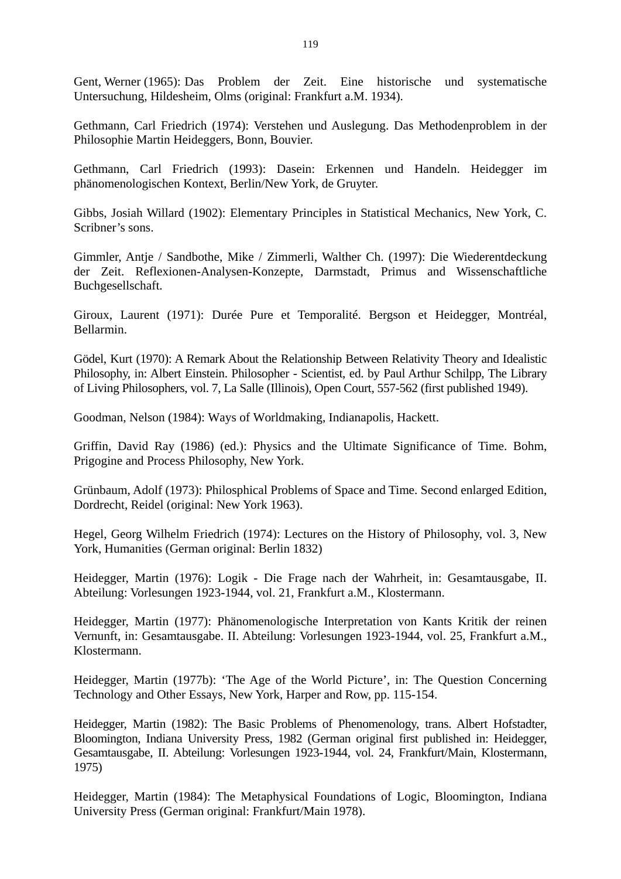Gent, Werner (1965): Das Problem der Zeit. Eine historische und systematische Untersuchung, Hildesheim, Olms (original: Frankfurt a.M. 1934).

Gethmann, Carl Friedrich (1974): Verstehen und Auslegung. Das Methodenproblem in der Philosophie Martin Heideggers, Bonn, Bouvier.

Gethmann, Carl Friedrich (1993): Dasein: Erkennen und Handeln. Heidegger im phänomenologischen Kontext, Berlin/New York, de Gruyter.

Gibbs, Josiah Willard (1902): Elementary Principles in Statistical Mechanics, New York, C. Scribner's sons.

Gimmler, Antje / Sandbothe, Mike / Zimmerli, Walther Ch. (1997): Die Wiederentdeckung der Zeit. Reflexionen-Analysen-Konzepte, Darmstadt, Primus and Wissenschaftliche Buchgesellschaft.

Giroux, Laurent (1971): Durée Pure et Temporalité. Bergson et Heidegger, Montréal, Bellarmin.

Gödel, Kurt (1970): A Remark About the Relationship Between Relativity Theory and Idealistic Philosophy, in: Albert Einstein. Philosopher - Scientist, ed. by Paul Arthur Schilpp, The Library of Living Philosophers, vol. 7, La Salle (Illinois), Open Court, 557-562 (first published 1949).

Goodman, Nelson (1984): Ways of Worldmaking, Indianapolis, Hackett.

Griffin, David Ray (1986) (ed.): Physics and the Ultimate Significance of Time. Bohm, Prigogine and Process Philosophy, New York.

Grünbaum, Adolf (1973): Philosphical Problems of Space and Time. Second enlarged Edition, Dordrecht, Reidel (original: New York 1963).

Hegel, Georg Wilhelm Friedrich (1974): Lectures on the History of Philosophy, vol. 3, New York, Humanities (German original: Berlin 1832)

Heidegger, Martin (1976): Logik - Die Frage nach der Wahrheit, in: Gesamtausgabe, II. Abteilung: Vorlesungen 1923-1944, vol. 21, Frankfurt a.M., Klostermann.

Heidegger, Martin (1977): Phänomenologische Interpretation von Kants Kritik der reinen Vernunft, in: Gesamtausgabe. II. Abteilung: Vorlesungen 1923-1944, vol. 25, Frankfurt a.M., Klostermann.

Heidegger, Martin (1977b): 'The Age of the World Picture', in: The Question Concerning Technology and Other Essays, New York, Harper and Row, pp. 115-154.

Heidegger, Martin (1982): The Basic Problems of Phenomenology, trans. Albert Hofstadter, Bloomington, Indiana University Press, 1982 (German original first published in: Heidegger, Gesamtausgabe, II. Abteilung: Vorlesungen 1923-1944, vol. 24, Frankfurt/Main, Klostermann, 1975)

Heidegger, Martin (1984): The Metaphysical Foundations of Logic, Bloomington, Indiana University Press (German original: Frankfurt/Main 1978).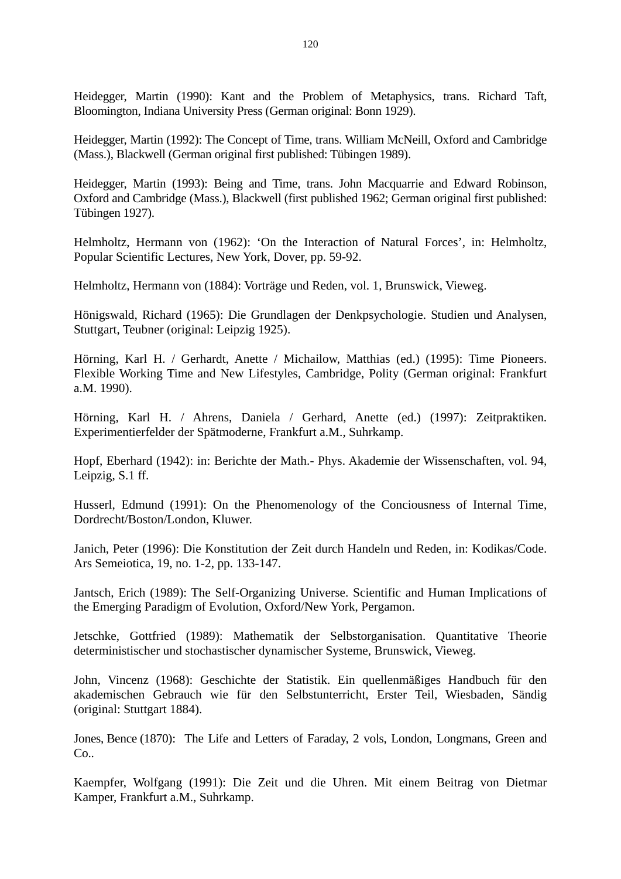Heidegger, Martin (1990): Kant and the Problem of Metaphysics, trans. Richard Taft, Bloomington, Indiana University Press (German original: Bonn 1929).

Heidegger, Martin (1992): The Concept of Time, trans. William McNeill, Oxford and Cambridge (Mass.), Blackwell (German original first published: Tübingen 1989).

Heidegger, Martin (1993): Being and Time, trans. John Macquarrie and Edward Robinson, Oxford and Cambridge (Mass.), Blackwell (first published 1962; German original first published: Tübingen 1927).

Helmholtz, Hermann von (1962): 'On the Interaction of Natural Forces', in: Helmholtz, Popular Scientific Lectures, New York, Dover, pp. 59-92.

Helmholtz, Hermann von (1884): Vorträge und Reden, vol. 1, Brunswick, Vieweg.

Hönigswald, Richard (1965): Die Grundlagen der Denkpsychologie. Studien und Analysen, Stuttgart, Teubner (original: Leipzig 1925).

Hörning, Karl H. / Gerhardt, Anette / Michailow, Matthias (ed.) (1995): Time Pioneers. Flexible Working Time and New Lifestyles, Cambridge, Polity (German original: Frankfurt a.M. 1990).

Hörning, Karl H. / Ahrens, Daniela / Gerhard, Anette (ed.) (1997): Zeitpraktiken. Experimentierfelder der Spätmoderne, Frankfurt a.M., Suhrkamp.

Hopf, Eberhard (1942): in: Berichte der Math.- Phys. Akademie der Wissenschaften, vol. 94, Leipzig, S.1 ff.

Husserl, Edmund (1991): On the Phenomenology of the Conciousness of Internal Time, Dordrecht/Boston/London, Kluwer.

Janich, Peter (1996): Die Konstitution der Zeit durch Handeln und Reden, in: Kodikas/Code. Ars Semeiotica, 19, no. 1-2, pp. 133-147.

Jantsch, Erich (1989): The Self-Organizing Universe. Scientific and Human Implications of the Emerging Paradigm of Evolution, Oxford/New York, Pergamon.

Jetschke, Gottfried (1989): Mathematik der Selbstorganisation. Quantitative Theorie deterministischer und stochastischer dynamischer Systeme, Brunswick, Vieweg.

John, Vincenz (1968): Geschichte der Statistik. Ein quellenmäßiges Handbuch für den akademischen Gebrauch wie für den Selbstunterricht, Erster Teil, Wiesbaden, Sändig (original: Stuttgart 1884).

Jones, Bence (1870): The Life and Letters of Faraday, 2 vols, London, Longmans, Green and Co..

Kaempfer, Wolfgang (1991): Die Zeit und die Uhren. Mit einem Beitrag von Dietmar Kamper, Frankfurt a.M., Suhrkamp.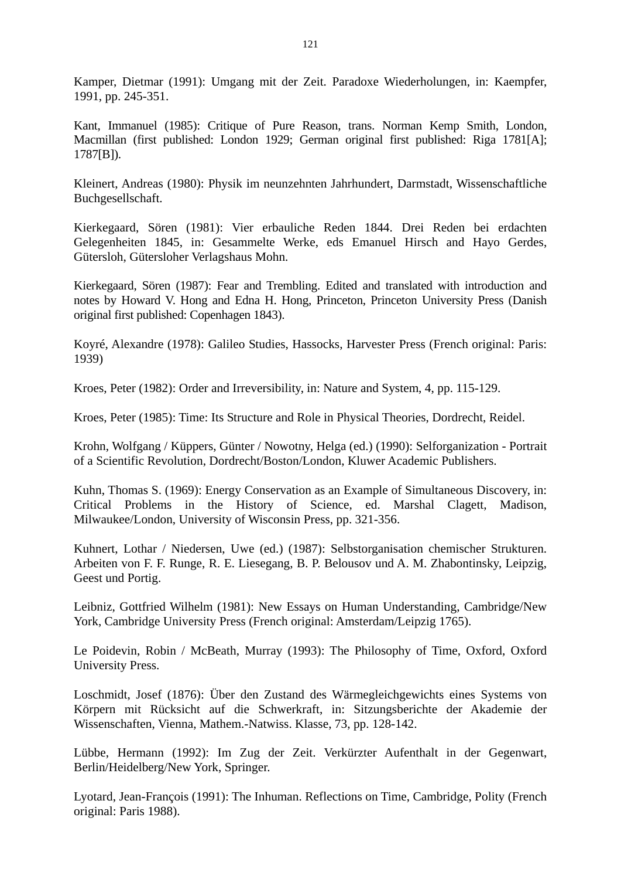Kamper, Dietmar (1991): Umgang mit der Zeit. Paradoxe Wiederholungen, in: Kaempfer, 1991, pp. 245-351.

Kant, Immanuel (1985): Critique of Pure Reason, trans. Norman Kemp Smith, London, Macmillan (first published: London 1929; German original first published: Riga 1781[A]; 1787[B]).

Kleinert, Andreas (1980): Physik im neunzehnten Jahrhundert, Darmstadt, Wissenschaftliche Buchgesellschaft.

Kierkegaard, Sören (1981): Vier erbauliche Reden 1844. Drei Reden bei erdachten Gelegenheiten 1845, in: Gesammelte Werke, eds Emanuel Hirsch and Hayo Gerdes, Gütersloh, Gütersloher Verlagshaus Mohn.

Kierkegaard, Sören (1987): Fear and Trembling. Edited and translated with introduction and notes by Howard V. Hong and Edna H. Hong, Princeton, Princeton University Press (Danish original first published: Copenhagen 1843).

Koyré, Alexandre (1978): Galileo Studies, Hassocks, Harvester Press (French original: Paris: 1939)

Kroes, Peter (1982): Order and Irreversibility, in: Nature and System, 4, pp. 115-129.

Kroes, Peter (1985): Time: Its Structure and Role in Physical Theories, Dordrecht, Reidel.

Krohn, Wolfgang / Küppers, Günter / Nowotny, Helga (ed.) (1990): Selforganization - Portrait of a Scientific Revolution, Dordrecht/Boston/London, Kluwer Academic Publishers.

Kuhn, Thomas S. (1969): Energy Conservation as an Example of Simultaneous Discovery, in: Critical Problems in the History of Science, ed. Marshal Clagett, Madison, Milwaukee/London, University of Wisconsin Press, pp. 321-356.

Kuhnert, Lothar / Niedersen, Uwe (ed.) (1987): Selbstorganisation chemischer Strukturen. Arbeiten von F. F. Runge, R. E. Liesegang, B. P. Belousov und A. M. Zhabontinsky, Leipzig, Geest und Portig.

Leibniz, Gottfried Wilhelm (1981): New Essays on Human Understanding, Cambridge/New York, Cambridge University Press (French original: Amsterdam/Leipzig 1765).

Le Poidevin, Robin / McBeath, Murray (1993): The Philosophy of Time, Oxford, Oxford University Press.

Loschmidt, Josef (1876): Über den Zustand des Wärmegleichgewichts eines Systems von Körpern mit Rücksicht auf die Schwerkraft, in: Sitzungsberichte der Akademie der Wissenschaften, Vienna, Mathem.-Natwiss. Klasse, 73, pp. 128-142.

Lübbe, Hermann (1992): Im Zug der Zeit. Verkürzter Aufenthalt in der Gegenwart, Berlin/Heidelberg/New York, Springer.

Lyotard, Jean-François (1991): The Inhuman. Reflections on Time, Cambridge, Polity (French original: Paris 1988).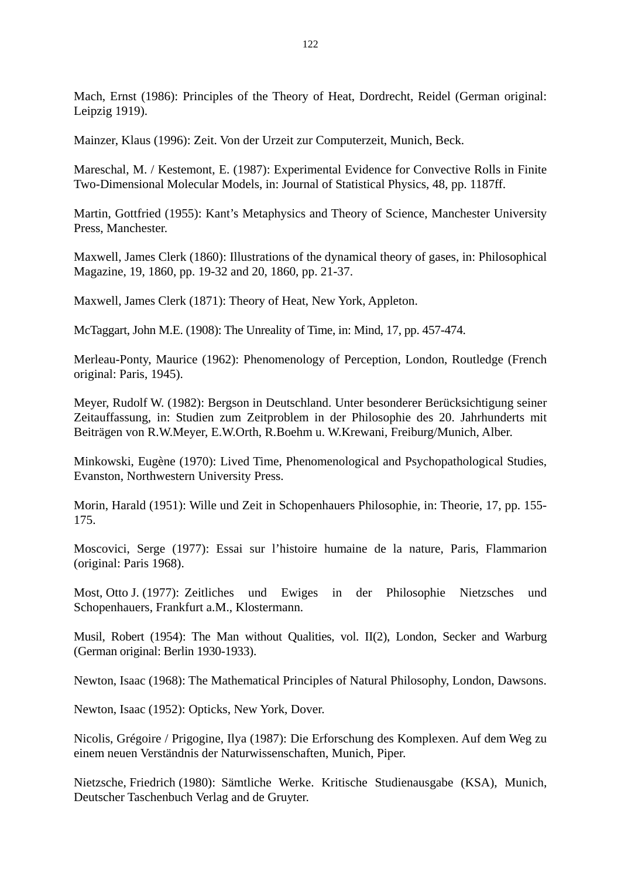Mach, Ernst (1986): Principles of the Theory of Heat, Dordrecht, Reidel (German original: Leipzig 1919).

Mainzer, Klaus (1996): Zeit. Von der Urzeit zur Computerzeit, Munich, Beck.

Mareschal, M. / Kestemont, E. (1987): Experimental Evidence for Convective Rolls in Finite Two-Dimensional Molecular Models, in: Journal of Statistical Physics, 48, pp. 1187ff.

Martin, Gottfried (1955): Kant's Metaphysics and Theory of Science, Manchester University Press, Manchester.

Maxwell, James Clerk (1860): Illustrations of the dynamical theory of gases, in: Philosophical Magazine, 19, 1860, pp. 19-32 and 20, 1860, pp. 21-37.

Maxwell, James Clerk (1871): Theory of Heat, New York, Appleton.

McTaggart, John M.E. (1908): The Unreality of Time, in: Mind, 17, pp. 457-474.

Merleau-Ponty, Maurice (1962): Phenomenology of Perception, London, Routledge (French original: Paris, 1945).

Meyer, Rudolf W. (1982): Bergson in Deutschland. Unter besonderer Berücksichtigung seiner Zeitauffassung, in: Studien zum Zeitproblem in der Philosophie des 20. Jahrhunderts mit Beiträgen von R.W.Meyer, E.W.Orth, R.Boehm u. W.Krewani, Freiburg/Munich, Alber.

Minkowski, Eugène (1970): Lived Time, Phenomenological and Psychopathological Studies, Evanston, Northwestern University Press.

Morin, Harald (1951): Wille und Zeit in Schopenhauers Philosophie, in: Theorie, 17, pp. 155- 175.

Moscovici, Serge (1977): Essai sur l'histoire humaine de la nature, Paris, Flammarion (original: Paris 1968).

Most, Otto J. (1977): Zeitliches und Ewiges in der Philosophie Nietzsches und Schopenhauers, Frankfurt a.M., Klostermann.

Musil, Robert (1954): The Man without Qualities, vol. II(2), London, Secker and Warburg (German original: Berlin 1930-1933).

Newton, Isaac (1968): The Mathematical Principles of Natural Philosophy, London, Dawsons.

Newton, Isaac (1952): Opticks, New York, Dover.

Nicolis, Grégoire / Prigogine, Ilya (1987): Die Erforschung des Komplexen. Auf dem Weg zu einem neuen Verständnis der Naturwissenschaften, Munich, Piper.

Nietzsche, Friedrich (1980): Sämtliche Werke. Kritische Studienausgabe (KSA), Munich, Deutscher Taschenbuch Verlag and de Gruyter.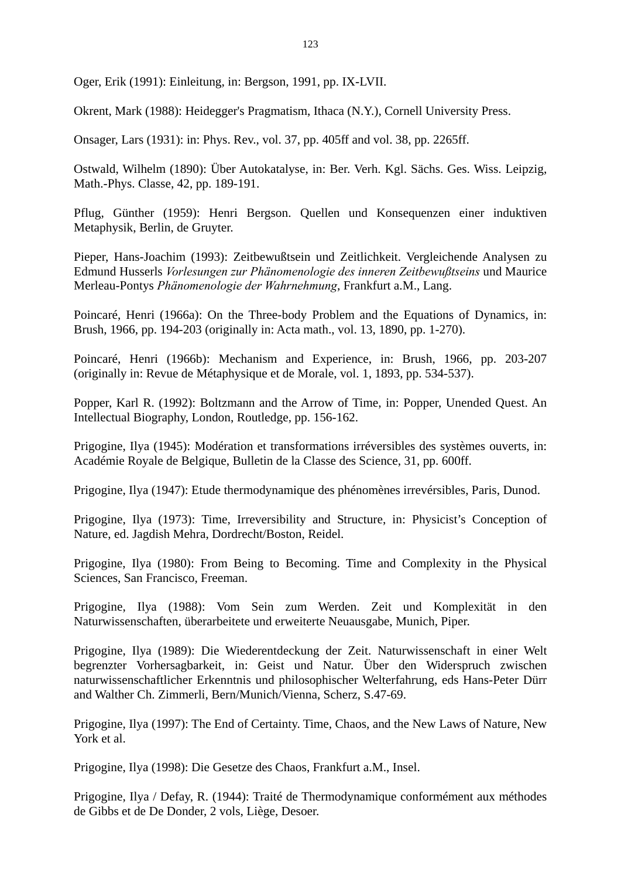Oger, Erik (1991): Einleitung, in: Bergson, 1991, pp. IX-LVII.

Okrent, Mark (1988): Heidegger's Pragmatism, Ithaca (N.Y.), Cornell University Press.

Onsager, Lars (1931): in: Phys. Rev., vol. 37, pp. 405ff and vol. 38, pp. 2265ff.

Ostwald, Wilhelm (1890): Über Autokatalyse, in: Ber. Verh. Kgl. Sächs. Ges. Wiss. Leipzig, Math.-Phys. Classe, 42, pp. 189-191.

Pflug, Günther (1959): Henri Bergson. Quellen und Konsequenzen einer induktiven Metaphysik, Berlin, de Gruyter.

Pieper, Hans-Joachim (1993): Zeitbewußtsein und Zeitlichkeit. Vergleichende Analysen zu Edmund Husserls *Vorlesungen zur Phänomenologie des inneren Zeitbewußtseins* und Maurice Merleau-Pontys *Phänomenologie der Wahrnehmung*, Frankfurt a.M., Lang.

Poincaré, Henri (1966a): On the Three-body Problem and the Equations of Dynamics, in: Brush, 1966, pp. 194-203 (originally in: Acta math., vol. 13, 1890, pp. 1-270).

Poincaré, Henri (1966b): Mechanism and Experience, in: Brush, 1966, pp. 203-207 (originally in: Revue de Métaphysique et de Morale, vol. 1, 1893, pp. 534-537).

Popper, Karl R. (1992): Boltzmann and the Arrow of Time, in: Popper, Unended Quest. An Intellectual Biography, London, Routledge, pp. 156-162.

Prigogine, Ilya (1945): Modération et transformations irréversibles des systèmes ouverts, in: Académie Royale de Belgique, Bulletin de la Classe des Science, 31, pp. 600ff.

Prigogine, Ilya (1947): Etude thermodynamique des phénomènes irrevérsibles, Paris, Dunod.

Prigogine, Ilya (1973): Time, Irreversibility and Structure, in: Physicist's Conception of Nature, ed. Jagdish Mehra, Dordrecht/Boston, Reidel.

Prigogine, Ilya (1980): From Being to Becoming. Time and Complexity in the Physical Sciences, San Francisco, Freeman.

Prigogine, Ilya (1988): Vom Sein zum Werden. Zeit und Komplexität in den Naturwissenschaften, überarbeitete und erweiterte Neuausgabe, Munich, Piper.

Prigogine, Ilya (1989): Die Wiederentdeckung der Zeit. Naturwissenschaft in einer Welt begrenzter Vorhersagbarkeit, in: Geist und Natur. Über den Widerspruch zwischen naturwissenschaftlicher Erkenntnis und philosophischer Welterfahrung, eds Hans-Peter Dürr and Walther Ch. Zimmerli, Bern/Munich/Vienna, Scherz, S.47-69.

Prigogine, Ilya (1997): The End of Certainty. Time, Chaos, and the New Laws of Nature, New York et al.

Prigogine, Ilya (1998): Die Gesetze des Chaos, Frankfurt a.M., Insel.

Prigogine, Ilya / Defay, R. (1944): Traité de Thermodynamique conformément aux méthodes de Gibbs et de De Donder, 2 vols, Liège, Desoer.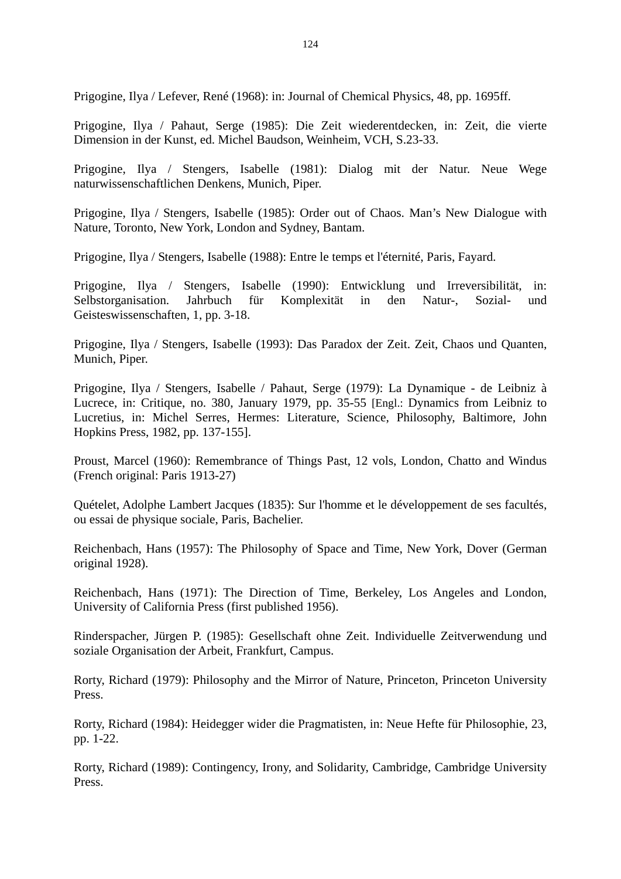Prigogine, Ilya / Lefever, René (1968): in: Journal of Chemical Physics, 48, pp. 1695ff.

Prigogine, Ilya / Pahaut, Serge (1985): Die Zeit wiederentdecken, in: Zeit, die vierte Dimension in der Kunst, ed. Michel Baudson, Weinheim, VCH, S.23-33.

Prigogine, Ilya / Stengers, Isabelle (1981): Dialog mit der Natur. Neue Wege naturwissenschaftlichen Denkens, Munich, Piper.

Prigogine, Ilya / Stengers, Isabelle (1985): Order out of Chaos. Man's New Dialogue with Nature, Toronto, New York, London and Sydney, Bantam.

Prigogine, Ilya / Stengers, Isabelle (1988): Entre le temps et l'éternité, Paris, Fayard.

Prigogine, Ilya / Stengers, Isabelle (1990): Entwicklung und Irreversibilität, in: Selbstorganisation. Jahrbuch für Komplexität in den Natur-, Sozial- und Geisteswissenschaften, 1, pp. 3-18.

Prigogine, Ilya / Stengers, Isabelle (1993): Das Paradox der Zeit. Zeit, Chaos und Quanten, Munich, Piper.

Prigogine, Ilya / Stengers, Isabelle / Pahaut, Serge (1979): La Dynamique - de Leibniz à Lucrece, in: Critique, no. 380, January 1979, pp. 35-55 [Engl.: Dynamics from Leibniz to Lucretius, in: Michel Serres, Hermes: Literature, Science, Philosophy, Baltimore, John Hopkins Press, 1982, pp. 137-155].

Proust, Marcel (1960): Remembrance of Things Past, 12 vols, London, Chatto and Windus (French original: Paris 1913-27)

Quételet, Adolphe Lambert Jacques (1835): Sur l'homme et le développement de ses facultés, ou essai de physique sociale, Paris, Bachelier.

Reichenbach, Hans (1957): The Philosophy of Space and Time, New York, Dover (German original 1928).

Reichenbach, Hans (1971): The Direction of Time, Berkeley, Los Angeles and London, University of California Press (first published 1956).

Rinderspacher, Jürgen P. (1985): Gesellschaft ohne Zeit. Individuelle Zeitverwendung und soziale Organisation der Arbeit, Frankfurt, Campus.

Rorty, Richard (1979): Philosophy and the Mirror of Nature, Princeton, Princeton University Press.

Rorty, Richard (1984): Heidegger wider die Pragmatisten, in: Neue Hefte für Philosophie, 23, pp. 1-22.

Rorty, Richard (1989): Contingency, Irony, and Solidarity, Cambridge, Cambridge University Press.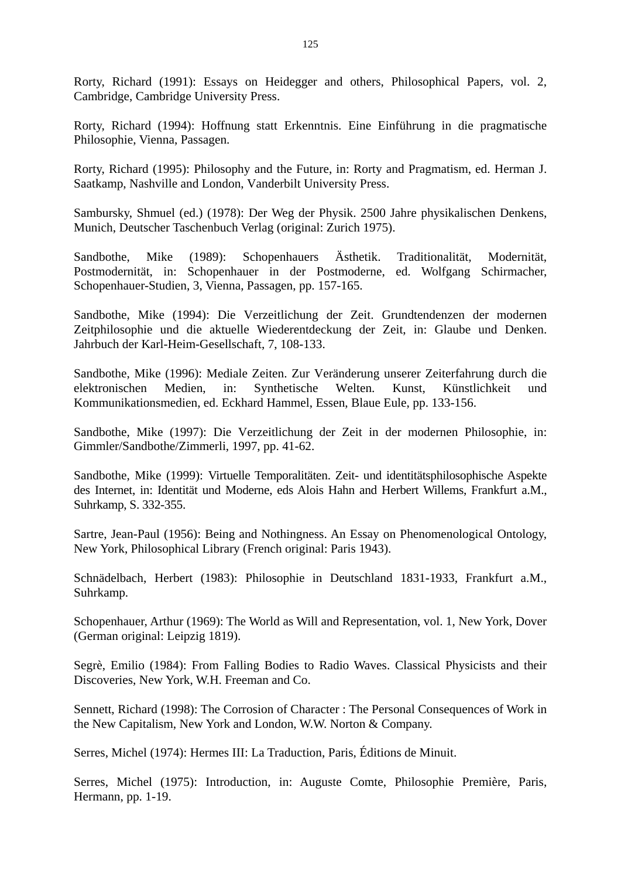Rorty, Richard (1991): Essays on Heidegger and others, Philosophical Papers, vol. 2, Cambridge, Cambridge University Press.

Rorty, Richard (1994): Hoffnung statt Erkenntnis. Eine Einführung in die pragmatische Philosophie, Vienna, Passagen.

Rorty, Richard (1995): Philosophy and the Future, in: Rorty and Pragmatism, ed. Herman J. Saatkamp, Nashville and London, Vanderbilt University Press.

Sambursky, Shmuel (ed.) (1978): Der Weg der Physik. 2500 Jahre physikalischen Denkens, Munich, Deutscher Taschenbuch Verlag (original: Zurich 1975).

Sandbothe, Mike (1989): Schopenhauers Ästhetik. Traditionalität, Modernität, Postmodernität, in: Schopenhauer in der Postmoderne, ed. Wolfgang Schirmacher, Schopenhauer-Studien, 3, Vienna, Passagen, pp. 157-165.

Sandbothe, Mike (1994): Die Verzeitlichung der Zeit. Grundtendenzen der modernen Zeitphilosophie und die aktuelle Wiederentdeckung der Zeit, in: Glaube und Denken. Jahrbuch der Karl-Heim-Gesellschaft, 7, 108-133.

Sandbothe, Mike (1996): Mediale Zeiten. Zur Veränderung unserer Zeiterfahrung durch die elektronischen Medien, in: Synthetische Welten. Kunst, Künstlichkeit und Kommunikationsmedien, ed. Eckhard Hammel, Essen, Blaue Eule, pp. 133-156.

Sandbothe, Mike (1997): Die Verzeitlichung der Zeit in der modernen Philosophie, in: Gimmler/Sandbothe/Zimmerli, 1997, pp. 41-62.

Sandbothe, Mike (1999): Virtuelle Temporalitäten. Zeit- und identitätsphilosophische Aspekte des Internet, in: Identität und Moderne, eds Alois Hahn and Herbert Willems, Frankfurt a.M., Suhrkamp, S. 332-355.

Sartre, Jean-Paul (1956): Being and Nothingness. An Essay on Phenomenological Ontology, New York, Philosophical Library (French original: Paris 1943).

Schnädelbach, Herbert (1983): Philosophie in Deutschland 1831-1933, Frankfurt a.M., Suhrkamp.

Schopenhauer, Arthur (1969): The World as Will and Representation, vol. 1, New York, Dover (German original: Leipzig 1819).

Segrè, Emilio (1984): From Falling Bodies to Radio Waves. Classical Physicists and their Discoveries, New York, W.H. Freeman and Co.

Sennett, Richard (1998): The Corrosion of Character : The Personal Consequences of Work in the New Capitalism, New York and London, W.W. Norton & Company.

Serres, Michel (1974): Hermes III: La Traduction, Paris, Éditions de Minuit.

Serres, Michel (1975): Introduction, in: Auguste Comte, Philosophie Première, Paris, Hermann, pp. 1-19.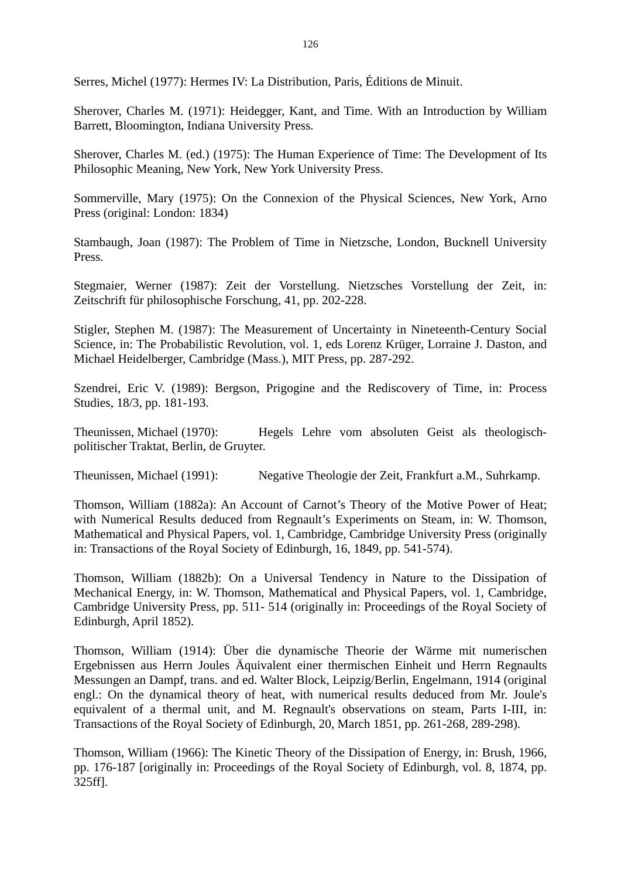Serres, Michel (1977): Hermes IV: La Distribution, Paris, Éditions de Minuit.

Sherover, Charles M. (1971): Heidegger, Kant, and Time. With an Introduction by William Barrett, Bloomington, Indiana University Press.

Sherover, Charles M. (ed.) (1975): The Human Experience of Time: The Development of Its Philosophic Meaning, New York, New York University Press.

Sommerville, Mary (1975): On the Connexion of the Physical Sciences, New York, Arno Press (original: London: 1834)

Stambaugh, Joan (1987): The Problem of Time in Nietzsche, London, Bucknell University Press.

Stegmaier, Werner (1987): Zeit der Vorstellung. Nietzsches Vorstellung der Zeit, in: Zeitschrift für philosophische Forschung, 41, pp. 202-228.

Stigler, Stephen M. (1987): The Measurement of Uncertainty in Nineteenth-Century Social Science, in: The Probabilistic Revolution, vol. 1, eds Lorenz Krüger, Lorraine J. Daston, and Michael Heidelberger, Cambridge (Mass.), MIT Press, pp. 287-292.

Szendrei, Eric V. (1989): Bergson, Prigogine and the Rediscovery of Time, in: Process Studies, 18/3, pp. 181-193.

Theunissen, Michael (1970): Hegels Lehre vom absoluten Geist als theologischpolitischer Traktat, Berlin, de Gruyter.

Theunissen, Michael (1991): Negative Theologie der Zeit, Frankfurt a.M., Suhrkamp.

Thomson, William (1882a): An Account of Carnot's Theory of the Motive Power of Heat; with Numerical Results deduced from Regnault's Experiments on Steam, in: W. Thomson, Mathematical and Physical Papers, vol. 1, Cambridge, Cambridge University Press (originally in: Transactions of the Royal Society of Edinburgh, 16, 1849, pp. 541-574).

Thomson, William (1882b): On a Universal Tendency in Nature to the Dissipation of Mechanical Energy, in: W. Thomson, Mathematical and Physical Papers, vol. 1, Cambridge, Cambridge University Press, pp. 511- 514 (originally in: Proceedings of the Royal Society of Edinburgh, April 1852).

Thomson, William (1914): Über die dynamische Theorie der Wärme mit numerischen Ergebnissen aus Herrn Joules Äquivalent einer thermischen Einheit und Herrn Regnaults Messungen an Dampf, trans. and ed. Walter Block, Leipzig/Berlin, Engelmann, 1914 (original engl.: On the dynamical theory of heat, with numerical results deduced from Mr. Joule's equivalent of a thermal unit, and M. Regnault's observations on steam, Parts I-III, in: Transactions of the Royal Society of Edinburgh, 20, March 1851, pp. 261-268, 289-298).

Thomson, William (1966): The Kinetic Theory of the Dissipation of Energy, in: Brush, 1966, pp. 176-187 [originally in: Proceedings of the Royal Society of Edinburgh, vol. 8, 1874, pp. 325ff].